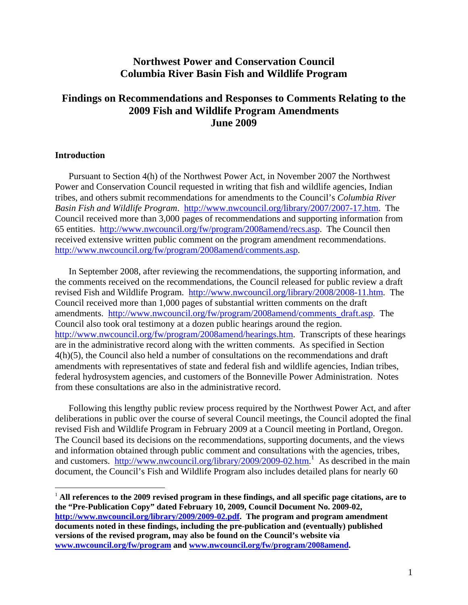# **Northwest Power and Conservation Council Columbia River Basin Fish and Wildlife Program**

# **Findings on Recommendations and Responses to Comments Relating to the 2009 Fish and Wildlife Program Amendments June 2009**

#### **Introduction**

 $\overline{a}$ 

 Pursuant to Section 4(h) of the Northwest Power Act, in November 2007 the Northwest Power and Conservation Council requested in writing that fish and wildlife agencies, Indian tribes, and others submit recommendations for amendments to the Council's *Columbia River Basin Fish and Wildlife Program*. http://www.nwcouncil.org/library/2007/2007-17.htm. The Council received more than 3,000 pages of recommendations and supporting information from 65 entities. http://www.nwcouncil.org/fw/program/2008amend/recs.asp. The Council then received extensive written public comment on the program amendment recommendations. http://www.nwcouncil.org/fw/program/2008amend/comments.asp.

 In September 2008, after reviewing the recommendations, the supporting information, and the comments received on the recommendations, the Council released for public review a draft revised Fish and Wildlife Program. http://www.nwcouncil.org/library/2008/2008-11.htm. The Council received more than 1,000 pages of substantial written comments on the draft amendments. http://www.nwcouncil.org/fw/program/2008amend/comments\_draft.asp. The Council also took oral testimony at a dozen public hearings around the region. http://www.nwcouncil.org/fw/program/2008amend/hearings.htm. Transcripts of these hearings are in the administrative record along with the written comments. As specified in Section 4(h)(5), the Council also held a number of consultations on the recommendations and draft amendments with representatives of state and federal fish and wildlife agencies, Indian tribes, federal hydrosystem agencies, and customers of the Bonneville Power Administration. Notes from these consultations are also in the administrative record.

 Following this lengthy public review process required by the Northwest Power Act, and after deliberations in public over the course of several Council meetings, the Council adopted the final revised Fish and Wildlife Program in February 2009 at a Council meeting in Portland, Oregon. The Council based its decisions on the recommendations, supporting documents, and the views and information obtained through public comment and consultations with the agencies, tribes, and customers. http://www.nwcouncil.org/library/2009/2009-02.htm.<sup>1</sup> As described in the main document, the Council's Fish and Wildlife Program also includes detailed plans for nearly 60

<sup>&</sup>lt;sup>1</sup> All references to the 2009 revised program in these findings, and all specific page citations, are to **the "Pre-Publication Copy" dated February 10, 2009, Council Document No. 2009-02, http://www.nwcouncil.org/library/2009/2009-02.pdf. The program and program amendment documents noted in these findings, including the pre-publication and (eventually) published versions of the revised program, may also be found on the Council's website via www.nwcouncil.org/fw/program and www.nwcouncil.org/fw/program/2008amend.**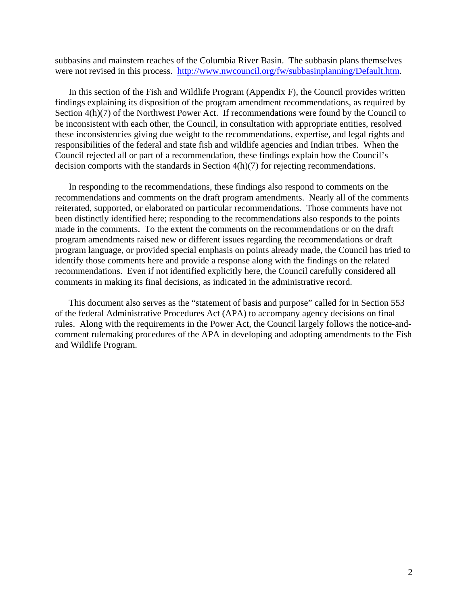subbasins and mainstem reaches of the Columbia River Basin. The subbasin plans themselves were not revised in this process. http://www.nwcouncil.org/fw/subbasinplanning/Default.htm.

 In this section of the Fish and Wildlife Program (Appendix F), the Council provides written findings explaining its disposition of the program amendment recommendations, as required by Section 4(h)(7) of the Northwest Power Act. If recommendations were found by the Council to be inconsistent with each other, the Council, in consultation with appropriate entities, resolved these inconsistencies giving due weight to the recommendations, expertise, and legal rights and responsibilities of the federal and state fish and wildlife agencies and Indian tribes. When the Council rejected all or part of a recommendation, these findings explain how the Council's decision comports with the standards in Section 4(h)(7) for rejecting recommendations.

 In responding to the recommendations, these findings also respond to comments on the recommendations and comments on the draft program amendments. Nearly all of the comments reiterated, supported, or elaborated on particular recommendations. Those comments have not been distinctly identified here; responding to the recommendations also responds to the points made in the comments. To the extent the comments on the recommendations or on the draft program amendments raised new or different issues regarding the recommendations or draft program language, or provided special emphasis on points already made, the Council has tried to identify those comments here and provide a response along with the findings on the related recommendations. Even if not identified explicitly here, the Council carefully considered all comments in making its final decisions, as indicated in the administrative record.

 This document also serves as the "statement of basis and purpose" called for in Section 553 of the federal Administrative Procedures Act (APA) to accompany agency decisions on final rules. Along with the requirements in the Power Act, the Council largely follows the notice-andcomment rulemaking procedures of the APA in developing and adopting amendments to the Fish and Wildlife Program.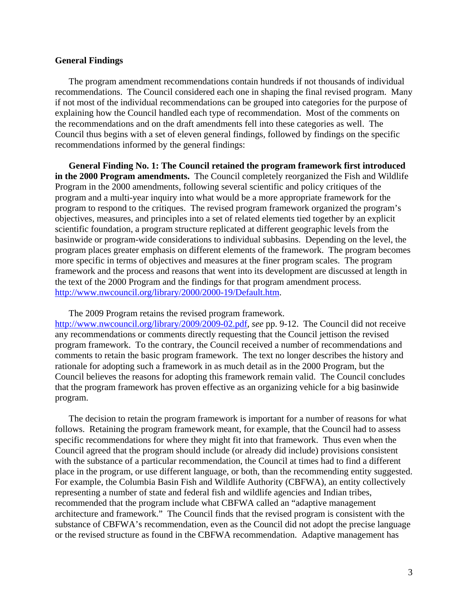#### **General Findings**

 The program amendment recommendations contain hundreds if not thousands of individual recommendations. The Council considered each one in shaping the final revised program. Many if not most of the individual recommendations can be grouped into categories for the purpose of explaining how the Council handled each type of recommendation. Most of the comments on the recommendations and on the draft amendments fell into these categories as well. The Council thus begins with a set of eleven general findings, followed by findings on the specific recommendations informed by the general findings:

**General Finding No. 1: The Council retained the program framework first introduced in the 2000 Program amendments.** The Council completely reorganized the Fish and Wildlife Program in the 2000 amendments, following several scientific and policy critiques of the program and a multi-year inquiry into what would be a more appropriate framework for the program to respond to the critiques. The revised program framework organized the program's objectives, measures, and principles into a set of related elements tied together by an explicit scientific foundation, a program structure replicated at different geographic levels from the basinwide or program-wide considerations to individual subbasins. Depending on the level, the program places greater emphasis on different elements of the framework. The program becomes more specific in terms of objectives and measures at the finer program scales. The program framework and the process and reasons that went into its development are discussed at length in the text of the 2000 Program and the findings for that program amendment process. http://www.nwcouncil.org/library/2000/2000-19/Default.htm.

The 2009 Program retains the revised program framework.

http://www.nwcouncil.org/library/2009/2009-02.pdf, *see* pp. 9-12. The Council did not receive any recommendations or comments directly requesting that the Council jettison the revised program framework. To the contrary, the Council received a number of recommendations and comments to retain the basic program framework. The text no longer describes the history and rationale for adopting such a framework in as much detail as in the 2000 Program, but the Council believes the reasons for adopting this framework remain valid. The Council concludes that the program framework has proven effective as an organizing vehicle for a big basinwide program.

 The decision to retain the program framework is important for a number of reasons for what follows. Retaining the program framework meant, for example, that the Council had to assess specific recommendations for where they might fit into that framework. Thus even when the Council agreed that the program should include (or already did include) provisions consistent with the substance of a particular recommendation, the Council at times had to find a different place in the program, or use different language, or both, than the recommending entity suggested. For example, the Columbia Basin Fish and Wildlife Authority (CBFWA), an entity collectively representing a number of state and federal fish and wildlife agencies and Indian tribes, recommended that the program include what CBFWA called an "adaptive management architecture and framework." The Council finds that the revised program is consistent with the substance of CBFWA's recommendation, even as the Council did not adopt the precise language or the revised structure as found in the CBFWA recommendation. Adaptive management has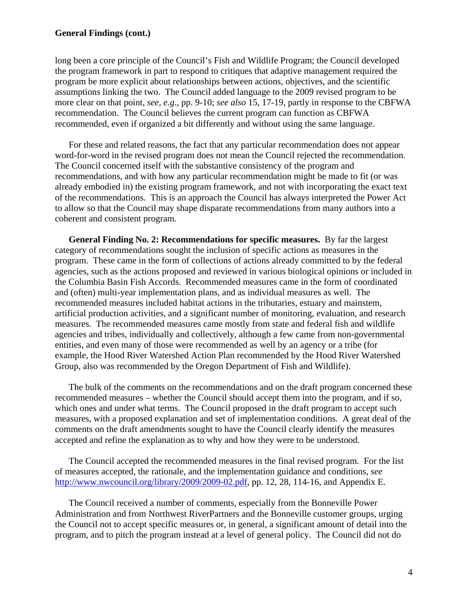long been a core principle of the Council's Fish and Wildlife Program; the Council developed the program framework in part to respond to critiques that adaptive management required the program be more explicit about relationships between actions, objectives, and the scientific assumptions linking the two. The Council added language to the 2009 revised program to be more clear on that point, *see, e.g*., pp. 9-10; *see also* 15, 17-19, partly in response to the CBFWA recommendation. The Council believes the current program can function as CBFWA recommended, even if organized a bit differently and without using the same language.

 For these and related reasons, the fact that any particular recommendation does not appear word-for-word in the revised program does not mean the Council rejected the recommendation. The Council concerned itself with the substantive consistency of the program and recommendations, and with how any particular recommendation might be made to fit (or was already embodied in) the existing program framework, and not with incorporating the exact text of the recommendations. This is an approach the Council has always interpreted the Power Act to allow so that the Council may shape disparate recommendations from many authors into a coherent and consistent program.

 **General Finding No. 2: Recommendations for specific measures.** By far the largest category of recommendations sought the inclusion of specific actions as measures in the program. These came in the form of collections of actions already committed to by the federal agencies, such as the actions proposed and reviewed in various biological opinions or included in the Columbia Basin Fish Accords. Recommended measures came in the form of coordinated and (often) multi-year implementation plans, and as individual measures as well. The recommended measures included habitat actions in the tributaries, estuary and mainstem, artificial production activities, and a significant number of monitoring, evaluation, and research measures. The recommended measures came mostly from state and federal fish and wildlife agencies and tribes, individually and collectively, although a few came from non-governmental entities, and even many of those were recommended as well by an agency or a tribe (for example, the Hood River Watershed Action Plan recommended by the Hood River Watershed Group, also was recommended by the Oregon Department of Fish and Wildlife).

 The bulk of the comments on the recommendations and on the draft program concerned these recommended measures – whether the Council should accept them into the program, and if so, which ones and under what terms. The Council proposed in the draft program to accept such measures, with a proposed explanation and set of implementation conditions. A great deal of the comments on the draft amendments sought to have the Council clearly identify the measures accepted and refine the explanation as to why and how they were to be understood.

 The Council accepted the recommended measures in the final revised program. For the list of measures accepted, the rationale, and the implementation guidance and conditions, *see* http://www.nwcouncil.org/library/2009/2009-02.pdf, pp. 12, 28, 114-16, and Appendix E.

 The Council received a number of comments, especially from the Bonneville Power Administration and from Northwest RiverPartners and the Bonneville customer groups, urging the Council not to accept specific measures or, in general, a significant amount of detail into the program, and to pitch the program instead at a level of general policy. The Council did not do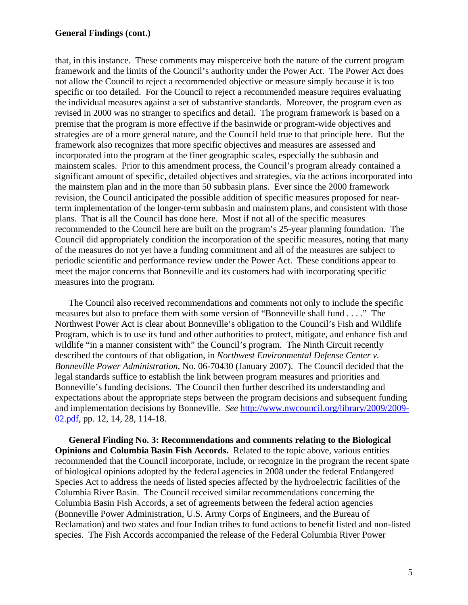that, in this instance. These comments may misperceive both the nature of the current program framework and the limits of the Council's authority under the Power Act. The Power Act does not allow the Council to reject a recommended objective or measure simply because it is too specific or too detailed. For the Council to reject a recommended measure requires evaluating the individual measures against a set of substantive standards. Moreover, the program even as revised in 2000 was no stranger to specifics and detail. The program framework is based on a premise that the program is more effective if the basinwide or program-wide objectives and strategies are of a more general nature, and the Council held true to that principle here. But the framework also recognizes that more specific objectives and measures are assessed and incorporated into the program at the finer geographic scales, especially the subbasin and mainstem scales. Prior to this amendment process, the Council's program already contained a significant amount of specific, detailed objectives and strategies, via the actions incorporated into the mainstem plan and in the more than 50 subbasin plans. Ever since the 2000 framework revision, the Council anticipated the possible addition of specific measures proposed for nearterm implementation of the longer-term subbasin and mainstem plans, and consistent with those plans. That is all the Council has done here. Most if not all of the specific measures recommended to the Council here are built on the program's 25-year planning foundation. The Council did appropriately condition the incorporation of the specific measures, noting that many of the measures do not yet have a funding commitment and all of the measures are subject to periodic scientific and performance review under the Power Act. These conditions appear to meet the major concerns that Bonneville and its customers had with incorporating specific measures into the program.

 The Council also received recommendations and comments not only to include the specific measures but also to preface them with some version of "Bonneville shall fund . . . ." The Northwest Power Act is clear about Bonneville's obligation to the Council's Fish and Wildlife Program, which is to use its fund and other authorities to protect, mitigate, and enhance fish and wildlife "in a manner consistent with" the Council's program. The Ninth Circuit recently described the contours of that obligation, in *Northwest Environmental Defense Center v. Bonneville Power Administration*, No. 06-70430 (January 2007). The Council decided that the legal standards suffice to establish the link between program measures and priorities and Bonneville's funding decisions. The Council then further described its understanding and expectations about the appropriate steps between the program decisions and subsequent funding and implementation decisions by Bonneville. *See* http://www.nwcouncil.org/library/2009/2009- 02.pdf, pp. 12, 14, 28, 114-18.

**General Finding No. 3: Recommendations and comments relating to the Biological Opinions and Columbia Basin Fish Accords.** Related to the topic above, various entities recommended that the Council incorporate, include, or recognize in the program the recent spate of biological opinions adopted by the federal agencies in 2008 under the federal Endangered Species Act to address the needs of listed species affected by the hydroelectric facilities of the Columbia River Basin. The Council received similar recommendations concerning the Columbia Basin Fish Accords, a set of agreements between the federal action agencies (Bonneville Power Administration, U.S. Army Corps of Engineers, and the Bureau of Reclamation) and two states and four Indian tribes to fund actions to benefit listed and non-listed species. The Fish Accords accompanied the release of the Federal Columbia River Power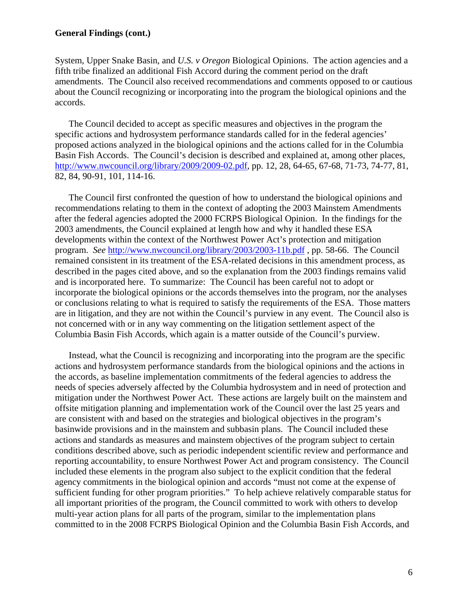System, Upper Snake Basin, and *U.S. v Oregon* Biological Opinions. The action agencies and a fifth tribe finalized an additional Fish Accord during the comment period on the draft amendments. The Council also received recommendations and comments opposed to or cautious about the Council recognizing or incorporating into the program the biological opinions and the accords.

 The Council decided to accept as specific measures and objectives in the program the specific actions and hydrosystem performance standards called for in the federal agencies' proposed actions analyzed in the biological opinions and the actions called for in the Columbia Basin Fish Accords. The Council's decision is described and explained at, among other places, http://www.nwcouncil.org/library/2009/2009-02.pdf, pp. 12, 28, 64-65, 67-68, 71-73, 74-77, 81, 82, 84, 90-91, 101, 114-16.

 The Council first confronted the question of how to understand the biological opinions and recommendations relating to them in the context of adopting the 2003 Mainstem Amendments after the federal agencies adopted the 2000 FCRPS Biological Opinion. In the findings for the 2003 amendments, the Council explained at length how and why it handled these ESA developments within the context of the Northwest Power Act's protection and mitigation program. *See* http://www.nwcouncil.org/library/2003/2003-11b.pdf , pp. 58-66. The Council remained consistent in its treatment of the ESA-related decisions in this amendment process, as described in the pages cited above, and so the explanation from the 2003 findings remains valid and is incorporated here. To summarize: The Council has been careful not to adopt or incorporate the biological opinions or the accords themselves into the program, nor the analyses or conclusions relating to what is required to satisfy the requirements of the ESA. Those matters are in litigation, and they are not within the Council's purview in any event. The Council also is not concerned with or in any way commenting on the litigation settlement aspect of the Columbia Basin Fish Accords, which again is a matter outside of the Council's purview.

 Instead, what the Council is recognizing and incorporating into the program are the specific actions and hydrosystem performance standards from the biological opinions and the actions in the accords, as baseline implementation commitments of the federal agencies to address the needs of species adversely affected by the Columbia hydrosystem and in need of protection and mitigation under the Northwest Power Act. These actions are largely built on the mainstem and offsite mitigation planning and implementation work of the Council over the last 25 years and are consistent with and based on the strategies and biological objectives in the program's basinwide provisions and in the mainstem and subbasin plans. The Council included these actions and standards as measures and mainstem objectives of the program subject to certain conditions described above, such as periodic independent scientific review and performance and reporting accountability, to ensure Northwest Power Act and program consistency. The Council included these elements in the program also subject to the explicit condition that the federal agency commitments in the biological opinion and accords "must not come at the expense of sufficient funding for other program priorities." To help achieve relatively comparable status for all important priorities of the program, the Council committed to work with others to develop multi-year action plans for all parts of the program, similar to the implementation plans committed to in the 2008 FCRPS Biological Opinion and the Columbia Basin Fish Accords, and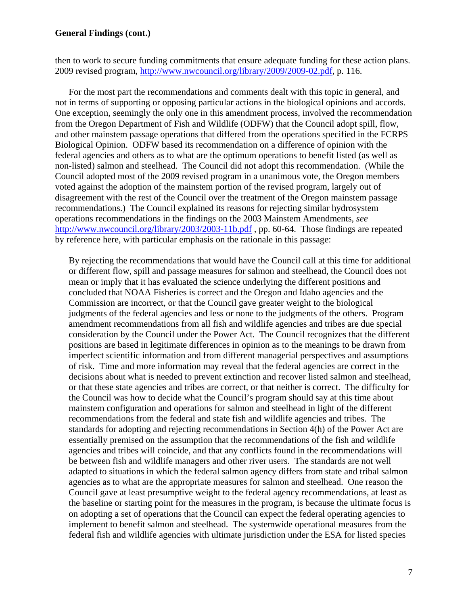then to work to secure funding commitments that ensure adequate funding for these action plans. 2009 revised program, http://www.nwcouncil.org/library/2009/2009-02.pdf, p. 116.

 For the most part the recommendations and comments dealt with this topic in general, and not in terms of supporting or opposing particular actions in the biological opinions and accords. One exception, seemingly the only one in this amendment process, involved the recommendation from the Oregon Department of Fish and Wildlife (ODFW) that the Council adopt spill, flow, and other mainstem passage operations that differed from the operations specified in the FCRPS Biological Opinion. ODFW based its recommendation on a difference of opinion with the federal agencies and others as to what are the optimum operations to benefit listed (as well as non-listed) salmon and steelhead. The Council did not adopt this recommendation. (While the Council adopted most of the 2009 revised program in a unanimous vote, the Oregon members voted against the adoption of the mainstem portion of the revised program, largely out of disagreement with the rest of the Council over the treatment of the Oregon mainstem passage recommendations.) The Council explained its reasons for rejecting similar hydrosystem operations recommendations in the findings on the 2003 Mainstem Amendments, *see* http://www.nwcouncil.org/library/2003/2003-11b.pdf , pp. 60-64. Those findings are repeated by reference here, with particular emphasis on the rationale in this passage:

By rejecting the recommendations that would have the Council call at this time for additional or different flow, spill and passage measures for salmon and steelhead, the Council does not mean or imply that it has evaluated the science underlying the different positions and concluded that NOAA Fisheries is correct and the Oregon and Idaho agencies and the Commission are incorrect, or that the Council gave greater weight to the biological judgments of the federal agencies and less or none to the judgments of the others. Program amendment recommendations from all fish and wildlife agencies and tribes are due special consideration by the Council under the Power Act. The Council recognizes that the different positions are based in legitimate differences in opinion as to the meanings to be drawn from imperfect scientific information and from different managerial perspectives and assumptions of risk. Time and more information may reveal that the federal agencies are correct in the decisions about what is needed to prevent extinction and recover listed salmon and steelhead, or that these state agencies and tribes are correct, or that neither is correct. The difficulty for the Council was how to decide what the Council's program should say at this time about mainstem configuration and operations for salmon and steelhead in light of the different recommendations from the federal and state fish and wildlife agencies and tribes. The standards for adopting and rejecting recommendations in Section 4(h) of the Power Act are essentially premised on the assumption that the recommendations of the fish and wildlife agencies and tribes will coincide, and that any conflicts found in the recommendations will be between fish and wildlife managers and other river users. The standards are not well adapted to situations in which the federal salmon agency differs from state and tribal salmon agencies as to what are the appropriate measures for salmon and steelhead. One reason the Council gave at least presumptive weight to the federal agency recommendations, at least as the baseline or starting point for the measures in the program, is because the ultimate focus is on adopting a set of operations that the Council can expect the federal operating agencies to implement to benefit salmon and steelhead. The systemwide operational measures from the federal fish and wildlife agencies with ultimate jurisdiction under the ESA for listed species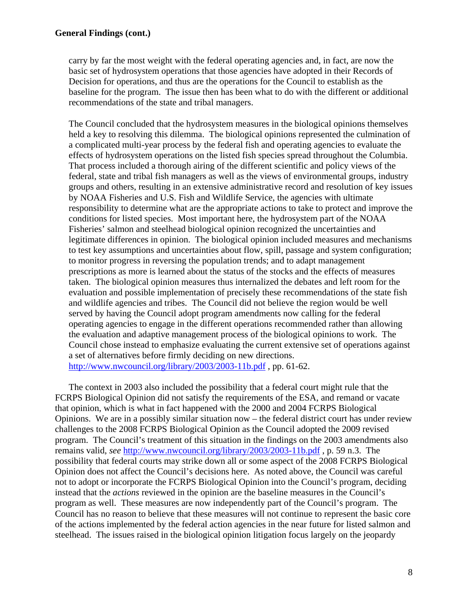carry by far the most weight with the federal operating agencies and, in fact, are now the basic set of hydrosystem operations that those agencies have adopted in their Records of Decision for operations, and thus are the operations for the Council to establish as the baseline for the program. The issue then has been what to do with the different or additional recommendations of the state and tribal managers.

The Council concluded that the hydrosystem measures in the biological opinions themselves held a key to resolving this dilemma. The biological opinions represented the culmination of a complicated multi-year process by the federal fish and operating agencies to evaluate the effects of hydrosystem operations on the listed fish species spread throughout the Columbia. That process included a thorough airing of the different scientific and policy views of the federal, state and tribal fish managers as well as the views of environmental groups, industry groups and others, resulting in an extensive administrative record and resolution of key issues by NOAA Fisheries and U.S. Fish and Wildlife Service, the agencies with ultimate responsibility to determine what are the appropriate actions to take to protect and improve the conditions for listed species. Most important here, the hydrosystem part of the NOAA Fisheries' salmon and steelhead biological opinion recognized the uncertainties and legitimate differences in opinion. The biological opinion included measures and mechanisms to test key assumptions and uncertainties about flow, spill, passage and system configuration; to monitor progress in reversing the population trends; and to adapt management prescriptions as more is learned about the status of the stocks and the effects of measures taken. The biological opinion measures thus internalized the debates and left room for the evaluation and possible implementation of precisely these recommendations of the state fish and wildlife agencies and tribes. The Council did not believe the region would be well served by having the Council adopt program amendments now calling for the federal operating agencies to engage in the different operations recommended rather than allowing the evaluation and adaptive management process of the biological opinions to work. The Council chose instead to emphasize evaluating the current extensive set of operations against a set of alternatives before firmly deciding on new directions. http://www.nwcouncil.org/library/2003/2003-11b.pdf , pp. 61-62.

 The context in 2003 also included the possibility that a federal court might rule that the FCRPS Biological Opinion did not satisfy the requirements of the ESA, and remand or vacate that opinion, which is what in fact happened with the 2000 and 2004 FCRPS Biological Opinions. We are in a possibly similar situation now – the federal district court has under review challenges to the 2008 FCRPS Biological Opinion as the Council adopted the 2009 revised program. The Council's treatment of this situation in the findings on the 2003 amendments also remains valid, *see* http://www.nwcouncil.org/library/2003/2003-11b.pdf , p. 59 n.3. The possibility that federal courts may strike down all or some aspect of the 2008 FCRPS Biological Opinion does not affect the Council's decisions here. As noted above, the Council was careful not to adopt or incorporate the FCRPS Biological Opinion into the Council's program, deciding instead that the *actions* reviewed in the opinion are the baseline measures in the Council's program as well. These measures are now independently part of the Council's program. The Council has no reason to believe that these measures will not continue to represent the basic core of the actions implemented by the federal action agencies in the near future for listed salmon and steelhead. The issues raised in the biological opinion litigation focus largely on the jeopardy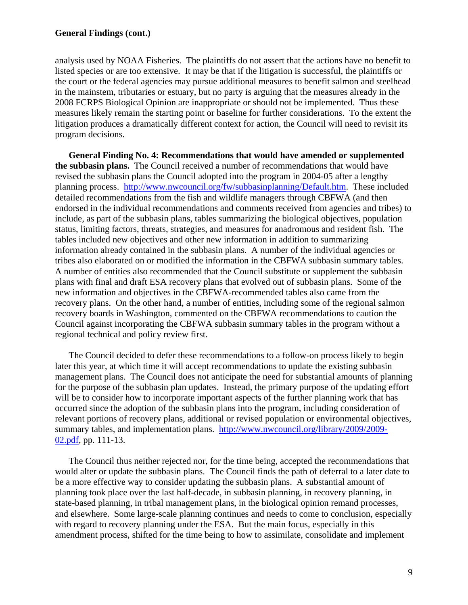analysis used by NOAA Fisheries. The plaintiffs do not assert that the actions have no benefit to listed species or are too extensive. It may be that if the litigation is successful, the plaintiffs or the court or the federal agencies may pursue additional measures to benefit salmon and steelhead in the mainstem, tributaries or estuary, but no party is arguing that the measures already in the 2008 FCRPS Biological Opinion are inappropriate or should not be implemented. Thus these measures likely remain the starting point or baseline for further considerations. To the extent the litigation produces a dramatically different context for action, the Council will need to revisit its program decisions.

 **General Finding No. 4: Recommendations that would have amended or supplemented the subbasin plans.** The Council received a number of recommendations that would have revised the subbasin plans the Council adopted into the program in 2004-05 after a lengthy planning process. http://www.nwcouncil.org/fw/subbasinplanning/Default.htm. These included detailed recommendations from the fish and wildlife managers through CBFWA (and then endorsed in the individual recommendations and comments received from agencies and tribes) to include, as part of the subbasin plans, tables summarizing the biological objectives, population status, limiting factors, threats, strategies, and measures for anadromous and resident fish. The tables included new objectives and other new information in addition to summarizing information already contained in the subbasin plans. A number of the individual agencies or tribes also elaborated on or modified the information in the CBFWA subbasin summary tables. A number of entities also recommended that the Council substitute or supplement the subbasin plans with final and draft ESA recovery plans that evolved out of subbasin plans. Some of the new information and objectives in the CBFWA-recommended tables also came from the recovery plans. On the other hand, a number of entities, including some of the regional salmon recovery boards in Washington, commented on the CBFWA recommendations to caution the Council against incorporating the CBFWA subbasin summary tables in the program without a regional technical and policy review first.

 The Council decided to defer these recommendations to a follow-on process likely to begin later this year, at which time it will accept recommendations to update the existing subbasin management plans. The Council does not anticipate the need for substantial amounts of planning for the purpose of the subbasin plan updates. Instead, the primary purpose of the updating effort will be to consider how to incorporate important aspects of the further planning work that has occurred since the adoption of the subbasin plans into the program, including consideration of relevant portions of recovery plans, additional or revised population or environmental objectives, summary tables, and implementation plans. http://www.nwcouncil.org/library/2009/2009- 02.pdf, pp. 111-13.

 The Council thus neither rejected nor, for the time being, accepted the recommendations that would alter or update the subbasin plans. The Council finds the path of deferral to a later date to be a more effective way to consider updating the subbasin plans. A substantial amount of planning took place over the last half-decade, in subbasin planning, in recovery planning, in state-based planning, in tribal management plans, in the biological opinion remand processes, and elsewhere. Some large-scale planning continues and needs to come to conclusion, especially with regard to recovery planning under the ESA. But the main focus, especially in this amendment process, shifted for the time being to how to assimilate, consolidate and implement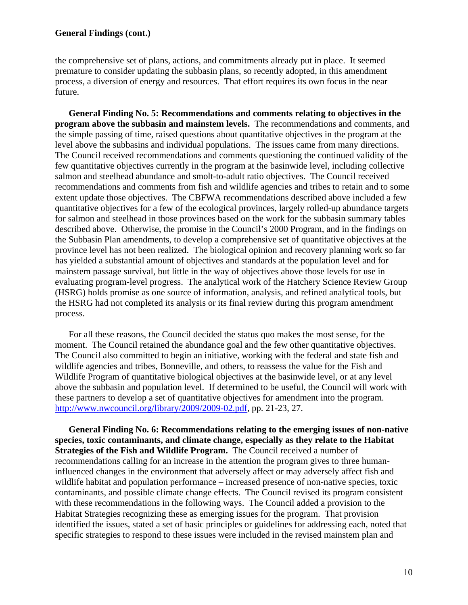the comprehensive set of plans, actions, and commitments already put in place. It seemed premature to consider updating the subbasin plans, so recently adopted, in this amendment process, a diversion of energy and resources. That effort requires its own focus in the near future.

**General Finding No. 5: Recommendations and comments relating to objectives in the program above the subbasin and mainstem levels.** The recommendations and comments, and the simple passing of time, raised questions about quantitative objectives in the program at the level above the subbasins and individual populations. The issues came from many directions. The Council received recommendations and comments questioning the continued validity of the few quantitative objectives currently in the program at the basinwide level, including collective salmon and steelhead abundance and smolt-to-adult ratio objectives. The Council received recommendations and comments from fish and wildlife agencies and tribes to retain and to some extent update those objectives. The CBFWA recommendations described above included a few quantitative objectives for a few of the ecological provinces, largely rolled-up abundance targets for salmon and steelhead in those provinces based on the work for the subbasin summary tables described above. Otherwise, the promise in the Council's 2000 Program, and in the findings on the Subbasin Plan amendments, to develop a comprehensive set of quantitative objectives at the province level has not been realized. The biological opinion and recovery planning work so far has yielded a substantial amount of objectives and standards at the population level and for mainstem passage survival, but little in the way of objectives above those levels for use in evaluating program-level progress. The analytical work of the Hatchery Science Review Group (HSRG) holds promise as one source of information, analysis, and refined analytical tools, but the HSRG had not completed its analysis or its final review during this program amendment process.

 For all these reasons, the Council decided the status quo makes the most sense, for the moment. The Council retained the abundance goal and the few other quantitative objectives. The Council also committed to begin an initiative, working with the federal and state fish and wildlife agencies and tribes, Bonneville, and others, to reassess the value for the Fish and Wildlife Program of quantitative biological objectives at the basinwide level, or at any level above the subbasin and population level. If determined to be useful, the Council will work with these partners to develop a set of quantitative objectives for amendment into the program. http://www.nwcouncil.org/library/2009/2009-02.pdf, pp. 21-23, 27.

 **General Finding No. 6: Recommendations relating to the emerging issues of non-native species, toxic contaminants, and climate change, especially as they relate to the Habitat Strategies of the Fish and Wildlife Program.** The Council received a number of recommendations calling for an increase in the attention the program gives to three humaninfluenced changes in the environment that adversely affect or may adversely affect fish and wildlife habitat and population performance – increased presence of non-native species, toxic contaminants, and possible climate change effects. The Council revised its program consistent with these recommendations in the following ways. The Council added a provision to the Habitat Strategies recognizing these as emerging issues for the program. That provision identified the issues, stated a set of basic principles or guidelines for addressing each, noted that specific strategies to respond to these issues were included in the revised mainstem plan and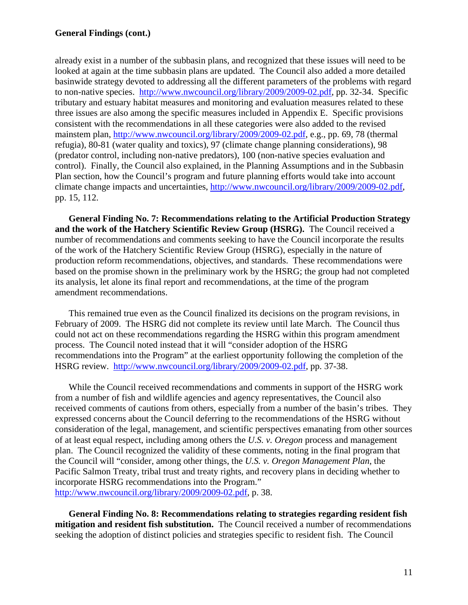already exist in a number of the subbasin plans, and recognized that these issues will need to be looked at again at the time subbasin plans are updated. The Council also added a more detailed basinwide strategy devoted to addressing all the different parameters of the problems with regard to non-native species. http://www.nwcouncil.org/library/2009/2009-02.pdf, pp. 32-34. Specific tributary and estuary habitat measures and monitoring and evaluation measures related to these three issues are also among the specific measures included in Appendix E. Specific provisions consistent with the recommendations in all these categories were also added to the revised mainstem plan, http://www.nwcouncil.org/library/2009/2009-02.pdf, e.g., pp. 69, 78 (thermal refugia), 80-81 (water quality and toxics), 97 (climate change planning considerations), 98 (predator control, including non-native predators), 100 (non-native species evaluation and control). Finally, the Council also explained, in the Planning Assumptions and in the Subbasin Plan section, how the Council's program and future planning efforts would take into account climate change impacts and uncertainties, http://www.nwcouncil.org/library/2009/2009-02.pdf, pp. 15, 112.

 **General Finding No. 7: Recommendations relating to the Artificial Production Strategy and the work of the Hatchery Scientific Review Group (HSRG).** The Council received a number of recommendations and comments seeking to have the Council incorporate the results of the work of the Hatchery Scientific Review Group (HSRG), especially in the nature of production reform recommendations, objectives, and standards. These recommendations were based on the promise shown in the preliminary work by the HSRG; the group had not completed its analysis, let alone its final report and recommendations, at the time of the program amendment recommendations.

 This remained true even as the Council finalized its decisions on the program revisions, in February of 2009. The HSRG did not complete its review until late March. The Council thus could not act on these recommendations regarding the HSRG within this program amendment process. The Council noted instead that it will "consider adoption of the HSRG recommendations into the Program" at the earliest opportunity following the completion of the HSRG review. http://www.nwcouncil.org/library/2009/2009-02.pdf, pp. 37-38.

 While the Council received recommendations and comments in support of the HSRG work from a number of fish and wildlife agencies and agency representatives, the Council also received comments of cautions from others, especially from a number of the basin's tribes. They expressed concerns about the Council deferring to the recommendations of the HSRG without consideration of the legal, management, and scientific perspectives emanating from other sources of at least equal respect, including among others the *U.S. v. Oregon* process and management plan. The Council recognized the validity of these comments, noting in the final program that the Council will "consider, among other things, the *U.S. v. Oregon Management Plan*, the Pacific Salmon Treaty, tribal trust and treaty rights, and recovery plans in deciding whether to incorporate HSRG recommendations into the Program." http://www.nwcouncil.org/library/2009/2009-02.pdf, p. 38.

 **General Finding No. 8: Recommendations relating to strategies regarding resident fish mitigation and resident fish substitution.** The Council received a number of recommendations seeking the adoption of distinct policies and strategies specific to resident fish. The Council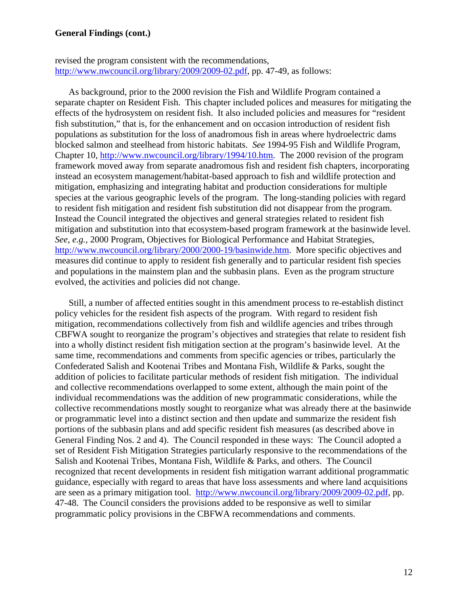# revised the program consistent with the recommendations, http://www.nwcouncil.org/library/2009/2009-02.pdf, pp. 47-49, as follows:

 As background, prior to the 2000 revision the Fish and Wildlife Program contained a separate chapter on Resident Fish. This chapter included polices and measures for mitigating the effects of the hydrosystem on resident fish. It also included policies and measures for "resident fish substitution," that is, for the enhancement and on occasion introduction of resident fish populations as substitution for the loss of anadromous fish in areas where hydroelectric dams blocked salmon and steelhead from historic habitats. *See* 1994-95 Fish and Wildlife Program, Chapter 10, http://www.nwcouncil.org/library/1994/10.htm. The 2000 revision of the program framework moved away from separate anadromous fish and resident fish chapters, incorporating instead an ecosystem management/habitat-based approach to fish and wildlife protection and mitigation, emphasizing and integrating habitat and production considerations for multiple species at the various geographic levels of the program. The long-standing policies with regard to resident fish mitigation and resident fish substitution did not disappear from the program. Instead the Council integrated the objectives and general strategies related to resident fish mitigation and substitution into that ecosystem-based program framework at the basinwide level. *See, e.g.,* 2000 Program, Objectives for Biological Performance and Habitat Strategies, http://www.nwcouncil.org/library/2000/2000-19/basinwide.htm. More specific objectives and measures did continue to apply to resident fish generally and to particular resident fish species and populations in the mainstem plan and the subbasin plans. Even as the program structure evolved, the activities and policies did not change.

 Still, a number of affected entities sought in this amendment process to re-establish distinct policy vehicles for the resident fish aspects of the program. With regard to resident fish mitigation, recommendations collectively from fish and wildlife agencies and tribes through CBFWA sought to reorganize the program's objectives and strategies that relate to resident fish into a wholly distinct resident fish mitigation section at the program's basinwide level. At the same time, recommendations and comments from specific agencies or tribes, particularly the Confederated Salish and Kootenai Tribes and Montana Fish, Wildlife & Parks, sought the addition of policies to facilitate particular methods of resident fish mitigation. The individual and collective recommendations overlapped to some extent, although the main point of the individual recommendations was the addition of new programmatic considerations, while the collective recommendations mostly sought to reorganize what was already there at the basinwide or programmatic level into a distinct section and then update and summarize the resident fish portions of the subbasin plans and add specific resident fish measures (as described above in General Finding Nos. 2 and 4). The Council responded in these ways: The Council adopted a set of Resident Fish Mitigation Strategies particularly responsive to the recommendations of the Salish and Kootenai Tribes, Montana Fish, Wildlife & Parks, and others. The Council recognized that recent developments in resident fish mitigation warrant additional programmatic guidance, especially with regard to areas that have loss assessments and where land acquisitions are seen as a primary mitigation tool. http://www.nwcouncil.org/library/2009/2009-02.pdf, pp. 47-48. The Council considers the provisions added to be responsive as well to similar programmatic policy provisions in the CBFWA recommendations and comments.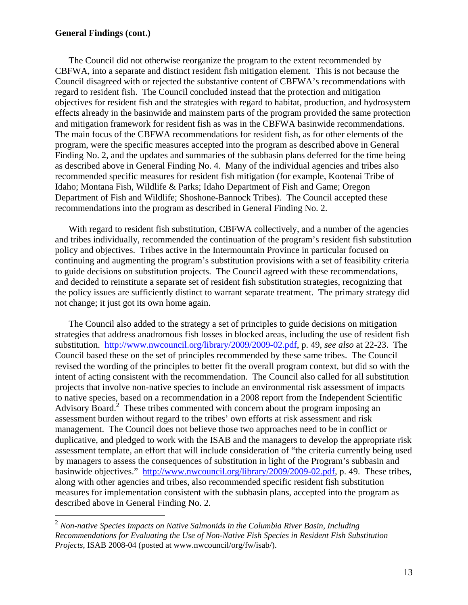$\overline{a}$ 

 The Council did not otherwise reorganize the program to the extent recommended by CBFWA, into a separate and distinct resident fish mitigation element. This is not because the Council disagreed with or rejected the substantive content of CBFWA's recommendations with regard to resident fish. The Council concluded instead that the protection and mitigation objectives for resident fish and the strategies with regard to habitat, production, and hydrosystem effects already in the basinwide and mainstem parts of the program provided the same protection and mitigation framework for resident fish as was in the CBFWA basinwide recommendations. The main focus of the CBFWA recommendations for resident fish, as for other elements of the program, were the specific measures accepted into the program as described above in General Finding No. 2, and the updates and summaries of the subbasin plans deferred for the time being as described above in General Finding No. 4. Many of the individual agencies and tribes also recommended specific measures for resident fish mitigation (for example, Kootenai Tribe of Idaho; Montana Fish, Wildlife & Parks; Idaho Department of Fish and Game; Oregon Department of Fish and Wildlife; Shoshone-Bannock Tribes). The Council accepted these recommendations into the program as described in General Finding No. 2.

With regard to resident fish substitution, CBFWA collectively, and a number of the agencies and tribes individually, recommended the continuation of the program's resident fish substitution policy and objectives. Tribes active in the Intermountain Province in particular focused on continuing and augmenting the program's substitution provisions with a set of feasibility criteria to guide decisions on substitution projects. The Council agreed with these recommendations, and decided to reinstitute a separate set of resident fish substitution strategies, recognizing that the policy issues are sufficiently distinct to warrant separate treatment. The primary strategy did not change; it just got its own home again.

 The Council also added to the strategy a set of principles to guide decisions on mitigation strategies that address anadromous fish losses in blocked areas, including the use of resident fish substitution. http://www.nwcouncil.org/library/2009/2009-02.pdf, p. 49, *see also* at 22-23. The Council based these on the set of principles recommended by these same tribes. The Council revised the wording of the principles to better fit the overall program context, but did so with the intent of acting consistent with the recommendation. The Council also called for all substitution projects that involve non-native species to include an environmental risk assessment of impacts to native species, based on a recommendation in a 2008 report from the Independent Scientific Advisory Board.<sup>2</sup> These tribes commented with concern about the program imposing an assessment burden without regard to the tribes' own efforts at risk assessment and risk management. The Council does not believe those two approaches need to be in conflict or duplicative, and pledged to work with the ISAB and the managers to develop the appropriate risk assessment template, an effort that will include consideration of "the criteria currently being used by managers to assess the consequences of substitution in light of the Program's subbasin and basinwide objectives." http://www.nwcouncil.org/library/2009/2009-02.pdf, p. 49. These tribes, along with other agencies and tribes, also recommended specific resident fish substitution measures for implementation consistent with the subbasin plans, accepted into the program as described above in General Finding No. 2.

<sup>2</sup> *Non-native Species Impacts on Native Salmonids in the Columbia River Basin, Including Recommendations for Evaluating the Use of Non-Native Fish Species in Resident Fish Substitution Projects*, ISAB 2008-04 (posted at www.nwcouncil/org/fw/isab/).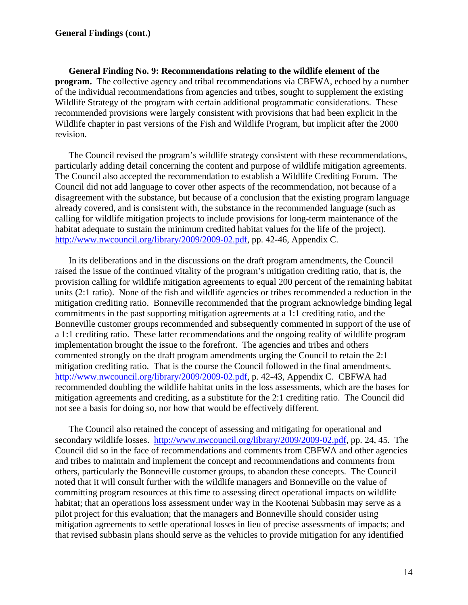**General Finding No. 9: Recommendations relating to the wildlife element of the program.** The collective agency and tribal recommendations via CBFWA, echoed by a number of the individual recommendations from agencies and tribes, sought to supplement the existing Wildlife Strategy of the program with certain additional programmatic considerations. These recommended provisions were largely consistent with provisions that had been explicit in the Wildlife chapter in past versions of the Fish and Wildlife Program, but implicit after the 2000 revision.

 The Council revised the program's wildlife strategy consistent with these recommendations, particularly adding detail concerning the content and purpose of wildlife mitigation agreements. The Council also accepted the recommendation to establish a Wildlife Crediting Forum. The Council did not add language to cover other aspects of the recommendation, not because of a disagreement with the substance, but because of a conclusion that the existing program language already covered, and is consistent with, the substance in the recommended language (such as calling for wildlife mitigation projects to include provisions for long-term maintenance of the habitat adequate to sustain the minimum credited habitat values for the life of the project). http://www.nwcouncil.org/library/2009/2009-02.pdf, pp. 42-46, Appendix C.

 In its deliberations and in the discussions on the draft program amendments, the Council raised the issue of the continued vitality of the program's mitigation crediting ratio, that is, the provision calling for wildlife mitigation agreements to equal 200 percent of the remaining habitat units (2:1 ratio). None of the fish and wildlife agencies or tribes recommended a reduction in the mitigation crediting ratio. Bonneville recommended that the program acknowledge binding legal commitments in the past supporting mitigation agreements at a 1:1 crediting ratio, and the Bonneville customer groups recommended and subsequently commented in support of the use of a 1:1 crediting ratio. These latter recommendations and the ongoing reality of wildlife program implementation brought the issue to the forefront. The agencies and tribes and others commented strongly on the draft program amendments urging the Council to retain the 2:1 mitigation crediting ratio. That is the course the Council followed in the final amendments. http://www.nwcouncil.org/library/2009/2009-02.pdf, p. 42-43, Appendix C. CBFWA had recommended doubling the wildlife habitat units in the loss assessments, which are the bases for mitigation agreements and crediting, as a substitute for the 2:1 crediting ratio. The Council did not see a basis for doing so, nor how that would be effectively different.

 The Council also retained the concept of assessing and mitigating for operational and secondary wildlife losses. http://www.nwcouncil.org/library/2009/2009-02.pdf, pp. 24, 45. The Council did so in the face of recommendations and comments from CBFWA and other agencies and tribes to maintain and implement the concept and recommendations and comments from others, particularly the Bonneville customer groups, to abandon these concepts. The Council noted that it will consult further with the wildlife managers and Bonneville on the value of committing program resources at this time to assessing direct operational impacts on wildlife habitat; that an operations loss assessment under way in the Kootenai Subbasin may serve as a pilot project for this evaluation; that the managers and Bonneville should consider using mitigation agreements to settle operational losses in lieu of precise assessments of impacts; and that revised subbasin plans should serve as the vehicles to provide mitigation for any identified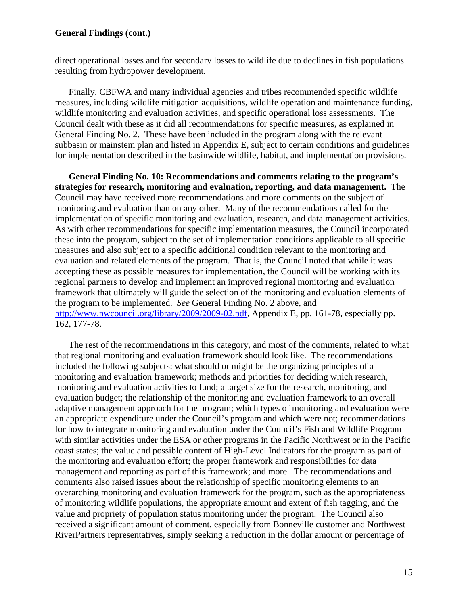direct operational losses and for secondary losses to wildlife due to declines in fish populations resulting from hydropower development.

 Finally, CBFWA and many individual agencies and tribes recommended specific wildlife measures, including wildlife mitigation acquisitions, wildlife operation and maintenance funding, wildlife monitoring and evaluation activities, and specific operational loss assessments. The Council dealt with these as it did all recommendations for specific measures, as explained in General Finding No. 2. These have been included in the program along with the relevant subbasin or mainstem plan and listed in Appendix E, subject to certain conditions and guidelines for implementation described in the basinwide wildlife, habitat, and implementation provisions.

 **General Finding No. 10: Recommendations and comments relating to the program's strategies for research, monitoring and evaluation, reporting, and data management.** The Council may have received more recommendations and more comments on the subject of monitoring and evaluation than on any other. Many of the recommendations called for the implementation of specific monitoring and evaluation, research, and data management activities. As with other recommendations for specific implementation measures, the Council incorporated these into the program, subject to the set of implementation conditions applicable to all specific measures and also subject to a specific additional condition relevant to the monitoring and evaluation and related elements of the program. That is, the Council noted that while it was accepting these as possible measures for implementation, the Council will be working with its regional partners to develop and implement an improved regional monitoring and evaluation framework that ultimately will guide the selection of the monitoring and evaluation elements of the program to be implemented. *See* General Finding No. 2 above, and http://www.nwcouncil.org/library/2009/2009-02.pdf, Appendix E, pp. 161-78, especially pp. 162, 177-78.

 The rest of the recommendations in this category, and most of the comments, related to what that regional monitoring and evaluation framework should look like. The recommendations included the following subjects: what should or might be the organizing principles of a monitoring and evaluation framework; methods and priorities for deciding which research, monitoring and evaluation activities to fund; a target size for the research, monitoring, and evaluation budget; the relationship of the monitoring and evaluation framework to an overall adaptive management approach for the program; which types of monitoring and evaluation were an appropriate expenditure under the Council's program and which were not; recommendations for how to integrate monitoring and evaluation under the Council's Fish and Wildlife Program with similar activities under the ESA or other programs in the Pacific Northwest or in the Pacific coast states; the value and possible content of High-Level Indicators for the program as part of the monitoring and evaluation effort; the proper framework and responsibilities for data management and reporting as part of this framework; and more. The recommendations and comments also raised issues about the relationship of specific monitoring elements to an overarching monitoring and evaluation framework for the program, such as the appropriateness of monitoring wildlife populations, the appropriate amount and extent of fish tagging, and the value and propriety of population status monitoring under the program. The Council also received a significant amount of comment, especially from Bonneville customer and Northwest RiverPartners representatives, simply seeking a reduction in the dollar amount or percentage of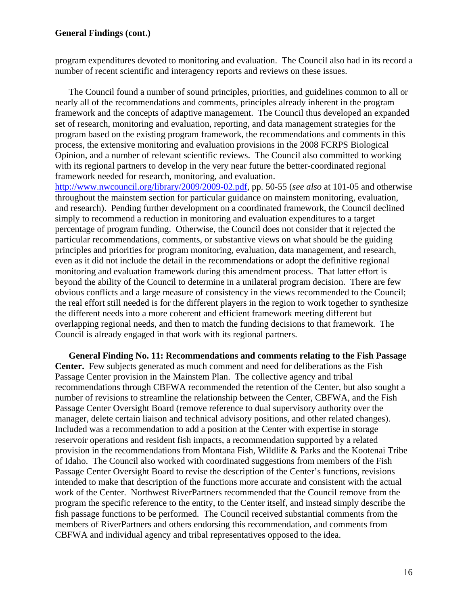program expenditures devoted to monitoring and evaluation. The Council also had in its record a number of recent scientific and interagency reports and reviews on these issues.

 The Council found a number of sound principles, priorities, and guidelines common to all or nearly all of the recommendations and comments, principles already inherent in the program framework and the concepts of adaptive management. The Council thus developed an expanded set of research, monitoring and evaluation, reporting, and data management strategies for the program based on the existing program framework, the recommendations and comments in this process, the extensive monitoring and evaluation provisions in the 2008 FCRPS Biological Opinion, and a number of relevant scientific reviews. The Council also committed to working with its regional partners to develop in the very near future the better-coordinated regional framework needed for research, monitoring, and evaluation. http://www.nwcouncil.org/library/2009/2009-02.pdf, pp. 50-55 (*see also* at 101-05 and otherwise throughout the mainstem section for particular guidance on mainstem monitoring, evaluation, and research). Pending further development on a coordinated framework, the Council declined

simply to recommend a reduction in monitoring and evaluation expenditures to a target percentage of program funding. Otherwise, the Council does not consider that it rejected the particular recommendations, comments, or substantive views on what should be the guiding principles and priorities for program monitoring, evaluation, data management, and research, even as it did not include the detail in the recommendations or adopt the definitive regional monitoring and evaluation framework during this amendment process. That latter effort is beyond the ability of the Council to determine in a unilateral program decision. There are few obvious conflicts and a large measure of consistency in the views recommended to the Council; the real effort still needed is for the different players in the region to work together to synthesize the different needs into a more coherent and efficient framework meeting different but overlapping regional needs, and then to match the funding decisions to that framework. The Council is already engaged in that work with its regional partners.

 **General Finding No. 11: Recommendations and comments relating to the Fish Passage Center.** Few subjects generated as much comment and need for deliberations as the Fish Passage Center provision in the Mainstem Plan. The collective agency and tribal recommendations through CBFWA recommended the retention of the Center, but also sought a number of revisions to streamline the relationship between the Center, CBFWA, and the Fish Passage Center Oversight Board (remove reference to dual supervisory authority over the manager, delete certain liaison and technical advisory positions, and other related changes). Included was a recommendation to add a position at the Center with expertise in storage reservoir operations and resident fish impacts, a recommendation supported by a related provision in the recommendations from Montana Fish, Wildlife & Parks and the Kootenai Tribe of Idaho. The Council also worked with coordinated suggestions from members of the Fish Passage Center Oversight Board to revise the description of the Center's functions, revisions intended to make that description of the functions more accurate and consistent with the actual work of the Center. Northwest RiverPartners recommended that the Council remove from the program the specific reference to the entity, to the Center itself, and instead simply describe the fish passage functions to be performed. The Council received substantial comments from the members of RiverPartners and others endorsing this recommendation, and comments from CBFWA and individual agency and tribal representatives opposed to the idea.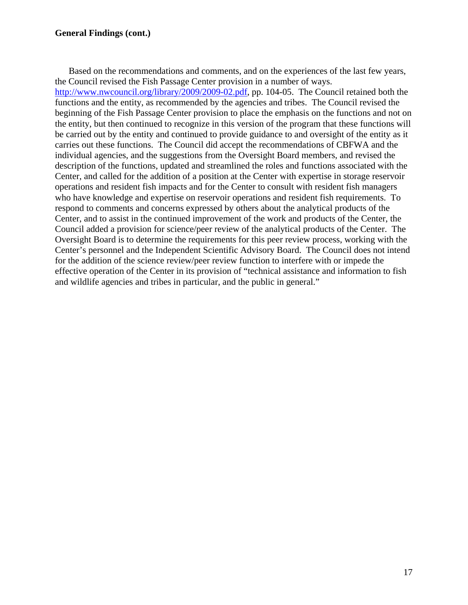Based on the recommendations and comments, and on the experiences of the last few years, the Council revised the Fish Passage Center provision in a number of ways.

http://www.nwcouncil.org/library/2009/2009-02.pdf, pp. 104-05. The Council retained both the functions and the entity, as recommended by the agencies and tribes. The Council revised the beginning of the Fish Passage Center provision to place the emphasis on the functions and not on the entity, but then continued to recognize in this version of the program that these functions will be carried out by the entity and continued to provide guidance to and oversight of the entity as it carries out these functions. The Council did accept the recommendations of CBFWA and the individual agencies, and the suggestions from the Oversight Board members, and revised the description of the functions, updated and streamlined the roles and functions associated with the Center, and called for the addition of a position at the Center with expertise in storage reservoir operations and resident fish impacts and for the Center to consult with resident fish managers who have knowledge and expertise on reservoir operations and resident fish requirements. To respond to comments and concerns expressed by others about the analytical products of the Center, and to assist in the continued improvement of the work and products of the Center, the Council added a provision for science/peer review of the analytical products of the Center. The Oversight Board is to determine the requirements for this peer review process, working with the Center's personnel and the Independent Scientific Advisory Board. The Council does not intend for the addition of the science review/peer review function to interfere with or impede the effective operation of the Center in its provision of "technical assistance and information to fish and wildlife agencies and tribes in particular, and the public in general."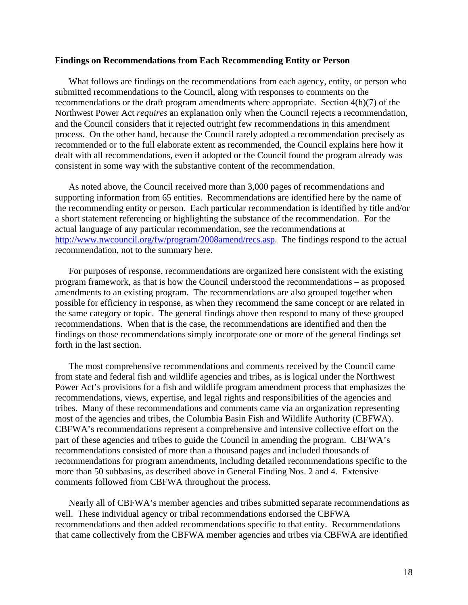#### **Findings on Recommendations from Each Recommending Entity or Person**

 What follows are findings on the recommendations from each agency, entity, or person who submitted recommendations to the Council, along with responses to comments on the recommendations or the draft program amendments where appropriate. Section 4(h)(7) of the Northwest Power Act *requires* an explanation only when the Council rejects a recommendation, and the Council considers that it rejected outright few recommendations in this amendment process. On the other hand, because the Council rarely adopted a recommendation precisely as recommended or to the full elaborate extent as recommended, the Council explains here how it dealt with all recommendations, even if adopted or the Council found the program already was consistent in some way with the substantive content of the recommendation.

 As noted above, the Council received more than 3,000 pages of recommendations and supporting information from 65 entities. Recommendations are identified here by the name of the recommending entity or person. Each particular recommendation is identified by title and/or a short statement referencing or highlighting the substance of the recommendation. For the actual language of any particular recommendation, *see* the recommendations at http://www.nwcouncil.org/fw/program/2008amend/recs.asp. The findings respond to the actual recommendation, not to the summary here.

 For purposes of response, recommendations are organized here consistent with the existing program framework, as that is how the Council understood the recommendations – as proposed amendments to an existing program. The recommendations are also grouped together when possible for efficiency in response, as when they recommend the same concept or are related in the same category or topic. The general findings above then respond to many of these grouped recommendations. When that is the case, the recommendations are identified and then the findings on those recommendations simply incorporate one or more of the general findings set forth in the last section.

 The most comprehensive recommendations and comments received by the Council came from state and federal fish and wildlife agencies and tribes, as is logical under the Northwest Power Act's provisions for a fish and wildlife program amendment process that emphasizes the recommendations, views, expertise, and legal rights and responsibilities of the agencies and tribes. Many of these recommendations and comments came via an organization representing most of the agencies and tribes, the Columbia Basin Fish and Wildlife Authority (CBFWA). CBFWA's recommendations represent a comprehensive and intensive collective effort on the part of these agencies and tribes to guide the Council in amending the program. CBFWA's recommendations consisted of more than a thousand pages and included thousands of recommendations for program amendments, including detailed recommendations specific to the more than 50 subbasins, as described above in General Finding Nos. 2 and 4. Extensive comments followed from CBFWA throughout the process.

 Nearly all of CBFWA's member agencies and tribes submitted separate recommendations as well. These individual agency or tribal recommendations endorsed the CBFWA recommendations and then added recommendations specific to that entity. Recommendations that came collectively from the CBFWA member agencies and tribes via CBFWA are identified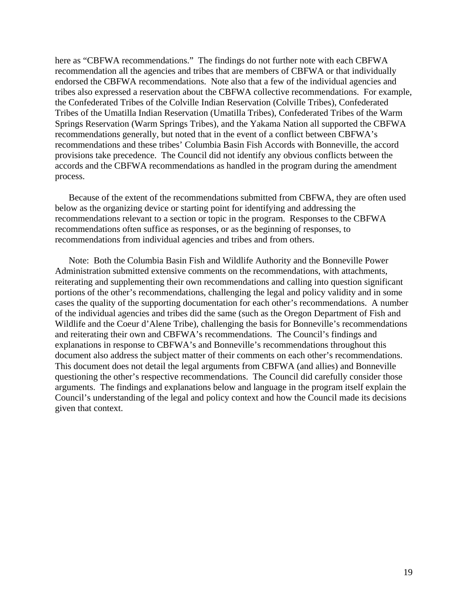here as "CBFWA recommendations." The findings do not further note with each CBFWA recommendation all the agencies and tribes that are members of CBFWA or that individually endorsed the CBFWA recommendations. Note also that a few of the individual agencies and tribes also expressed a reservation about the CBFWA collective recommendations. For example, the Confederated Tribes of the Colville Indian Reservation (Colville Tribes), Confederated Tribes of the Umatilla Indian Reservation (Umatilla Tribes), Confederated Tribes of the Warm Springs Reservation (Warm Springs Tribes), and the Yakama Nation all supported the CBFWA recommendations generally, but noted that in the event of a conflict between CBFWA's recommendations and these tribes' Columbia Basin Fish Accords with Bonneville, the accord provisions take precedence. The Council did not identify any obvious conflicts between the accords and the CBFWA recommendations as handled in the program during the amendment process.

 Because of the extent of the recommendations submitted from CBFWA, they are often used below as the organizing device or starting point for identifying and addressing the recommendations relevant to a section or topic in the program. Responses to the CBFWA recommendations often suffice as responses, or as the beginning of responses, to recommendations from individual agencies and tribes and from others.

 Note: Both the Columbia Basin Fish and Wildlife Authority and the Bonneville Power Administration submitted extensive comments on the recommendations, with attachments, reiterating and supplementing their own recommendations and calling into question significant portions of the other's recommendations, challenging the legal and policy validity and in some cases the quality of the supporting documentation for each other's recommendations. A number of the individual agencies and tribes did the same (such as the Oregon Department of Fish and Wildlife and the Coeur d'Alene Tribe), challenging the basis for Bonneville's recommendations and reiterating their own and CBFWA's recommendations. The Council's findings and explanations in response to CBFWA's and Bonneville's recommendations throughout this document also address the subject matter of their comments on each other's recommendations. This document does not detail the legal arguments from CBFWA (and allies) and Bonneville questioning the other's respective recommendations. The Council did carefully consider those arguments. The findings and explanations below and language in the program itself explain the Council's understanding of the legal and policy context and how the Council made its decisions given that context.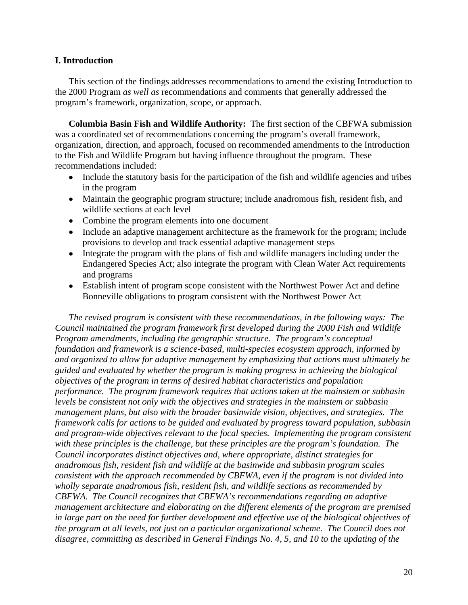# **I. Introduction**

 This section of the findings addresses recommendations to amend the existing Introduction to the 2000 Program *as well as* recommendations and comments that generally addressed the program's framework, organization, scope, or approach.

**Columbia Basin Fish and Wildlife Authority:** The first section of the CBFWA submission was a coordinated set of recommendations concerning the program's overall framework, organization, direction, and approach, focused on recommended amendments to the Introduction to the Fish and Wildlife Program but having influence throughout the program. These recommendations included:

- Include the statutory basis for the participation of the fish and wildlife agencies and tribes in the program
- Maintain the geographic program structure; include anadromous fish, resident fish, and wildlife sections at each level
- Combine the program elements into one document
- Include an adaptive management architecture as the framework for the program; include provisions to develop and track essential adaptive management steps
- Integrate the program with the plans of fish and wildlife managers including under the Endangered Species Act; also integrate the program with Clean Water Act requirements and programs
- Establish intent of program scope consistent with the Northwest Power Act and define Bonneville obligations to program consistent with the Northwest Power Act

 *The revised program is consistent with these recommendations, in the following ways: The Council maintained the program framework first developed during the 2000 Fish and Wildlife Program amendments, including the geographic structure. The program's conceptual foundation and framework is a science-based, multi-species ecosystem approach, informed by and organized to allow for adaptive management by emphasizing that actions must ultimately be guided and evaluated by whether the program is making progress in achieving the biological objectives of the program in terms of desired habitat characteristics and population performance. The program framework requires that actions taken at the mainstem or subbasin levels be consistent not only with the objectives and strategies in the mainstem or subbasin management plans, but also with the broader basinwide vision, objectives, and strategies. The framework calls for actions to be guided and evaluated by progress toward population, subbasin and program-wide objectives relevant to the focal species. Implementing the program consistent with these principles is the challenge, but these principles are the program's foundation. The Council incorporates distinct objectives and, where appropriate, distinct strategies for anadromous fish, resident fish and wildlife at the basinwide and subbasin program scales consistent with the approach recommended by CBFWA, even if the program is not divided into wholly separate anadromous fish, resident fish, and wildlife sections as recommended by CBFWA. The Council recognizes that CBFWA's recommendations regarding an adaptive management architecture and elaborating on the different elements of the program are premised in large part on the need for further development and effective use of the biological objectives of the program at all levels, not just on a particular organizational scheme. The Council does not disagree, committing as described in General Findings No. 4, 5, and 10 to the updating of the*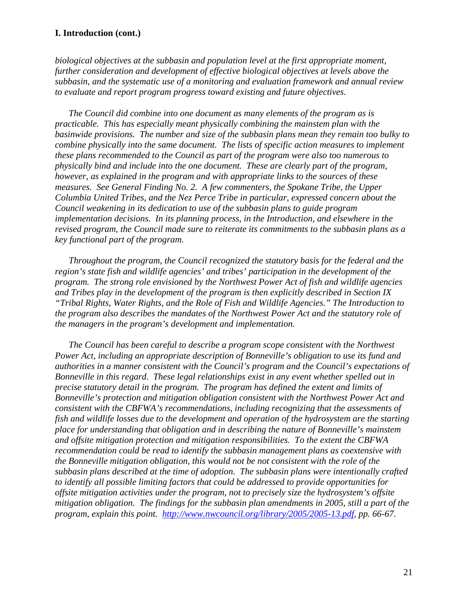*biological objectives at the subbasin and population level at the first appropriate moment, further consideration and development of effective biological objectives at levels above the subbasin, and the systematic use of a monitoring and evaluation framework and annual review to evaluate and report program progress toward existing and future objectives.* 

 *The Council did combine into one document as many elements of the program as is practicable. This has especially meant physically combining the mainstem plan with the basinwide provisions. The number and size of the subbasin plans mean they remain too bulky to combine physically into the same document. The lists of specific action measures to implement these plans recommended to the Council as part of the program were also too numerous to physically bind and include into the one document. These are clearly part of the program, however, as explained in the program and with appropriate links to the sources of these measures. See General Finding No. 2. A few commenters, the Spokane Tribe, the Upper Columbia United Tribes, and the Nez Perce Tribe in particular, expressed concern about the Council weakening in its dedication to use of the subbasin plans to guide program implementation decisions. In its planning process, in the Introduction, and elsewhere in the revised program, the Council made sure to reiterate its commitments to the subbasin plans as a key functional part of the program.* 

 *Throughout the program, the Council recognized the statutory basis for the federal and the region's state fish and wildlife agencies' and tribes' participation in the development of the program. The strong role envisioned by the Northwest Power Act of fish and wildlife agencies and Tribes play in the development of the program is then explicitly described in Section IX "Tribal Rights, Water Rights, and the Role of Fish and Wildlife Agencies." The Introduction to the program also describes the mandates of the Northwest Power Act and the statutory role of the managers in the program's development and implementation.* 

 *The Council has been careful to describe a program scope consistent with the Northwest Power Act, including an appropriate description of Bonneville's obligation to use its fund and authorities in a manner consistent with the Council's program and the Council's expectations of Bonneville in this regard. These legal relationships exist in any event whether spelled out in precise statutory detail in the program. The program has defined the extent and limits of Bonneville's protection and mitigation obligation consistent with the Northwest Power Act and consistent with the CBFWA's recommendations, including recognizing that the assessments of fish and wildlife losses due to the development and operation of the hydrosystem are the starting place for understanding that obligation and in describing the nature of Bonneville's mainstem and offsite mitigation protection and mitigation responsibilities. To the extent the CBFWA recommendation could be read to identify the subbasin management plans as coextensive with the Bonneville mitigation obligation, this would not be not consistent with the role of the subbasin plans described at the time of adoption. The subbasin plans were intentionally crafted to identify all possible limiting factors that could be addressed to provide opportunities for offsite mitigation activities under the program, not to precisely size the hydrosystem's offsite mitigation obligation. The findings for the subbasin plan amendments in 2005, still a part of the program, explain this point. http://www.nwcouncil.org/library/2005/2005-13.pdf, pp. 66-67.*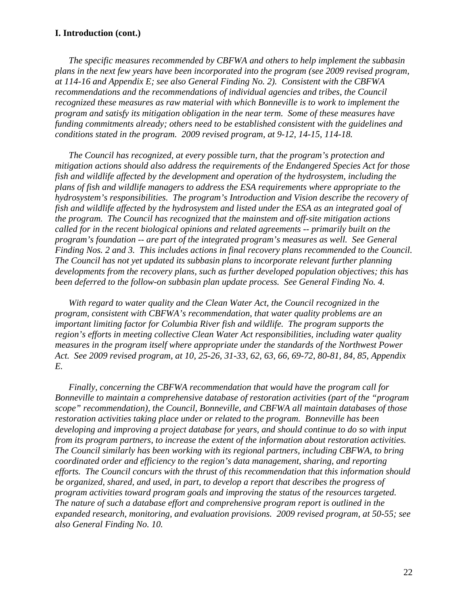*The specific measures recommended by CBFWA and others to help implement the subbasin plans in the next few years have been incorporated into the program (see 2009 revised program, at 114-16 and Appendix E; see also General Finding No. 2). Consistent with the CBFWA recommendations and the recommendations of individual agencies and tribes, the Council recognized these measures as raw material with which Bonneville is to work to implement the program and satisfy its mitigation obligation in the near term. Some of these measures have funding commitments already; others need to be established consistent with the guidelines and conditions stated in the program. 2009 revised program, at 9-12, 14-15, 114-18.* 

 *The Council has recognized, at every possible turn, that the program's protection and mitigation actions should also address the requirements of the Endangered Species Act for those fish and wildlife affected by the development and operation of the hydrosystem, including the plans of fish and wildlife managers to address the ESA requirements where appropriate to the hydrosystem's responsibilities. The program's Introduction and Vision describe the recovery of fish and wildlife affected by the hydrosystem and listed under the ESA as an integrated goal of the program. The Council has recognized that the mainstem and off-site mitigation actions called for in the recent biological opinions and related agreements -- primarily built on the program's foundation -- are part of the integrated program's measures as well. See General Finding Nos. 2 and 3. This includes actions in final recovery plans recommended to the Council. The Council has not yet updated its subbasin plans to incorporate relevant further planning developments from the recovery plans, such as further developed population objectives; this has been deferred to the follow-on subbasin plan update process. See General Finding No. 4.* 

 *With regard to water quality and the Clean Water Act, the Council recognized in the program, consistent with CBFWA's recommendation, that water quality problems are an important limiting factor for Columbia River fish and wildlife. The program supports the region's efforts in meeting collective Clean Water Act responsibilities, including water quality measures in the program itself where appropriate under the standards of the Northwest Power Act. See 2009 revised program, at 10, 25-26, 31-33, 62, 63, 66, 69-72, 80-81, 84, 85, Appendix E.* 

 *Finally, concerning the CBFWA recommendation that would have the program call for Bonneville to maintain a comprehensive database of restoration activities (part of the "program scope" recommendation), the Council, Bonneville, and CBFWA all maintain databases of those restoration activities taking place under or related to the program. Bonneville has been developing and improving a project database for years, and should continue to do so with input from its program partners, to increase the extent of the information about restoration activities. The Council similarly has been working with its regional partners, including CBFWA, to bring coordinated order and efficiency to the region's data management, sharing, and reporting efforts. The Council concurs with the thrust of this recommendation that this information should be organized, shared, and used, in part, to develop a report that describes the progress of program activities toward program goals and improving the status of the resources targeted. The nature of such a database effort and comprehensive program report is outlined in the expanded research, monitoring, and evaluation provisions. 2009 revised program, at 50-55; see also General Finding No. 10.*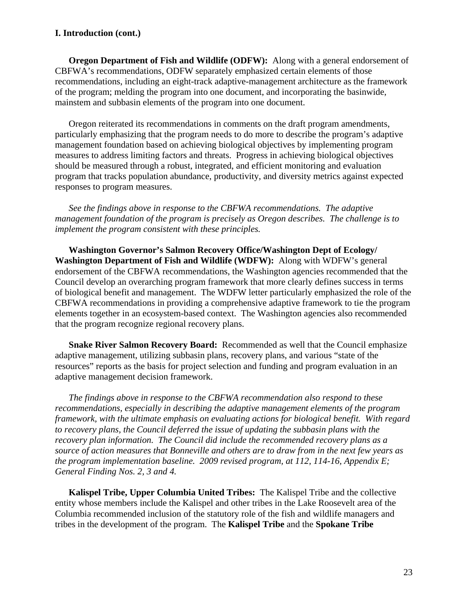**Oregon Department of Fish and Wildlife (ODFW):** Along with a general endorsement of CBFWA's recommendations, ODFW separately emphasized certain elements of those recommendations, including an eight-track adaptive-management architecture as the framework of the program; melding the program into one document, and incorporating the basinwide, mainstem and subbasin elements of the program into one document.

 Oregon reiterated its recommendations in comments on the draft program amendments, particularly emphasizing that the program needs to do more to describe the program's adaptive management foundation based on achieving biological objectives by implementing program measures to address limiting factors and threats. Progress in achieving biological objectives should be measured through a robust, integrated, and efficient monitoring and evaluation program that tracks population abundance, productivity, and diversity metrics against expected responses to program measures.

*See the findings above in response to the CBFWA recommendations. The adaptive management foundation of the program is precisely as Oregon describes. The challenge is to implement the program consistent with these principles.* 

 **Washington Governor's Salmon Recovery Office/Washington Dept of Ecology/ Washington Department of Fish and Wildlife (WDFW):** Along with WDFW's general endorsement of the CBFWA recommendations, the Washington agencies recommended that the Council develop an overarching program framework that more clearly defines success in terms of biological benefit and management. The WDFW letter particularly emphasized the role of the CBFWA recommendations in providing a comprehensive adaptive framework to tie the program elements together in an ecosystem-based context. The Washington agencies also recommended that the program recognize regional recovery plans.

 **Snake River Salmon Recovery Board:** Recommended as well that the Council emphasize adaptive management, utilizing subbasin plans, recovery plans, and various "state of the resources" reports as the basis for project selection and funding and program evaluation in an adaptive management decision framework.

*The findings above in response to the CBFWA recommendation also respond to these recommendations, especially in describing the adaptive management elements of the program framework, with the ultimate emphasis on evaluating actions for biological benefit. With regard to recovery plans, the Council deferred the issue of updating the subbasin plans with the recovery plan information. The Council did include the recommended recovery plans as a source of action measures that Bonneville and others are to draw from in the next few years as the program implementation baseline. 2009 revised program, at 112, 114-16, Appendix E; General Finding Nos. 2, 3 and 4.* 

 **Kalispel Tribe, Upper Columbia United Tribes:** The Kalispel Tribe and the collective entity whose members include the Kalispel and other tribes in the Lake Roosevelt area of the Columbia recommended inclusion of the statutory role of the fish and wildlife managers and tribes in the development of the program. The **Kalispel Tribe** and the **Spokane Tribe**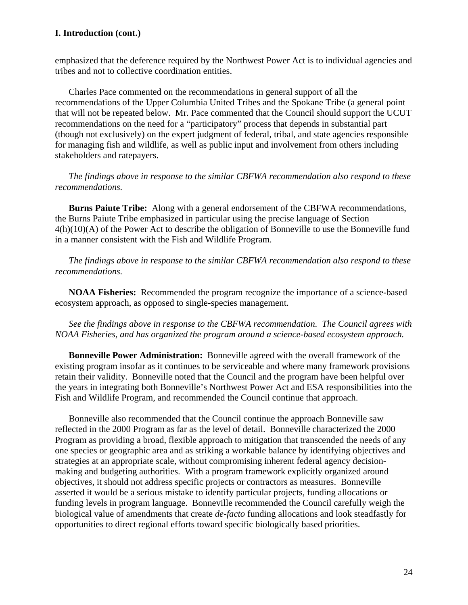emphasized that the deference required by the Northwest Power Act is to individual agencies and tribes and not to collective coordination entities.

 Charles Pace commented on the recommendations in general support of all the recommendations of the Upper Columbia United Tribes and the Spokane Tribe (a general point that will not be repeated below. Mr. Pace commented that the Council should support the UCUT recommendations on the need for a "participatory" process that depends in substantial part (though not exclusively) on the expert judgment of federal, tribal, and state agencies responsible for managing fish and wildlife, as well as public input and involvement from others including stakeholders and ratepayers.

*The findings above in response to the similar CBFWA recommendation also respond to these recommendations.* 

**Burns Paiute Tribe:** Along with a general endorsement of the CBFWA recommendations, the Burns Paiute Tribe emphasized in particular using the precise language of Section 4(h)(10)(A) of the Power Act to describe the obligation of Bonneville to use the Bonneville fund in a manner consistent with the Fish and Wildlife Program.

 *The findings above in response to the similar CBFWA recommendation also respond to these recommendations.* 

**NOAA Fisheries:** Recommended the program recognize the importance of a science-based ecosystem approach, as opposed to single-species management.

*See the findings above in response to the CBFWA recommendation. The Council agrees with NOAA Fisheries, and has organized the program around a science-based ecosystem approach.* 

**Bonneville Power Administration:** Bonneville agreed with the overall framework of the existing program insofar as it continues to be serviceable and where many framework provisions retain their validity. Bonneville noted that the Council and the program have been helpful over the years in integrating both Bonneville's Northwest Power Act and ESA responsibilities into the Fish and Wildlife Program, and recommended the Council continue that approach.

 Bonneville also recommended that the Council continue the approach Bonneville saw reflected in the 2000 Program as far as the level of detail. Bonneville characterized the 2000 Program as providing a broad, flexible approach to mitigation that transcended the needs of any one species or geographic area and as striking a workable balance by identifying objectives and strategies at an appropriate scale, without compromising inherent federal agency decisionmaking and budgeting authorities. With a program framework explicitly organized around objectives, it should not address specific projects or contractors as measures. Bonneville asserted it would be a serious mistake to identify particular projects, funding allocations or funding levels in program language. Bonneville recommended the Council carefully weigh the biological value of amendments that create *de-facto* funding allocations and look steadfastly for opportunities to direct regional efforts toward specific biologically based priorities.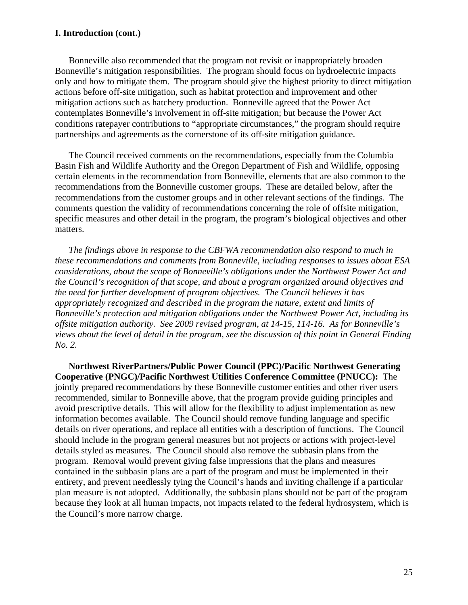Bonneville also recommended that the program not revisit or inappropriately broaden Bonneville's mitigation responsibilities. The program should focus on hydroelectric impacts only and how to mitigate them. The program should give the highest priority to direct mitigation actions before off-site mitigation, such as habitat protection and improvement and other mitigation actions such as hatchery production. Bonneville agreed that the Power Act contemplates Bonneville's involvement in off-site mitigation; but because the Power Act conditions ratepayer contributions to "appropriate circumstances," the program should require partnerships and agreements as the cornerstone of its off-site mitigation guidance.

 The Council received comments on the recommendations, especially from the Columbia Basin Fish and Wildlife Authority and the Oregon Department of Fish and Wildlife, opposing certain elements in the recommendation from Bonneville, elements that are also common to the recommendations from the Bonneville customer groups. These are detailed below, after the recommendations from the customer groups and in other relevant sections of the findings. The comments question the validity of recommendations concerning the role of offsite mitigation, specific measures and other detail in the program, the program's biological objectives and other matters.

*The findings above in response to the CBFWA recommendation also respond to much in these recommendations and comments from Bonneville, including responses to issues about ESA considerations, about the scope of Bonneville's obligations under the Northwest Power Act and the Council's recognition of that scope, and about a program organized around objectives and the need for further development of program objectives. The Council believes it has appropriately recognized and described in the program the nature, extent and limits of Bonneville's protection and mitigation obligations under the Northwest Power Act, including its offsite mitigation authority. See 2009 revised program, at 14-15, 114-16. As for Bonneville's views about the level of detail in the program, see the discussion of this point in General Finding No. 2.* 

**Northwest RiverPartners/Public Power Council (PPC)/Pacific Northwest Generating Cooperative (PNGC)/Pacific Northwest Utilities Conference Committee (PNUCC):** The jointly prepared recommendations by these Bonneville customer entities and other river users recommended, similar to Bonneville above, that the program provide guiding principles and avoid prescriptive details. This will allow for the flexibility to adjust implementation as new information becomes available. The Council should remove funding language and specific details on river operations, and replace all entities with a description of functions. The Council should include in the program general measures but not projects or actions with project-level details styled as measures. The Council should also remove the subbasin plans from the program. Removal would prevent giving false impressions that the plans and measures contained in the subbasin plans are a part of the program and must be implemented in their entirety, and prevent needlessly tying the Council's hands and inviting challenge if a particular plan measure is not adopted. Additionally, the subbasin plans should not be part of the program because they look at all human impacts, not impacts related to the federal hydrosystem, which is the Council's more narrow charge.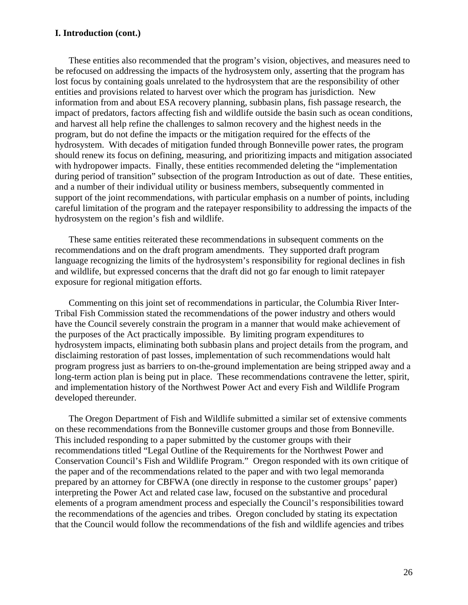These entities also recommended that the program's vision, objectives, and measures need to be refocused on addressing the impacts of the hydrosystem only, asserting that the program has lost focus by containing goals unrelated to the hydrosystem that are the responsibility of other entities and provisions related to harvest over which the program has jurisdiction. New information from and about ESA recovery planning, subbasin plans, fish passage research, the impact of predators, factors affecting fish and wildlife outside the basin such as ocean conditions, and harvest all help refine the challenges to salmon recovery and the highest needs in the program, but do not define the impacts or the mitigation required for the effects of the hydrosystem. With decades of mitigation funded through Bonneville power rates, the program should renew its focus on defining, measuring, and prioritizing impacts and mitigation associated with hydropower impacts. Finally, these entities recommended deleting the "implementation" during period of transition" subsection of the program Introduction as out of date. These entities, and a number of their individual utility or business members, subsequently commented in support of the joint recommendations, with particular emphasis on a number of points, including careful limitation of the program and the ratepayer responsibility to addressing the impacts of the hydrosystem on the region's fish and wildlife.

 These same entities reiterated these recommendations in subsequent comments on the recommendations and on the draft program amendments. They supported draft program language recognizing the limits of the hydrosystem's responsibility for regional declines in fish and wildlife, but expressed concerns that the draft did not go far enough to limit ratepayer exposure for regional mitigation efforts.

 Commenting on this joint set of recommendations in particular, the Columbia River Inter-Tribal Fish Commission stated the recommendations of the power industry and others would have the Council severely constrain the program in a manner that would make achievement of the purposes of the Act practically impossible. By limiting program expenditures to hydrosystem impacts, eliminating both subbasin plans and project details from the program, and disclaiming restoration of past losses, implementation of such recommendations would halt program progress just as barriers to on-the-ground implementation are being stripped away and a long-term action plan is being put in place. These recommendations contravene the letter, spirit, and implementation history of the Northwest Power Act and every Fish and Wildlife Program developed thereunder.

 The Oregon Department of Fish and Wildlife submitted a similar set of extensive comments on these recommendations from the Bonneville customer groups and those from Bonneville. This included responding to a paper submitted by the customer groups with their recommendations titled "Legal Outline of the Requirements for the Northwest Power and Conservation Council's Fish and Wildlife Program." Oregon responded with its own critique of the paper and of the recommendations related to the paper and with two legal memoranda prepared by an attorney for CBFWA (one directly in response to the customer groups' paper) interpreting the Power Act and related case law, focused on the substantive and procedural elements of a program amendment process and especially the Council's responsibilities toward the recommendations of the agencies and tribes. Oregon concluded by stating its expectation that the Council would follow the recommendations of the fish and wildlife agencies and tribes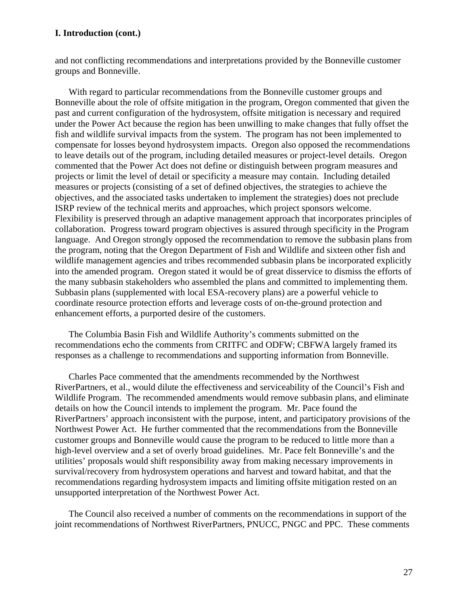and not conflicting recommendations and interpretations provided by the Bonneville customer groups and Bonneville.

 With regard to particular recommendations from the Bonneville customer groups and Bonneville about the role of offsite mitigation in the program, Oregon commented that given the past and current configuration of the hydrosystem, offsite mitigation is necessary and required under the Power Act because the region has been unwilling to make changes that fully offset the fish and wildlife survival impacts from the system. The program has not been implemented to compensate for losses beyond hydrosystem impacts. Oregon also opposed the recommendations to leave details out of the program, including detailed measures or project-level details. Oregon commented that the Power Act does not define or distinguish between program measures and projects or limit the level of detail or specificity a measure may contain. Including detailed measures or projects (consisting of a set of defined objectives, the strategies to achieve the objectives, and the associated tasks undertaken to implement the strategies) does not preclude ISRP review of the technical merits and approaches, which project sponsors welcome. Flexibility is preserved through an adaptive management approach that incorporates principles of collaboration. Progress toward program objectives is assured through specificity in the Program language. And Oregon strongly opposed the recommendation to remove the subbasin plans from the program, noting that the Oregon Department of Fish and Wildlife and sixteen other fish and wildlife management agencies and tribes recommended subbasin plans be incorporated explicitly into the amended program. Oregon stated it would be of great disservice to dismiss the efforts of the many subbasin stakeholders who assembled the plans and committed to implementing them. Subbasin plans (supplemented with local ESA-recovery plans) are a powerful vehicle to coordinate resource protection efforts and leverage costs of on-the-ground protection and enhancement efforts, a purported desire of the customers.

 The Columbia Basin Fish and Wildlife Authority's comments submitted on the recommendations echo the comments from CRITFC and ODFW; CBFWA largely framed its responses as a challenge to recommendations and supporting information from Bonneville.

 Charles Pace commented that the amendments recommended by the Northwest RiverPartners, et al., would dilute the effectiveness and serviceability of the Council's Fish and Wildlife Program. The recommended amendments would remove subbasin plans, and eliminate details on how the Council intends to implement the program. Mr. Pace found the RiverPartners' approach inconsistent with the purpose, intent, and participatory provisions of the Northwest Power Act. He further commented that the recommendations from the Bonneville customer groups and Bonneville would cause the program to be reduced to little more than a high-level overview and a set of overly broad guidelines. Mr. Pace felt Bonneville's and the utilities' proposals would shift responsibility away from making necessary improvements in survival/recovery from hydrosystem operations and harvest and toward habitat, and that the recommendations regarding hydrosystem impacts and limiting offsite mitigation rested on an unsupported interpretation of the Northwest Power Act.

 The Council also received a number of comments on the recommendations in support of the joint recommendations of Northwest RiverPartners, PNUCC, PNGC and PPC. These comments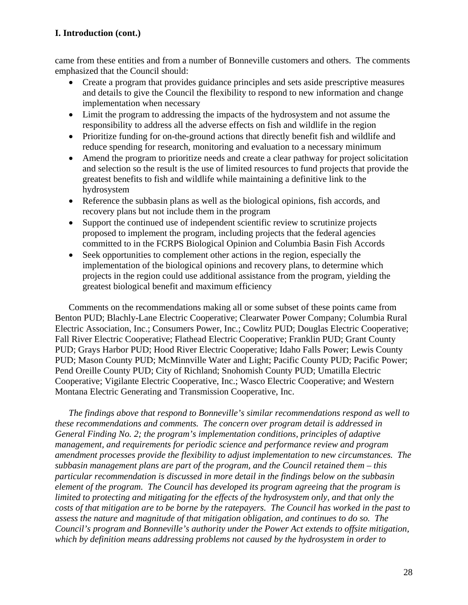came from these entities and from a number of Bonneville customers and others. The comments emphasized that the Council should:

- Create a program that provides guidance principles and sets aside prescriptive measures and details to give the Council the flexibility to respond to new information and change implementation when necessary
- Limit the program to addressing the impacts of the hydrosystem and not assume the responsibility to address all the adverse effects on fish and wildlife in the region
- Prioritize funding for on-the-ground actions that directly benefit fish and wildlife and reduce spending for research, monitoring and evaluation to a necessary minimum
- Amend the program to prioritize needs and create a clear pathway for project solicitation and selection so the result is the use of limited resources to fund projects that provide the greatest benefits to fish and wildlife while maintaining a definitive link to the hydrosystem
- Reference the subbasin plans as well as the biological opinions, fish accords, and recovery plans but not include them in the program
- Support the continued use of independent scientific review to scrutinize projects proposed to implement the program, including projects that the federal agencies committed to in the FCRPS Biological Opinion and Columbia Basin Fish Accords
- Seek opportunities to complement other actions in the region, especially the implementation of the biological opinions and recovery plans, to determine which projects in the region could use additional assistance from the program, yielding the greatest biological benefit and maximum efficiency

 Comments on the recommendations making all or some subset of these points came from Benton PUD; Blachly-Lane Electric Cooperative; Clearwater Power Company; Columbia Rural Electric Association, Inc.; Consumers Power, Inc.; Cowlitz PUD; Douglas Electric Cooperative; Fall River Electric Cooperative; Flathead Electric Cooperative; Franklin PUD; Grant County PUD; Grays Harbor PUD; Hood River Electric Cooperative; Idaho Falls Power; Lewis County PUD; Mason County PUD; McMinnville Water and Light; Pacific County PUD; Pacific Power; Pend Oreille County PUD; City of Richland; Snohomish County PUD; Umatilla Electric Cooperative; Vigilante Electric Cooperative, Inc.; Wasco Electric Cooperative; and Western Montana Electric Generating and Transmission Cooperative, Inc.

 *The findings above that respond to Bonneville's similar recommendations respond as well to these recommendations and comments. The concern over program detail is addressed in General Finding No. 2; the program's implementation conditions, principles of adaptive management, and requirements for periodic science and performance review and program amendment processes provide the flexibility to adjust implementation to new circumstances. The subbasin management plans are part of the program, and the Council retained them – this particular recommendation is discussed in more detail in the findings below on the subbasin element of the program. The Council has developed its program agreeing that the program is limited to protecting and mitigating for the effects of the hydrosystem only, and that only the costs of that mitigation are to be borne by the ratepayers. The Council has worked in the past to assess the nature and magnitude of that mitigation obligation, and continues to do so. The Council's program and Bonneville's authority under the Power Act extends to offsite mitigation, which by definition means addressing problems not caused by the hydrosystem in order to*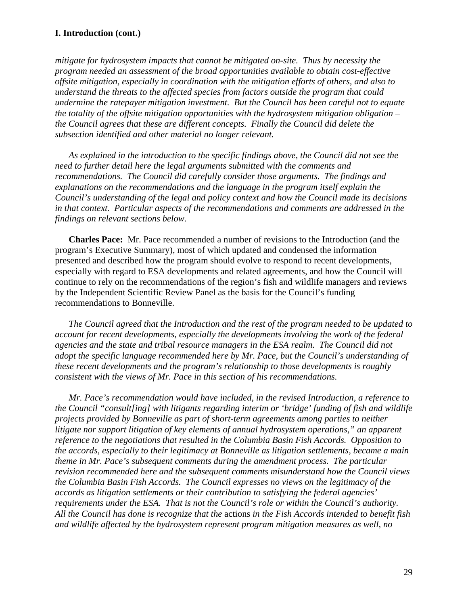*mitigate for hydrosystem impacts that cannot be mitigated on-site. Thus by necessity the program needed an assessment of the broad opportunities available to obtain cost-effective offsite mitigation, especially in coordination with the mitigation efforts of others, and also to understand the threats to the affected species from factors outside the program that could undermine the ratepayer mitigation investment. But the Council has been careful not to equate the totality of the offsite mitigation opportunities with the hydrosystem mitigation obligation – the Council agrees that these are different concepts. Finally the Council did delete the subsection identified and other material no longer relevant.* 

 *As explained in the introduction to the specific findings above, the Council did not see the need to further detail here the legal arguments submitted with the comments and recommendations. The Council did carefully consider those arguments. The findings and explanations on the recommendations and the language in the program itself explain the Council's understanding of the legal and policy context and how the Council made its decisions in that context. Particular aspects of the recommendations and comments are addressed in the findings on relevant sections below.* 

**Charles Pace:** Mr. Pace recommended a number of revisions to the Introduction (and the program's Executive Summary), most of which updated and condensed the information presented and described how the program should evolve to respond to recent developments, especially with regard to ESA developments and related agreements, and how the Council will continue to rely on the recommendations of the region's fish and wildlife managers and reviews by the Independent Scientific Review Panel as the basis for the Council's funding recommendations to Bonneville.

*The Council agreed that the Introduction and the rest of the program needed to be updated to account for recent developments, especially the developments involving the work of the federal agencies and the state and tribal resource managers in the ESA realm. The Council did not adopt the specific language recommended here by Mr. Pace, but the Council's understanding of these recent developments and the program's relationship to those developments is roughly consistent with the views of Mr. Pace in this section of his recommendations.* 

 *Mr. Pace's recommendation would have included, in the revised Introduction, a reference to the Council "consult[ing] with litigants regarding interim or 'bridge' funding of fish and wildlife projects provided by Bonneville as part of short-term agreements among parties to neither litigate nor support litigation of key elements of annual hydrosystem operations," an apparent reference to the negotiations that resulted in the Columbia Basin Fish Accords. Opposition to the accords, especially to their legitimacy at Bonneville as litigation settlements, became a main theme in Mr. Pace's subsequent comments during the amendment process. The particular revision recommended here and the subsequent comments misunderstand how the Council views the Columbia Basin Fish Accords. The Council expresses no views on the legitimacy of the accords as litigation settlements or their contribution to satisfying the federal agencies' requirements under the ESA. That is not the Council's role or within the Council's authority. All the Council has done is recognize that the* actions *in the Fish Accords intended to benefit fish and wildlife affected by the hydrosystem represent program mitigation measures as well, no*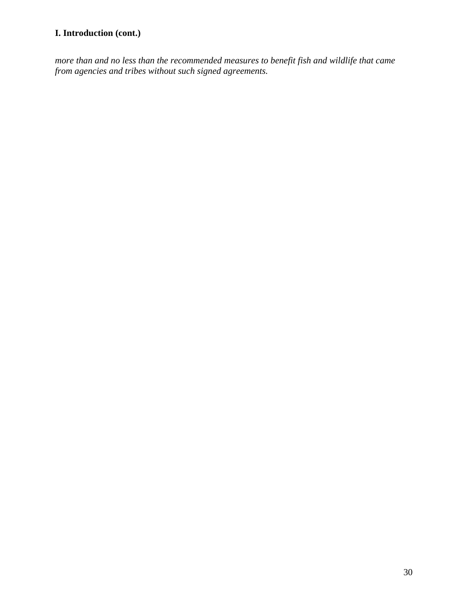*more than and no less than the recommended measures to benefit fish and wildlife that came from agencies and tribes without such signed agreements.*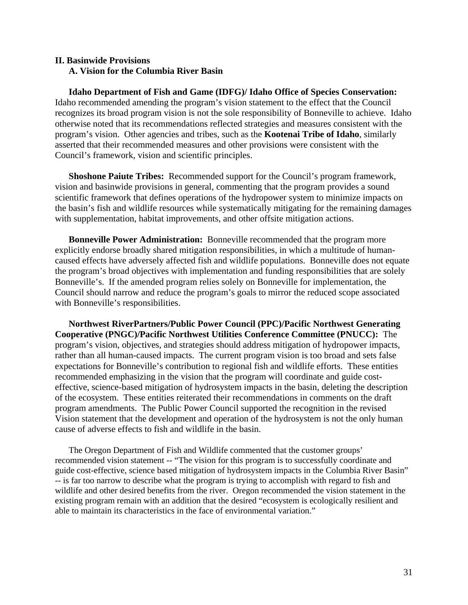# **II. Basinwide Provisions A. Vision for the Columbia River Basin**

**Idaho Department of Fish and Game (IDFG)/ Idaho Office of Species Conservation:** Idaho recommended amending the program's vision statement to the effect that the Council recognizes its broad program vision is not the sole responsibility of Bonneville to achieve. Idaho otherwise noted that its recommendations reflected strategies and measures consistent with the program's vision. Other agencies and tribes, such as the **Kootenai Tribe of Idaho**, similarly asserted that their recommended measures and other provisions were consistent with the Council's framework, vision and scientific principles.

 **Shoshone Paiute Tribes:** Recommended support for the Council's program framework, vision and basinwide provisions in general, commenting that the program provides a sound scientific framework that defines operations of the hydropower system to minimize impacts on the basin's fish and wildlife resources while systematically mitigating for the remaining damages with supplementation, habitat improvements, and other offsite mitigation actions.

 **Bonneville Power Administration:** Bonneville recommended that the program more explicitly endorse broadly shared mitigation responsibilities, in which a multitude of humancaused effects have adversely affected fish and wildlife populations. Bonneville does not equate the program's broad objectives with implementation and funding responsibilities that are solely Bonneville's. If the amended program relies solely on Bonneville for implementation, the Council should narrow and reduce the program's goals to mirror the reduced scope associated with Bonneville's responsibilities.

**Northwest RiverPartners/Public Power Council (PPC)/Pacific Northwest Generating Cooperative (PNGC)/Pacific Northwest Utilities Conference Committee (PNUCC):** The program's vision, objectives, and strategies should address mitigation of hydropower impacts, rather than all human-caused impacts. The current program vision is too broad and sets false expectations for Bonneville's contribution to regional fish and wildlife efforts. These entities recommended emphasizing in the vision that the program will coordinate and guide costeffective, science-based mitigation of hydrosystem impacts in the basin, deleting the description of the ecosystem. These entities reiterated their recommendations in comments on the draft program amendments. The Public Power Council supported the recognition in the revised Vision statement that the development and operation of the hydrosystem is not the only human cause of adverse effects to fish and wildlife in the basin.

 The Oregon Department of Fish and Wildlife commented that the customer groups' recommended vision statement -- "The vision for this program is to successfully coordinate and guide cost-effective, science based mitigation of hydrosystem impacts in the Columbia River Basin" -- is far too narrow to describe what the program is trying to accomplish with regard to fish and wildlife and other desired benefits from the river. Oregon recommended the vision statement in the existing program remain with an addition that the desired "ecosystem is ecologically resilient and able to maintain its characteristics in the face of environmental variation."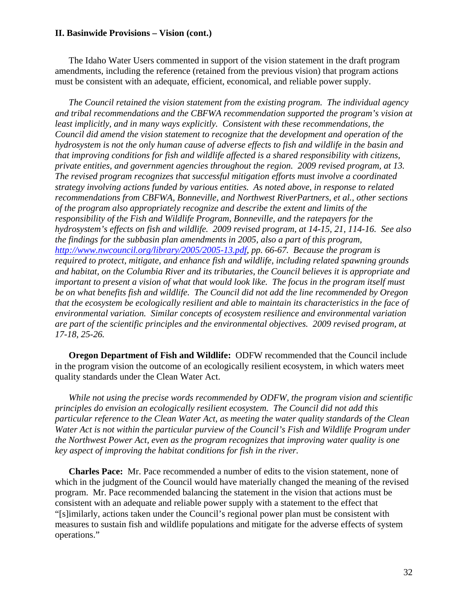# **II. Basinwide Provisions – Vision (cont.)**

 The Idaho Water Users commented in support of the vision statement in the draft program amendments, including the reference (retained from the previous vision) that program actions must be consistent with an adequate, efficient, economical, and reliable power supply.

*The Council retained the vision statement from the existing program. The individual agency and tribal recommendations and the CBFWA recommendation supported the program's vision at least implicitly, and in many ways explicitly. Consistent with these recommendations, the Council did amend the vision statement to recognize that the development and operation of the hydrosystem is not the only human cause of adverse effects to fish and wildlife in the basin and that improving conditions for fish and wildlife affected is a shared responsibility with citizens, private entities, and government agencies throughout the region. 2009 revised program, at 13. The revised program recognizes that successful mitigation efforts must involve a coordinated strategy involving actions funded by various entities. As noted above, in response to related recommendations from CBFWA, Bonneville, and Northwest RiverPartners, et al., other sections of the program also appropriately recognize and describe the extent and limits of the responsibility of the Fish and Wildlife Program, Bonneville, and the ratepayers for the hydrosystem's effects on fish and wildlife. 2009 revised program, at 14-15, 21, 114-16. See also the findings for the subbasin plan amendments in 2005, also a part of this program, http://www.nwcouncil.org/library/2005/2005-13.pdf, pp. 66-67. Because the program is required to protect, mitigate, and enhance fish and wildlife, including related spawning grounds and habitat, on the Columbia River and its tributaries, the Council believes it is appropriate and important to present a vision of what that would look like. The focus in the program itself must be on what benefits fish and wildlife. The Council did not add the line recommended by Oregon that the ecosystem be ecologically resilient and able to maintain its characteristics in the face of environmental variation. Similar concepts of ecosystem resilience and environmental variation are part of the scientific principles and the environmental objectives. 2009 revised program, at 17-18, 25-26.* 

 **Oregon Department of Fish and Wildlife:** ODFW recommended that the Council include in the program vision the outcome of an ecologically resilient ecosystem, in which waters meet quality standards under the Clean Water Act.

*While not using the precise words recommended by ODFW, the program vision and scientific principles do envision an ecologically resilient ecosystem. The Council did not add this particular reference to the Clean Water Act, as meeting the water quality standards of the Clean Water Act is not within the particular purview of the Council's Fish and Wildlife Program under the Northwest Power Act, even as the program recognizes that improving water quality is one key aspect of improving the habitat conditions for fish in the river.* 

**Charles Pace:** Mr. Pace recommended a number of edits to the vision statement, none of which in the judgment of the Council would have materially changed the meaning of the revised program. Mr. Pace recommended balancing the statement in the vision that actions must be consistent with an adequate and reliable power supply with a statement to the effect that "[s]imilarly, actions taken under the Council's regional power plan must be consistent with measures to sustain fish and wildlife populations and mitigate for the adverse effects of system operations."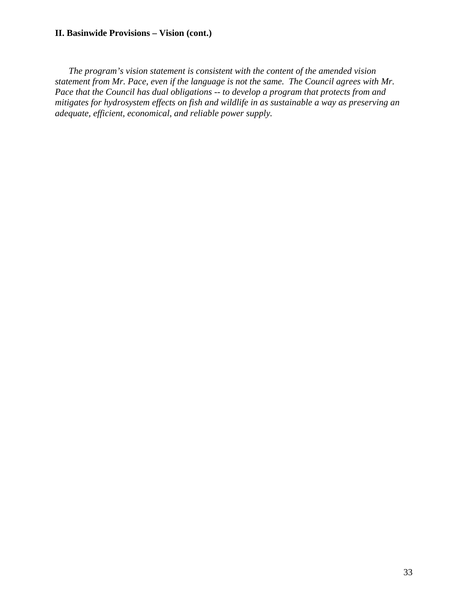# **II. Basinwide Provisions – Vision (cont.)**

 *The program's vision statement is consistent with the content of the amended vision statement from Mr. Pace, even if the language is not the same. The Council agrees with Mr. Pace that the Council has dual obligations -- to develop a program that protects from and mitigates for hydrosystem effects on fish and wildlife in as sustainable a way as preserving an adequate, efficient, economical, and reliable power supply.*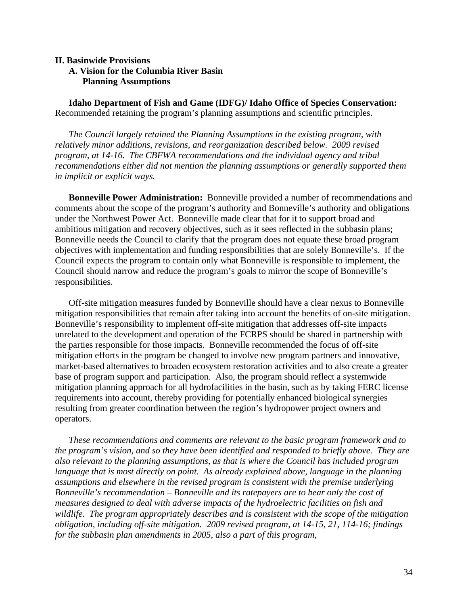# **II. Basinwide Provisions A. Vision for the Columbia River Basin Planning Assumptions**

 **Idaho Department of Fish and Game (IDFG)/ Idaho Office of Species Conservation:** Recommended retaining the program's planning assumptions and scientific principles.

*The Council largely retained the Planning Assumptions in the existing program, with relatively minor additions, revisions, and reorganization described below. 2009 revised program, at 14-16. The CBFWA recommendations and the individual agency and tribal recommendations either did not mention the planning assumptions or generally supported them in implicit or explicit ways.* 

**Bonneville Power Administration:** Bonneville provided a number of recommendations and comments about the scope of the program's authority and Bonneville's authority and obligations under the Northwest Power Act. Bonneville made clear that for it to support broad and ambitious mitigation and recovery objectives, such as it sees reflected in the subbasin plans; Bonneville needs the Council to clarify that the program does not equate these broad program objectives with implementation and funding responsibilities that are solely Bonneville's. If the Council expects the program to contain only what Bonneville is responsible to implement, the Council should narrow and reduce the program's goals to mirror the scope of Bonneville's responsibilities.

 Off-site mitigation measures funded by Bonneville should have a clear nexus to Bonneville mitigation responsibilities that remain after taking into account the benefits of on-site mitigation. Bonneville's responsibility to implement off-site mitigation that addresses off-site impacts unrelated to the development and operation of the FCRPS should be shared in partnership with the parties responsible for those impacts. Bonneville recommended the focus of off-site mitigation efforts in the program be changed to involve new program partners and innovative, market-based alternatives to broaden ecosystem restoration activities and to also create a greater base of program support and participation. Also, the program should reflect a systemwide mitigation planning approach for all hydrofacilities in the basin, such as by taking FERC license requirements into account, thereby providing for potentially enhanced biological synergies resulting from greater coordination between the region's hydropower project owners and operators.

 *These recommendations and comments are relevant to the basic program framework and to the program's vision, and so they have been identified and responded to briefly above. They are also relevant to the planning assumptions, as that is where the Council has included program language that is most directly on point. As already explained above, language in the planning assumptions and elsewhere in the revised program is consistent with the premise underlying Bonneville's recommendation – Bonneville and its ratepayers are to bear only the cost of measures designed to deal with adverse impacts of the hydroelectric facilities on fish and wildlife. The program appropriately describes and is consistent with the scope of the mitigation obligation, including off-site mitigation. 2009 revised program, at 14-15, 21, 114-16; findings for the subbasin plan amendments in 2005, also a part of this program,*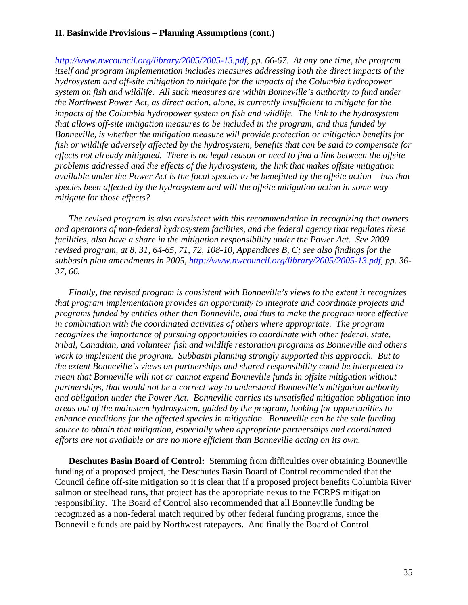# **II. Basinwide Provisions – Planning Assumptions (cont.)**

*http://www.nwcouncil.org/library/2005/2005-13.pdf, pp. 66-67. At any one time, the program itself and program implementation includes measures addressing both the direct impacts of the hydrosystem and off-site mitigation to mitigate for the impacts of the Columbia hydropower system on fish and wildlife. All such measures are within Bonneville's authority to fund under the Northwest Power Act, as direct action, alone, is currently insufficient to mitigate for the impacts of the Columbia hydropower system on fish and wildlife. The link to the hydrosystem that allows off-site mitigation measures to be included in the program, and thus funded by Bonneville, is whether the mitigation measure will provide protection or mitigation benefits for fish or wildlife adversely affected by the hydrosystem, benefits that can be said to compensate for effects not already mitigated. There is no legal reason or need to find a link between the offsite problems addressed and the effects of the hydrosystem; the link that makes offsite mitigation available under the Power Act is the focal species to be benefitted by the offsite action – has that species been affected by the hydrosystem and will the offsite mitigation action in some way mitigate for those effects?* 

 *The revised program is also consistent with this recommendation in recognizing that owners and operators of non-federal hydrosystem facilities, and the federal agency that regulates these facilities, also have a share in the mitigation responsibility under the Power Act. See 2009 revised program, at 8, 31, 64-65, 71, 72, 108-10, Appendices B, C; see also findings for the subbasin plan amendments in 2005, http://www.nwcouncil.org/library/2005/2005-13.pdf, pp. 36- 37, 66.* 

 *Finally, the revised program is consistent with Bonneville's views to the extent it recognizes that program implementation provides an opportunity to integrate and coordinate projects and programs funded by entities other than Bonneville, and thus to make the program more effective in combination with the coordinated activities of others where appropriate. The program recognizes the importance of pursuing opportunities to coordinate with other federal, state, tribal, Canadian, and volunteer fish and wildlife restoration programs as Bonneville and others work to implement the program. Subbasin planning strongly supported this approach. But to the extent Bonneville's views on partnerships and shared responsibility could be interpreted to mean that Bonneville will not or cannot expend Bonneville funds in offsite mitigation without partnerships, that would not be a correct way to understand Bonneville's mitigation authority and obligation under the Power Act. Bonneville carries its unsatisfied mitigation obligation into areas out of the mainstem hydrosystem, guided by the program, looking for opportunities to enhance conditions for the affected species in mitigation. Bonneville can be the sole funding source to obtain that mitigation, especially when appropriate partnerships and coordinated efforts are not available or are no more efficient than Bonneville acting on its own.* 

 **Deschutes Basin Board of Control:** Stemming from difficulties over obtaining Bonneville funding of a proposed project, the Deschutes Basin Board of Control recommended that the Council define off-site mitigation so it is clear that if a proposed project benefits Columbia River salmon or steelhead runs, that project has the appropriate nexus to the FCRPS mitigation responsibility. The Board of Control also recommended that all Bonneville funding be recognized as a non-federal match required by other federal funding programs, since the Bonneville funds are paid by Northwest ratepayers. And finally the Board of Control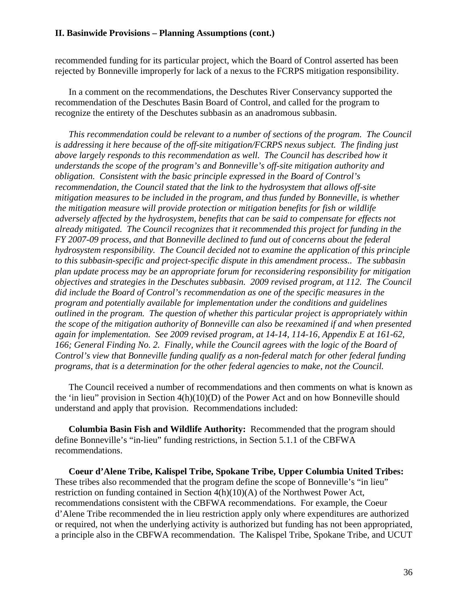## **II. Basinwide Provisions – Planning Assumptions (cont.)**

recommended funding for its particular project, which the Board of Control asserted has been rejected by Bonneville improperly for lack of a nexus to the FCRPS mitigation responsibility.

 In a comment on the recommendations, the Deschutes River Conservancy supported the recommendation of the Deschutes Basin Board of Control, and called for the program to recognize the entirety of the Deschutes subbasin as an anadromous subbasin.

 *This recommendation could be relevant to a number of sections of the program. The Council is addressing it here because of the off-site mitigation/FCRPS nexus subject. The finding just above largely responds to this recommendation as well. The Council has described how it understands the scope of the program's and Bonneville's off-site mitigation authority and obligation. Consistent with the basic principle expressed in the Board of Control's recommendation, the Council stated that the link to the hydrosystem that allows off-site mitigation measures to be included in the program, and thus funded by Bonneville, is whether the mitigation measure will provide protection or mitigation benefits for fish or wildlife adversely affected by the hydrosystem, benefits that can be said to compensate for effects not already mitigated. The Council recognizes that it recommended this project for funding in the FY 2007-09 process, and that Bonneville declined to fund out of concerns about the federal hydrosystem responsibility. The Council decided not to examine the application of this principle to this subbasin-specific and project-specific dispute in this amendment process.. The subbasin plan update process may be an appropriate forum for reconsidering responsibility for mitigation objectives and strategies in the Deschutes subbasin. 2009 revised program, at 112. The Council did include the Board of Control's recommendation as one of the specific measures in the program and potentially available for implementation under the conditions and guidelines outlined in the program. The question of whether this particular project is appropriately within the scope of the mitigation authority of Bonneville can also be reexamined if and when presented again for implementation. See 2009 revised program, at 14-14, 114-16, Appendix E at 161-62, 166; General Finding No. 2. Finally, while the Council agrees with the logic of the Board of Control's view that Bonneville funding qualify as a non-federal match for other federal funding programs, that is a determination for the other federal agencies to make, not the Council.* 

 The Council received a number of recommendations and then comments on what is known as the 'in lieu" provision in Section  $4(h)(10)(D)$  of the Power Act and on how Bonneville should understand and apply that provision. Recommendations included:

**Columbia Basin Fish and Wildlife Authority:** Recommended that the program should define Bonneville's "in-lieu" funding restrictions, in Section 5.1.1 of the CBFWA recommendations.

**Coeur d'Alene Tribe, Kalispel Tribe, Spokane Tribe, Upper Columbia United Tribes:** These tribes also recommended that the program define the scope of Bonneville's "in lieu" restriction on funding contained in Section 4(h)(10)(A) of the Northwest Power Act, recommendations consistent with the CBFWA recommendations. For example, the Coeur d'Alene Tribe recommended the in lieu restriction apply only where expenditures are authorized or required, not when the underlying activity is authorized but funding has not been appropriated, a principle also in the CBFWA recommendation. The Kalispel Tribe, Spokane Tribe, and UCUT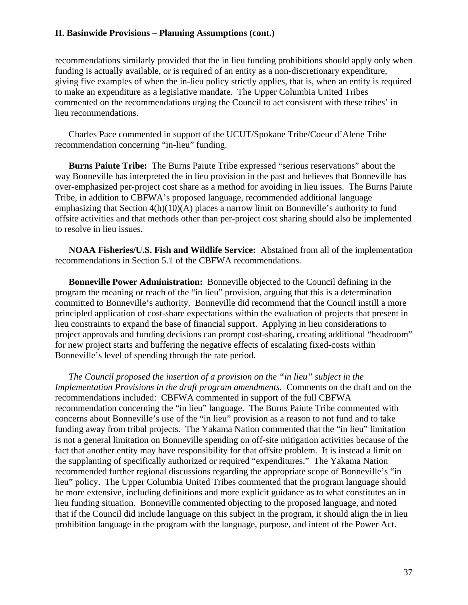recommendations similarly provided that the in lieu funding prohibitions should apply only when funding is actually available, or is required of an entity as a non-discretionary expenditure, giving five examples of when the in-lieu policy strictly applies, that is, when an entity is required to make an expenditure as a legislative mandate. The Upper Columbia United Tribes commented on the recommendations urging the Council to act consistent with these tribes' in lieu recommendations.

 Charles Pace commented in support of the UCUT/Spokane Tribe/Coeur d'Alene Tribe recommendation concerning "in-lieu" funding.

**Burns Paiute Tribe:** The Burns Paiute Tribe expressed "serious reservations" about the way Bonneville has interpreted the in lieu provision in the past and believes that Bonneville has over-emphasized per-project cost share as a method for avoiding in lieu issues. The Burns Paiute Tribe, in addition to CBFWA's proposed language, recommended additional language emphasizing that Section 4(h)(10)(A) places a narrow limit on Bonneville's authority to fund offsite activities and that methods other than per-project cost sharing should also be implemented to resolve in lieu issues.

**NOAA Fisheries/U.S. Fish and Wildlife Service:** Abstained from all of the implementation recommendations in Section 5.1 of the CBFWA recommendations.

 **Bonneville Power Administration:** Bonneville objected to the Council defining in the program the meaning or reach of the "in lieu" provision, arguing that this is a determination committed to Bonneville's authority. Bonneville did recommend that the Council instill a more principled application of cost-share expectations within the evaluation of projects that present in lieu constraints to expand the base of financial support. Applying in lieu considerations to project approvals and funding decisions can prompt cost-sharing, creating additional "headroom" for new project starts and buffering the negative effects of escalating fixed-costs within Bonneville's level of spending through the rate period.

*The Council proposed the insertion of a provision on the "in lieu" subject in the Implementation Provisions in the draft program amendments.* Comments on the draft and on the recommendations included: CBFWA commented in support of the full CBFWA recommendation concerning the "in lieu" language. The Burns Paiute Tribe commented with concerns about Bonneville's use of the "in lieu" provision as a reason to not fund and to take funding away from tribal projects. The Yakama Nation commented that the "in lieu" limitation is not a general limitation on Bonneville spending on off-site mitigation activities because of the fact that another entity may have responsibility for that offsite problem. It is instead a limit on the supplanting of specifically authorized or required "expenditures." The Yakama Nation recommended further regional discussions regarding the appropriate scope of Bonneville's "in lieu" policy. The Upper Columbia United Tribes commented that the program language should be more extensive, including definitions and more explicit guidance as to what constitutes an in lieu funding situation. Bonneville commented objecting to the proposed language, and noted that if the Council did include language on this subject in the program, it should align the in lieu prohibition language in the program with the language, purpose, and intent of the Power Act.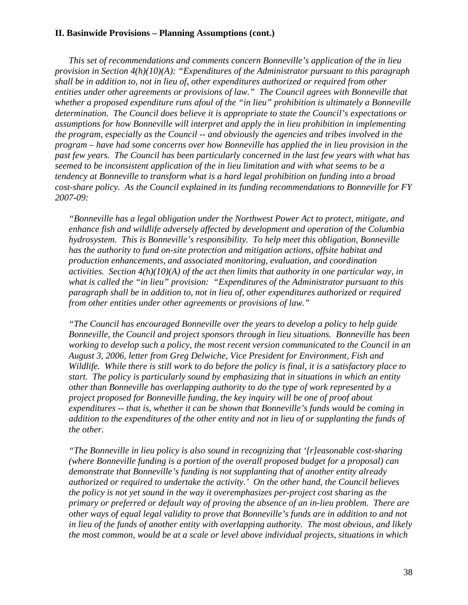*This set of recommendations and comments concern Bonneville's application of the in lieu provision in Section 4(h)(10)(A): "Expenditures of the Administrator pursuant to this paragraph shall be in addition to, not in lieu of, other expenditures authorized or required from other entities under other agreements or provisions of law." The Council agrees with Bonneville that whether a proposed expenditure runs afoul of the "in lieu" prohibition is ultimately a Bonneville determination. The Council does believe it is appropriate to state the Council's expectations or assumptions for how Bonneville will interpret and apply the in lieu prohibition in implementing the program, especially as the Council -- and obviously the agencies and tribes involved in the program – have had some concerns over how Bonneville has applied the in lieu provision in the past few years. The Council has been particularly concerned in the last few years with what has seemed to be inconsistent application of the in lieu limitation and with what seems to be a tendency at Bonneville to transform what is a hard legal prohibition on funding into a broad cost-share policy. As the Council explained in its funding recommendations to Bonneville for FY 2007-09:* 

*"Bonneville has a legal obligation under the Northwest Power Act to protect, mitigate, and enhance fish and wildlife adversely affected by development and operation of the Columbia hydrosystem. This is Bonneville's responsibility. To help meet this obligation, Bonneville has the authority to fund on-site protection and mitigation actions, offsite habitat and production enhancements, and associated monitoring, evaluation, and coordination activities. Section 4(h)(10)(A) of the act then limits that authority in one particular way, in what is called the "in lieu" provision: "Expenditures of the Administrator pursuant to this paragraph shall be in addition to, not in lieu of, other expenditures authorized or required from other entities under other agreements or provisions of law."* 

*"The Council has encouraged Bonneville over the years to develop a policy to help guide Bonneville, the Council and project sponsors through in lieu situations. Bonneville has been working to develop such a policy, the most recent version communicated to the Council in an August 3, 2006, letter from Greg Delwiche, Vice President for Environment, Fish and Wildlife. While there is still work to do before the policy is final, it is a satisfactory place to start. The policy is particularly sound by emphasizing that in situations in which an entity other than Bonneville has overlapping authority to do the type of work represented by a project proposed for Bonneville funding, the key inquiry will be one of proof about expenditures -- that is, whether it can be shown that Bonneville's funds would be coming in addition to the expenditures of the other entity and not in lieu of or supplanting the funds of the other.* 

*"The Bonneville in lieu policy is also sound in recognizing that '[r]easonable cost-sharing (where Bonneville funding is a portion of the overall proposed budget for a proposal) can demonstrate that Bonneville's funding is not supplanting that of another entity already authorized or required to undertake the activity.' On the other hand, the Council believes the policy is not yet sound in the way it overemphasizes per-project cost sharing as the primary or preferred or default way of proving the absence of an in-lieu problem. There are other ways of equal legal validity to prove that Bonneville's funds are in addition to and not in lieu of the funds of another entity with overlapping authority. The most obvious, and likely the most common, would be at a scale or level above individual projects, situations in which*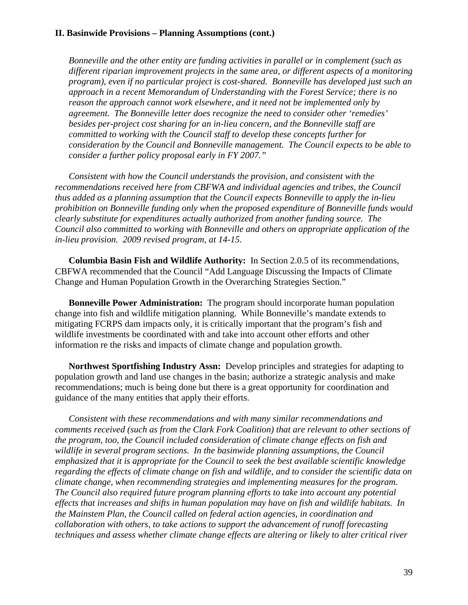*Bonneville and the other entity are funding activities in parallel or in complement (such as different riparian improvement projects in the same area, or different aspects of a monitoring program), even if no particular project is cost-shared. Bonneville has developed just such an approach in a recent Memorandum of Understanding with the Forest Service; there is no reason the approach cannot work elsewhere, and it need not be implemented only by agreement. The Bonneville letter does recognize the need to consider other 'remedies' besides per-project cost sharing for an in-lieu concern, and the Bonneville staff are committed to working with the Council staff to develop these concepts further for consideration by the Council and Bonneville management. The Council expects to be able to consider a further policy proposal early in FY 2007."* 

 *Consistent with how the Council understands the provision, and consistent with the recommendations received here from CBFWA and individual agencies and tribes, the Council thus added as a planning assumption that the Council expects Bonneville to apply the in-lieu prohibition on Bonneville funding only when the proposed expenditure of Bonneville funds would clearly substitute for expenditures actually authorized from another funding source. The Council also committed to working with Bonneville and others on appropriate application of the in-lieu provision. 2009 revised program, at 14-15.* 

**Columbia Basin Fish and Wildlife Authority:** In Section 2.0.5 of its recommendations, CBFWA recommended that the Council "Add Language Discussing the Impacts of Climate Change and Human Population Growth in the Overarching Strategies Section."

**Bonneville Power Administration:** The program should incorporate human population change into fish and wildlife mitigation planning. While Bonneville's mandate extends to mitigating FCRPS dam impacts only, it is critically important that the program's fish and wildlife investments be coordinated with and take into account other efforts and other information re the risks and impacts of climate change and population growth.

**Northwest Sportfishing Industry Assn:** Develop principles and strategies for adapting to population growth and land use changes in the basin; authorize a strategic analysis and make recommendations; much is being done but there is a great opportunity for coordination and guidance of the many entities that apply their efforts.

 *Consistent with these recommendations and with many similar recommendations and comments received (such as from the Clark Fork Coalition) that are relevant to other sections of the program, too, the Council included consideration of climate change effects on fish and wildlife in several program sections. In the basinwide planning assumptions, the Council emphasized that it is appropriate for the Council to seek the best available scientific knowledge regarding the effects of climate change on fish and wildlife, and to consider the scientific data on climate change, when recommending strategies and implementing measures for the program. The Council also required future program planning efforts to take into account any potential effects that increases and shifts in human population may have on fish and wildlife habitats. In the Mainstem Plan, the Council called on federal action agencies, in coordination and collaboration with others, to take actions to support the advancement of runoff forecasting techniques and assess whether climate change effects are altering or likely to alter critical river*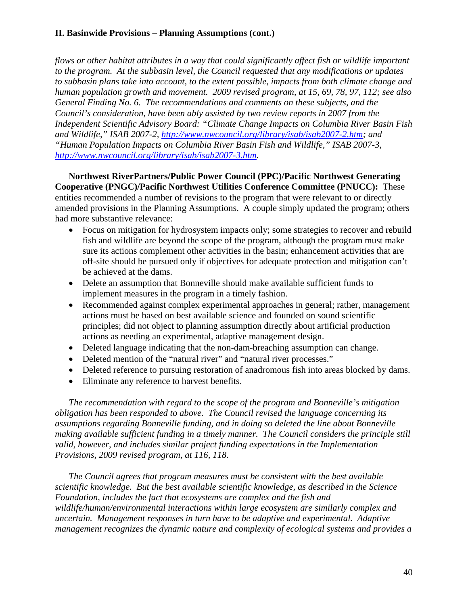*flows or other habitat attributes in a way that could significantly affect fish or wildlife important to the program. At the subbasin level, the Council requested that any modifications or updates to subbasin plans take into account, to the extent possible, impacts from both climate change and human population growth and movement. 2009 revised program, at 15, 69, 78, 97, 112; see also General Finding No. 6. The recommendations and comments on these subjects, and the Council's consideration, have been ably assisted by two review reports in 2007 from the Independent Scientific Advisory Board: "Climate Change Impacts on Columbia River Basin Fish and Wildlife," ISAB 2007-2, http://www.nwcouncil.org/library/isab/isab2007-2.htm; and "Human Population Impacts on Columbia River Basin Fish and Wildlife," ISAB 2007-3, http://www.nwcouncil.org/library/isab/isab2007-3.htm.* 

 **Northwest RiverPartners/Public Power Council (PPC)/Pacific Northwest Generating Cooperative (PNGC)/Pacific Northwest Utilities Conference Committee (PNUCC):** These entities recommended a number of revisions to the program that were relevant to or directly amended provisions in the Planning Assumptions. A couple simply updated the program; others had more substantive relevance:

- Focus on mitigation for hydrosystem impacts only; some strategies to recover and rebuild fish and wildlife are beyond the scope of the program, although the program must make sure its actions complement other activities in the basin; enhancement activities that are off-site should be pursued only if objectives for adequate protection and mitigation can't be achieved at the dams.
- Delete an assumption that Bonneville should make available sufficient funds to implement measures in the program in a timely fashion.
- Recommended against complex experimental approaches in general; rather, management actions must be based on best available science and founded on sound scientific principles; did not object to planning assumption directly about artificial production actions as needing an experimental, adaptive management design.
- Deleted language indicating that the non-dam-breaching assumption can change.
- Deleted mention of the "natural river" and "natural river processes."
- Deleted reference to pursuing restoration of anadromous fish into areas blocked by dams.
- Eliminate any reference to harvest benefits.

 *The recommendation with regard to the scope of the program and Bonneville's mitigation obligation has been responded to above. The Council revised the language concerning its assumptions regarding Bonneville funding, and in doing so deleted the line about Bonneville making available sufficient funding in a timely manner. The Council considers the principle still valid, however, and includes similar project funding expectations in the Implementation Provisions, 2009 revised program, at 116, 118.* 

 *The Council agrees that program measures must be consistent with the best available scientific knowledge. But the best available scientific knowledge, as described in the Science Foundation, includes the fact that ecosystems are complex and the fish and wildlife/human/environmental interactions within large ecosystem are similarly complex and uncertain. Management responses in turn have to be adaptive and experimental. Adaptive management recognizes the dynamic nature and complexity of ecological systems and provides a*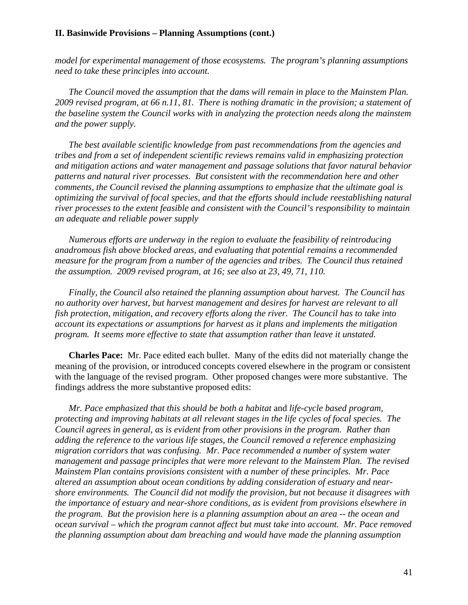*model for experimental management of those ecosystems. The program's planning assumptions need to take these principles into account.* 

 *The Council moved the assumption that the dams will remain in place to the Mainstem Plan. 2009 revised program, at 66 n.11, 81. There is nothing dramatic in the provision; a statement of the baseline system the Council works with in analyzing the protection needs along the mainstem and the power supply.* 

 *The best available scientific knowledge from past recommendations from the agencies and tribes and from a set of independent scientific reviews remains valid in emphasizing protection and mitigation actions and water management and passage solutions that favor natural behavior patterns and natural river processes. But consistent with the recommendation here and other comments, the Council revised the planning assumptions to emphasize that the ultimate goal is optimizing the survival of focal species, and that the efforts should include reestablishing natural river processes to the extent feasible and consistent with the Council's responsibility to maintain an adequate and reliable power supply* 

 *Numerous efforts are underway in the region to evaluate the feasibility of reintroducing anadromous fish above blocked areas, and evaluating that potential remains a recommended measure for the program from a number of the agencies and tribes. The Council thus retained the assumption. 2009 revised program, at 16; see also at 23, 49, 71, 110.* 

 *Finally, the Council also retained the planning assumption about harvest. The Council has no authority over harvest, but harvest management and desires for harvest are relevant to all fish protection, mitigation, and recovery efforts along the river. The Council has to take into account its expectations or assumptions for harvest as it plans and implements the mitigation program. It seems more effective to state that assumption rather than leave it unstated.* 

**Charles Pace:** Mr. Pace edited each bullet. Many of the edits did not materially change the meaning of the provision, or introduced concepts covered elsewhere in the program or consistent with the language of the revised program. Other proposed changes were more substantive. The findings address the more substantive proposed edits:

 *Mr. Pace emphasized that this should be both a habitat* and *life-cycle based program, protecting and improving habitats at all relevant stages in the life cycles of focal species. The Council agrees in general, as is evident from other provisions in the program. Rather than adding the reference to the various life stages, the Council removed a reference emphasizing migration corridors that was confusing. Mr. Pace recommended a number of system water management and passage principles that were more relevant to the Mainstem Plan. The revised Mainstem Plan contains provisions consistent with a number of these principles. Mr. Pace altered an assumption about ocean conditions by adding consideration of estuary and nearshore environments. The Council did not modify the provision, but not because it disagrees with the importance of estuary and near-shore conditions, as is evident from provisions elsewhere in the program. But the provision here is a planning assumption about an area -- the ocean and ocean survival – which the program cannot affect but must take into account. Mr. Pace removed the planning assumption about dam breaching and would have made the planning assumption*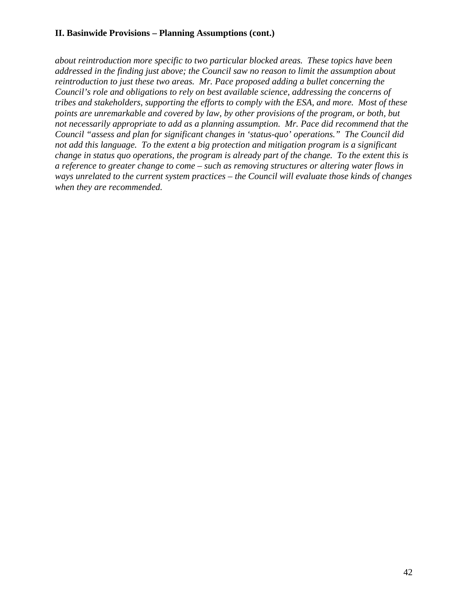*about reintroduction more specific to two particular blocked areas. These topics have been addressed in the finding just above; the Council saw no reason to limit the assumption about reintroduction to just these two areas. Mr. Pace proposed adding a bullet concerning the Council's role and obligations to rely on best available science, addressing the concerns of tribes and stakeholders, supporting the efforts to comply with the ESA, and more. Most of these points are unremarkable and covered by law, by other provisions of the program, or both, but not necessarily appropriate to add as a planning assumption. Mr. Pace did recommend that the Council "assess and plan for significant changes in 'status-quo' operations." The Council did not add this language. To the extent a big protection and mitigation program is a significant change in status quo operations, the program is already part of the change. To the extent this is a reference to greater change to come – such as removing structures or altering water flows in ways unrelated to the current system practices – the Council will evaluate those kinds of changes when they are recommended.*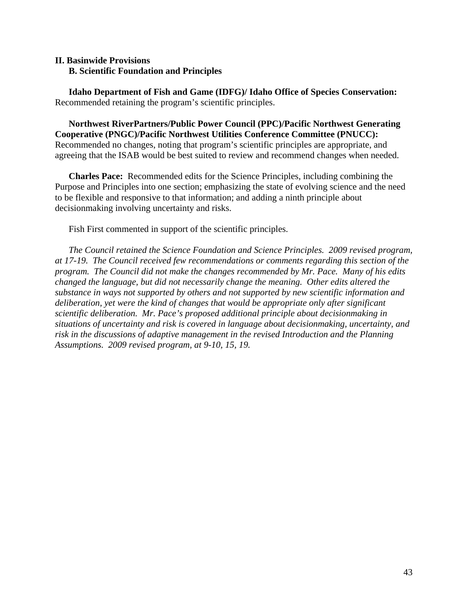### **II. Basinwide Provisions B. Scientific Foundation and Principles**

 **Idaho Department of Fish and Game (IDFG)/ Idaho Office of Species Conservation:** Recommended retaining the program's scientific principles.

 **Northwest RiverPartners/Public Power Council (PPC)/Pacific Northwest Generating Cooperative (PNGC)/Pacific Northwest Utilities Conference Committee (PNUCC):** Recommended no changes, noting that program's scientific principles are appropriate, and agreeing that the ISAB would be best suited to review and recommend changes when needed.

**Charles Pace:** Recommended edits for the Science Principles, including combining the Purpose and Principles into one section; emphasizing the state of evolving science and the need to be flexible and responsive to that information; and adding a ninth principle about decisionmaking involving uncertainty and risks.

Fish First commented in support of the scientific principles.

*The Council retained the Science Foundation and Science Principles. 2009 revised program, at 17-19. The Council received few recommendations or comments regarding this section of the program. The Council did not make the changes recommended by Mr. Pace. Many of his edits changed the language, but did not necessarily change the meaning. Other edits altered the substance in ways not supported by others and not supported by new scientific information and deliberation, yet were the kind of changes that would be appropriate only after significant scientific deliberation. Mr. Pace's proposed additional principle about decisionmaking in situations of uncertainty and risk is covered in language about decisionmaking, uncertainty, and risk in the discussions of adaptive management in the revised Introduction and the Planning Assumptions. 2009 revised program, at 9-10, 15, 19.*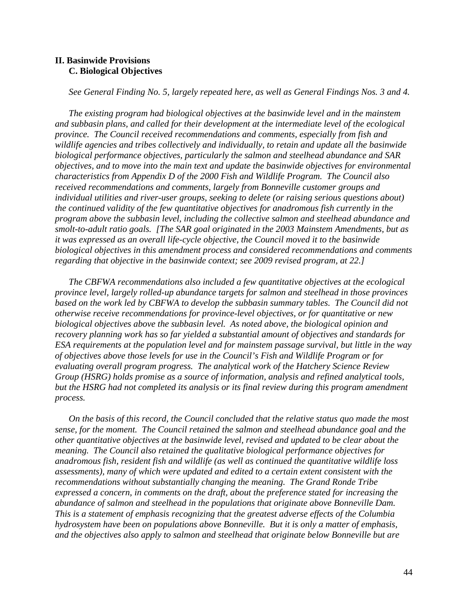#### **II. Basinwide Provisions C. Biological Objectives**

*See General Finding No. 5, largely repeated here, as well as General Findings Nos. 3 and 4.* 

 *The existing program had biological objectives at the basinwide level and in the mainstem and subbasin plans, and called for their development at the intermediate level of the ecological province. The Council received recommendations and comments, especially from fish and wildlife agencies and tribes collectively and individually, to retain and update all the basinwide biological performance objectives, particularly the salmon and steelhead abundance and SAR objectives, and to move into the main text and update the basinwide objectives for environmental characteristics from Appendix D of the 2000 Fish and Wildlife Program. The Council also received recommendations and comments, largely from Bonneville customer groups and individual utilities and river-user groups, seeking to delete (or raising serious questions about) the continued validity of the few quantitative objectives for anadromous fish currently in the program above the subbasin level, including the collective salmon and steelhead abundance and smolt-to-adult ratio goals. [The SAR goal originated in the 2003 Mainstem Amendments, but as it was expressed as an overall life-cycle objective, the Council moved it to the basinwide biological objectives in this amendment process and considered recommendations and comments regarding that objective in the basinwide context; see 2009 revised program, at 22.]* 

 *The CBFWA recommendations also included a few quantitative objectives at the ecological province level, largely rolled-up abundance targets for salmon and steelhead in those provinces based on the work led by CBFWA to develop the subbasin summary tables. The Council did not otherwise receive recommendations for province-level objectives, or for quantitative or new biological objectives above the subbasin level. As noted above, the biological opinion and recovery planning work has so far yielded a substantial amount of objectives and standards for ESA requirements at the population level and for mainstem passage survival, but little in the way of objectives above those levels for use in the Council's Fish and Wildlife Program or for evaluating overall program progress. The analytical work of the Hatchery Science Review Group (HSRG) holds promise as a source of information, analysis and refined analytical tools, but the HSRG had not completed its analysis or its final review during this program amendment process.* 

 *On the basis of this record, the Council concluded that the relative status quo made the most sense, for the moment. The Council retained the salmon and steelhead abundance goal and the other quantitative objectives at the basinwide level, revised and updated to be clear about the meaning. The Council also retained the qualitative biological performance objectives for anadromous fish, resident fish and wildlife (as well as continued the quantitative wildlife loss assessments), many of which were updated and edited to a certain extent consistent with the recommendations without substantially changing the meaning. The Grand Ronde Tribe expressed a concern, in comments on the draft, about the preference stated for increasing the abundance of salmon and steelhead in the populations that originate above Bonneville Dam. This is a statement of emphasis recognizing that the greatest adverse effects of the Columbia hydrosystem have been on populations above Bonneville. But it is only a matter of emphasis, and the objectives also apply to salmon and steelhead that originate below Bonneville but are*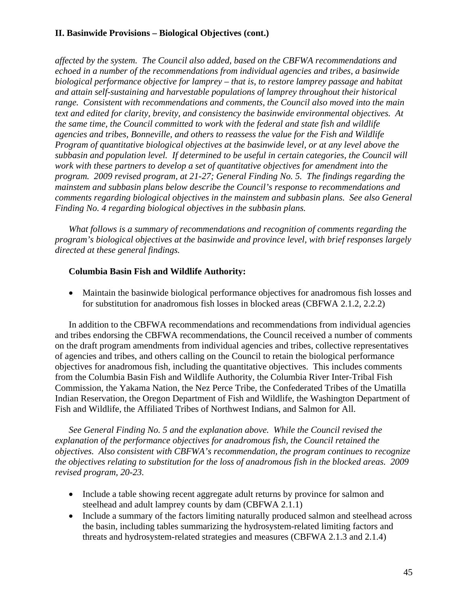*affected by the system. The Council also added, based on the CBFWA recommendations and echoed in a number of the recommendations from individual agencies and tribes, a basinwide biological performance objective for lamprey – that is, to restore lamprey passage and habitat and attain self-sustaining and harvestable populations of lamprey throughout their historical range. Consistent with recommendations and comments, the Council also moved into the main text and edited for clarity, brevity, and consistency the basinwide environmental objectives. At the same time, the Council committed to work with the federal and state fish and wildlife agencies and tribes, Bonneville, and others to reassess the value for the Fish and Wildlife Program of quantitative biological objectives at the basinwide level, or at any level above the subbasin and population level. If determined to be useful in certain categories, the Council will work with these partners to develop a set of quantitative objectives for amendment into the program. 2009 revised program, at 21-27; General Finding No. 5. The findings regarding the mainstem and subbasin plans below describe the Council's response to recommendations and comments regarding biological objectives in the mainstem and subbasin plans. See also General Finding No. 4 regarding biological objectives in the subbasin plans.* 

 *What follows is a summary of recommendations and recognition of comments regarding the program's biological objectives at the basinwide and province level, with brief responses largely directed at these general findings.* 

# **Columbia Basin Fish and Wildlife Authority:**

• Maintain the basinwide biological performance objectives for anadromous fish losses and for substitution for anadromous fish losses in blocked areas (CBFWA 2.1.2, 2.2.2)

 In addition to the CBFWA recommendations and recommendations from individual agencies and tribes endorsing the CBFWA recommendations, the Council received a number of comments on the draft program amendments from individual agencies and tribes, collective representatives of agencies and tribes, and others calling on the Council to retain the biological performance objectives for anadromous fish, including the quantitative objectives. This includes comments from the Columbia Basin Fish and Wildlife Authority, the Columbia River Inter-Tribal Fish Commission, the Yakama Nation, the Nez Perce Tribe, the Confederated Tribes of the Umatilla Indian Reservation, the Oregon Department of Fish and Wildlife, the Washington Department of Fish and Wildlife, the Affiliated Tribes of Northwest Indians, and Salmon for All.

 *See General Finding No. 5 and the explanation above. While the Council revised the explanation of the performance objectives for anadromous fish, the Council retained the objectives. Also consistent with CBFWA's recommendation, the program continues to recognize the objectives relating to substitution for the loss of anadromous fish in the blocked areas. 2009 revised program, 20-23.* 

- Include a table showing recent aggregate adult returns by province for salmon and steelhead and adult lamprey counts by dam (CBFWA 2.1.1)
- Include a summary of the factors limiting naturally produced salmon and steelhead across the basin, including tables summarizing the hydrosystem-related limiting factors and threats and hydrosystem-related strategies and measures (CBFWA 2.1.3 and 2.1.4)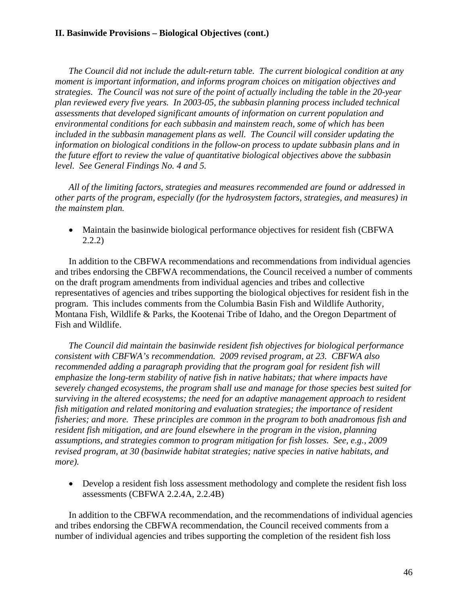*The Council did not include the adult-return table. The current biological condition at any moment is important information, and informs program choices on mitigation objectives and strategies. The Council was not sure of the point of actually including the table in the 20-year plan reviewed every five years. In 2003-05, the subbasin planning process included technical assessments that developed significant amounts of information on current population and environmental conditions for each subbasin and mainstem reach, some of which has been included in the subbasin management plans as well. The Council will consider updating the information on biological conditions in the follow-on process to update subbasin plans and in the future effort to review the value of quantitative biological objectives above the subbasin level. See General Findings No. 4 and 5.* 

 *All of the limiting factors, strategies and measures recommended are found or addressed in other parts of the program, especially (for the hydrosystem factors, strategies, and measures) in the mainstem plan.* 

• Maintain the basinwide biological performance objectives for resident fish (CBFWA) 2.2.2)

 In addition to the CBFWA recommendations and recommendations from individual agencies and tribes endorsing the CBFWA recommendations, the Council received a number of comments on the draft program amendments from individual agencies and tribes and collective representatives of agencies and tribes supporting the biological objectives for resident fish in the program. This includes comments from the Columbia Basin Fish and Wildlife Authority, Montana Fish, Wildlife & Parks, the Kootenai Tribe of Idaho, and the Oregon Department of Fish and Wildlife.

 *The Council did maintain the basinwide resident fish objectives for biological performance consistent with CBFWA's recommendation. 2009 revised program, at 23. CBFWA also recommended adding a paragraph providing that the program goal for resident fish will emphasize the long-term stability of native fish in native habitats; that where impacts have severely changed ecosystems, the program shall use and manage for those species best suited for surviving in the altered ecosystems; the need for an adaptive management approach to resident fish mitigation and related monitoring and evaluation strategies; the importance of resident fisheries; and more. These principles are common in the program to both anadromous fish and resident fish mitigation, and are found elsewhere in the program in the vision, planning assumptions, and strategies common to program mitigation for fish losses. See, e.g., 2009 revised program, at 30 (basinwide habitat strategies; native species in native habitats, and more).* 

• Develop a resident fish loss assessment methodology and complete the resident fish loss assessments (CBFWA 2.2.4A, 2.2.4B)

In addition to the CBFWA recommendation, and the recommendations of individual agencies and tribes endorsing the CBFWA recommendation, the Council received comments from a number of individual agencies and tribes supporting the completion of the resident fish loss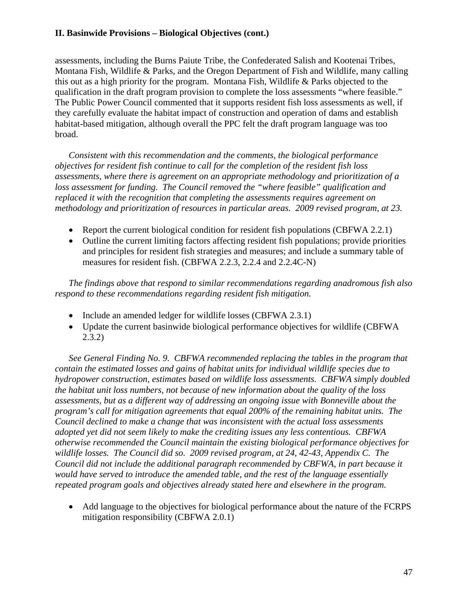assessments, including the Burns Paiute Tribe, the Confederated Salish and Kootenai Tribes, Montana Fish, Wildlife & Parks, and the Oregon Department of Fish and Wildlife, many calling this out as a high priority for the program. Montana Fish, Wildlife & Parks objected to the qualification in the draft program provision to complete the loss assessments "where feasible." The Public Power Council commented that it supports resident fish loss assessments as well, if they carefully evaluate the habitat impact of construction and operation of dams and establish habitat-based mitigation, although overall the PPC felt the draft program language was too broad.

 *Consistent with this recommendation and the comments, the biological performance objectives for resident fish continue to call for the completion of the resident fish loss assessments, where there is agreement on an appropriate methodology and prioritization of a loss assessment for funding. The Council removed the "where feasible" qualification and replaced it with the recognition that completing the assessments requires agreement on methodology and prioritization of resources in particular areas. 2009 revised program, at 23.* 

- Report the current biological condition for resident fish populations (CBFWA 2.2.1)
- Outline the current limiting factors affecting resident fish populations; provide priorities and principles for resident fish strategies and measures; and include a summary table of measures for resident fish. (CBFWA 2.2.3, 2.2.4 and 2.2.4C-N)

 *The findings above that respond to similar recommendations regarding anadromous fish also respond to these recommendations regarding resident fish mitigation.* 

- Include an amended ledger for wildlife losses (CBFWA 2.3.1)
- Update the current basinwide biological performance objectives for wildlife (CBFWA 2.3.2)

 *See General Finding No. 9. CBFWA recommended replacing the tables in the program that contain the estimated losses and gains of habitat units for individual wildlife species due to hydropower construction, estimates based on wildlife loss assessments. CBFWA simply doubled the habitat unit loss numbers, not because of new information about the quality of the loss assessments, but as a different way of addressing an ongoing issue with Bonneville about the program's call for mitigation agreements that equal 200% of the remaining habitat units. The Council declined to make a change that was inconsistent with the actual loss assessments adopted yet did not seem likely to make the crediting issues any less contentious. CBFWA otherwise recommended the Council maintain the existing biological performance objectives for wildlife losses. The Council did so. 2009 revised program, at 24, 42-43, Appendix C. The Council did not include the additional paragraph recommended by CBFWA, in part because it would have served to introduce the amended table, and the rest of the language essentially repeated program goals and objectives already stated here and elsewhere in the program.* 

• Add language to the objectives for biological performance about the nature of the FCRPS mitigation responsibility (CBFWA 2.0.1)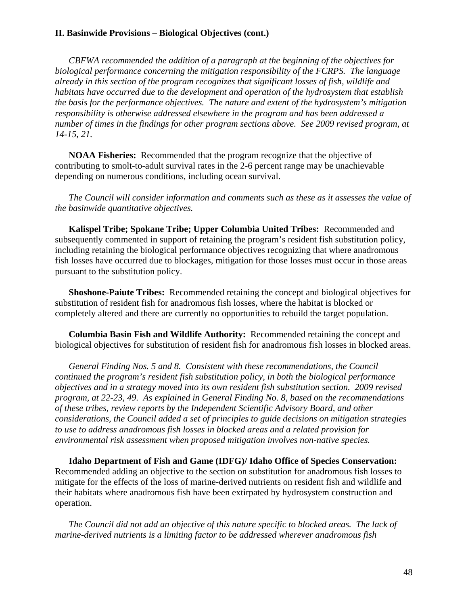*CBFWA recommended the addition of a paragraph at the beginning of the objectives for biological performance concerning the mitigation responsibility of the FCRPS. The language already in this section of the program recognizes that significant losses of fish, wildlife and habitats have occurred due to the development and operation of the hydrosystem that establish the basis for the performance objectives. The nature and extent of the hydrosystem's mitigation responsibility is otherwise addressed elsewhere in the program and has been addressed a number of times in the findings for other program sections above. See 2009 revised program, at 14-15, 21.*

 **NOAA Fisheries:** Recommended that the program recognize that the objective of contributing to smolt-to-adult survival rates in the 2-6 percent range may be unachievable depending on numerous conditions, including ocean survival.

 *The Council will consider information and comments such as these as it assesses the value of the basinwide quantitative objectives.*

**Kalispel Tribe; Spokane Tribe; Upper Columbia United Tribes:** Recommended and subsequently commented in support of retaining the program's resident fish substitution policy, including retaining the biological performance objectives recognizing that where anadromous fish losses have occurred due to blockages, mitigation for those losses must occur in those areas pursuant to the substitution policy.

**Shoshone-Paiute Tribes:** Recommended retaining the concept and biological objectives for substitution of resident fish for anadromous fish losses, where the habitat is blocked or completely altered and there are currently no opportunities to rebuild the target population.

**Columbia Basin Fish and Wildlife Authority:** Recommended retaining the concept and biological objectives for substitution of resident fish for anadromous fish losses in blocked areas.

 *General Finding Nos. 5 and 8. Consistent with these recommendations, the Council continued the program's resident fish substitution policy, in both the biological performance objectives and in a strategy moved into its own resident fish substitution section. 2009 revised program, at 22-23, 49. As explained in General Finding No. 8, based on the recommendations of these tribes, review reports by the Independent Scientific Advisory Board, and other considerations, the Council added a set of principles to guide decisions on mitigation strategies to use to address anadromous fish losses in blocked areas and a related provision for environmental risk assessment when proposed mitigation involves non-native species.* 

 **Idaho Department of Fish and Game (IDFG)/ Idaho Office of Species Conservation:** Recommended adding an objective to the section on substitution for anadromous fish losses to mitigate for the effects of the loss of marine-derived nutrients on resident fish and wildlife and their habitats where anadromous fish have been extirpated by hydrosystem construction and operation.

*The Council did not add an objective of this nature specific to blocked areas. The lack of marine-derived nutrients is a limiting factor to be addressed wherever anadromous fish*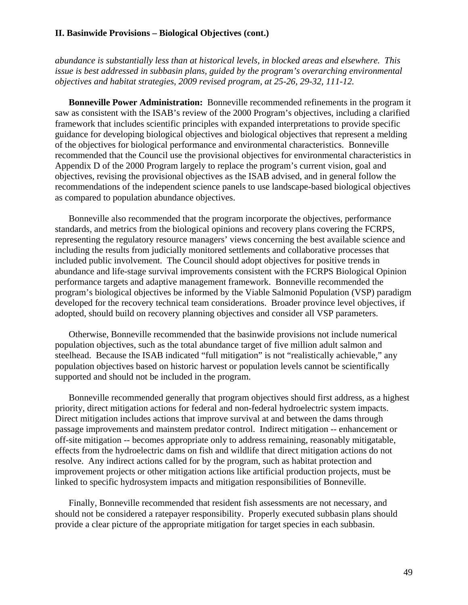*abundance is substantially less than at historical levels, in blocked areas and elsewhere. This issue is best addressed in subbasin plans, guided by the program's overarching environmental objectives and habitat strategies, 2009 revised program, at 25-26, 29-32, 111-12.* 

**Bonneville Power Administration:** Bonneville recommended refinements in the program it saw as consistent with the ISAB's review of the 2000 Program's objectives, including a clarified framework that includes scientific principles with expanded interpretations to provide specific guidance for developing biological objectives and biological objectives that represent a melding of the objectives for biological performance and environmental characteristics. Bonneville recommended that the Council use the provisional objectives for environmental characteristics in Appendix D of the 2000 Program largely to replace the program's current vision, goal and objectives, revising the provisional objectives as the ISAB advised, and in general follow the recommendations of the independent science panels to use landscape-based biological objectives as compared to population abundance objectives.

 Bonneville also recommended that the program incorporate the objectives, performance standards, and metrics from the biological opinions and recovery plans covering the FCRPS, representing the regulatory resource managers' views concerning the best available science and including the results from judicially monitored settlements and collaborative processes that included public involvement. The Council should adopt objectives for positive trends in abundance and life-stage survival improvements consistent with the FCRPS Biological Opinion performance targets and adaptive management framework. Bonneville recommended the program's biological objectives be informed by the Viable Salmonid Population (VSP) paradigm developed for the recovery technical team considerations. Broader province level objectives, if adopted, should build on recovery planning objectives and consider all VSP parameters.

 Otherwise, Bonneville recommended that the basinwide provisions not include numerical population objectives, such as the total abundance target of five million adult salmon and steelhead. Because the ISAB indicated "full mitigation" is not "realistically achievable," any population objectives based on historic harvest or population levels cannot be scientifically supported and should not be included in the program.

 Bonneville recommended generally that program objectives should first address, as a highest priority, direct mitigation actions for federal and non-federal hydroelectric system impacts. Direct mitigation includes actions that improve survival at and between the dams through passage improvements and mainstem predator control. Indirect mitigation -- enhancement or off-site mitigation -- becomes appropriate only to address remaining, reasonably mitigatable, effects from the hydroelectric dams on fish and wildlife that direct mitigation actions do not resolve. Any indirect actions called for by the program, such as habitat protection and improvement projects or other mitigation actions like artificial production projects, must be linked to specific hydrosystem impacts and mitigation responsibilities of Bonneville.

 Finally, Bonneville recommended that resident fish assessments are not necessary, and should not be considered a ratepayer responsibility. Properly executed subbasin plans should provide a clear picture of the appropriate mitigation for target species in each subbasin.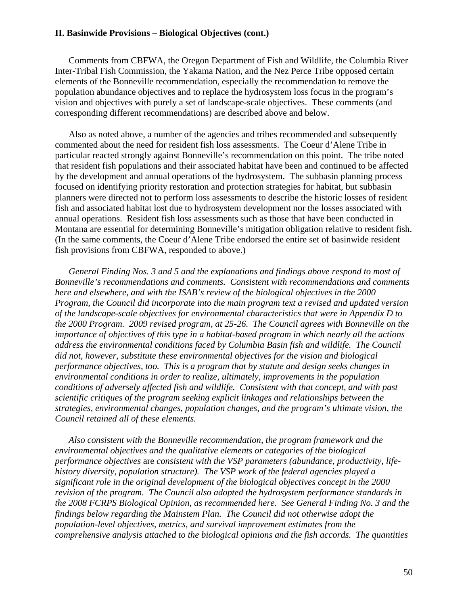Comments from CBFWA, the Oregon Department of Fish and Wildlife, the Columbia River Inter-Tribal Fish Commission, the Yakama Nation, and the Nez Perce Tribe opposed certain elements of the Bonneville recommendation, especially the recommendation to remove the population abundance objectives and to replace the hydrosystem loss focus in the program's vision and objectives with purely a set of landscape-scale objectives. These comments (and corresponding different recommendations) are described above and below.

 Also as noted above, a number of the agencies and tribes recommended and subsequently commented about the need for resident fish loss assessments. The Coeur d'Alene Tribe in particular reacted strongly against Bonneville's recommendation on this point. The tribe noted that resident fish populations and their associated habitat have been and continued to be affected by the development and annual operations of the hydrosystem. The subbasin planning process focused on identifying priority restoration and protection strategies for habitat, but subbasin planners were directed not to perform loss assessments to describe the historic losses of resident fish and associated habitat lost due to hydrosystem development nor the losses associated with annual operations. Resident fish loss assessments such as those that have been conducted in Montana are essential for determining Bonneville's mitigation obligation relative to resident fish. (In the same comments, the Coeur d'Alene Tribe endorsed the entire set of basinwide resident fish provisions from CBFWA, responded to above.)

 *General Finding Nos. 3 and 5 and the explanations and findings above respond to most of Bonneville's recommendations and comments. Consistent with recommendations and comments here and elsewhere, and with the ISAB's review of the biological objectives in the 2000 Program, the Council did incorporate into the main program text a revised and updated version of the landscape-scale objectives for environmental characteristics that were in Appendix D to the 2000 Program. 2009 revised program, at 25-26. The Council agrees with Bonneville on the importance of objectives of this type in a habitat-based program in which nearly all the actions address the environmental conditions faced by Columbia Basin fish and wildlife. The Council did not, however, substitute these environmental objectives for the vision and biological performance objectives, too. This is a program that by statute and design seeks changes in environmental conditions in order to realize, ultimately, improvements in the population conditions of adversely affected fish and wildlife. Consistent with that concept, and with past scientific critiques of the program seeking explicit linkages and relationships between the strategies, environmental changes, population changes, and the program's ultimate vision, the Council retained all of these elements.* 

 *Also consistent with the Bonneville recommendation, the program framework and the environmental objectives and the qualitative elements or categories of the biological performance objectives* are *consistent with the VSP parameters (abundance, productivity, lifehistory diversity, population structure). The VSP work of the federal agencies played a significant role in the original development of the biological objectives concept in the 2000 revision of the program. The Council also adopted the hydrosystem performance standards in the 2008 FCRPS Biological Opinion, as recommended here. See General Finding No. 3 and the findings below regarding the Mainstem Plan. The Council did not otherwise adopt the population-level objectives, metrics, and survival improvement estimates from the comprehensive analysis attached to the biological opinions and the fish accords. The quantities*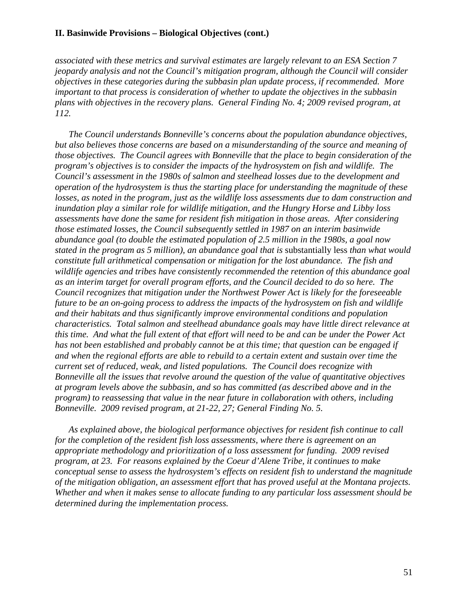*associated with these metrics and survival estimates are largely relevant to an ESA Section 7 jeopardy analysis and not the Council's mitigation program, although the Council will consider objectives in these categories during the subbasin plan update process, if recommended. More important to that process is consideration of whether to update the objectives in the subbasin plans with objectives in the recovery plans. General Finding No. 4; 2009 revised program, at 112.* 

 *The Council understands Bonneville's concerns about the population abundance objectives, but also believes those concerns are based on a misunderstanding of the source and meaning of those objectives. The Council agrees with Bonneville that the place to begin consideration of the program's objectives is to consider the impacts of the hydrosystem on fish and wildlife. The Council's assessment in the 1980s of salmon and steelhead losses due to the development and operation of the hydrosystem is thus the starting place for understanding the magnitude of these losses, as noted in the program, just as the wildlife loss assessments due to dam construction and inundation play a similar role for wildlife mitigation, and the Hungry Horse and Libby loss assessments have done the same for resident fish mitigation in those areas. After considering those estimated losses, the Council subsequently settled in 1987 on an interim basinwide abundance goal (to double the estimated population of 2.5 million in the 1980s, a goal now stated in the program as 5 million), an abundance goal that is* substantially less *than what would constitute full arithmetical compensation or mitigation for the lost abundance. The fish and wildlife agencies and tribes have consistently recommended the retention of this abundance goal as an interim target for overall program efforts, and the Council decided to do so here. The Council recognizes that mitigation under the Northwest Power Act is likely for the foreseeable future to be an on-going process to address the impacts of the hydrosystem on fish and wildlife and their habitats and thus significantly improve environmental conditions and population characteristics. Total salmon and steelhead abundance goals may have little direct relevance at this time. And what the full extent of that effort will need to be and can be under the Power Act has not been established and probably cannot be at this time; that question can be engaged if and when the regional efforts are able to rebuild to a certain extent and sustain over time the current set of reduced, weak, and listed populations. The Council does recognize with Bonneville all the issues that revolve around the question of the value of quantitative objectives at program levels above the subbasin, and so has committed (as described above and in the program) to reassessing that value in the near future in collaboration with others, including Bonneville. 2009 revised program, at 21-22, 27; General Finding No. 5.* 

 *As explained above, the biological performance objectives for resident fish continue to call for the completion of the resident fish loss assessments, where there is agreement on an appropriate methodology and prioritization of a loss assessment for funding. 2009 revised program, at 23. For reasons explained by the Coeur d'Alene Tribe, it continues to make conceptual sense to assess the hydrosystem's effects on resident fish to understand the magnitude of the mitigation obligation, an assessment effort that has proved useful at the Montana projects. Whether and when it makes sense to allocate funding to any particular loss assessment should be determined during the implementation process.*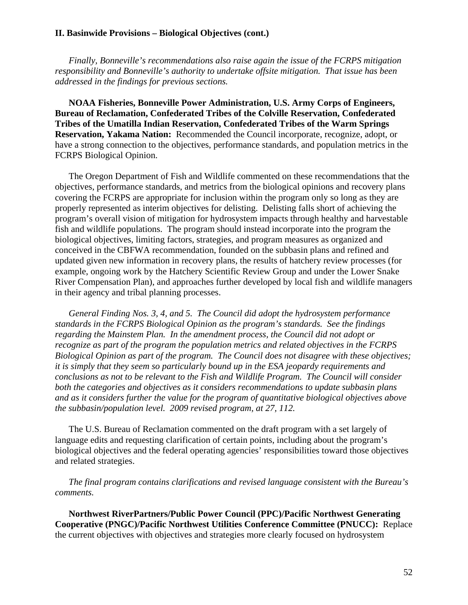*Finally, Bonneville's recommendations also raise again the issue of the FCRPS mitigation responsibility and Bonneville's authority to undertake offsite mitigation. That issue has been addressed in the findings for previous sections.* 

**NOAA Fisheries, Bonneville Power Administration, U.S. Army Corps of Engineers, Bureau of Reclamation, Confederated Tribes of the Colville Reservation, Confederated Tribes of the Umatilla Indian Reservation, Confederated Tribes of the Warm Springs Reservation, Yakama Nation:** Recommended the Council incorporate, recognize, adopt, or have a strong connection to the objectives, performance standards, and population metrics in the FCRPS Biological Opinion.

 The Oregon Department of Fish and Wildlife commented on these recommendations that the objectives, performance standards, and metrics from the biological opinions and recovery plans covering the FCRPS are appropriate for inclusion within the program only so long as they are properly represented as interim objectives for delisting. Delisting falls short of achieving the program's overall vision of mitigation for hydrosystem impacts through healthy and harvestable fish and wildlife populations. The program should instead incorporate into the program the biological objectives, limiting factors, strategies, and program measures as organized and conceived in the CBFWA recommendation, founded on the subbasin plans and refined and updated given new information in recovery plans, the results of hatchery review processes (for example, ongoing work by the Hatchery Scientific Review Group and under the Lower Snake River Compensation Plan), and approaches further developed by local fish and wildlife managers in their agency and tribal planning processes.

*General Finding Nos. 3, 4, and 5. The Council did adopt the hydrosystem performance standards in the FCRPS Biological Opinion as the program's standards. See the findings regarding the Mainstem Plan. In the amendment process, the Council did not adopt or recognize as part of the program the population metrics and related objectives in the FCRPS Biological Opinion as part of the program. The Council does not disagree with these objectives; it is simply that they seem so particularly bound up in the ESA jeopardy requirements and conclusions as not to be relevant to the Fish and Wildlife Program. The Council will consider both the categories and objectives as it considers recommendations to update subbasin plans and as it considers further the value for the program of quantitative biological objectives above the subbasin/population level. 2009 revised program, at 27, 112.*

 The U.S. Bureau of Reclamation commented on the draft program with a set largely of language edits and requesting clarification of certain points, including about the program's biological objectives and the federal operating agencies' responsibilities toward those objectives and related strategies.

 *The final program contains clarifications and revised language consistent with the Bureau's comments.* 

**Northwest RiverPartners/Public Power Council (PPC)/Pacific Northwest Generating Cooperative (PNGC)/Pacific Northwest Utilities Conference Committee (PNUCC):** Replace the current objectives with objectives and strategies more clearly focused on hydrosystem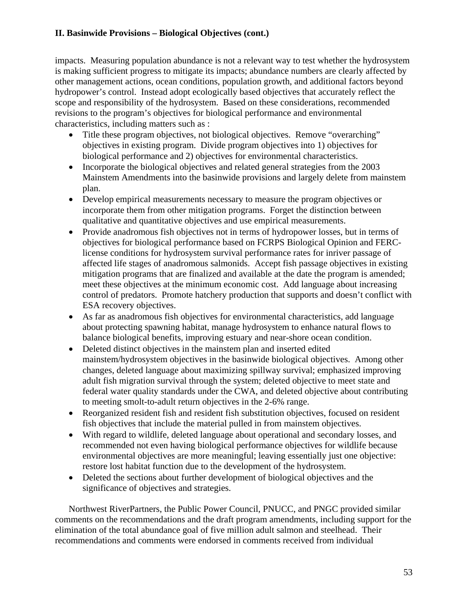impacts. Measuring population abundance is not a relevant way to test whether the hydrosystem is making sufficient progress to mitigate its impacts; abundance numbers are clearly affected by other management actions, ocean conditions, population growth, and additional factors beyond hydropower's control. Instead adopt ecologically based objectives that accurately reflect the scope and responsibility of the hydrosystem. Based on these considerations, recommended revisions to the program's objectives for biological performance and environmental characteristics, including matters such as :

- Title these program objectives, not biological objectives. Remove "overarching" objectives in existing program. Divide program objectives into 1) objectives for biological performance and 2) objectives for environmental characteristics.
- Incorporate the biological objectives and related general strategies from the 2003 Mainstem Amendments into the basinwide provisions and largely delete from mainstem plan.
- Develop empirical measurements necessary to measure the program objectives or incorporate them from other mitigation programs. Forget the distinction between qualitative and quantitative objectives and use empirical measurements.
- Provide anadromous fish objectives not in terms of hydropower losses, but in terms of objectives for biological performance based on FCRPS Biological Opinion and FERClicense conditions for hydrosystem survival performance rates for inriver passage of affected life stages of anadromous salmonids. Accept fish passage objectives in existing mitigation programs that are finalized and available at the date the program is amended; meet these objectives at the minimum economic cost. Add language about increasing control of predators. Promote hatchery production that supports and doesn't conflict with ESA recovery objectives.
- As far as anadromous fish objectives for environmental characteristics, add language about protecting spawning habitat, manage hydrosystem to enhance natural flows to balance biological benefits, improving estuary and near-shore ocean condition.
- Deleted distinct objectives in the mainstem plan and inserted edited mainstem/hydrosystem objectives in the basinwide biological objectives. Among other changes, deleted language about maximizing spillway survival; emphasized improving adult fish migration survival through the system; deleted objective to meet state and federal water quality standards under the CWA, and deleted objective about contributing to meeting smolt-to-adult return objectives in the 2-6% range.
- Reorganized resident fish and resident fish substitution objectives, focused on resident fish objectives that include the material pulled in from mainstem objectives.
- With regard to wildlife, deleted language about operational and secondary losses, and recommended not even having biological performance objectives for wildlife because environmental objectives are more meaningful; leaving essentially just one objective: restore lost habitat function due to the development of the hydrosystem.
- Deleted the sections about further development of biological objectives and the significance of objectives and strategies.

 Northwest RiverPartners, the Public Power Council, PNUCC, and PNGC provided similar comments on the recommendations and the draft program amendments, including support for the elimination of the total abundance goal of five million adult salmon and steelhead. Their recommendations and comments were endorsed in comments received from individual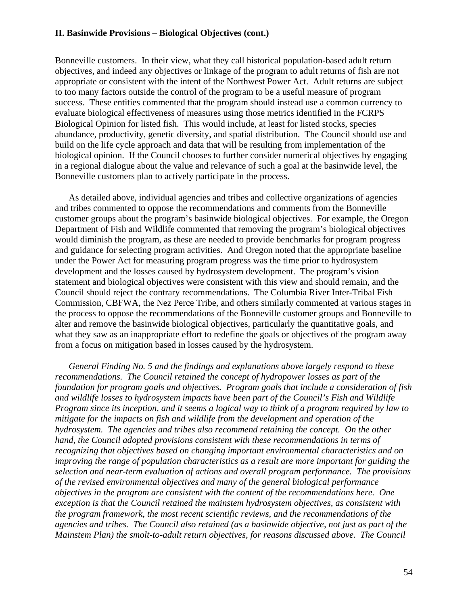Bonneville customers. In their view, what they call historical population-based adult return objectives, and indeed any objectives or linkage of the program to adult returns of fish are not appropriate or consistent with the intent of the Northwest Power Act. Adult returns are subject to too many factors outside the control of the program to be a useful measure of program success. These entities commented that the program should instead use a common currency to evaluate biological effectiveness of measures using those metrics identified in the FCRPS Biological Opinion for listed fish. This would include, at least for listed stocks, species abundance, productivity, genetic diversity, and spatial distribution. The Council should use and build on the life cycle approach and data that will be resulting from implementation of the biological opinion. If the Council chooses to further consider numerical objectives by engaging in a regional dialogue about the value and relevance of such a goal at the basinwide level, the Bonneville customers plan to actively participate in the process.

 As detailed above, individual agencies and tribes and collective organizations of agencies and tribes commented to oppose the recommendations and comments from the Bonneville customer groups about the program's basinwide biological objectives. For example, the Oregon Department of Fish and Wildlife commented that removing the program's biological objectives would diminish the program, as these are needed to provide benchmarks for program progress and guidance for selecting program activities. And Oregon noted that the appropriate baseline under the Power Act for measuring program progress was the time prior to hydrosystem development and the losses caused by hydrosystem development. The program's vision statement and biological objectives were consistent with this view and should remain, and the Council should reject the contrary recommendations. The Columbia River Inter-Tribal Fish Commission, CBFWA, the Nez Perce Tribe, and others similarly commented at various stages in the process to oppose the recommendations of the Bonneville customer groups and Bonneville to alter and remove the basinwide biological objectives, particularly the quantitative goals, and what they saw as an inappropriate effort to redefine the goals or objectives of the program away from a focus on mitigation based in losses caused by the hydrosystem.

*General Finding No. 5 and the findings and explanations above largely respond to these recommendations. The Council retained the concept of hydropower losses as part of the foundation for program goals and objectives. Program goals that include a consideration of fish and wildlife losses to hydrosystem impacts have been part of the Council's Fish and Wildlife Program since its inception, and it seems a logical way to think of a program required by law to mitigate for the impacts on fish and wildlife from the development and operation of the hydrosystem. The agencies and tribes also recommend retaining the concept. On the other hand, the Council adopted provisions consistent with these recommendations in terms of recognizing that objectives based on changing important environmental characteristics and on improving the range of population characteristics as a result are more important for guiding the selection and near-term evaluation of actions and overall program performance. The provisions of the revised environmental objectives and many of the general biological performance objectives in the program are consistent with the content of the recommendations here. One exception is that the Council retained the mainstem hydrosystem objectives, as consistent with the program framework, the most recent scientific reviews, and the recommendations of the agencies and tribes. The Council also retained (as a basinwide objective, not just as part of the Mainstem Plan) the smolt-to-adult return objectives, for reasons discussed above. The Council*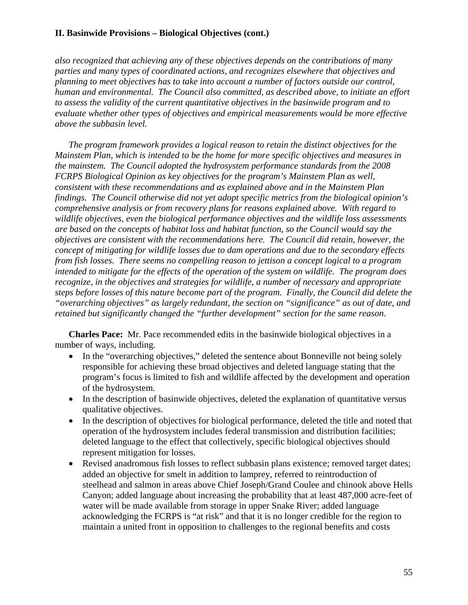*also recognized that achieving any of these objectives depends on the contributions of many parties and many types of coordinated actions, and recognizes elsewhere that objectives and planning to meet objectives has to take into account a number of factors outside our control, human and environmental. The Council also committed, as described above, to initiate an effort to assess the validity of the current quantitative objectives in the basinwide program and to evaluate whether other types of objectives and empirical measurements would be more effective above the subbasin level.* 

 *The program framework provides a logical reason to retain the distinct objectives for the Mainstem Plan, which is intended to be the home for more specific objectives and measures in the mainstem. The Council adopted the hydrosystem performance standards from the 2008 FCRPS Biological Opinion as key objectives for the program's Mainstem Plan as well, consistent with these recommendations and as explained above and in the Mainstem Plan findings. The Council otherwise did not yet adopt specific metrics from the biological opinion's comprehensive analysis or from recovery plans for reasons explained above. With regard to wildlife objectives, even the biological performance objectives and the wildlife loss assessments are based on the concepts of habitat loss and habitat function, so the Council would say the objectives are consistent with the recommendations here. The Council did retain, however, the concept of mitigating for wildlife losses due to dam operations and due to the secondary effects from fish losses. There seems no compelling reason to jettison a concept logical to a program intended to mitigate for the effects of the operation of the system on wildlife. The program does recognize, in the objectives and strategies for wildlife, a number of necessary and appropriate steps before losses of this nature become part of the program. Finally, the Council did delete the "overarching objectives" as largely redundant, the section on "significance" as out of date, and retained but significantly changed the "further development" section for the same reason.* 

**Charles Pace:** Mr. Pace recommended edits in the basinwide biological objectives in a number of ways, including.

- In the "overarching objectives," deleted the sentence about Bonneville not being solely responsible for achieving these broad objectives and deleted language stating that the program's focus is limited to fish and wildlife affected by the development and operation of the hydrosystem.
- In the description of basinwide objectives, deleted the explanation of quantitative versus qualitative objectives.
- In the description of objectives for biological performance, deleted the title and noted that operation of the hydrosystem includes federal transmission and distribution facilities; deleted language to the effect that collectively, specific biological objectives should represent mitigation for losses.
- Revised anadromous fish losses to reflect subbasin plans existence; removed target dates; added an objective for smelt in addition to lamprey, referred to reintroduction of steelhead and salmon in areas above Chief Joseph/Grand Coulee and chinook above Hells Canyon; added language about increasing the probability that at least 487,000 acre-feet of water will be made available from storage in upper Snake River; added language acknowledging the FCRPS is "at risk" and that it is no longer credible for the region to maintain a united front in opposition to challenges to the regional benefits and costs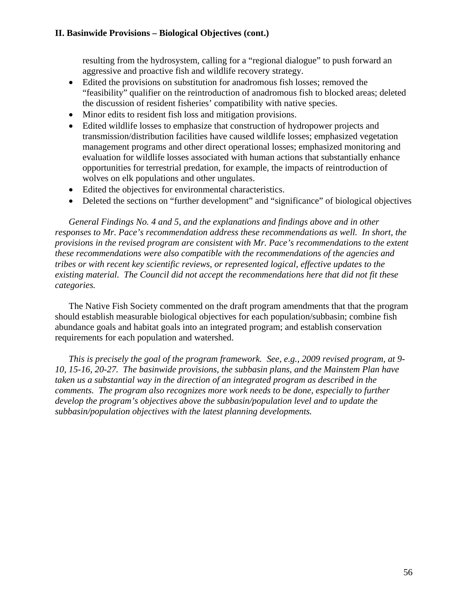resulting from the hydrosystem, calling for a "regional dialogue" to push forward an aggressive and proactive fish and wildlife recovery strategy.

- Edited the provisions on substitution for anadromous fish losses; removed the "feasibility" qualifier on the reintroduction of anadromous fish to blocked areas; deleted the discussion of resident fisheries' compatibility with native species.
- Minor edits to resident fish loss and mitigation provisions.
- Edited wildlife losses to emphasize that construction of hydropower projects and transmission/distribution facilities have caused wildlife losses; emphasized vegetation management programs and other direct operational losses; emphasized monitoring and evaluation for wildlife losses associated with human actions that substantially enhance opportunities for terrestrial predation, for example, the impacts of reintroduction of wolves on elk populations and other ungulates.
- Edited the objectives for environmental characteristics.
- Deleted the sections on "further development" and "significance" of biological objectives

*General Findings No. 4 and 5, and the explanations and findings above and in other responses to Mr. Pace's recommendation address these recommendations as well. In short, the provisions in the revised program are consistent with Mr. Pace's recommendations to the extent these recommendations were also compatible with the recommendations of the agencies and tribes or with recent key scientific reviews, or represented logical, effective updates to the existing material. The Council did not accept the recommendations here that did not fit these categories.* 

 The Native Fish Society commented on the draft program amendments that that the program should establish measurable biological objectives for each population/subbasin; combine fish abundance goals and habitat goals into an integrated program; and establish conservation requirements for each population and watershed.

*This is precisely the goal of the program framework. See, e.g., 2009 revised program, at 9- 10, 15-16, 20-27. The basinwide provisions, the subbasin plans, and the Mainstem Plan have taken us a substantial way in the direction of an integrated program as described in the comments. The program also recognizes more work needs to be done, especially to further develop the program's objectives above the subbasin/population level and to update the subbasin/population objectives with the latest planning developments.*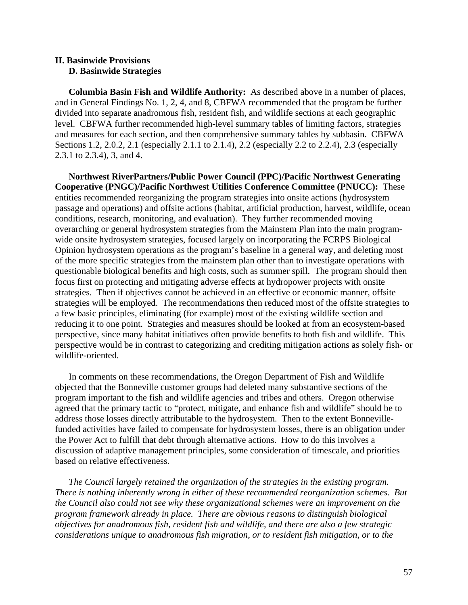#### **II. Basinwide Provisions D. Basinwide Strategies**

**Columbia Basin Fish and Wildlife Authority:** As described above in a number of places, and in General Findings No. 1, 2, 4, and 8, CBFWA recommended that the program be further divided into separate anadromous fish, resident fish, and wildlife sections at each geographic level. CBFWA further recommended high-level summary tables of limiting factors, strategies and measures for each section, and then comprehensive summary tables by subbasin. CBFWA Sections 1.2, 2.0.2, 2.1 (especially 2.1.1 to 2.1.4), 2.2 (especially 2.2 to 2.2.4), 2.3 (especially 2.3.1 to 2.3.4), 3, and 4.

**Northwest RiverPartners/Public Power Council (PPC)/Pacific Northwest Generating Cooperative (PNGC)/Pacific Northwest Utilities Conference Committee (PNUCC):** These entities recommended reorganizing the program strategies into onsite actions (hydrosystem passage and operations) and offsite actions (habitat, artificial production, harvest, wildlife, ocean conditions, research, monitoring, and evaluation). They further recommended moving overarching or general hydrosystem strategies from the Mainstem Plan into the main programwide onsite hydrosystem strategies, focused largely on incorporating the FCRPS Biological Opinion hydrosystem operations as the program's baseline in a general way, and deleting most of the more specific strategies from the mainstem plan other than to investigate operations with questionable biological benefits and high costs, such as summer spill. The program should then focus first on protecting and mitigating adverse effects at hydropower projects with onsite strategies. Then if objectives cannot be achieved in an effective or economic manner, offsite strategies will be employed. The recommendations then reduced most of the offsite strategies to a few basic principles, eliminating (for example) most of the existing wildlife section and reducing it to one point. Strategies and measures should be looked at from an ecosystem-based perspective, since many habitat initiatives often provide benefits to both fish and wildlife. This perspective would be in contrast to categorizing and crediting mitigation actions as solely fish- or wildlife-oriented.

 In comments on these recommendations, the Oregon Department of Fish and Wildlife objected that the Bonneville customer groups had deleted many substantive sections of the program important to the fish and wildlife agencies and tribes and others. Oregon otherwise agreed that the primary tactic to "protect, mitigate, and enhance fish and wildlife" should be to address those losses directly attributable to the hydrosystem. Then to the extent Bonnevillefunded activities have failed to compensate for hydrosystem losses, there is an obligation under the Power Act to fulfill that debt through alternative actions. How to do this involves a discussion of adaptive management principles, some consideration of timescale, and priorities based on relative effectiveness.

*The Council largely retained the organization of the strategies in the existing program. There is nothing inherently wrong in either of these recommended reorganization schemes. But the Council also could not see why these organizational schemes were an improvement on the program framework already in place. There are obvious reasons to distinguish biological objectives for anadromous fish, resident fish and wildlife, and there are also a few strategic considerations unique to anadromous fish migration, or to resident fish mitigation, or to the*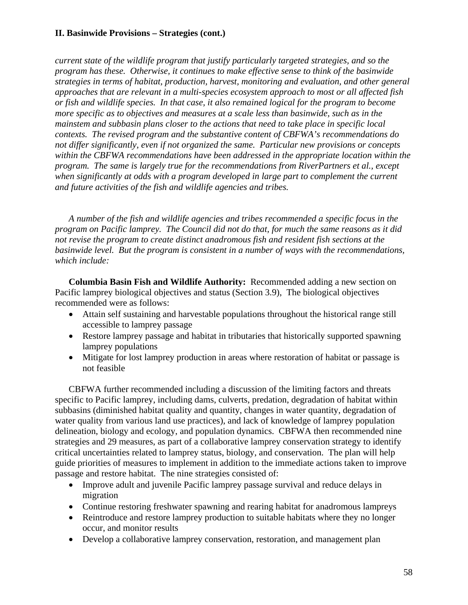*current state of the wildlife program that justify particularly targeted strategies, and so the program has these. Otherwise, it continues to make effective sense to think of the basinwide strategies in terms of habitat, production, harvest, monitoring and evaluation, and other general approaches that are relevant in a multi-species ecosystem approach to most or all affected fish or fish and wildlife species. In that case, it also remained logical for the program to become more specific as to objectives and measures at a scale less than basinwide, such as in the mainstem and subbasin plans closer to the actions that need to take place in specific local contexts. The revised program and the substantive content of CBFWA's recommendations do not differ significantly, even if not organized the same. Particular new provisions or concepts within the CBFWA recommendations have been addressed in the appropriate location within the program. The same is largely true for the recommendations from RiverPartners et al., except*  when significantly at odds with a program developed in large part to complement the current *and future activities of the fish and wildlife agencies and tribes.* 

*A number of the fish and wildlife agencies and tribes recommended a specific focus in the program on Pacific lamprey. The Council did not do that, for much the same reasons as it did not revise the program to create distinct anadromous fish and resident fish sections at the basinwide level. But the program is consistent in a number of ways with the recommendations, which include:* 

 **Columbia Basin Fish and Wildlife Authority:** Recommended adding a new section on Pacific lamprey biological objectives and status (Section 3.9), The biological objectives recommended were as follows:

- Attain self sustaining and harvestable populations throughout the historical range still accessible to lamprey passage
- Restore lamprey passage and habitat in tributaries that historically supported spawning lamprey populations
- Mitigate for lost lamprey production in areas where restoration of habitat or passage is not feasible

 CBFWA further recommended including a discussion of the limiting factors and threats specific to Pacific lamprey, including dams, culverts, predation, degradation of habitat within subbasins (diminished habitat quality and quantity, changes in water quantity, degradation of water quality from various land use practices), and lack of knowledge of lamprey population delineation, biology and ecology, and population dynamics. CBFWA then recommended nine strategies and 29 measures, as part of a collaborative lamprey conservation strategy to identify critical uncertainties related to lamprey status, biology, and conservation. The plan will help guide priorities of measures to implement in addition to the immediate actions taken to improve passage and restore habitat. The nine strategies consisted of:

- Improve adult and juvenile Pacific lamprey passage survival and reduce delays in migration
- Continue restoring freshwater spawning and rearing habitat for anadromous lampreys
- Reintroduce and restore lamprey production to suitable habitats where they no longer occur, and monitor results
- Develop a collaborative lamprey conservation, restoration, and management plan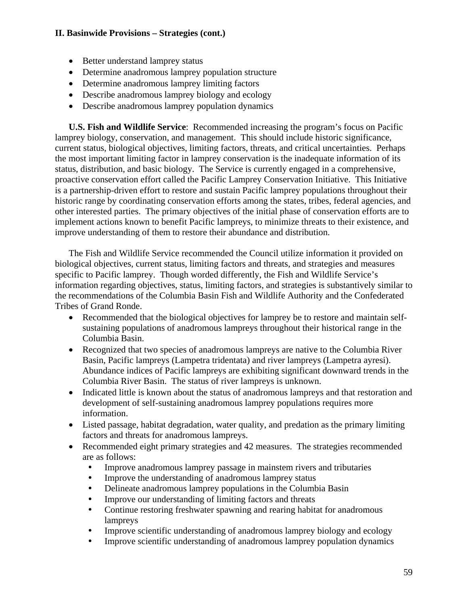- Better understand lamprey status
- Determine anadromous lamprey population structure
- Determine anadromous lamprey limiting factors
- Describe anadromous lamprey biology and ecology
- Describe anadromous lamprey population dynamics

**U.S. Fish and Wildlife Service**: Recommended increasing the program's focus on Pacific lamprey biology, conservation, and management. This should include historic significance, current status, biological objectives, limiting factors, threats, and critical uncertainties. Perhaps the most important limiting factor in lamprey conservation is the inadequate information of its status, distribution, and basic biology. The Service is currently engaged in a comprehensive, proactive conservation effort called the Pacific Lamprey Conservation Initiative. This Initiative is a partnership-driven effort to restore and sustain Pacific lamprey populations throughout their historic range by coordinating conservation efforts among the states, tribes, federal agencies, and other interested parties. The primary objectives of the initial phase of conservation efforts are to implement actions known to benefit Pacific lampreys, to minimize threats to their existence, and improve understanding of them to restore their abundance and distribution.

 The Fish and Wildlife Service recommended the Council utilize information it provided on biological objectives, current status, limiting factors and threats, and strategies and measures specific to Pacific lamprey. Though worded differently, the Fish and Wildlife Service's information regarding objectives, status, limiting factors, and strategies is substantively similar to the recommendations of the Columbia Basin Fish and Wildlife Authority and the Confederated Tribes of Grand Ronde.

- Recommended that the biological objectives for lamprey be to restore and maintain selfsustaining populations of anadromous lampreys throughout their historical range in the Columbia Basin.
- Recognized that two species of anadromous lampreys are native to the Columbia River Basin, Pacific lampreys (Lampetra tridentata) and river lampreys (Lampetra ayresi). Abundance indices of Pacific lampreys are exhibiting significant downward trends in the Columbia River Basin. The status of river lampreys is unknown.
- Indicated little is known about the status of anadromous lampreys and that restoration and development of self-sustaining anadromous lamprey populations requires more information.
- Listed passage, habitat degradation, water quality, and predation as the primary limiting factors and threats for anadromous lampreys.
- Recommended eight primary strategies and 42 measures. The strategies recommended are as follows:
	- Improve anadromous lamprey passage in mainstem rivers and tributaries
	- Improve the understanding of anadromous lamprey status
	- Delineate anadromous lamprey populations in the Columbia Basin
	- Improve our understanding of limiting factors and threats
	- Continue restoring freshwater spawning and rearing habitat for anadromous lampreys
	- Improve scientific understanding of anadromous lamprey biology and ecology
	- Improve scientific understanding of anadromous lamprey population dynamics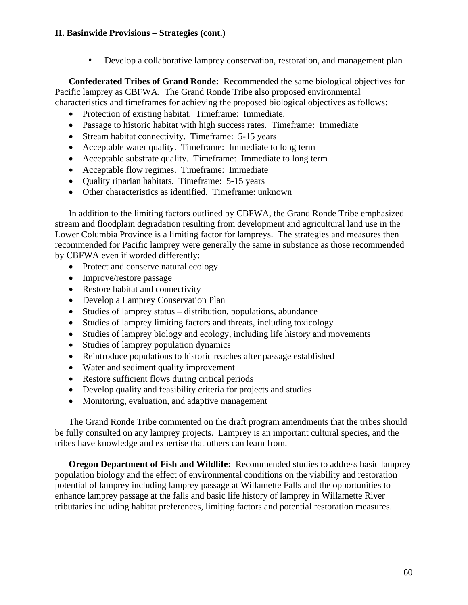• Develop a collaborative lamprey conservation, restoration, and management plan

**Confederated Tribes of Grand Ronde:** Recommended the same biological objectives for Pacific lamprey as CBFWA. The Grand Ronde Tribe also proposed environmental characteristics and timeframes for achieving the proposed biological objectives as follows:

- Protection of existing habitat. Timeframe: Immediate.
- Passage to historic habitat with high success rates. Timeframe: Immediate
- Stream habitat connectivity. Timeframe: 5-15 years
- Acceptable water quality. Timeframe: Immediate to long term
- Acceptable substrate quality. Timeframe: Immediate to long term
- Acceptable flow regimes. Timeframe: Immediate
- Quality riparian habitats. Timeframe: 5-15 years
- Other characteristics as identified. Timeframe: unknown

 In addition to the limiting factors outlined by CBFWA, the Grand Ronde Tribe emphasized stream and floodplain degradation resulting from development and agricultural land use in the Lower Columbia Province is a limiting factor for lampreys. The strategies and measures then recommended for Pacific lamprey were generally the same in substance as those recommended by CBFWA even if worded differently:

- Protect and conserve natural ecology
- Improve/restore passage
- Restore habitat and connectivity
- Develop a Lamprey Conservation Plan
- Studies of lamprey status distribution, populations, abundance
- Studies of lamprey limiting factors and threats, including toxicology
- Studies of lamprey biology and ecology, including life history and movements
- Studies of lamprey population dynamics
- Reintroduce populations to historic reaches after passage established
- Water and sediment quality improvement
- Restore sufficient flows during critical periods
- Develop quality and feasibility criteria for projects and studies
- Monitoring, evaluation, and adaptive management

 The Grand Ronde Tribe commented on the draft program amendments that the tribes should be fully consulted on any lamprey projects. Lamprey is an important cultural species, and the tribes have knowledge and expertise that others can learn from.

**Oregon Department of Fish and Wildlife:** Recommended studies to address basic lamprey population biology and the effect of environmental conditions on the viability and restoration potential of lamprey including lamprey passage at Willamette Falls and the opportunities to enhance lamprey passage at the falls and basic life history of lamprey in Willamette River tributaries including habitat preferences, limiting factors and potential restoration measures.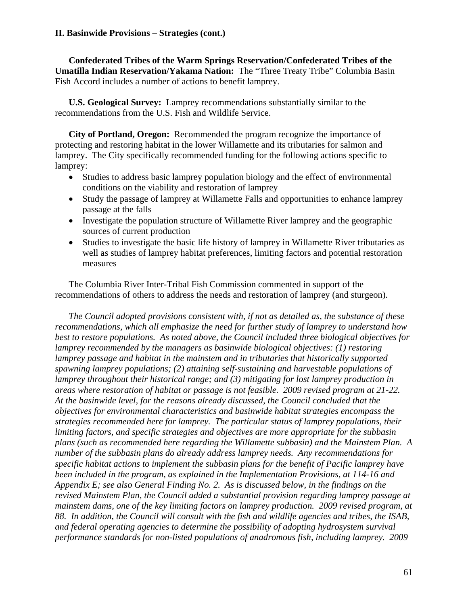**Confederated Tribes of the Warm Springs Reservation/Confederated Tribes of the Umatilla Indian Reservation/Yakama Nation:** The "Three Treaty Tribe" Columbia Basin Fish Accord includes a number of actions to benefit lamprey.

**U.S. Geological Survey:** Lamprey recommendations substantially similar to the recommendations from the U.S. Fish and Wildlife Service.

**City of Portland, Oregon:** Recommended the program recognize the importance of protecting and restoring habitat in the lower Willamette and its tributaries for salmon and lamprey. The City specifically recommended funding for the following actions specific to lamprey:

- Studies to address basic lamprey population biology and the effect of environmental conditions on the viability and restoration of lamprey
- Study the passage of lamprey at Willamette Falls and opportunities to enhance lamprey passage at the falls
- Investigate the population structure of Willamette River lamprey and the geographic sources of current production
- Studies to investigate the basic life history of lamprey in Willamette River tributaries as well as studies of lamprey habitat preferences, limiting factors and potential restoration measures

 The Columbia River Inter-Tribal Fish Commission commented in support of the recommendations of others to address the needs and restoration of lamprey (and sturgeon).

*The Council adopted provisions consistent with, if not as detailed as, the substance of these recommendations, which all emphasize the need for further study of lamprey to understand how best to restore populations. As noted above, the Council included three biological objectives for lamprey recommended by the managers as basinwide biological objectives: (1) restoring lamprey passage and habitat in the mainstem and in tributaries that historically supported spawning lamprey populations; (2) attaining self-sustaining and harvestable populations of lamprey throughout their historical range; and (3) mitigating for lost lamprey production in areas where restoration of habitat or passage is not feasible. 2009 revised program at 21-22. At the basinwide level, for the reasons already discussed, the Council concluded that the objectives for environmental characteristics and basinwide habitat strategies encompass the strategies recommended here for lamprey. The particular status of lamprey populations, their limiting factors, and specific strategies and objectives are more appropriate for the subbasin plans (such as recommended here regarding the Willamette subbasin) and the Mainstem Plan. A number of the subbasin plans do already address lamprey needs. Any recommendations for specific habitat actions to implement the subbasin plans for the benefit of Pacific lamprey have been included in the program, as explained in the Implementation Provisions, at 114-16 and Appendix E; see also General Finding No. 2. As is discussed below, in the findings on the revised Mainstem Plan, the Council added a substantial provision regarding lamprey passage at mainstem dams, one of the key limiting factors on lamprey production. 2009 revised program, at 88. In addition, the Council will consult with the fish and wildlife agencies and tribes, the ISAB, and federal operating agencies to determine the possibility of adopting hydrosystem survival performance standards for non-listed populations of anadromous fish, including lamprey. 2009*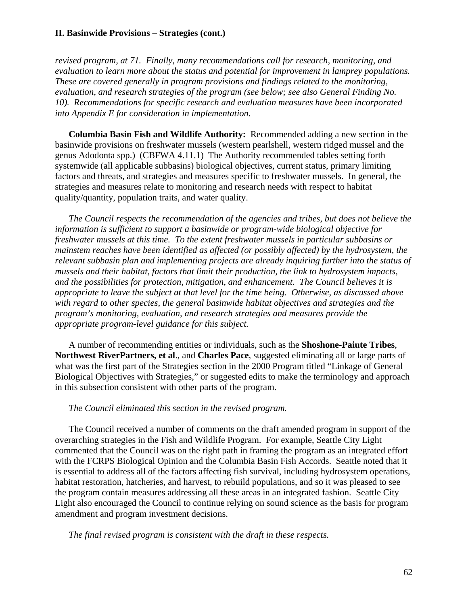*revised program, at 71. Finally, many recommendations call for research, monitoring, and evaluation to learn more about the status and potential for improvement in lamprey populations. These are covered generally in program provisions and findings related to the monitoring, evaluation, and research strategies of the program (see below; see also General Finding No. 10). Recommendations for specific research and evaluation measures have been incorporated into Appendix E for consideration in implementation.* 

**Columbia Basin Fish and Wildlife Authority:** Recommended adding a new section in the basinwide provisions on freshwater mussels (western pearlshell, western ridged mussel and the genus Adodonta spp.) (CBFWA 4.11.1) The Authority recommended tables setting forth systemwide (all applicable subbasins) biological objectives, current status, primary limiting factors and threats, and strategies and measures specific to freshwater mussels. In general, the strategies and measures relate to monitoring and research needs with respect to habitat quality/quantity, population traits, and water quality.

*The Council respects the recommendation of the agencies and tribes, but does not believe the information is sufficient to support a basinwide or program-wide biological objective for freshwater mussels at this time. To the extent freshwater mussels in particular subbasins or mainstem reaches have been identified as affected (or possibly affected) by the hydrosystem, the relevant subbasin plan and implementing projects are already inquiring further into the status of mussels and their habitat, factors that limit their production, the link to hydrosystem impacts, and the possibilities for protection, mitigation, and enhancement. The Council believes it is appropriate to leave the subject at that level for the time being. Otherwise, as discussed above with regard to other species, the general basinwide habitat objectives and strategies and the program's monitoring, evaluation, and research strategies and measures provide the appropriate program-level guidance for this subject.* 

 A number of recommending entities or individuals, such as the **Shoshone-Paiute Tribes**, **Northwest RiverPartners, et al**., and **Charles Pace**, suggested eliminating all or large parts of what was the first part of the Strategies section in the 2000 Program titled "Linkage of General Biological Objectives with Strategies," or suggested edits to make the terminology and approach in this subsection consistent with other parts of the program.

#### *The Council eliminated this section in the revised program.*

 The Council received a number of comments on the draft amended program in support of the overarching strategies in the Fish and Wildlife Program. For example, Seattle City Light commented that the Council was on the right path in framing the program as an integrated effort with the FCRPS Biological Opinion and the Columbia Basin Fish Accords. Seattle noted that it is essential to address all of the factors affecting fish survival, including hydrosystem operations, habitat restoration, hatcheries, and harvest, to rebuild populations, and so it was pleased to see the program contain measures addressing all these areas in an integrated fashion. Seattle City Light also encouraged the Council to continue relying on sound science as the basis for program amendment and program investment decisions.

*The final revised program is consistent with the draft in these respects.*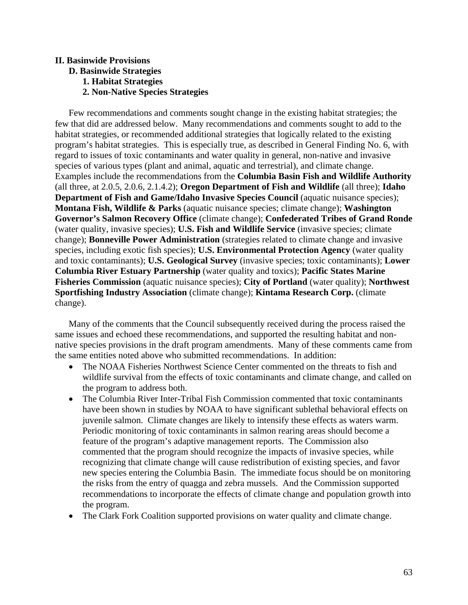# **II. Basinwide Provisions D. Basinwide Strategies 1. Habitat Strategies 2. Non-Native Species Strategies**

 Few recommendations and comments sought change in the existing habitat strategies; the few that did are addressed below. Many recommendations and comments sought to add to the habitat strategies, or recommended additional strategies that logically related to the existing program's habitat strategies. This is especially true, as described in General Finding No. 6, with regard to issues of toxic contaminants and water quality in general, non-native and invasive species of various types (plant and animal, aquatic and terrestrial), and climate change. Examples include the recommendations from the **Columbia Basin Fish and Wildlife Authority** (all three, at 2.0.5, 2.0.6, 2.1.4.2); **Oregon Department of Fish and Wildlife** (all three); **Idaho Department of Fish and Game/Idaho Invasive Species Council** (aquatic nuisance species); **Montana Fish, Wildlife & Parks** (aquatic nuisance species; climate change); **Washington Governor's Salmon Recovery Office** (climate change); **Confederated Tribes of Grand Ronde** (water quality, invasive species); **U.S. Fish and Wildlife Service** (invasive species; climate change); **Bonneville Power Administration** (strategies related to climate change and invasive species, including exotic fish species); **U.S. Environmental Protection Agency** (water quality and toxic contaminants); **U.S. Geological Survey** (invasive species; toxic contaminants); **Lower Columbia River Estuary Partnership** (water quality and toxics); **Pacific States Marine Fisheries Commission** (aquatic nuisance species); **City of Portland** (water quality); **Northwest Sportfishing Industry Association** (climate change); **Kintama Research Corp.** (climate change).

 Many of the comments that the Council subsequently received during the process raised the same issues and echoed these recommendations, and supported the resulting habitat and nonnative species provisions in the draft program amendments. Many of these comments came from the same entities noted above who submitted recommendations. In addition:

- The NOAA Fisheries Northwest Science Center commented on the threats to fish and wildlife survival from the effects of toxic contaminants and climate change, and called on the program to address both.
- The Columbia River Inter-Tribal Fish Commission commented that toxic contaminants have been shown in studies by NOAA to have significant sublethal behavioral effects on juvenile salmon. Climate changes are likely to intensify these effects as waters warm. Periodic monitoring of toxic contaminants in salmon rearing areas should become a feature of the program's adaptive management reports. The Commission also commented that the program should recognize the impacts of invasive species, while recognizing that climate change will cause redistribution of existing species, and favor new species entering the Columbia Basin. The immediate focus should be on monitoring the risks from the entry of quagga and zebra mussels. And the Commission supported recommendations to incorporate the effects of climate change and population growth into the program.
- The Clark Fork Coalition supported provisions on water quality and climate change.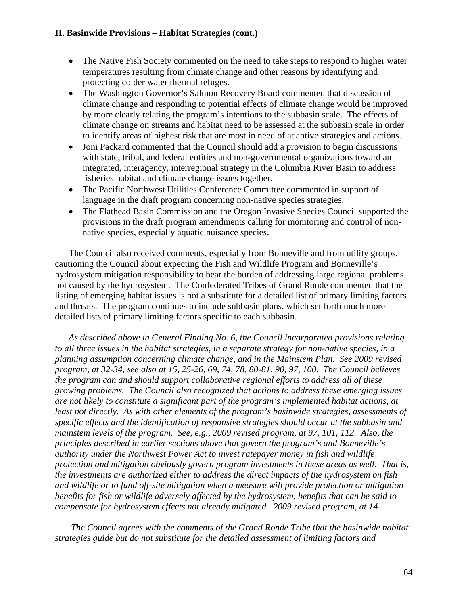- The Native Fish Society commented on the need to take steps to respond to higher water temperatures resulting from climate change and other reasons by identifying and protecting colder water thermal refuges.
- The Washington Governor's Salmon Recovery Board commented that discussion of climate change and responding to potential effects of climate change would be improved by more clearly relating the program's intentions to the subbasin scale. The effects of climate change on streams and habitat need to be assessed at the subbasin scale in order to identify areas of highest risk that are most in need of adaptive strategies and actions.
- Joni Packard commented that the Council should add a provision to begin discussions with state, tribal, and federal entities and non-governmental organizations toward an integrated, interagency, interregional strategy in the Columbia River Basin to address fisheries habitat and climate change issues together.
- The Pacific Northwest Utilities Conference Committee commented in support of language in the draft program concerning non-native species strategies.
- The Flathead Basin Commission and the Oregon Invasive Species Council supported the provisions in the draft program amendments calling for monitoring and control of nonnative species, especially aquatic nuisance species.

 The Council also received comments, especially from Bonneville and from utility groups, cautioning the Council about expecting the Fish and Wildlife Program and Bonneville's hydrosystem mitigation responsibility to bear the burden of addressing large regional problems not caused by the hydrosystem. The Confederated Tribes of Grand Ronde commented that the listing of emerging habitat issues is not a substitute for a detailed list of primary limiting factors and threats. The program continues to include subbasin plans, which set forth much more detailed lists of primary limiting factors specific to each subbasin.

*As described above in General Finding No. 6, the Council incorporated provisions relating to all three issues in the habitat strategies, in a separate strategy for non-native species, in a planning assumption concerning climate change, and in the Mainstem Plan. See 2009 revised program, at 32-34, see also at 15, 25-26, 69, 74, 78, 80-81, 90, 97, 100. The Council believes the program can and should support collaborative regional efforts to address all of these growing problems. The Council also recognized that actions to address these emerging issues are not likely to constitute a significant part of the program's implemented habitat actions, at least not directly. As with other elements of the program's basinwide strategies, assessments of specific effects and the identification of responsive strategies should occur at the subbasin and mainstem levels of the program. See, e.g., 2009 revised program, at 97, 101, 112. Also, the principles described in earlier sections above that govern the program's and Bonneville's authority under the Northwest Power Act to invest ratepayer money in fish and wildlife protection and mitigation obviously govern program investments in these areas as well. That is, the investments are authorized either to address the direct impacts of the hydrosystem on fish and wildlife or to fund off-site mitigation when a measure will provide protection or mitigation benefits for fish or wildlife adversely affected by the hydrosystem, benefits that can be said to compensate for hydrosystem effects not already mitigated. 2009 revised program, at 14* 

 *The Council agrees with the comments of the Grand Ronde Tribe that the basinwide habitat strategies guide but do not substitute for the detailed assessment of limiting factors and*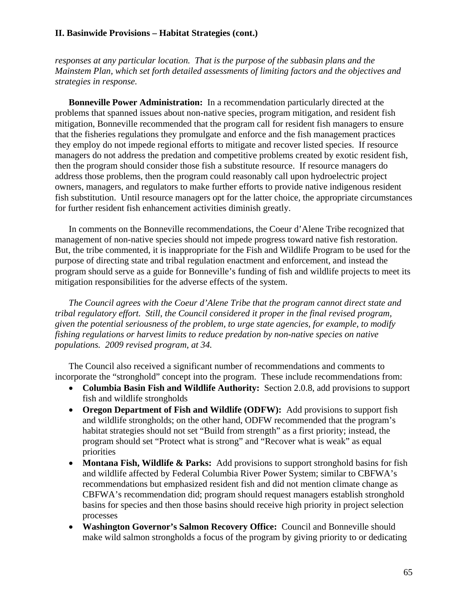*responses at any particular location. That is the purpose of the subbasin plans and the Mainstem Plan, which set forth detailed assessments of limiting factors and the objectives and strategies in response.* 

 **Bonneville Power Administration:** In a recommendation particularly directed at the problems that spanned issues about non-native species, program mitigation, and resident fish mitigation, Bonneville recommended that the program call for resident fish managers to ensure that the fisheries regulations they promulgate and enforce and the fish management practices they employ do not impede regional efforts to mitigate and recover listed species. If resource managers do not address the predation and competitive problems created by exotic resident fish, then the program should consider those fish a substitute resource. If resource managers do address those problems, then the program could reasonably call upon hydroelectric project owners, managers, and regulators to make further efforts to provide native indigenous resident fish substitution. Until resource managers opt for the latter choice, the appropriate circumstances for further resident fish enhancement activities diminish greatly.

 In comments on the Bonneville recommendations, the Coeur d'Alene Tribe recognized that management of non-native species should not impede progress toward native fish restoration. But, the tribe commented, it is inappropriate for the Fish and Wildlife Program to be used for the purpose of directing state and tribal regulation enactment and enforcement, and instead the program should serve as a guide for Bonneville's funding of fish and wildlife projects to meet its mitigation responsibilities for the adverse effects of the system.

 *The Council agrees with the Coeur d'Alene Tribe that the program cannot direct state and tribal regulatory effort. Still, the Council considered it proper in the final revised program, given the potential seriousness of the problem, to urge state agencies, for example, to modify fishing regulations or harvest limits to reduce predation by non-native species on native populations. 2009 revised program, at 34.*

 The Council also received a significant number of recommendations and comments to incorporate the "stronghold" concept into the program. These include recommendations from:

- **Columbia Basin Fish and Wildlife Authority:** Section 2.0.8, add provisions to support fish and wildlife strongholds
- **Oregon Department of Fish and Wildlife (ODFW):** Add provisions to support fish and wildlife strongholds; on the other hand, ODFW recommended that the program's habitat strategies should not set "Build from strength" as a first priority; instead, the program should set "Protect what is strong" and "Recover what is weak" as equal priorities
- **Montana Fish, Wildlife & Parks:** Add provisions to support stronghold basins for fish and wildlife affected by Federal Columbia River Power System; similar to CBFWA's recommendations but emphasized resident fish and did not mention climate change as CBFWA's recommendation did; program should request managers establish stronghold basins for species and then those basins should receive high priority in project selection processes
- **Washington Governor's Salmon Recovery Office:** Council and Bonneville should make wild salmon strongholds a focus of the program by giving priority to or dedicating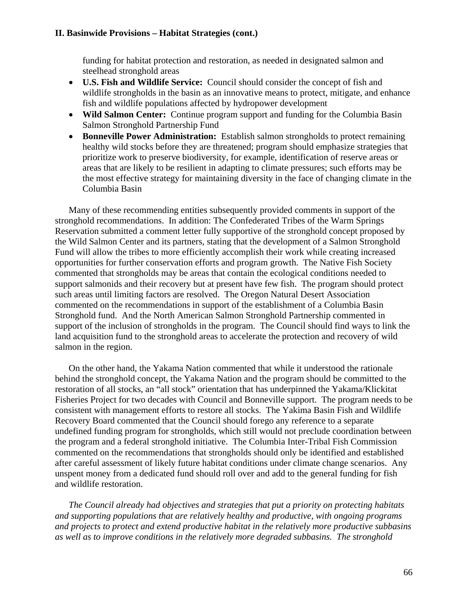funding for habitat protection and restoration, as needed in designated salmon and steelhead stronghold areas

- **U.S. Fish and Wildlife Service:** Council should consider the concept of fish and wildlife strongholds in the basin as an innovative means to protect, mitigate, and enhance fish and wildlife populations affected by hydropower development
- **Wild Salmon Center:** Continue program support and funding for the Columbia Basin Salmon Stronghold Partnership Fund
- **Bonneville Power Administration:** Establish salmon strongholds to protect remaining healthy wild stocks before they are threatened; program should emphasize strategies that prioritize work to preserve biodiversity, for example, identification of reserve areas or areas that are likely to be resilient in adapting to climate pressures; such efforts may be the most effective strategy for maintaining diversity in the face of changing climate in the Columbia Basin

 Many of these recommending entities subsequently provided comments in support of the stronghold recommendations. In addition: The Confederated Tribes of the Warm Springs Reservation submitted a comment letter fully supportive of the stronghold concept proposed by the Wild Salmon Center and its partners, stating that the development of a Salmon Stronghold Fund will allow the tribes to more efficiently accomplish their work while creating increased opportunities for further conservation efforts and program growth. The Native Fish Society commented that strongholds may be areas that contain the ecological conditions needed to support salmonids and their recovery but at present have few fish. The program should protect such areas until limiting factors are resolved. The Oregon Natural Desert Association commented on the recommendations in support of the establishment of a Columbia Basin Stronghold fund. And the North American Salmon Stronghold Partnership commented in support of the inclusion of strongholds in the program. The Council should find ways to link the land acquisition fund to the stronghold areas to accelerate the protection and recovery of wild salmon in the region.

 On the other hand, the Yakama Nation commented that while it understood the rationale behind the stronghold concept, the Yakama Nation and the program should be committed to the restoration of all stocks, an "all stock" orientation that has underpinned the Yakama/Klickitat Fisheries Project for two decades with Council and Bonneville support. The program needs to be consistent with management efforts to restore all stocks. The Yakima Basin Fish and Wildlife Recovery Board commented that the Council should forego any reference to a separate undefined funding program for strongholds, which still would not preclude coordination between the program and a federal stronghold initiative. The Columbia Inter-Tribal Fish Commission commented on the recommendations that strongholds should only be identified and established after careful assessment of likely future habitat conditions under climate change scenarios. Any unspent money from a dedicated fund should roll over and add to the general funding for fish and wildlife restoration.

 *The Council already had objectives and strategies that put a priority on protecting habitats and supporting populations that are relatively healthy and productive, with ongoing programs and projects to protect and extend productive habitat in the relatively more productive subbasins as well as to improve conditions in the relatively more degraded subbasins. The stronghold*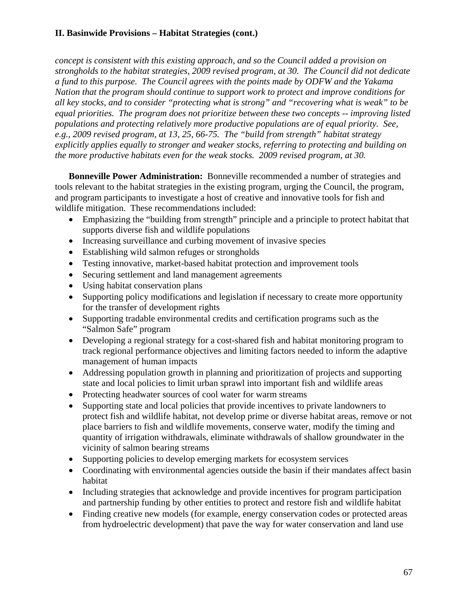*concept is consistent with this existing approach, and so the Council added a provision on strongholds to the habitat strategies, 2009 revised program, at 30. The Council did not dedicate a fund to this purpose. The Council agrees with the points made by ODFW and the Yakama Nation that the program should continue to support work to protect and improve conditions for all key stocks, and to consider "protecting what is strong" and "recovering what is weak" to be equal priorities. The program does not prioritize between these two concepts -- improving listed populations and protecting relatively more productive populations are of equal priority. See, e.g., 2009 revised program, at 13, 25, 66-75. The "build from strength" habitat strategy explicitly applies equally to stronger and weaker stocks, referring to protecting and building on the more productive habitats even for the weak stocks. 2009 revised program, at 30.* 

**Bonneville Power Administration:** Bonneville recommended a number of strategies and tools relevant to the habitat strategies in the existing program, urging the Council, the program, and program participants to investigate a host of creative and innovative tools for fish and wildlife mitigation. These recommendations included:

- Emphasizing the "building from strength" principle and a principle to protect habitat that supports diverse fish and wildlife populations
- Increasing surveillance and curbing movement of invasive species
- Establishing wild salmon refuges or strongholds
- Testing innovative, market-based habitat protection and improvement tools
- Securing settlement and land management agreements
- Using habitat conservation plans
- Supporting policy modifications and legislation if necessary to create more opportunity for the transfer of development rights
- Supporting tradable environmental credits and certification programs such as the "Salmon Safe" program
- Developing a regional strategy for a cost-shared fish and habitat monitoring program to track regional performance objectives and limiting factors needed to inform the adaptive management of human impacts
- Addressing population growth in planning and prioritization of projects and supporting state and local policies to limit urban sprawl into important fish and wildlife areas
- Protecting headwater sources of cool water for warm streams
- Supporting state and local policies that provide incentives to private landowners to protect fish and wildlife habitat, not develop prime or diverse habitat areas, remove or not place barriers to fish and wildlife movements, conserve water, modify the timing and quantity of irrigation withdrawals, eliminate withdrawals of shallow groundwater in the vicinity of salmon bearing streams
- Supporting policies to develop emerging markets for ecosystem services
- Coordinating with environmental agencies outside the basin if their mandates affect basin habitat
- Including strategies that acknowledge and provide incentives for program participation and partnership funding by other entities to protect and restore fish and wildlife habitat
- Finding creative new models (for example, energy conservation codes or protected areas from hydroelectric development) that pave the way for water conservation and land use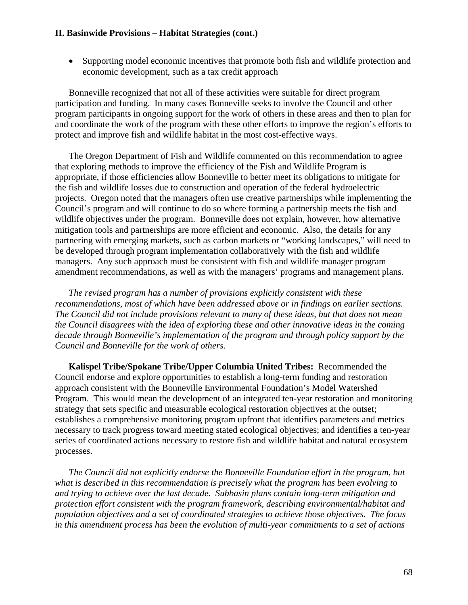• Supporting model economic incentives that promote both fish and wildlife protection and economic development, such as a tax credit approach

 Bonneville recognized that not all of these activities were suitable for direct program participation and funding. In many cases Bonneville seeks to involve the Council and other program participants in ongoing support for the work of others in these areas and then to plan for and coordinate the work of the program with these other efforts to improve the region's efforts to protect and improve fish and wildlife habitat in the most cost-effective ways.

 The Oregon Department of Fish and Wildlife commented on this recommendation to agree that exploring methods to improve the efficiency of the Fish and Wildlife Program is appropriate, if those efficiencies allow Bonneville to better meet its obligations to mitigate for the fish and wildlife losses due to construction and operation of the federal hydroelectric projects. Oregon noted that the managers often use creative partnerships while implementing the Council's program and will continue to do so where forming a partnership meets the fish and wildlife objectives under the program. Bonneville does not explain, however, how alternative mitigation tools and partnerships are more efficient and economic. Also, the details for any partnering with emerging markets, such as carbon markets or "working landscapes," will need to be developed through program implementation collaboratively with the fish and wildlife managers. Any such approach must be consistent with fish and wildlife manager program amendment recommendations, as well as with the managers' programs and management plans.

*The revised program has a number of provisions explicitly consistent with these recommendations, most of which have been addressed above or in findings on earlier sections. The Council did not include provisions relevant to many of these ideas, but that does not mean the Council disagrees with the idea of exploring these and other innovative ideas in the coming decade through Bonneville's implementation of the program and through policy support by the Council and Bonneville for the work of others.* 

 **Kalispel Tribe/Spokane Tribe/Upper Columbia United Tribes:** Recommended the Council endorse and explore opportunities to establish a long-term funding and restoration approach consistent with the Bonneville Environmental Foundation's Model Watershed Program. This would mean the development of an integrated ten-year restoration and monitoring strategy that sets specific and measurable ecological restoration objectives at the outset; establishes a comprehensive monitoring program upfront that identifies parameters and metrics necessary to track progress toward meeting stated ecological objectives; and identifies a ten-year series of coordinated actions necessary to restore fish and wildlife habitat and natural ecosystem processes.

*The Council did not explicitly endorse the Bonneville Foundation effort in the program, but what is described in this recommendation is precisely what the program has been evolving to and trying to achieve over the last decade. Subbasin plans contain long-term mitigation and protection effort consistent with the program framework, describing environmental/habitat and population objectives and a set of coordinated strategies to achieve those objectives. The focus in this amendment process has been the evolution of multi-year commitments to a set of actions*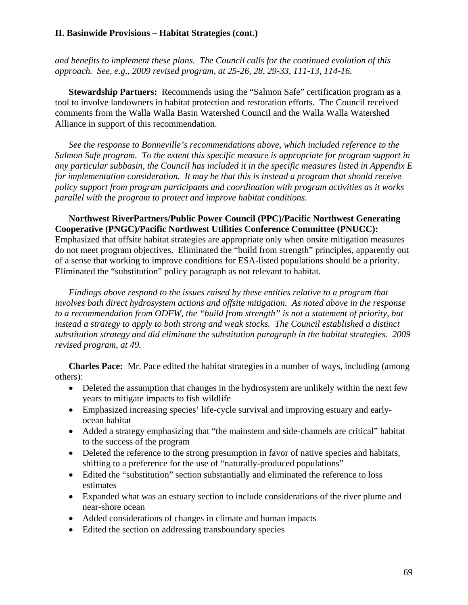*and benefits to implement these plans. The Council calls for the continued evolution of this approach. See, e.g., 2009 revised program, at 25-26, 28, 29-33, 111-13, 114-16.* 

 **Stewardship Partners:** Recommends using the "Salmon Safe" certification program as a tool to involve landowners in habitat protection and restoration efforts. The Council received comments from the Walla Walla Basin Watershed Council and the Walla Walla Watershed Alliance in support of this recommendation.

*See the response to Bonneville's recommendations above, which included reference to the Salmon Safe program. To the extent this specific measure is appropriate for program support in any particular subbasin, the Council has included it in the specific measures listed in Appendix E for implementation consideration. It may be that this is instead a program that should receive policy support from program participants and coordination with program activities as it works parallel with the program to protect and improve habitat conditions.* 

**Northwest RiverPartners/Public Power Council (PPC)/Pacific Northwest Generating Cooperative (PNGC)/Pacific Northwest Utilities Conference Committee (PNUCC):** Emphasized that offsite habitat strategies are appropriate only when onsite mitigation measures do not meet program objectives. Eliminated the "build from strength" principles, apparently out of a sense that working to improve conditions for ESA-listed populations should be a priority. Eliminated the "substitution" policy paragraph as not relevant to habitat.

*Findings above respond to the issues raised by these entities relative to a program that involves both direct hydrosystem actions and offsite mitigation. As noted above in the response to a recommendation from ODFW, the "build from strength" is not a statement of priority, but instead a strategy to apply to both strong and weak stocks. The Council established a distinct substitution strategy and did eliminate the substitution paragraph in the habitat strategies. 2009 revised program, at 49.* 

**Charles Pace:** Mr. Pace edited the habitat strategies in a number of ways, including (among others):

- Deleted the assumption that changes in the hydrosystem are unlikely within the next few years to mitigate impacts to fish wildlife
- Emphasized increasing species' life-cycle survival and improving estuary and earlyocean habitat
- Added a strategy emphasizing that "the mainstem and side-channels are critical" habitat to the success of the program
- Deleted the reference to the strong presumption in favor of native species and habitats, shifting to a preference for the use of "naturally-produced populations"
- Edited the "substitution" section substantially and eliminated the reference to loss estimates
- Expanded what was an estuary section to include considerations of the river plume and near-shore ocean
- Added considerations of changes in climate and human impacts
- Edited the section on addressing transboundary species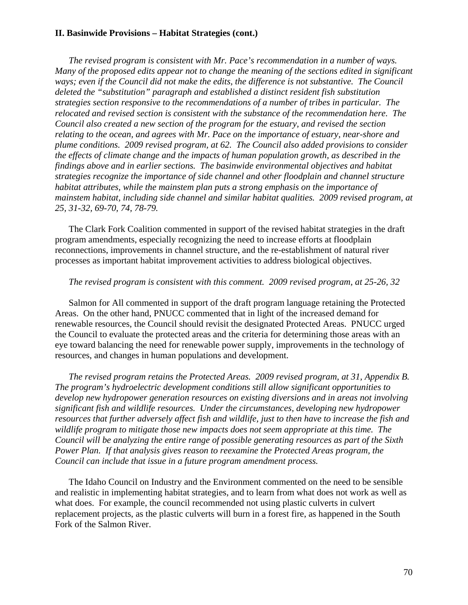*The revised program is consistent with Mr. Pace's recommendation in a number of ways. Many of the proposed edits appear not to change the meaning of the sections edited in significant ways; even if the Council did not make the edits, the difference is not substantive. The Council deleted the "substitution" paragraph and established a distinct resident fish substitution strategies section responsive to the recommendations of a number of tribes in particular. The relocated and revised section is consistent with the substance of the recommendation here. The Council also created a new section of the program for the estuary, and revised the section relating to the ocean, and agrees with Mr. Pace on the importance of estuary, near-shore and plume conditions. 2009 revised program, at 62. The Council also added provisions to consider the effects of climate change and the impacts of human population growth, as described in the findings above and in earlier sections. The basinwide environmental objectives and habitat strategies recognize the importance of side channel and other floodplain and channel structure habitat attributes, while the mainstem plan puts a strong emphasis on the importance of mainstem habitat, including side channel and similar habitat qualities. 2009 revised program, at 25, 31-32, 69-70, 74, 78-79.* 

 The Clark Fork Coalition commented in support of the revised habitat strategies in the draft program amendments, especially recognizing the need to increase efforts at floodplain reconnections, improvements in channel structure, and the re-establishment of natural river processes as important habitat improvement activities to address biological objectives.

#### *The revised program is consistent with this comment. 2009 revised program, at 25-26, 32*

 Salmon for All commented in support of the draft program language retaining the Protected Areas. On the other hand, PNUCC commented that in light of the increased demand for renewable resources, the Council should revisit the designated Protected Areas. PNUCC urged the Council to evaluate the protected areas and the criteria for determining those areas with an eye toward balancing the need for renewable power supply, improvements in the technology of resources, and changes in human populations and development.

 *The revised program retains the Protected Areas. 2009 revised program, at 31, Appendix B. The program's hydroelectric development conditions still allow significant opportunities to develop new hydropower generation resources on existing diversions and in areas not involving significant fish and wildlife resources. Under the circumstances, developing new hydropower resources that further adversely affect fish and wildlife, just to then have to increase the fish and wildlife program to mitigate those new impacts does not seem appropriate at this time. The Council will be analyzing the entire range of possible generating resources as part of the Sixth Power Plan. If that analysis gives reason to reexamine the Protected Areas program, the Council can include that issue in a future program amendment process.* 

 The Idaho Council on Industry and the Environment commented on the need to be sensible and realistic in implementing habitat strategies, and to learn from what does not work as well as what does. For example, the council recommended not using plastic culverts in culvert replacement projects, as the plastic culverts will burn in a forest fire, as happened in the South Fork of the Salmon River.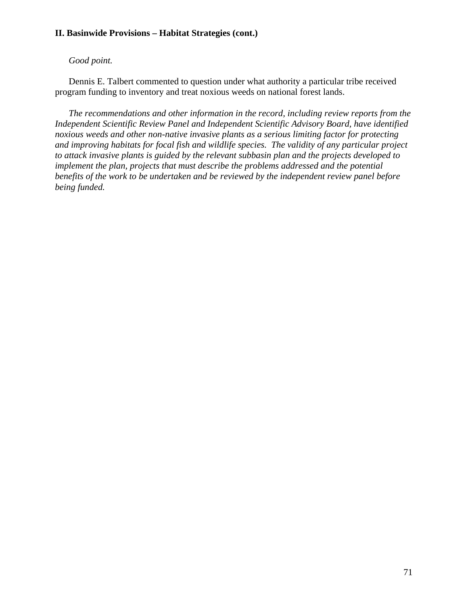# *Good point.*

 Dennis E. Talbert commented to question under what authority a particular tribe received program funding to inventory and treat noxious weeds on national forest lands.

*The recommendations and other information in the record, including review reports from the Independent Scientific Review Panel and Independent Scientific Advisory Board, have identified noxious weeds and other non-native invasive plants as a serious limiting factor for protecting and improving habitats for focal fish and wildlife species. The validity of any particular project to attack invasive plants is guided by the relevant subbasin plan and the projects developed to implement the plan, projects that must describe the problems addressed and the potential benefits of the work to be undertaken and be reviewed by the independent review panel before being funded.*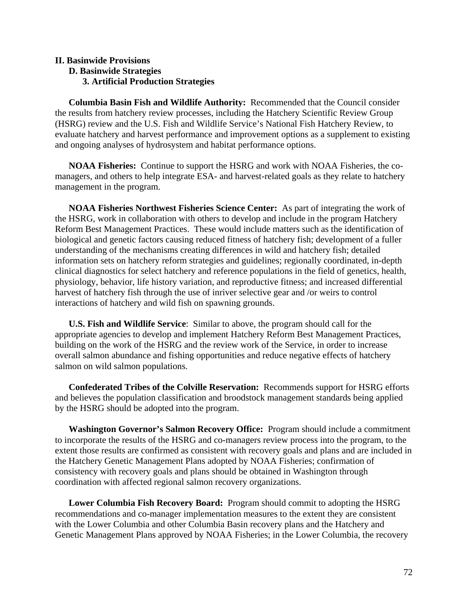## **II. Basinwide Provisions D. Basinwide Strategies 3. Artificial Production Strategies**

**Columbia Basin Fish and Wildlife Authority:** Recommended that the Council consider the results from hatchery review processes, including the Hatchery Scientific Review Group (HSRG) review and the U.S. Fish and Wildlife Service's National Fish Hatchery Review, to evaluate hatchery and harvest performance and improvement options as a supplement to existing and ongoing analyses of hydrosystem and habitat performance options.

**NOAA Fisheries:** Continue to support the HSRG and work with NOAA Fisheries, the comanagers, and others to help integrate ESA- and harvest-related goals as they relate to hatchery management in the program.

**NOAA Fisheries Northwest Fisheries Science Center:** As part of integrating the work of the HSRG, work in collaboration with others to develop and include in the program Hatchery Reform Best Management Practices. These would include matters such as the identification of biological and genetic factors causing reduced fitness of hatchery fish; development of a fuller understanding of the mechanisms creating differences in wild and hatchery fish; detailed information sets on hatchery reform strategies and guidelines; regionally coordinated, in-depth clinical diagnostics for select hatchery and reference populations in the field of genetics, health, physiology, behavior, life history variation, and reproductive fitness; and increased differential harvest of hatchery fish through the use of inriver selective gear and /or weirs to control interactions of hatchery and wild fish on spawning grounds.

 **U.S. Fish and Wildlife Service**: Similar to above, the program should call for the appropriate agencies to develop and implement Hatchery Reform Best Management Practices, building on the work of the HSRG and the review work of the Service, in order to increase overall salmon abundance and fishing opportunities and reduce negative effects of hatchery salmon on wild salmon populations.

**Confederated Tribes of the Colville Reservation:** Recommends support for HSRG efforts and believes the population classification and broodstock management standards being applied by the HSRG should be adopted into the program.

 **Washington Governor's Salmon Recovery Office:** Program should include a commitment to incorporate the results of the HSRG and co-managers review process into the program, to the extent those results are confirmed as consistent with recovery goals and plans and are included in the Hatchery Genetic Management Plans adopted by NOAA Fisheries; confirmation of consistency with recovery goals and plans should be obtained in Washington through coordination with affected regional salmon recovery organizations.

**Lower Columbia Fish Recovery Board:** Program should commit to adopting the HSRG recommendations and co-manager implementation measures to the extent they are consistent with the Lower Columbia and other Columbia Basin recovery plans and the Hatchery and Genetic Management Plans approved by NOAA Fisheries; in the Lower Columbia, the recovery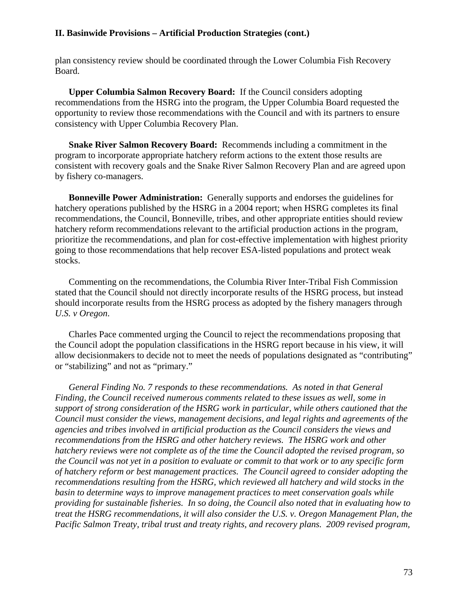plan consistency review should be coordinated through the Lower Columbia Fish Recovery Board.

 **Upper Columbia Salmon Recovery Board:** If the Council considers adopting recommendations from the HSRG into the program, the Upper Columbia Board requested the opportunity to review those recommendations with the Council and with its partners to ensure consistency with Upper Columbia Recovery Plan.

 **Snake River Salmon Recovery Board:** Recommends including a commitment in the program to incorporate appropriate hatchery reform actions to the extent those results are consistent with recovery goals and the Snake River Salmon Recovery Plan and are agreed upon by fishery co-managers.

**Bonneville Power Administration:** Generally supports and endorses the guidelines for hatchery operations published by the HSRG in a 2004 report; when HSRG completes its final recommendations, the Council, Bonneville, tribes, and other appropriate entities should review hatchery reform recommendations relevant to the artificial production actions in the program, prioritize the recommendations, and plan for cost-effective implementation with highest priority going to those recommendations that help recover ESA-listed populations and protect weak stocks.

 Commenting on the recommendations, the Columbia River Inter-Tribal Fish Commission stated that the Council should not directly incorporate results of the HSRG process, but instead should incorporate results from the HSRG process as adopted by the fishery managers through *U.S. v Oregon*.

 Charles Pace commented urging the Council to reject the recommendations proposing that the Council adopt the population classifications in the HSRG report because in his view, it will allow decisionmakers to decide not to meet the needs of populations designated as "contributing" or "stabilizing" and not as "primary."

 *General Finding No. 7 responds to these recommendations. As noted in that General Finding, the Council received numerous comments related to these issues as well, some in support of strong consideration of the HSRG work in particular, while others cautioned that the Council must consider the views, management decisions, and legal rights and agreements of the agencies and tribes involved in artificial production as the Council considers the views and recommendations from the HSRG and other hatchery reviews. The HSRG work and other hatchery reviews were not complete as of the time the Council adopted the revised program, so the Council was not yet in a position to evaluate or commit to that work or to any specific form of hatchery reform or best management practices. The Council agreed to consider adopting the recommendations resulting from the HSRG, which reviewed all hatchery and wild stocks in the basin to determine ways to improve management practices to meet conservation goals while providing for sustainable fisheries. In so doing, the Council also noted that in evaluating how to treat the HSRG recommendations, it will also consider the U.S. v. Oregon Management Plan, the Pacific Salmon Treaty, tribal trust and treaty rights, and recovery plans. 2009 revised program,*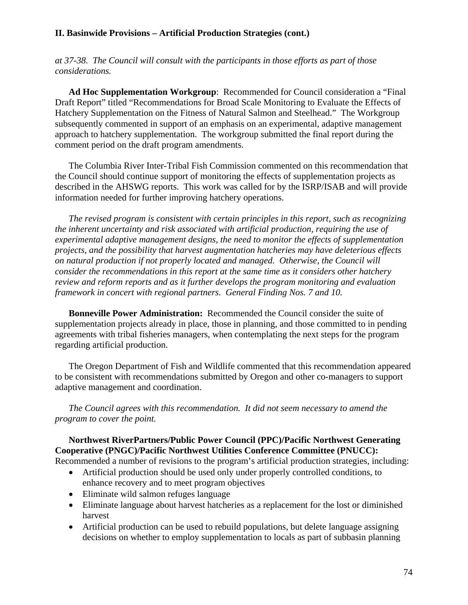*at 37-38. The Council will consult with the participants in those efforts as part of those considerations.* 

**Ad Hoc Supplementation Workgroup**: Recommended for Council consideration a "Final Draft Report" titled "Recommendations for Broad Scale Monitoring to Evaluate the Effects of Hatchery Supplementation on the Fitness of Natural Salmon and Steelhead." The Workgroup subsequently commented in support of an emphasis on an experimental, adaptive management approach to hatchery supplementation. The workgroup submitted the final report during the comment period on the draft program amendments.

 The Columbia River Inter-Tribal Fish Commission commented on this recommendation that the Council should continue support of monitoring the effects of supplementation projects as described in the AHSWG reports. This work was called for by the ISRP/ISAB and will provide information needed for further improving hatchery operations.

 *The revised program is consistent with certain principles in this report, such as recognizing the inherent uncertainty and risk associated with artificial production, requiring the use of experimental adaptive management designs, the need to monitor the effects of supplementation projects, and the possibility that harvest augmentation hatcheries may have deleterious effects on natural production if not properly located and managed. Otherwise, the Council will consider the recommendations in this report at the same time as it considers other hatchery review and reform reports and as it further develops the program monitoring and evaluation framework in concert with regional partners. General Finding Nos. 7 and 10.* 

**Bonneville Power Administration:** Recommended the Council consider the suite of supplementation projects already in place, those in planning, and those committed to in pending agreements with tribal fisheries managers, when contemplating the next steps for the program regarding artificial production.

 The Oregon Department of Fish and Wildlife commented that this recommendation appeared to be consistent with recommendations submitted by Oregon and other co-managers to support adaptive management and coordination.

*The Council agrees with this recommendation. It did not seem necessary to amend the program to cover the point.* 

**Northwest RiverPartners/Public Power Council (PPC)/Pacific Northwest Generating Cooperative (PNGC)/Pacific Northwest Utilities Conference Committee (PNUCC):** Recommended a number of revisions to the program's artificial production strategies, including:

- Artificial production should be used only under properly controlled conditions, to enhance recovery and to meet program objectives
- Eliminate wild salmon refuges language
- Eliminate language about harvest hatcheries as a replacement for the lost or diminished harvest
- Artificial production can be used to rebuild populations, but delete language assigning decisions on whether to employ supplementation to locals as part of subbasin planning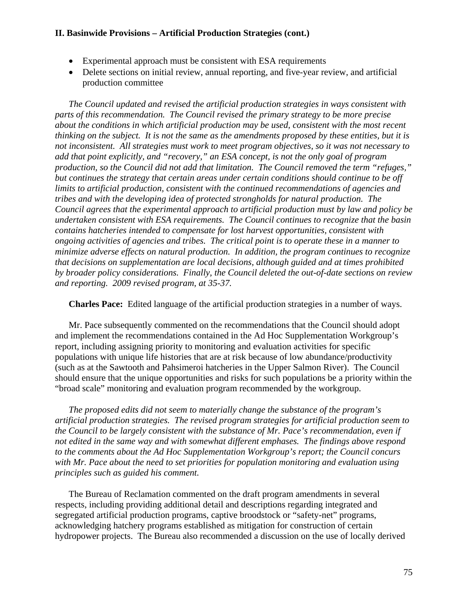- Experimental approach must be consistent with ESA requirements
- Delete sections on initial review, annual reporting, and five-year review, and artificial production committee

 *The Council updated and revised the artificial production strategies in ways consistent with parts of this recommendation. The Council revised the primary strategy to be more precise about the conditions in which artificial production may be used, consistent with the most recent thinking on the subject. It is not the same as the amendments proposed by these entities, but it is not inconsistent. All strategies must work to meet program objectives, so it was not necessary to add that point explicitly, and "recovery," an ESA concept, is not the only goal of program production, so the Council did not add that limitation. The Council removed the term "refuges," but continues the strategy that certain areas under certain conditions should continue to be off limits to artificial production, consistent with the continued recommendations of agencies and tribes and with the developing idea of protected strongholds for natural production. The Council agrees that the experimental approach to artificial production must by law and policy be undertaken consistent with ESA requirements. The Council continues to recognize that the basin contains hatcheries intended to compensate for lost harvest opportunities, consistent with ongoing activities of agencies and tribes. The critical point is to operate these in a manner to minimize adverse effects on natural production. In addition, the program continues to recognize that decisions on supplementation are local decisions, although guided and at times prohibited by broader policy considerations. Finally, the Council deleted the out-of-date sections on review and reporting. 2009 revised program, at 35-37.* 

**Charles Pace:** Edited language of the artificial production strategies in a number of ways.

 Mr. Pace subsequently commented on the recommendations that the Council should adopt and implement the recommendations contained in the Ad Hoc Supplementation Workgroup's report, including assigning priority to monitoring and evaluation activities for specific populations with unique life histories that are at risk because of low abundance/productivity (such as at the Sawtooth and Pahsimeroi hatcheries in the Upper Salmon River). The Council should ensure that the unique opportunities and risks for such populations be a priority within the "broad scale" monitoring and evaluation program recommended by the workgroup.

*The proposed edits did not seem to materially change the substance of the program's artificial production strategies. The revised program strategies for artificial production seem to the Council to be largely consistent with the substance of Mr. Pace's recommendation, even if not edited in the same way and with somewhat different emphases. The findings above respond to the comments about the Ad Hoc Supplementation Workgroup's report; the Council concurs with Mr. Pace about the need to set priorities for population monitoring and evaluation using principles such as guided his comment.* 

 The Bureau of Reclamation commented on the draft program amendments in several respects, including providing additional detail and descriptions regarding integrated and segregated artificial production programs, captive broodstock or "safety-net" programs, acknowledging hatchery programs established as mitigation for construction of certain hydropower projects. The Bureau also recommended a discussion on the use of locally derived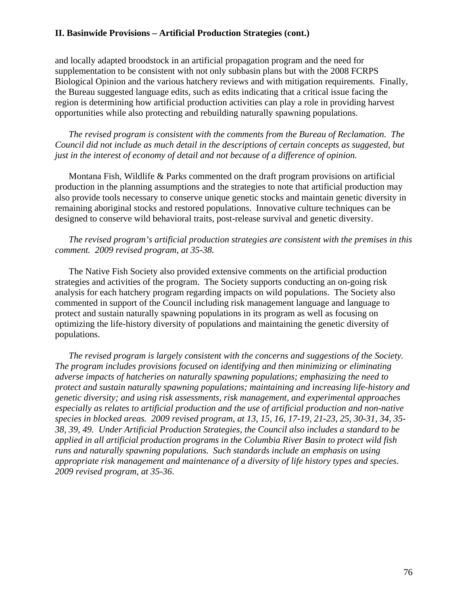and locally adapted broodstock in an artificial propagation program and the need for supplementation to be consistent with not only subbasin plans but with the 2008 FCRPS Biological Opinion and the various hatchery reviews and with mitigation requirements. Finally, the Bureau suggested language edits, such as edits indicating that a critical issue facing the region is determining how artificial production activities can play a role in providing harvest opportunities while also protecting and rebuilding naturally spawning populations.

 *The revised program is consistent with the comments from the Bureau of Reclamation. The Council did not include as much detail in the descriptions of certain concepts as suggested, but just in the interest of economy of detail and not because of a difference of opinion.* 

 Montana Fish, Wildlife & Parks commented on the draft program provisions on artificial production in the planning assumptions and the strategies to note that artificial production may also provide tools necessary to conserve unique genetic stocks and maintain genetic diversity in remaining aboriginal stocks and restored populations. Innovative culture techniques can be designed to conserve wild behavioral traits, post-release survival and genetic diversity.

### *The revised program's artificial production strategies are consistent with the premises in this comment. 2009 revised program, at 35-38.*

 The Native Fish Society also provided extensive comments on the artificial production strategies and activities of the program. The Society supports conducting an on-going risk analysis for each hatchery program regarding impacts on wild populations. The Society also commented in support of the Council including risk management language and language to protect and sustain naturally spawning populations in its program as well as focusing on optimizing the life-history diversity of populations and maintaining the genetic diversity of populations.

*The revised program is largely consistent with the concerns and suggestions of the Society. The program includes provisions focused on identifying and then minimizing or eliminating adverse impacts of hatcheries on naturally spawning populations; emphasizing the need to protect and sustain naturally spawning populations; maintaining and increasing life-history and genetic diversity; and using risk assessments, risk management, and experimental approaches especially as relates to artificial production and the use of artificial production and non-native species in blocked areas. 2009 revised program, at 13, 15, 16, 17-19, 21-23, 25, 30-31, 34, 35- 38, 39, 49. Under Artificial Production Strategies, the Council also includes a standard to be applied in all artificial production programs in the Columbia River Basin to protect wild fish runs and naturally spawning populations. Such standards include an emphasis on using appropriate risk management and maintenance of a diversity of life history types and species. 2009 revised program, at 35-36*.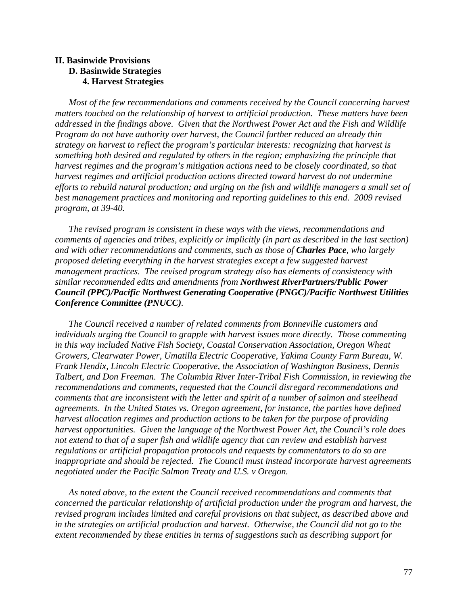#### **II. Basinwide Provisions D. Basinwide Strategies 4. Harvest Strategies**

*Most of the few recommendations and comments received by the Council concerning harvest matters touched on the relationship of harvest to artificial production. These matters have been addressed in the findings above. Given that the Northwest Power Act and the Fish and Wildlife Program do not have authority over harvest, the Council further reduced an already thin strategy on harvest to reflect the program's particular interests: recognizing that harvest is something both desired and regulated by others in the region; emphasizing the principle that harvest regimes and the program's mitigation actions need to be closely coordinated, so that harvest regimes and artificial production actions directed toward harvest do not undermine efforts to rebuild natural production; and urging on the fish and wildlife managers a small set of best management practices and monitoring and reporting guidelines to this end. 2009 revised program, at 39-40.* 

 *The revised program is consistent in these ways with the views, recommendations and comments of agencies and tribes, explicitly or implicitly (in part as described in the last section) and with other recommendations and comments, such as those of Charles Pace, who largely proposed deleting everything in the harvest strategies except a few suggested harvest management practices. The revised program strategy also has elements of consistency with similar recommended edits and amendments from Northwest RiverPartners/Public Power Council (PPC)/Pacific Northwest Generating Cooperative (PNGC)/Pacific Northwest Utilities Conference Committee (PNUCC).* 

 *The Council received a number of related comments from Bonneville customers and individuals urging the Council to grapple with harvest issues more directly. Those commenting in this way included Native Fish Society, Coastal Conservation Association, Oregon Wheat Growers, Clearwater Power, Umatilla Electric Cooperative, Yakima County Farm Bureau, W. Frank Hendix, Lincoln Electric Cooperative, the Association of Washington Business, Dennis Talbert, and Don Freeman. The Columbia River Inter-Tribal Fish Commission, in reviewing the recommendations and comments, requested that the Council disregard recommendations and comments that are inconsistent with the letter and spirit of a number of salmon and steelhead agreements. In the United States vs. Oregon agreement, for instance, the parties have defined harvest allocation regimes and production actions to be taken for the purpose of providing harvest opportunities. Given the language of the Northwest Power Act, the Council's role does not extend to that of a super fish and wildlife agency that can review and establish harvest regulations or artificial propagation protocols and requests by commentators to do so are inappropriate and should be rejected. The Council must instead incorporate harvest agreements negotiated under the Pacific Salmon Treaty and U.S. v Oregon.* 

 *As noted above, to the extent the Council received recommendations and comments that concerned the particular relationship of artificial production under the program and harvest, the revised program includes limited and careful provisions on that subject, as described above and in the strategies on artificial production and harvest. Otherwise, the Council did not go to the extent recommended by these entities in terms of suggestions such as describing support for*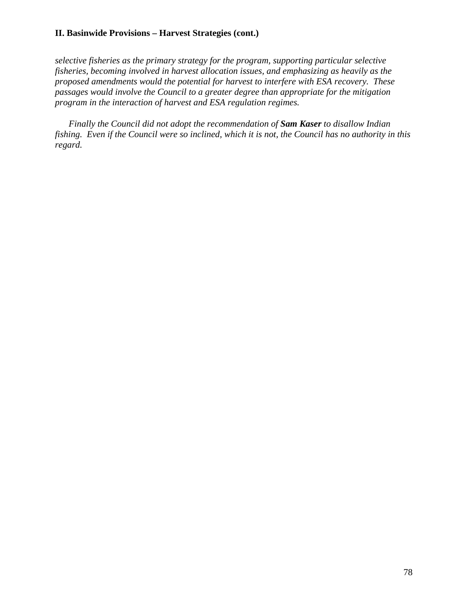# **II. Basinwide Provisions – Harvest Strategies (cont.)**

*selective fisheries as the primary strategy for the program, supporting particular selective fisheries, becoming involved in harvest allocation issues, and emphasizing as heavily as the proposed amendments would the potential for harvest to interfere with ESA recovery. These passages would involve the Council to a greater degree than appropriate for the mitigation program in the interaction of harvest and ESA regulation regimes.* 

 *Finally the Council did not adopt the recommendation of Sam Kaser to disallow Indian fishing. Even if the Council were so inclined, which it is not, the Council has no authority in this regard.*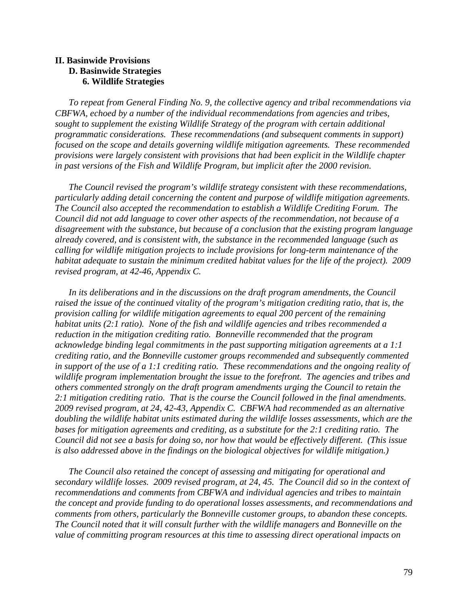#### **II. Basinwide Provisions D. Basinwide Strategies 6. Wildlife Strategies**

 *To repeat from General Finding No. 9, the collective agency and tribal recommendations via CBFWA, echoed by a number of the individual recommendations from agencies and tribes, sought to supplement the existing Wildlife Strategy of the program with certain additional programmatic considerations. These recommendations (and subsequent comments in support) focused on the scope and details governing wildlife mitigation agreements. These recommended provisions were largely consistent with provisions that had been explicit in the Wildlife chapter in past versions of the Fish and Wildlife Program, but implicit after the 2000 revision.* 

 *The Council revised the program's wildlife strategy consistent with these recommendations, particularly adding detail concerning the content and purpose of wildlife mitigation agreements. The Council also accepted the recommendation to establish a Wildlife Crediting Forum. The Council did not add language to cover other aspects of the recommendation, not because of a disagreement with the substance, but because of a conclusion that the existing program language already covered, and is consistent with, the substance in the recommended language (such as calling for wildlife mitigation projects to include provisions for long-term maintenance of the habitat adequate to sustain the minimum credited habitat values for the life of the project). 2009 revised program, at 42-46, Appendix C.* 

In its deliberations and in the discussions on the draft program amendments, the Council *raised the issue of the continued vitality of the program's mitigation crediting ratio, that is, the provision calling for wildlife mitigation agreements to equal 200 percent of the remaining habitat units (2:1 ratio). None of the fish and wildlife agencies and tribes recommended a reduction in the mitigation crediting ratio. Bonneville recommended that the program acknowledge binding legal commitments in the past supporting mitigation agreements at a 1:1 crediting ratio, and the Bonneville customer groups recommended and subsequently commented in support of the use of a 1:1 crediting ratio. These recommendations and the ongoing reality of wildlife program implementation brought the issue to the forefront. The agencies and tribes and others commented strongly on the draft program amendments urging the Council to retain the 2:1 mitigation crediting ratio. That is the course the Council followed in the final amendments. 2009 revised program, at 24, 42-43, Appendix C. CBFWA had recommended as an alternative doubling the wildlife habitat units estimated during the wildlife losses assessments, which are the bases for mitigation agreements and crediting, as a substitute for the 2:1 crediting ratio. The Council did not see a basis for doing so, nor how that would be effectively different. (This issue is also addressed above in the findings on the biological objectives for wildlife mitigation.)* 

 *The Council also retained the concept of assessing and mitigating for operational and secondary wildlife losses. 2009 revised program, at 24, 45. The Council did so in the context of recommendations and comments from CBFWA and individual agencies and tribes to maintain the concept and provide funding to do operational losses assessments, and recommendations and comments from others, particularly the Bonneville customer groups, to abandon these concepts. The Council noted that it will consult further with the wildlife managers and Bonneville on the value of committing program resources at this time to assessing direct operational impacts on*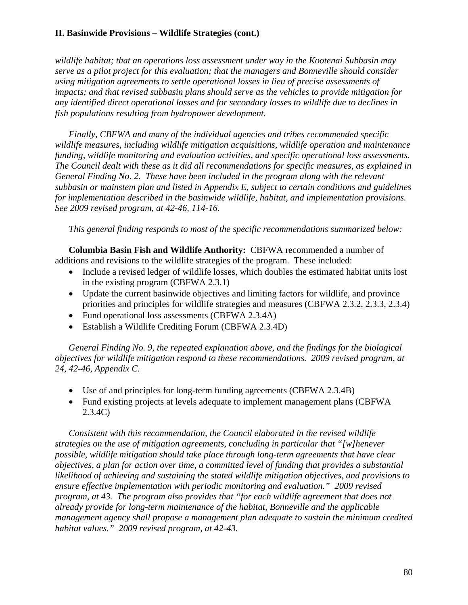*wildlife habitat; that an operations loss assessment under way in the Kootenai Subbasin may serve as a pilot project for this evaluation; that the managers and Bonneville should consider using mitigation agreements to settle operational losses in lieu of precise assessments of impacts; and that revised subbasin plans should serve as the vehicles to provide mitigation for any identified direct operational losses and for secondary losses to wildlife due to declines in fish populations resulting from hydropower development.* 

 *Finally, CBFWA and many of the individual agencies and tribes recommended specific wildlife measures, including wildlife mitigation acquisitions, wildlife operation and maintenance funding, wildlife monitoring and evaluation activities, and specific operational loss assessments. The Council dealt with these as it did all recommendations for specific measures, as explained in General Finding No. 2. These have been included in the program along with the relevant subbasin or mainstem plan and listed in Appendix E, subject to certain conditions and guidelines for implementation described in the basinwide wildlife, habitat, and implementation provisions. See 2009 revised program, at 42-46, 114-16.* 

 *This general finding responds to most of the specific recommendations summarized below:* 

**Columbia Basin Fish and Wildlife Authority:** CBFWA recommended a number of additions and revisions to the wildlife strategies of the program. These included:

- Include a revised ledger of wildlife losses, which doubles the estimated habitat units lost in the existing program (CBFWA 2.3.1)
- Update the current basinwide objectives and limiting factors for wildlife, and province priorities and principles for wildlife strategies and measures (CBFWA 2.3.2, 2.3.3, 2.3.4)
- Fund operational loss assessments (CBFWA 2.3.4A)
- Establish a Wildlife Crediting Forum (CBFWA 2.3.4D)

*General Finding No. 9, the repeated explanation above, and the findings for the biological objectives for wildlife mitigation respond to these recommendations. 2009 revised program, at 24, 42-46, Appendix C.* 

- Use of and principles for long-term funding agreements (CBFWA 2.3.4B)
- Fund existing projects at levels adequate to implement management plans (CBFWA) 2.3.4C)

*Consistent with this recommendation, the Council elaborated in the revised wildlife strategies on the use of mitigation agreements, concluding in particular that "[w]henever possible, wildlife mitigation should take place through long-term agreements that have clear objectives, a plan for action over time, a committed level of funding that provides a substantial likelihood of achieving and sustaining the stated wildlife mitigation objectives, and provisions to ensure effective implementation with periodic monitoring and evaluation." 2009 revised program, at 43. The program also provides that "for each wildlife agreement that does not already provide for long-term maintenance of the habitat, Bonneville and the applicable management agency shall propose a management plan adequate to sustain the minimum credited habitat values." 2009 revised program, at 42-43.*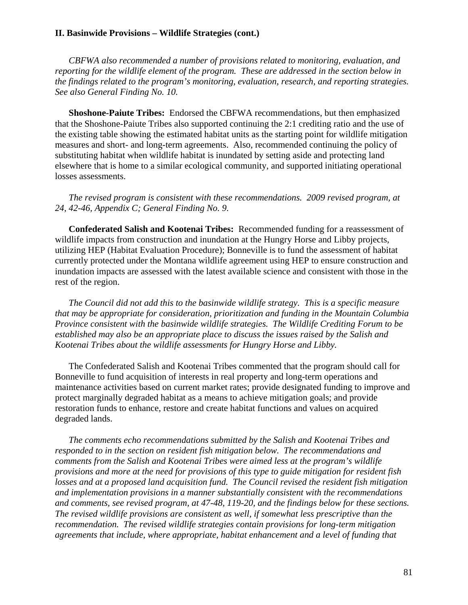*CBFWA also recommended a number of provisions related to monitoring, evaluation, and reporting for the wildlife element of the program. These are addressed in the section below in the findings related to the program's monitoring, evaluation, research, and reporting strategies. See also General Finding No. 10.* 

**Shoshone-Paiute Tribes:** Endorsed the CBFWA recommendations, but then emphasized that the Shoshone-Paiute Tribes also supported continuing the 2:1 crediting ratio and the use of the existing table showing the estimated habitat units as the starting point for wildlife mitigation measures and short- and long-term agreements. Also, recommended continuing the policy of substituting habitat when wildlife habitat is inundated by setting aside and protecting land elsewhere that is home to a similar ecological community, and supported initiating operational losses assessments.

*The revised program is consistent with these recommendations. 2009 revised program, at 24, 42-46, Appendix C; General Finding No. 9.* 

**Confederated Salish and Kootenai Tribes:** Recommended funding for a reassessment of wildlife impacts from construction and inundation at the Hungry Horse and Libby projects, utilizing HEP (Habitat Evaluation Procedure); Bonneville is to fund the assessment of habitat currently protected under the Montana wildlife agreement using HEP to ensure construction and inundation impacts are assessed with the latest available science and consistent with those in the rest of the region.

*The Council did not add this to the basinwide wildlife strategy. This is a specific measure that may be appropriate for consideration, prioritization and funding in the Mountain Columbia Province consistent with the basinwide wildlife strategies. The Wildlife Crediting Forum to be established may also be an appropriate place to discuss the issues raised by the Salish and Kootenai Tribes about the wildlife assessments for Hungry Horse and Libby.* 

 The Confederated Salish and Kootenai Tribes commented that the program should call for Bonneville to fund acquisition of interests in real property and long-term operations and maintenance activities based on current market rates; provide designated funding to improve and protect marginally degraded habitat as a means to achieve mitigation goals; and provide restoration funds to enhance, restore and create habitat functions and values on acquired degraded lands.

*The comments echo recommendations submitted by the Salish and Kootenai Tribes and responded to in the section on resident fish mitigation below. The recommendations and comments from the Salish and Kootenai Tribes were aimed less at the program's wildlife provisions and more at the need for provisions of this type to guide mitigation for resident fish losses and at a proposed land acquisition fund. The Council revised the resident fish mitigation and implementation provisions in a manner substantially consistent with the recommendations and comments, see revised program, at 47-48, 119-20, and the findings below for these sections. The revised wildlife provisions are consistent as well, if somewhat less prescriptive than the recommendation. The revised wildlife strategies contain provisions for long-term mitigation agreements that include, where appropriate, habitat enhancement and a level of funding that*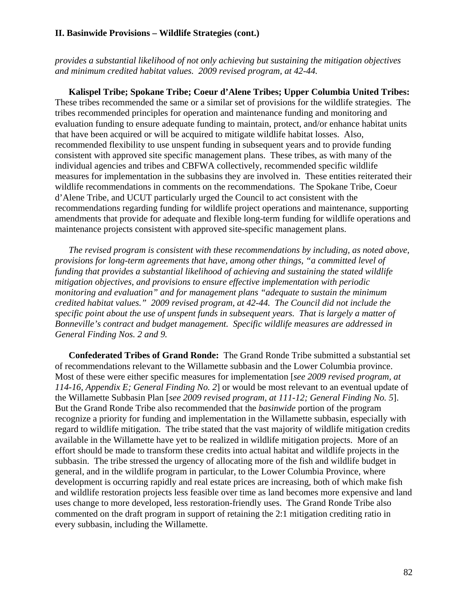*provides a substantial likelihood of not only achieving but sustaining the mitigation objectives and minimum credited habitat values. 2009 revised program, at 42-44.*

**Kalispel Tribe; Spokane Tribe; Coeur d'Alene Tribes; Upper Columbia United Tribes:** These tribes recommended the same or a similar set of provisions for the wildlife strategies. The tribes recommended principles for operation and maintenance funding and monitoring and evaluation funding to ensure adequate funding to maintain, protect, and/or enhance habitat units that have been acquired or will be acquired to mitigate wildlife habitat losses. Also, recommended flexibility to use unspent funding in subsequent years and to provide funding consistent with approved site specific management plans. These tribes, as with many of the individual agencies and tribes and CBFWA collectively, recommended specific wildlife measures for implementation in the subbasins they are involved in. These entities reiterated their wildlife recommendations in comments on the recommendations. The Spokane Tribe, Coeur d'Alene Tribe, and UCUT particularly urged the Council to act consistent with the recommendations regarding funding for wildlife project operations and maintenance, supporting amendments that provide for adequate and flexible long-term funding for wildlife operations and maintenance projects consistent with approved site-specific management plans.

*The revised program is consistent with these recommendations by including, as noted above, provisions for long-term agreements that have, among other things, "a committed level of funding that provides a substantial likelihood of achieving and sustaining the stated wildlife mitigation objectives, and provisions to ensure effective implementation with periodic monitoring and evaluation" and for management plans "adequate to sustain the minimum credited habitat values." 2009 revised program, at 42-44. The Council did not include the specific point about the use of unspent funds in subsequent years. That is largely a matter of Bonneville's contract and budget management. Specific wildlife measures are addressed in General Finding Nos. 2 and 9.* 

**Confederated Tribes of Grand Ronde:** The Grand Ronde Tribe submitted a substantial set of recommendations relevant to the Willamette subbasin and the Lower Columbia province. Most of these were either specific measures for implementation [*see 2009 revised program, at 114-16, Appendix E; General Finding No. 2*] or would be most relevant to an eventual update of the Willamette Subbasin Plan [*see 2009 revised program, at 111-12; General Finding No. 5*]. But the Grand Ronde Tribe also recommended that the *basinwide* portion of the program recognize a priority for funding and implementation in the Willamette subbasin, especially with regard to wildlife mitigation. The tribe stated that the vast majority of wildlife mitigation credits available in the Willamette have yet to be realized in wildlife mitigation projects. More of an effort should be made to transform these credits into actual habitat and wildlife projects in the subbasin. The tribe stressed the urgency of allocating more of the fish and wildlife budget in general, and in the wildlife program in particular, to the Lower Columbia Province, where development is occurring rapidly and real estate prices are increasing, both of which make fish and wildlife restoration projects less feasible over time as land becomes more expensive and land uses change to more developed, less restoration-friendly uses. The Grand Ronde Tribe also commented on the draft program in support of retaining the 2:1 mitigation crediting ratio in every subbasin, including the Willamette.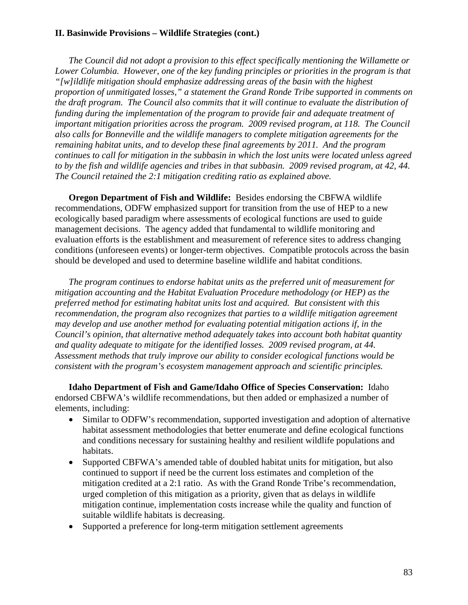*The Council did not adopt a provision to this effect specifically mentioning the Willamette or Lower Columbia. However, one of the key funding principles or priorities in the program is that "[w]ildlife mitigation should emphasize addressing areas of the basin with the highest proportion of unmitigated losses," a statement the Grand Ronde Tribe supported in comments on the draft program. The Council also commits that it will continue to evaluate the distribution of funding during the implementation of the program to provide fair and adequate treatment of important mitigation priorities across the program. 2009 revised program, at 118. The Council also calls for Bonneville and the wildlife managers to complete mitigation agreements for the remaining habitat units, and to develop these final agreements by 2011. And the program continues to call for mitigation in the subbasin in which the lost units were located unless agreed to by the fish and wildlife agencies and tribes in that subbasin. 2009 revised program, at 42, 44. The Council retained the 2:1 mitigation crediting ratio as explained above.* 

**Oregon Department of Fish and Wildlife:** Besides endorsing the CBFWA wildlife recommendations, ODFW emphasized support for transition from the use of HEP to a new ecologically based paradigm where assessments of ecological functions are used to guide management decisions. The agency added that fundamental to wildlife monitoring and evaluation efforts is the establishment and measurement of reference sites to address changing conditions (unforeseen events) or longer-term objectives. Compatible protocols across the basin should be developed and used to determine baseline wildlife and habitat conditions.

*The program continues to endorse habitat units as the preferred unit of measurement for mitigation accounting and the Habitat Evaluation Procedure methodology (or HEP) as the preferred method for estimating habitat units lost and acquired. But consistent with this recommendation, the program also recognizes that parties to a wildlife mitigation agreement may develop and use another method for evaluating potential mitigation actions if, in the Council's opinion, that alternative method adequately takes into account both habitat quantity and quality adequate to mitigate for the identified losses. 2009 revised program, at 44. Assessment methods that truly improve our ability to consider ecological functions would be consistent with the program's ecosystem management approach and scientific principles.* 

**Idaho Department of Fish and Game/Idaho Office of Species Conservation:** Idaho endorsed CBFWA's wildlife recommendations, but then added or emphasized a number of elements, including:

- Similar to ODFW's recommendation, supported investigation and adoption of alternative habitat assessment methodologies that better enumerate and define ecological functions and conditions necessary for sustaining healthy and resilient wildlife populations and habitats.
- Supported CBFWA's amended table of doubled habitat units for mitigation, but also continued to support if need be the current loss estimates and completion of the mitigation credited at a 2:1 ratio. As with the Grand Ronde Tribe's recommendation, urged completion of this mitigation as a priority, given that as delays in wildlife mitigation continue, implementation costs increase while the quality and function of suitable wildlife habitats is decreasing.
- Supported a preference for long-term mitigation settlement agreements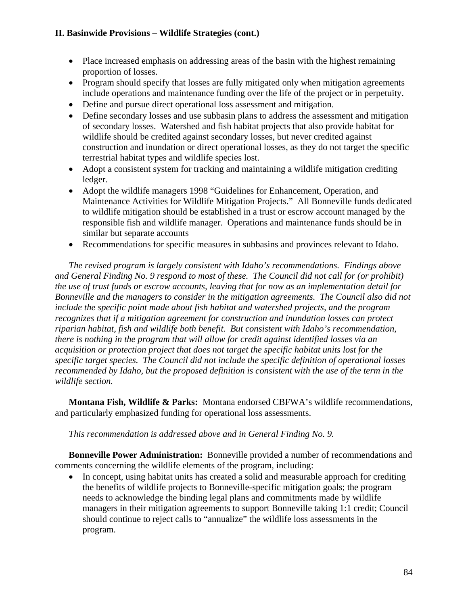- Place increased emphasis on addressing areas of the basin with the highest remaining proportion of losses.
- Program should specify that losses are fully mitigated only when mitigation agreements include operations and maintenance funding over the life of the project or in perpetuity.
- Define and pursue direct operational loss assessment and mitigation.
- Define secondary losses and use subbasin plans to address the assessment and mitigation of secondary losses. Watershed and fish habitat projects that also provide habitat for wildlife should be credited against secondary losses, but never credited against construction and inundation or direct operational losses, as they do not target the specific terrestrial habitat types and wildlife species lost.
- Adopt a consistent system for tracking and maintaining a wildlife mitigation crediting ledger.
- Adopt the wildlife managers 1998 "Guidelines for Enhancement, Operation, and Maintenance Activities for Wildlife Mitigation Projects." All Bonneville funds dedicated to wildlife mitigation should be established in a trust or escrow account managed by the responsible fish and wildlife manager. Operations and maintenance funds should be in similar but separate accounts
- Recommendations for specific measures in subbasins and provinces relevant to Idaho.

*The revised program is largely consistent with Idaho's recommendations. Findings above and General Finding No. 9 respond to most of these. The Council did not call for (or prohibit) the use of trust funds or escrow accounts, leaving that for now as an implementation detail for Bonneville and the managers to consider in the mitigation agreements. The Council also did not include the specific point made about fish habitat and watershed projects, and the program recognizes that if a mitigation agreement for construction and inundation losses can protect riparian habitat, fish and wildlife both benefit. But consistent with Idaho's recommendation, there is nothing in the program that will allow for credit against identified losses via an acquisition or protection project that does not target the specific habitat units lost for the specific target species. The Council did not include the specific definition of operational losses recommended by Idaho, but the proposed definition is consistent with the use of the term in the wildlife section.*

**Montana Fish, Wildlife & Parks:** Montana endorsed CBFWA's wildlife recommendations, and particularly emphasized funding for operational loss assessments.

*This recommendation is addressed above and in General Finding No. 9.* 

**Bonneville Power Administration:** Bonneville provided a number of recommendations and comments concerning the wildlife elements of the program, including:

• In concept, using habitat units has created a solid and measurable approach for crediting the benefits of wildlife projects to Bonneville-specific mitigation goals; the program needs to acknowledge the binding legal plans and commitments made by wildlife managers in their mitigation agreements to support Bonneville taking 1:1 credit; Council should continue to reject calls to "annualize" the wildlife loss assessments in the program.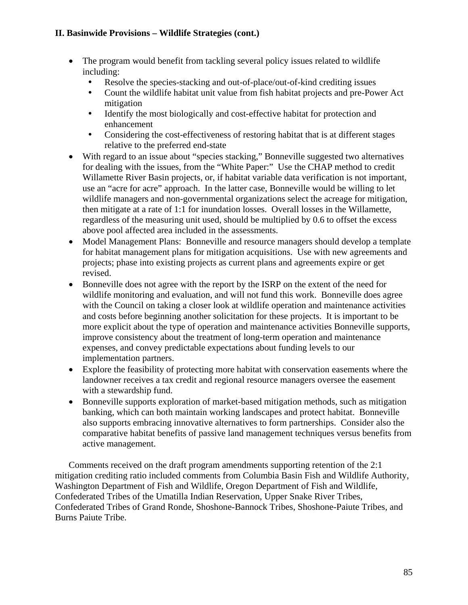- The program would benefit from tackling several policy issues related to wildlife including:
	- Resolve the species-stacking and out-of-place/out-of-kind crediting issues
	- Count the wildlife habitat unit value from fish habitat projects and pre-Power Act mitigation
	- Identify the most biologically and cost-effective habitat for protection and enhancement
	- Considering the cost-effectiveness of restoring habitat that is at different stages relative to the preferred end-state
- With regard to an issue about "species stacking," Bonneville suggested two alternatives for dealing with the issues, from the "White Paper:" Use the CHAP method to credit Willamette River Basin projects, or, if habitat variable data verification is not important, use an "acre for acre" approach. In the latter case, Bonneville would be willing to let wildlife managers and non-governmental organizations select the acreage for mitigation, then mitigate at a rate of 1:1 for inundation losses. Overall losses in the Willamette, regardless of the measuring unit used, should be multiplied by 0.6 to offset the excess above pool affected area included in the assessments.
- Model Management Plans: Bonneville and resource managers should develop a template for habitat management plans for mitigation acquisitions. Use with new agreements and projects; phase into existing projects as current plans and agreements expire or get revised.
- Bonneville does not agree with the report by the ISRP on the extent of the need for wildlife monitoring and evaluation, and will not fund this work. Bonneville does agree with the Council on taking a closer look at wildlife operation and maintenance activities and costs before beginning another solicitation for these projects. It is important to be more explicit about the type of operation and maintenance activities Bonneville supports, improve consistency about the treatment of long-term operation and maintenance expenses, and convey predictable expectations about funding levels to our implementation partners.
- Explore the feasibility of protecting more habitat with conservation easements where the landowner receives a tax credit and regional resource managers oversee the easement with a stewardship fund.
- Bonneville supports exploration of market-based mitigation methods, such as mitigation banking, which can both maintain working landscapes and protect habitat. Bonneville also supports embracing innovative alternatives to form partnerships. Consider also the comparative habitat benefits of passive land management techniques versus benefits from active management.

 Comments received on the draft program amendments supporting retention of the 2:1 mitigation crediting ratio included comments from Columbia Basin Fish and Wildlife Authority, Washington Department of Fish and Wildlife, Oregon Department of Fish and Wildlife, Confederated Tribes of the Umatilla Indian Reservation, Upper Snake River Tribes, Confederated Tribes of Grand Ronde, Shoshone-Bannock Tribes, Shoshone-Paiute Tribes, and Burns Paiute Tribe.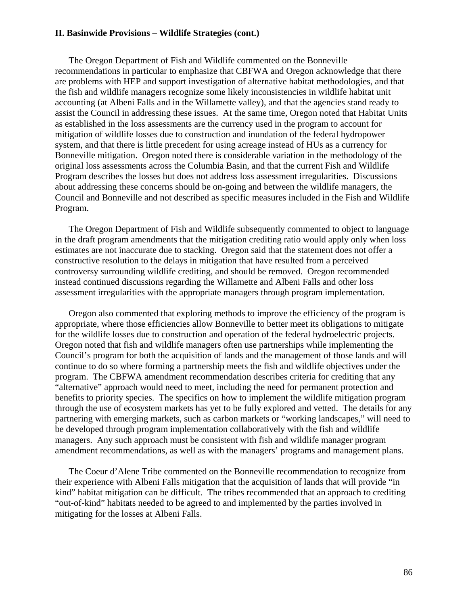The Oregon Department of Fish and Wildlife commented on the Bonneville recommendations in particular to emphasize that CBFWA and Oregon acknowledge that there are problems with HEP and support investigation of alternative habitat methodologies, and that the fish and wildlife managers recognize some likely inconsistencies in wildlife habitat unit accounting (at Albeni Falls and in the Willamette valley), and that the agencies stand ready to assist the Council in addressing these issues. At the same time, Oregon noted that Habitat Units as established in the loss assessments are the currency used in the program to account for mitigation of wildlife losses due to construction and inundation of the federal hydropower system, and that there is little precedent for using acreage instead of HUs as a currency for Bonneville mitigation. Oregon noted there is considerable variation in the methodology of the original loss assessments across the Columbia Basin, and that the current Fish and Wildlife Program describes the losses but does not address loss assessment irregularities. Discussions about addressing these concerns should be on-going and between the wildlife managers, the Council and Bonneville and not described as specific measures included in the Fish and Wildlife Program.

 The Oregon Department of Fish and Wildlife subsequently commented to object to language in the draft program amendments that the mitigation crediting ratio would apply only when loss estimates are not inaccurate due to stacking. Oregon said that the statement does not offer a constructive resolution to the delays in mitigation that have resulted from a perceived controversy surrounding wildlife crediting, and should be removed. Oregon recommended instead continued discussions regarding the Willamette and Albeni Falls and other loss assessment irregularities with the appropriate managers through program implementation.

 Oregon also commented that exploring methods to improve the efficiency of the program is appropriate, where those efficiencies allow Bonneville to better meet its obligations to mitigate for the wildlife losses due to construction and operation of the federal hydroelectric projects. Oregon noted that fish and wildlife managers often use partnerships while implementing the Council's program for both the acquisition of lands and the management of those lands and will continue to do so where forming a partnership meets the fish and wildlife objectives under the program. The CBFWA amendment recommendation describes criteria for crediting that any "alternative" approach would need to meet, including the need for permanent protection and benefits to priority species. The specifics on how to implement the wildlife mitigation program through the use of ecosystem markets has yet to be fully explored and vetted. The details for any partnering with emerging markets, such as carbon markets or "working landscapes," will need to be developed through program implementation collaboratively with the fish and wildlife managers. Any such approach must be consistent with fish and wildlife manager program amendment recommendations, as well as with the managers' programs and management plans.

 The Coeur d'Alene Tribe commented on the Bonneville recommendation to recognize from their experience with Albeni Falls mitigation that the acquisition of lands that will provide "in kind" habitat mitigation can be difficult. The tribes recommended that an approach to crediting "out-of-kind" habitats needed to be agreed to and implemented by the parties involved in mitigating for the losses at Albeni Falls.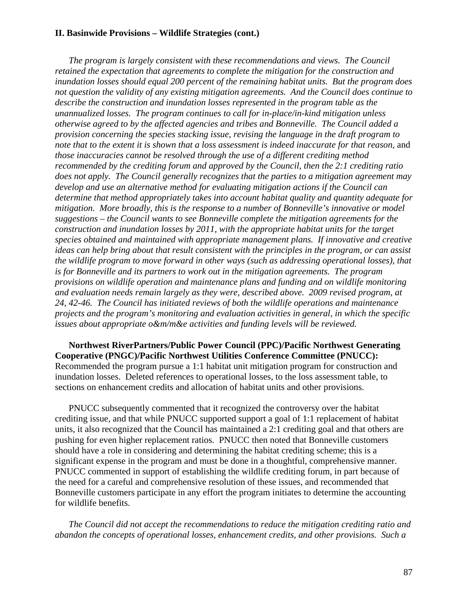*The program is largely consistent with these recommendations and views. The Council retained the expectation that agreements to complete the mitigation for the construction and inundation losses should equal 200 percent of the remaining habitat units. But the program does not question the validity of any existing mitigation agreements. And the Council does continue to describe the construction and inundation losses represented in the program table as the unannualized losses. The program continues to call for in-place/in-kind mitigation unless otherwise agreed to by the affected agencies and tribes and Bonneville. The Council added a provision concerning the species stacking issue, revising the language in the draft program to note that to the extent it is shown that a loss assessment is indeed inaccurate for that reason,* and *those inaccuracies cannot be resolved through the use of a different crediting method recommended by the crediting forum and approved by the Council, then the 2:1 crediting ratio does not apply. The Council generally recognizes that the parties to a mitigation agreement may develop and use an alternative method for evaluating mitigation actions if the Council can determine that method appropriately takes into account habitat quality and quantity adequate for mitigation. More broadly, this is the response to a number of Bonneville's innovative or model suggestions – the Council wants to see Bonneville complete the mitigation agreements for the construction and inundation losses by 2011, with the appropriate habitat units for the target species obtained and maintained with appropriate management plans. If innovative and creative ideas can help bring about that result consistent with the principles in the program, or can assist the wildlife program to move forward in other ways (such as addressing operational losses), that is for Bonneville and its partners to work out in the mitigation agreements. The program provisions on wildlife operation and maintenance plans and funding and on wildlife monitoring and evaluation needs remain largely as they were, described above. 2009 revised program, at 24, 42-46. The Council has initiated reviews of both the wildlife operations and maintenance projects and the program's monitoring and evaluation activities in general, in which the specific issues about appropriate o&m/m&e activities and funding levels will be reviewed.* 

**Northwest RiverPartners/Public Power Council (PPC)/Pacific Northwest Generating Cooperative (PNGC)/Pacific Northwest Utilities Conference Committee (PNUCC):** Recommended the program pursue a 1:1 habitat unit mitigation program for construction and inundation losses. Deleted references to operational losses, to the loss assessment table, to sections on enhancement credits and allocation of habitat units and other provisions.

 PNUCC subsequently commented that it recognized the controversy over the habitat crediting issue, and that while PNUCC supported support a goal of 1:1 replacement of habitat units, it also recognized that the Council has maintained a 2:1 crediting goal and that others are pushing for even higher replacement ratios. PNUCC then noted that Bonneville customers should have a role in considering and determining the habitat crediting scheme; this is a significant expense in the program and must be done in a thoughtful, comprehensive manner. PNUCC commented in support of establishing the wildlife crediting forum, in part because of the need for a careful and comprehensive resolution of these issues, and recommended that Bonneville customers participate in any effort the program initiates to determine the accounting for wildlife benefits.

*The Council did not accept the recommendations to reduce the mitigation crediting ratio and abandon the concepts of operational losses, enhancement credits, and other provisions. Such a*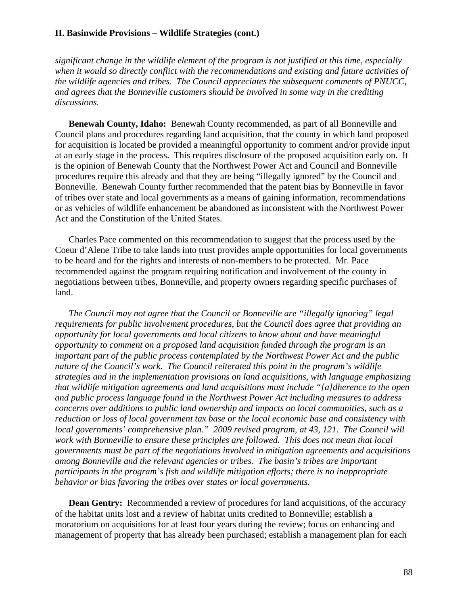*significant change in the wildlife element of the program is not justified at this time, especially when it would so directly conflict with the recommendations and existing and future activities of the wildlife agencies and tribes. The Council appreciates the subsequent comments of PNUCC, and agrees that the Bonneville customers should be involved in some way in the crediting discussions.* 

**Benewah County, Idaho:** Benewah County recommended, as part of all Bonneville and Council plans and procedures regarding land acquisition, that the county in which land proposed for acquisition is located be provided a meaningful opportunity to comment and/or provide input at an early stage in the process. This requires disclosure of the proposed acquisition early on. It is the opinion of Benewah County that the Northwest Power Act and Council and Bonneville procedures require this already and that they are being "illegally ignored" by the Council and Bonneville. Benewah County further recommended that the patent bias by Bonneville in favor of tribes over state and local governments as a means of gaining information, recommendations or as vehicles of wildlife enhancement be abandoned as inconsistent with the Northwest Power Act and the Constitution of the United States.

 Charles Pace commented on this recommendation to suggest that the process used by the Coeur d'Alene Tribe to take lands into trust provides ample opportunities for local governments to be heard and for the rights and interests of non-members to be protected. Mr. Pace recommended against the program requiring notification and involvement of the county in negotiations between tribes, Bonneville, and property owners regarding specific purchases of land.

 *The Council may not agree that the Council or Bonneville are "illegally ignoring" legal requirements for public involvement procedures, but the Council does agree that providing an opportunity for local governments and local citizens to know about and have meaningful opportunity to comment on a proposed land acquisition funded through the program is an important part of the public process contemplated by the Northwest Power Act and the public nature of the Council's work. The Council reiterated this point in the program's wildlife strategies and in the implementation provisions on land acquisitions, with language emphasizing that wildlife mitigation agreements and land acquisitions must include "[a]dherence to the open and public process language found in the Northwest Power Act including measures to address concerns over additions to public land ownership and impacts on local communities, such as a reduction or loss of local government tax base or the local economic base and consistency with local governments' comprehensive plan." 2009 revised program, at 43, 121. The Council will work with Bonneville to ensure these principles are followed. This does not mean that local governments must be part of the negotiations involved in mitigation agreements and acquisitions among Bonneville and the relevant agencies or tribes. The basin's tribes are important participants in the program's fish and wildlife mitigation efforts; there is no inappropriate behavior or bias favoring the tribes over states or local governments.* 

**Dean Gentry:** Recommended a review of procedures for land acquisitions, of the accuracy of the habitat units lost and a review of habitat units credited to Bonneville; establish a moratorium on acquisitions for at least four years during the review; focus on enhancing and management of property that has already been purchased; establish a management plan for each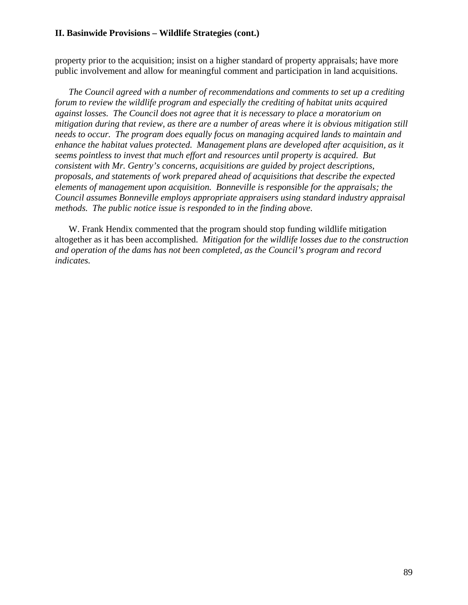property prior to the acquisition; insist on a higher standard of property appraisals; have more public involvement and allow for meaningful comment and participation in land acquisitions.

 *The Council agreed with a number of recommendations and comments to set up a crediting forum to review the wildlife program and especially the crediting of habitat units acquired against losses. The Council does not agree that it is necessary to place a moratorium on mitigation during that review, as there are a number of areas where it is obvious mitigation still needs to occur. The program does equally focus on managing acquired lands to maintain and enhance the habitat values protected. Management plans are developed after acquisition, as it seems pointless to invest that much effort and resources until property is acquired. But consistent with Mr. Gentry's concerns, acquisitions are guided by project descriptions, proposals, and statements of work prepared ahead of acquisitions that describe the expected elements of management upon acquisition. Bonneville is responsible for the appraisals; the Council assumes Bonneville employs appropriate appraisers using standard industry appraisal methods. The public notice issue is responded to in the finding above.* 

 W. Frank Hendix commented that the program should stop funding wildlife mitigation altogether as it has been accomplished. *Mitigation for the wildlife losses due to the construction and operation of the dams has not been completed, as the Council's program and record indicates.*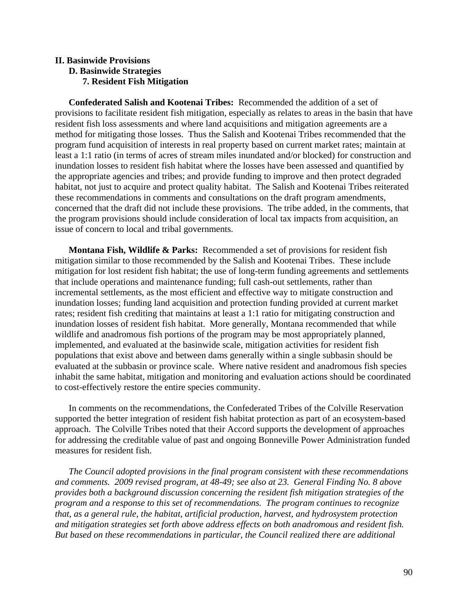## **II. Basinwide Provisions D. Basinwide Strategies 7. Resident Fish Mitigation**

**Confederated Salish and Kootenai Tribes:** Recommended the addition of a set of provisions to facilitate resident fish mitigation, especially as relates to areas in the basin that have resident fish loss assessments and where land acquisitions and mitigation agreements are a method for mitigating those losses. Thus the Salish and Kootenai Tribes recommended that the program fund acquisition of interests in real property based on current market rates; maintain at least a 1:1 ratio (in terms of acres of stream miles inundated and/or blocked) for construction and inundation losses to resident fish habitat where the losses have been assessed and quantified by the appropriate agencies and tribes; and provide funding to improve and then protect degraded habitat, not just to acquire and protect quality habitat. The Salish and Kootenai Tribes reiterated these recommendations in comments and consultations on the draft program amendments, concerned that the draft did not include these provisions. The tribe added, in the comments, that the program provisions should include consideration of local tax impacts from acquisition, an issue of concern to local and tribal governments.

 **Montana Fish, Wildlife & Parks:** Recommended a set of provisions for resident fish mitigation similar to those recommended by the Salish and Kootenai Tribes. These include mitigation for lost resident fish habitat; the use of long-term funding agreements and settlements that include operations and maintenance funding; full cash-out settlements, rather than incremental settlements, as the most efficient and effective way to mitigate construction and inundation losses; funding land acquisition and protection funding provided at current market rates; resident fish crediting that maintains at least a 1:1 ratio for mitigating construction and inundation losses of resident fish habitat. More generally, Montana recommended that while wildlife and anadromous fish portions of the program may be most appropriately planned, implemented, and evaluated at the basinwide scale, mitigation activities for resident fish populations that exist above and between dams generally within a single subbasin should be evaluated at the subbasin or province scale. Where native resident and anadromous fish species inhabit the same habitat, mitigation and monitoring and evaluation actions should be coordinated to cost-effectively restore the entire species community.

 In comments on the recommendations, the Confederated Tribes of the Colville Reservation supported the better integration of resident fish habitat protection as part of an ecosystem-based approach. The Colville Tribes noted that their Accord supports the development of approaches for addressing the creditable value of past and ongoing Bonneville Power Administration funded measures for resident fish.

*The Council adopted provisions in the final program consistent with these recommendations and comments. 2009 revised program, at 48-49; see also at 23. General Finding No. 8 above provides both a background discussion concerning the resident fish mitigation strategies of the program and a response to this set of recommendations. The program continues to recognize that, as a general rule, the habitat, artificial production, harvest, and hydrosystem protection and mitigation strategies set forth above address effects on both anadromous and resident fish. But based on these recommendations in particular, the Council realized there are additional*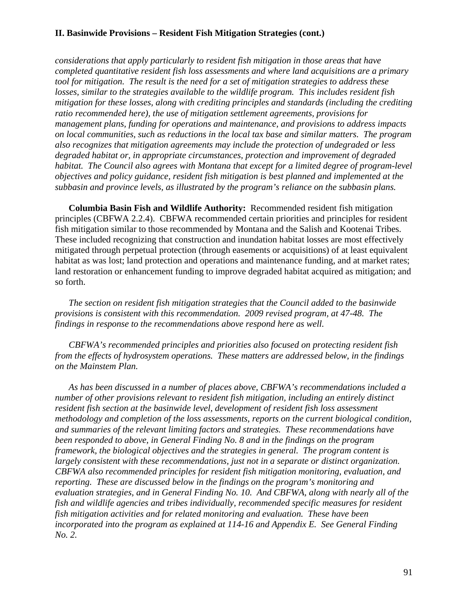## **II. Basinwide Provisions – Resident Fish Mitigation Strategies (cont.)**

*considerations that apply particularly to resident fish mitigation in those areas that have completed quantitative resident fish loss assessments and where land acquisitions are a primary tool for mitigation. The result is the need for a set of mitigation strategies to address these losses, similar to the strategies available to the wildlife program. This includes resident fish mitigation for these losses, along with crediting principles and standards (including the crediting ratio recommended here), the use of mitigation settlement agreements, provisions for management plans, funding for operations and maintenance, and provisions to address impacts on local communities, such as reductions in the local tax base and similar matters. The program also recognizes that mitigation agreements may include the protection of undegraded or less degraded habitat or, in appropriate circumstances, protection and improvement of degraded habitat. The Council also agrees with Montana that except for a limited degree of program-level objectives and policy guidance, resident fish mitigation is best planned and implemented at the subbasin and province levels, as illustrated by the program's reliance on the subbasin plans.* 

**Columbia Basin Fish and Wildlife Authority:** Recommended resident fish mitigation principles (CBFWA 2.2.4). CBFWA recommended certain priorities and principles for resident fish mitigation similar to those recommended by Montana and the Salish and Kootenai Tribes. These included recognizing that construction and inundation habitat losses are most effectively mitigated through perpetual protection (through easements or acquisitions) of at least equivalent habitat as was lost; land protection and operations and maintenance funding, and at market rates; land restoration or enhancement funding to improve degraded habitat acquired as mitigation; and so forth.

 *The section on resident fish mitigation strategies that the Council added to the basinwide provisions is consistent with this recommendation. 2009 revised program, at 47-48. The findings in response to the recommendations above respond here as well.* 

 *CBFWA's recommended principles and priorities also focused on protecting resident fish from the effects of hydrosystem operations. These matters are addressed below, in the findings on the Mainstem Plan.* 

 *As has been discussed in a number of places above, CBFWA's recommendations included a number of other provisions relevant to resident fish mitigation, including an entirely distinct resident fish section at the basinwide level, development of resident fish loss assessment methodology and completion of the loss assessments, reports on the current biological condition, and summaries of the relevant limiting factors and strategies. These recommendations have been responded to above, in General Finding No. 8 and in the findings on the program framework, the biological objectives and the strategies in general. The program content is largely consistent with these recommendations, just not in a separate or distinct organization. CBFWA also recommended principles for resident fish mitigation monitoring, evaluation, and reporting. These are discussed below in the findings on the program's monitoring and evaluation strategies, and in General Finding No. 10. And CBFWA, along with nearly all of the fish and wildlife agencies and tribes individually, recommended specific measures for resident fish mitigation activities and for related monitoring and evaluation. These have been incorporated into the program as explained at 114-16 and Appendix E. See General Finding No. 2.*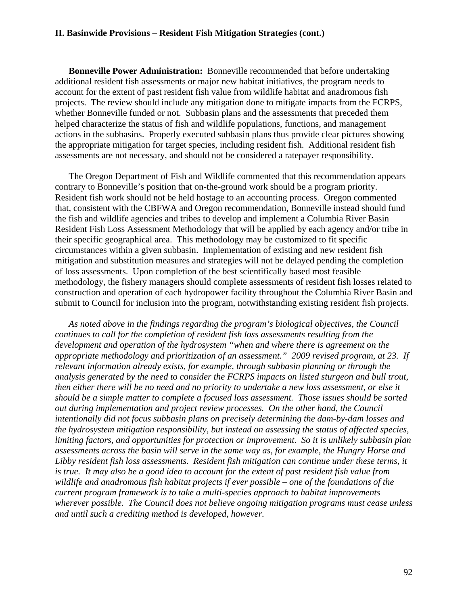#### **II. Basinwide Provisions – Resident Fish Mitigation Strategies (cont.)**

**Bonneville Power Administration:** Bonneville recommended that before undertaking additional resident fish assessments or major new habitat initiatives, the program needs to account for the extent of past resident fish value from wildlife habitat and anadromous fish projects. The review should include any mitigation done to mitigate impacts from the FCRPS, whether Bonneville funded or not. Subbasin plans and the assessments that preceded them helped characterize the status of fish and wildlife populations, functions, and management actions in the subbasins. Properly executed subbasin plans thus provide clear pictures showing the appropriate mitigation for target species, including resident fish. Additional resident fish assessments are not necessary, and should not be considered a ratepayer responsibility.

 The Oregon Department of Fish and Wildlife commented that this recommendation appears contrary to Bonneville's position that on-the-ground work should be a program priority. Resident fish work should not be held hostage to an accounting process. Oregon commented that, consistent with the CBFWA and Oregon recommendation, Bonneville instead should fund the fish and wildlife agencies and tribes to develop and implement a Columbia River Basin Resident Fish Loss Assessment Methodology that will be applied by each agency and/or tribe in their specific geographical area. This methodology may be customized to fit specific circumstances within a given subbasin. Implementation of existing and new resident fish mitigation and substitution measures and strategies will not be delayed pending the completion of loss assessments. Upon completion of the best scientifically based most feasible methodology, the fishery managers should complete assessments of resident fish losses related to construction and operation of each hydropower facility throughout the Columbia River Basin and submit to Council for inclusion into the program, notwithstanding existing resident fish projects.

*As noted above in the findings regarding the program's biological objectives, the Council continues to call for the completion of resident fish loss assessments resulting from the development and operation of the hydrosystem "when and where there is agreement on the appropriate methodology and prioritization of an assessment." 2009 revised program, at 23. If relevant information already exists, for example, through subbasin planning or through the analysis generated by the need to consider the FCRPS impacts on listed sturgeon and bull trout, then either there will be no need and no priority to undertake a new loss assessment, or else it should be a simple matter to complete a focused loss assessment. Those issues should be sorted out during implementation and project review processes. On the other hand, the Council intentionally did not focus subbasin plans on precisely determining the dam-by-dam losses and the hydrosystem mitigation responsibility, but instead on assessing the status of affected species, limiting factors, and opportunities for protection or improvement. So it is unlikely subbasin plan assessments across the basin will serve in the same way as, for example, the Hungry Horse and Libby resident fish loss assessments. Resident fish mitigation can continue under these terms, it is true. It may also be a good idea to account for the extent of past resident fish value from wildlife and anadromous fish habitat projects if ever possible – one of the foundations of the current program framework is to take a multi-species approach to habitat improvements wherever possible. The Council does not believe ongoing mitigation programs must cease unless and until such a crediting method is developed, however.*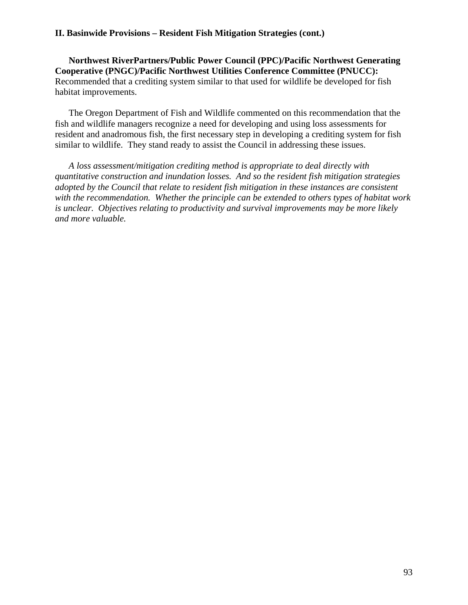## **II. Basinwide Provisions – Resident Fish Mitigation Strategies (cont.)**

**Northwest RiverPartners/Public Power Council (PPC)/Pacific Northwest Generating Cooperative (PNGC)/Pacific Northwest Utilities Conference Committee (PNUCC):** Recommended that a crediting system similar to that used for wildlife be developed for fish habitat improvements.

 The Oregon Department of Fish and Wildlife commented on this recommendation that the fish and wildlife managers recognize a need for developing and using loss assessments for resident and anadromous fish, the first necessary step in developing a crediting system for fish similar to wildlife. They stand ready to assist the Council in addressing these issues.

*A loss assessment/mitigation crediting method is appropriate to deal directly with quantitative construction and inundation losses. And so the resident fish mitigation strategies adopted by the Council that relate to resident fish mitigation in these instances are consistent with the recommendation. Whether the principle can be extended to others types of habitat work is unclear. Objectives relating to productivity and survival improvements may be more likely and more valuable.*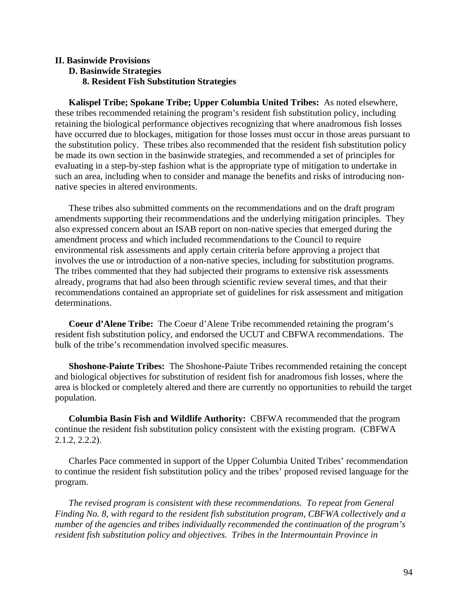## **II. Basinwide Provisions D. Basinwide Strategies 8. Resident Fish Substitution Strategies**

**Kalispel Tribe; Spokane Tribe; Upper Columbia United Tribes:** As noted elsewhere, these tribes recommended retaining the program's resident fish substitution policy, including retaining the biological performance objectives recognizing that where anadromous fish losses have occurred due to blockages, mitigation for those losses must occur in those areas pursuant to the substitution policy. These tribes also recommended that the resident fish substitution policy be made its own section in the basinwide strategies, and recommended a set of principles for evaluating in a step-by-step fashion what is the appropriate type of mitigation to undertake in such an area, including when to consider and manage the benefits and risks of introducing nonnative species in altered environments.

 These tribes also submitted comments on the recommendations and on the draft program amendments supporting their recommendations and the underlying mitigation principles. They also expressed concern about an ISAB report on non-native species that emerged during the amendment process and which included recommendations to the Council to require environmental risk assessments and apply certain criteria before approving a project that involves the use or introduction of a non-native species, including for substitution programs. The tribes commented that they had subjected their programs to extensive risk assessments already, programs that had also been through scientific review several times, and that their recommendations contained an appropriate set of guidelines for risk assessment and mitigation determinations.

**Coeur d'Alene Tribe:** The Coeur d'Alene Tribe recommended retaining the program's resident fish substitution policy, and endorsed the UCUT and CBFWA recommendations. The bulk of the tribe's recommendation involved specific measures.

**Shoshone-Paiute Tribes:** The Shoshone-Paiute Tribes recommended retaining the concept and biological objectives for substitution of resident fish for anadromous fish losses, where the area is blocked or completely altered and there are currently no opportunities to rebuild the target population.

**Columbia Basin Fish and Wildlife Authority:** CBFWA recommended that the program continue the resident fish substitution policy consistent with the existing program. (CBFWA 2.1.2, 2.2.2).

 Charles Pace commented in support of the Upper Columbia United Tribes' recommendation to continue the resident fish substitution policy and the tribes' proposed revised language for the program.

*The revised program is consistent with these recommendations. To repeat from General Finding No. 8, with regard to the resident fish substitution program, CBFWA collectively and a number of the agencies and tribes individually recommended the continuation of the program's resident fish substitution policy and objectives. Tribes in the Intermountain Province in*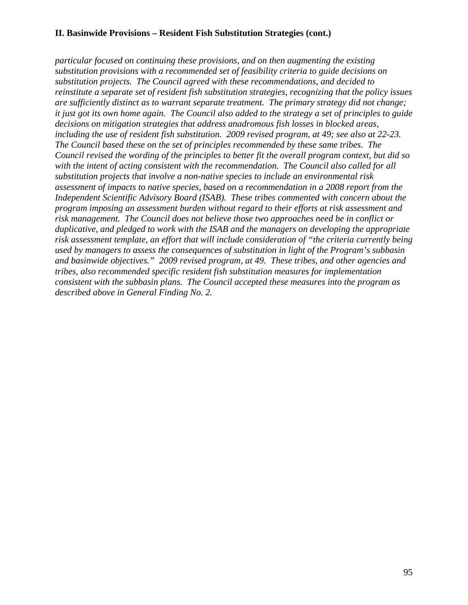## **II. Basinwide Provisions – Resident Fish Substitution Strategies (cont.)**

*particular focused on continuing these provisions, and on then augmenting the existing substitution provisions with a recommended set of feasibility criteria to guide decisions on substitution projects. The Council agreed with these recommendations, and decided to reinstitute a separate set of resident fish substitution strategies, recognizing that the policy issues are sufficiently distinct as to warrant separate treatment. The primary strategy did not change; it just got its own home again. The Council also added to the strategy a set of principles to guide decisions on mitigation strategies that address anadromous fish losses in blocked areas, including the use of resident fish substitution. 2009 revised program, at 49; see also at 22-23. The Council based these on the set of principles recommended by these same tribes. The Council revised the wording of the principles to better fit the overall program context, but did so with the intent of acting consistent with the recommendation. The Council also called for all substitution projects that involve a non-native species to include an environmental risk assessment of impacts to native species, based on a recommendation in a 2008 report from the Independent Scientific Advisory Board (ISAB). These tribes commented with concern about the program imposing an assessment burden without regard to their efforts at risk assessment and risk management. The Council does not believe those two approaches need be in conflict or duplicative, and pledged to work with the ISAB and the managers on developing the appropriate risk assessment template, an effort that will include consideration of "the criteria currently being used by managers to assess the consequences of substitution in light of the Program's subbasin and basinwide objectives." 2009 revised program, at 49. These tribes, and other agencies and tribes, also recommended specific resident fish substitution measures for implementation consistent with the subbasin plans. The Council accepted these measures into the program as described above in General Finding No. 2.*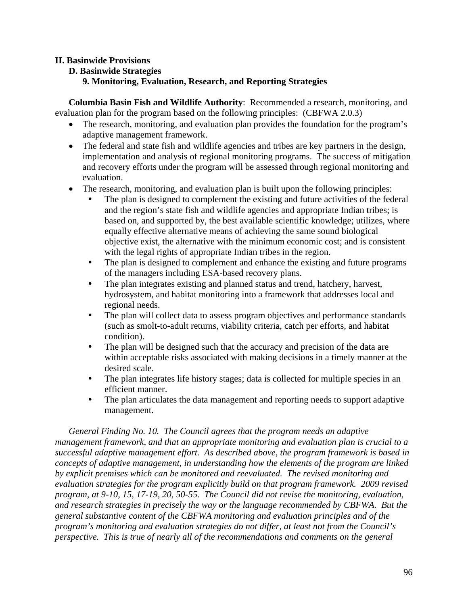## **II. Basinwide Provisions**

## **D. Basinwide Strategies**

# **9. Monitoring, Evaluation, Research, and Reporting Strategies**

**Columbia Basin Fish and Wildlife Authority**: Recommended a research, monitoring, and evaluation plan for the program based on the following principles: (CBFWA 2.0.3)

- The research, monitoring, and evaluation plan provides the foundation for the program's adaptive management framework.
- The federal and state fish and wildlife agencies and tribes are key partners in the design, implementation and analysis of regional monitoring programs. The success of mitigation and recovery efforts under the program will be assessed through regional monitoring and evaluation.
- The research, monitoring, and evaluation plan is built upon the following principles:
	- The plan is designed to complement the existing and future activities of the federal and the region's state fish and wildlife agencies and appropriate Indian tribes; is based on, and supported by, the best available scientific knowledge; utilizes, where equally effective alternative means of achieving the same sound biological objective exist, the alternative with the minimum economic cost; and is consistent with the legal rights of appropriate Indian tribes in the region.
	- The plan is designed to complement and enhance the existing and future programs of the managers including ESA-based recovery plans.
	- The plan integrates existing and planned status and trend, hatchery, harvest, hydrosystem, and habitat monitoring into a framework that addresses local and regional needs.
	- The plan will collect data to assess program objectives and performance standards (such as smolt-to-adult returns, viability criteria, catch per efforts, and habitat condition).
	- The plan will be designed such that the accuracy and precision of the data are within acceptable risks associated with making decisions in a timely manner at the desired scale.
	- The plan integrates life history stages; data is collected for multiple species in an efficient manner.
	- The plan articulates the data management and reporting needs to support adaptive management.

*General Finding No. 10. The Council agrees that the program needs an adaptive management framework, and that an appropriate monitoring and evaluation plan is crucial to a successful adaptive management effort. As described above, the program framework is based in concepts of adaptive management, in understanding how the elements of the program are linked by explicit premises which can be monitored and reevaluated. The revised monitoring and evaluation strategies for the program explicitly build on that program framework. 2009 revised program, at 9-10, 15, 17-19, 20, 50-55. The Council did not revise the monitoring, evaluation, and research strategies in precisely the way or the language recommended by CBFWA. But the general substantive content of the CBFWA monitoring and evaluation principles and of the program's monitoring and evaluation strategies do not differ, at least not from the Council's perspective. This is true of nearly all of the recommendations and comments on the general*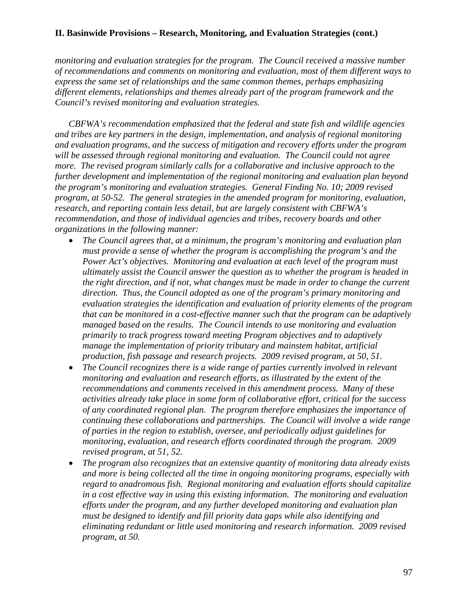*monitoring and evaluation strategies for the program. The Council received a massive number of recommendations and comments on monitoring and evaluation, most of them different ways to express the same set of relationships and the same common themes, perhaps emphasizing different elements, relationships and themes already part of the program framework and the Council's revised monitoring and evaluation strategies.* 

 *CBFWA's recommendation emphasized that the federal and state fish and wildlife agencies and tribes are key partners in the design, implementation, and analysis of regional monitoring and evaluation programs, and the success of mitigation and recovery efforts under the program will be assessed through regional monitoring and evaluation. The Council could not agree more. The revised program similarly calls for a collaborative and inclusive approach to the further development and implementation of the regional monitoring and evaluation plan beyond the program's monitoring and evaluation strategies. General Finding No. 10; 2009 revised program, at 50-52. The general strategies in the amended program for monitoring, evaluation, research, and reporting contain less detail, but are largely consistent with CBFWA's recommendation, and those of individual agencies and tribes, recovery boards and other organizations in the following manner:* 

- *The Council agrees that, at a minimum, the program's monitoring and evaluation plan must provide a sense of whether the program is accomplishing the program's and the Power Act's objectives. Monitoring and evaluation at each level of the program must ultimately assist the Council answer the question as to whether the program is headed in the right direction, and if not, what changes must be made in order to change the current direction. Thus, the Council adopted as one of the program's primary monitoring and evaluation strategies the identification and evaluation of priority elements of the program that can be monitored in a cost-effective manner such that the program can be adaptively managed based on the results. The Council intends to use monitoring and evaluation primarily to track progress toward meeting Program objectives and to adaptively manage the implementation of priority tributary and mainstem habitat, artificial production, fish passage and research projects. 2009 revised program, at 50, 51.*
- *The Council recognizes there is a wide range of parties currently involved in relevant monitoring and evaluation and research efforts, as illustrated by the extent of the recommendations and comments received in this amendment process. Many of these activities already take place in some form of collaborative effort, critical for the success of any coordinated regional plan. The program therefore emphasizes the importance of continuing these collaborations and partnerships. The Council will involve a wide range of parties in the region to establish, oversee, and periodically adjust guidelines for monitoring, evaluation, and research efforts coordinated through the program. 2009 revised program, at 51, 52.*
- *The program also recognizes that an extensive quantity of monitoring data already exists and more is being collected all the time in ongoing monitoring programs, especially with regard to anadromous fish. Regional monitoring and evaluation efforts should capitalize in a cost effective way in using this existing information. The monitoring and evaluation efforts under the program, and any further developed monitoring and evaluation plan must be designed to identify and fill priority data gaps while also identifying and eliminating redundant or little used monitoring and research information. 2009 revised program, at 50.*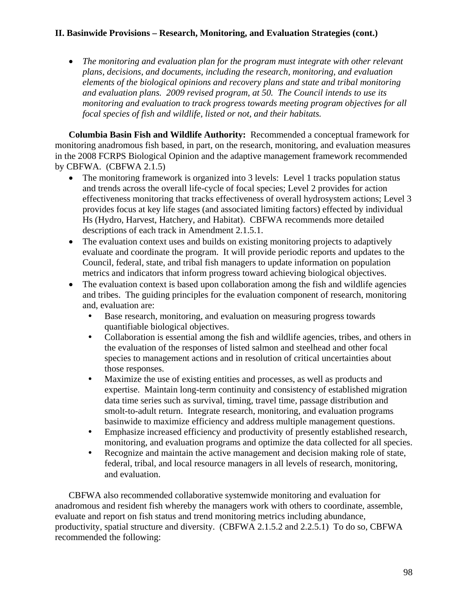• The monitoring and evaluation plan for the program must integrate with other relevant *plans, decisions, and documents, including the research, monitoring, and evaluation elements of the biological opinions and recovery plans and state and tribal monitoring and evaluation plans. 2009 revised program, at 50. The Council intends to use its monitoring and evaluation to track progress towards meeting program objectives for all focal species of fish and wildlife, listed or not, and their habitats.* 

 **Columbia Basin Fish and Wildlife Authority:** Recommended a conceptual framework for monitoring anadromous fish based, in part, on the research, monitoring, and evaluation measures in the 2008 FCRPS Biological Opinion and the adaptive management framework recommended by CBFWA. (CBFWA 2.1.5)

- The monitoring framework is organized into 3 levels: Level 1 tracks population status and trends across the overall life-cycle of focal species; Level 2 provides for action effectiveness monitoring that tracks effectiveness of overall hydrosystem actions; Level 3 provides focus at key life stages (and associated limiting factors) effected by individual Hs (Hydro, Harvest, Hatchery, and Habitat). CBFWA recommends more detailed descriptions of each track in Amendment 2.1.5.1.
- The evaluation context uses and builds on existing monitoring projects to adaptively evaluate and coordinate the program. It will provide periodic reports and updates to the Council, federal, state, and tribal fish managers to update information on population metrics and indicators that inform progress toward achieving biological objectives.
- The evaluation context is based upon collaboration among the fish and wildlife agencies and tribes. The guiding principles for the evaluation component of research, monitoring and, evaluation are:
	- Base research, monitoring, and evaluation on measuring progress towards quantifiable biological objectives.
	- Collaboration is essential among the fish and wildlife agencies, tribes, and others in the evaluation of the responses of listed salmon and steelhead and other focal species to management actions and in resolution of critical uncertainties about those responses.
	- Maximize the use of existing entities and processes, as well as products and expertise. Maintain long-term continuity and consistency of established migration data time series such as survival, timing, travel time, passage distribution and smolt-to-adult return. Integrate research, monitoring, and evaluation programs basinwide to maximize efficiency and address multiple management questions.
	- Emphasize increased efficiency and productivity of presently established research, monitoring, and evaluation programs and optimize the data collected for all species.
	- Recognize and maintain the active management and decision making role of state, federal, tribal, and local resource managers in all levels of research, monitoring, and evaluation.

 CBFWA also recommended collaborative systemwide monitoring and evaluation for anadromous and resident fish whereby the managers work with others to coordinate, assemble, evaluate and report on fish status and trend monitoring metrics including abundance, productivity, spatial structure and diversity. (CBFWA 2.1.5.2 and 2.2.5.1) To do so, CBFWA recommended the following: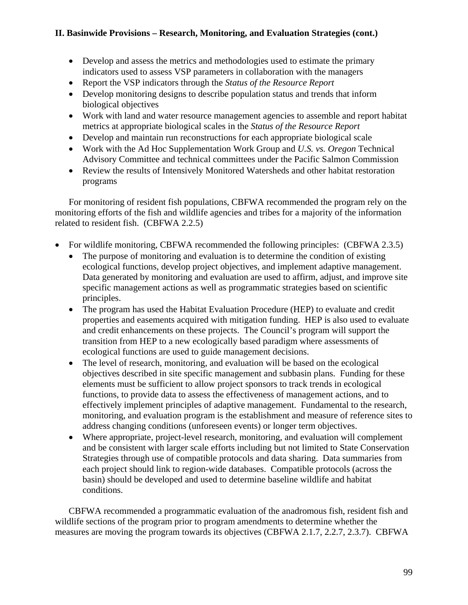- Develop and assess the metrics and methodologies used to estimate the primary indicators used to assess VSP parameters in collaboration with the managers
- Report the VSP indicators through the *Status of the Resource Report*
- Develop monitoring designs to describe population status and trends that inform biological objectives
- Work with land and water resource management agencies to assemble and report habitat metrics at appropriate biological scales in the *Status of the Resource Report*
- Develop and maintain run reconstructions for each appropriate biological scale
- Work with the Ad Hoc Supplementation Work Group and *U.S. vs. Oregon* Technical Advisory Committee and technical committees under the Pacific Salmon Commission
- Review the results of Intensively Monitored Watersheds and other habitat restoration programs

 For monitoring of resident fish populations, CBFWA recommended the program rely on the monitoring efforts of the fish and wildlife agencies and tribes for a majority of the information related to resident fish. (CBFWA 2.2.5)

- For wildlife monitoring, CBFWA recommended the following principles: (CBFWA 2.3.5)
	- The purpose of monitoring and evaluation is to determine the condition of existing ecological functions, develop project objectives, and implement adaptive management. Data generated by monitoring and evaluation are used to affirm, adjust, and improve site specific management actions as well as programmatic strategies based on scientific principles.
	- The program has used the Habitat Evaluation Procedure (HEP) to evaluate and credit properties and easements acquired with mitigation funding. HEP is also used to evaluate and credit enhancements on these projects. The Council's program will support the transition from HEP to a new ecologically based paradigm where assessments of ecological functions are used to guide management decisions.
	- The level of research, monitoring, and evaluation will be based on the ecological objectives described in site specific management and subbasin plans. Funding for these elements must be sufficient to allow project sponsors to track trends in ecological functions, to provide data to assess the effectiveness of management actions, and to effectively implement principles of adaptive management. Fundamental to the research, monitoring, and evaluation program is the establishment and measure of reference sites to address changing conditions (unforeseen events) or longer term objectives.
	- Where appropriate, project-level research, monitoring, and evaluation will complement and be consistent with larger scale efforts including but not limited to State Conservation Strategies through use of compatible protocols and data sharing. Data summaries from each project should link to region-wide databases. Compatible protocols (across the basin) should be developed and used to determine baseline wildlife and habitat conditions.

 CBFWA recommended a programmatic evaluation of the anadromous fish, resident fish and wildlife sections of the program prior to program amendments to determine whether the measures are moving the program towards its objectives (CBFWA 2.1.7, 2.2.7, 2.3.7). CBFWA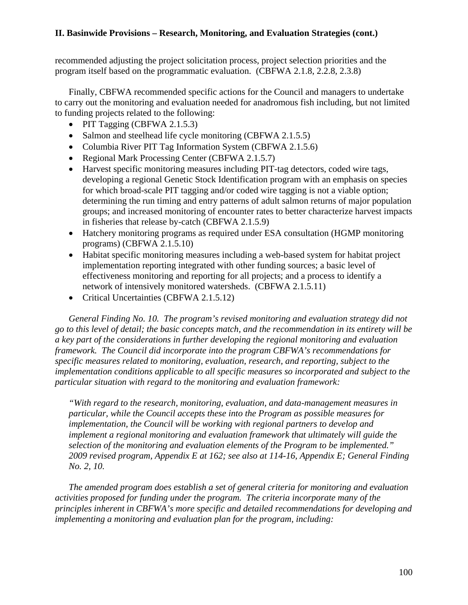recommended adjusting the project solicitation process, project selection priorities and the program itself based on the programmatic evaluation. (CBFWA 2.1.8, 2.2.8, 2.3.8)

 Finally, CBFWA recommended specific actions for the Council and managers to undertake to carry out the monitoring and evaluation needed for anadromous fish including, but not limited to funding projects related to the following:

- PIT Tagging (CBFWA 2.1.5.3)
- Salmon and steelhead life cycle monitoring (CBFWA 2.1.5.5)
- Columbia River PIT Tag Information System (CBFWA 2.1.5.6)
- Regional Mark Processing Center (CBFWA 2.1.5.7)
- Harvest specific monitoring measures including PIT-tag detectors, coded wire tags, developing a regional Genetic Stock Identification program with an emphasis on species for which broad-scale PIT tagging and/or coded wire tagging is not a viable option; determining the run timing and entry patterns of adult salmon returns of major population groups; and increased monitoring of encounter rates to better characterize harvest impacts in fisheries that release by-catch (CBFWA 2.1.5.9)
- Hatchery monitoring programs as required under ESA consultation (HGMP monitoring programs) (CBFWA 2.1.5.10)
- Habitat specific monitoring measures including a web-based system for habitat project implementation reporting integrated with other funding sources; a basic level of effectiveness monitoring and reporting for all projects; and a process to identify a network of intensively monitored watersheds. (CBFWA 2.1.5.11)
- Critical Uncertainties (CBFWA 2.1.5.12)

 *General Finding No. 10. The program's revised monitoring and evaluation strategy did not go to this level of detail; the basic concepts match, and the recommendation in its entirety will be a key part of the considerations in further developing the regional monitoring and evaluation framework. The Council did incorporate into the program CBFWA's recommendations for specific measures related to monitoring, evaluation, research, and reporting, subject to the implementation conditions applicable to all specific measures so incorporated and subject to the particular situation with regard to the monitoring and evaluation framework:* 

*"With regard to the research, monitoring, evaluation, and data-management measures in particular, while the Council accepts these into the Program as possible measures for implementation, the Council will be working with regional partners to develop and implement a regional monitoring and evaluation framework that ultimately will guide the selection of the monitoring and evaluation elements of the Program to be implemented." 2009 revised program, Appendix E at 162; see also at 114-16, Appendix E; General Finding No. 2, 10.* 

 *The amended program does establish a set of general criteria for monitoring and evaluation activities proposed for funding under the program. The criteria incorporate many of the principles inherent in CBFWA's more specific and detailed recommendations for developing and implementing a monitoring and evaluation plan for the program, including:*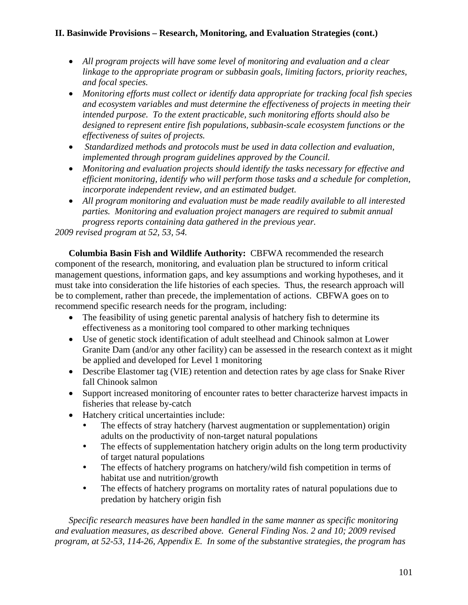- All program projects will have some level of monitoring and evaluation and a clear *linkage to the appropriate program or subbasin goals, limiting factors, priority reaches, and focal species.*
- *Monitoring efforts must collect or identify data appropriate for tracking focal fish species and ecosystem variables and must determine the effectiveness of projects in meeting their intended purpose. To the extent practicable, such monitoring efforts should also be designed to represent entire fish populations, subbasin-scale ecosystem functions or the effectiveness of suites of projects.*
- • *Standardized methods and protocols must be used in data collection and evaluation, implemented through program guidelines approved by the Council.*
- *Monitoring and evaluation projects should identify the tasks necessary for effective and efficient monitoring, identify who will perform those tasks and a schedule for completion, incorporate independent review, and an estimated budget.*
- *All program monitoring and evaluation must be made readily available to all interested parties. Monitoring and evaluation project managers are required to submit annual progress reports containing data gathered in the previous year.*

*2009 revised program at 52, 53, 54.*

**Columbia Basin Fish and Wildlife Authority:** CBFWA recommended the research component of the research, monitoring, and evaluation plan be structured to inform critical management questions, information gaps, and key assumptions and working hypotheses, and it must take into consideration the life histories of each species. Thus, the research approach will be to complement, rather than precede, the implementation of actions. CBFWA goes on to recommend specific research needs for the program, including:

- The feasibility of using genetic parental analysis of hatchery fish to determine its effectiveness as a monitoring tool compared to other marking techniques
- Use of genetic stock identification of adult steelhead and Chinook salmon at Lower Granite Dam (and/or any other facility) can be assessed in the research context as it might be applied and developed for Level 1 monitoring
- Describe Elastomer tag (VIE) retention and detection rates by age class for Snake River fall Chinook salmon
- Support increased monitoring of encounter rates to better characterize harvest impacts in fisheries that release by-catch
- Hatchery critical uncertainties include:
	- The effects of stray hatchery (harvest augmentation or supplementation) origin adults on the productivity of non-target natural populations
	- The effects of supplementation hatchery origin adults on the long term productivity of target natural populations
	- The effects of hatchery programs on hatchery/wild fish competition in terms of habitat use and nutrition/growth
	- The effects of hatchery programs on mortality rates of natural populations due to predation by hatchery origin fish

*Specific research measures have been handled in the same manner as specific monitoring and evaluation measures, as described above. General Finding Nos. 2 and 10; 2009 revised program, at 52-53, 114-26, Appendix E. In some of the substantive strategies, the program has*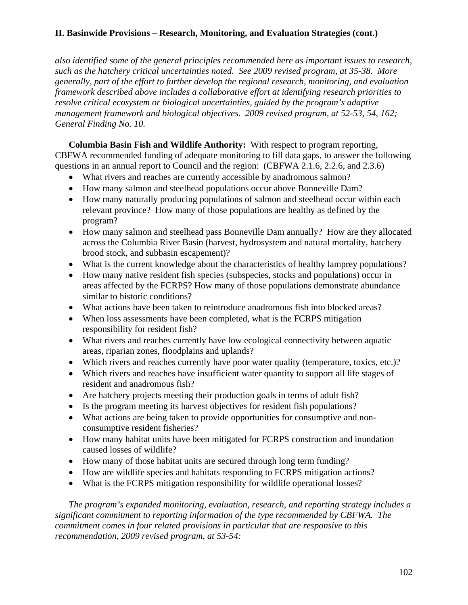*also identified some of the general principles recommended here as important issues to research, such as the hatchery critical uncertainties noted. See 2009 revised program, at 35-38. More generally, part of the effort to further develop the regional research, monitoring, and evaluation framework described above includes a collaborative effort at identifying research priorities to resolve critical ecosystem or biological uncertainties, guided by the program's adaptive management framework and biological objectives. 2009 revised program, at 52-53, 54, 162; General Finding No. 10.* 

**Columbia Basin Fish and Wildlife Authority:** With respect to program reporting, CBFWA recommended funding of adequate monitoring to fill data gaps, to answer the following questions in an annual report to Council and the region: (CBFWA 2.1.6, 2.2.6, and 2.3.6)

- What rivers and reaches are currently accessible by anadromous salmon?
- How many salmon and steelhead populations occur above Bonneville Dam?
- How many naturally producing populations of salmon and steelhead occur within each relevant province? How many of those populations are healthy as defined by the program?
- How many salmon and steelhead pass Bonneville Dam annually? How are they allocated across the Columbia River Basin (harvest, hydrosystem and natural mortality, hatchery brood stock, and subbasin escapement)?
- What is the current knowledge about the characteristics of healthy lamprey populations?
- How many native resident fish species (subspecies, stocks and populations) occur in areas affected by the FCRPS? How many of those populations demonstrate abundance similar to historic conditions?
- What actions have been taken to reintroduce anadromous fish into blocked areas?
- When loss assessments have been completed, what is the FCRPS mitigation responsibility for resident fish?
- What rivers and reaches currently have low ecological connectivity between aquatic areas, riparian zones, floodplains and uplands?
- Which rivers and reaches currently have poor water quality (temperature, toxics, etc.)?
- Which rivers and reaches have insufficient water quantity to support all life stages of resident and anadromous fish?
- Are hatchery projects meeting their production goals in terms of adult fish?
- Is the program meeting its harvest objectives for resident fish populations?
- What actions are being taken to provide opportunities for consumptive and nonconsumptive resident fisheries?
- How many habitat units have been mitigated for FCRPS construction and inundation caused losses of wildlife?
- How many of those habitat units are secured through long term funding?
- How are wildlife species and habitats responding to FCRPS mitigation actions?
- What is the FCRPS mitigation responsibility for wildlife operational losses?

*The program's expanded monitoring, evaluation, research, and reporting strategy includes a significant commitment to reporting information of the type recommended by CBFWA. The commitment comes in four related provisions in particular that are responsive to this recommendation, 2009 revised program, at 53-54:*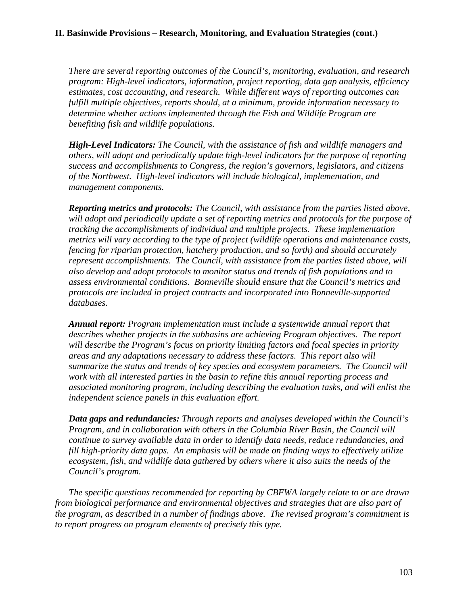*There are several reporting outcomes of the Council's, monitoring, evaluation, and research program: High-level indicators, information, project reporting, data gap analysis, efficiency estimates, cost accounting, and research. While different ways of reporting outcomes can fulfill multiple objectives, reports should, at a minimum, provide information necessary to determine whether actions implemented through the Fish and Wildlife Program are benefiting fish and wildlife populations.* 

*High-Level Indicators: The Council, with the assistance of fish and wildlife managers and others, will adopt and periodically update high-level indicators for the purpose of reporting success and accomplishments to Congress, the region's governors, legislators, and citizens of the Northwest. High-level indicators will include biological, implementation, and management components.* 

*Reporting metrics and protocols: The Council, with assistance from the parties listed above, will adopt and periodically update a set of reporting metrics and protocols for the purpose of tracking the accomplishments of individual and multiple projects. These implementation metrics will vary according to the type of project (wildlife operations and maintenance costs, fencing for riparian protection, hatchery production, and so forth) and should accurately represent accomplishments. The Council, with assistance from the parties listed above, will also develop and adopt protocols to monitor status and trends of fish populations and to assess environmental conditions. Bonneville should ensure that the Council's metrics and protocols are included in project contracts and incorporated into Bonneville-supported databases.* 

*Annual report: Program implementation must include a systemwide annual report that describes whether projects in the subbasins are achieving Program objectives. The report will describe the Program's focus on priority limiting factors and focal species in priority areas and any adaptations necessary to address these factors. This report also will summarize the status and trends of key species and ecosystem parameters. The Council will work with all interested parties in the basin to refine this annual reporting process and associated monitoring program, including describing the evaluation tasks, and will enlist the independent science panels in this evaluation effort.* 

*Data gaps and redundancies: Through reports and analyses developed within the Council's Program, and in collaboration with others in the Columbia River Basin, the Council will continue to survey available data in order to identify data needs, reduce redundancies, and fill high-priority data gaps. An emphasis will be made on finding ways to effectively utilize ecosystem, fish, and wildlife data gathered* by *others where it also suits the needs of the Council's program.* 

 *The specific questions recommended for reporting by CBFWA largely relate to or are drawn from biological performance and environmental objectives and strategies that are also part of the program, as described in a number of findings above. The revised program's commitment is to report progress on program elements of precisely this type.*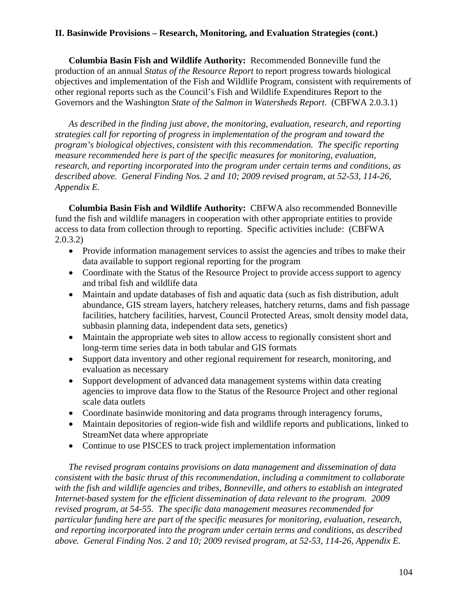**Columbia Basin Fish and Wildlife Authority:** Recommended Bonneville fund the production of an annual *Status of the Resource Report* to report progress towards biological objectives and implementation of the Fish and Wildlife Program, consistent with requirements of other regional reports such as the Council's Fish and Wildlife Expenditures Report to the Governors and the Washington *State of the Salmon in Watersheds Report*. (CBFWA 2.0.3.1)

 *As described in the finding just above, the monitoring, evaluation, research, and reporting strategies call for reporting of progress in implementation of the program and toward the program's biological objectives, consistent with this recommendation. The specific reporting measure recommended here is part of the specific measures for monitoring, evaluation, research, and reporting incorporated into the program under certain terms and conditions, as described above. General Finding Nos. 2 and 10; 2009 revised program, at 52-53, 114-26, Appendix E.*

**Columbia Basin Fish and Wildlife Authority:** CBFWA also recommended Bonneville fund the fish and wildlife managers in cooperation with other appropriate entities to provide access to data from collection through to reporting. Specific activities include: (CBFWA 2.0.3.2)

- Provide information management services to assist the agencies and tribes to make their data available to support regional reporting for the program
- Coordinate with the Status of the Resource Project to provide access support to agency and tribal fish and wildlife data
- Maintain and update databases of fish and aquatic data (such as fish distribution, adult abundance, GIS stream layers, hatchery releases, hatchery returns, dams and fish passage facilities, hatchery facilities, harvest, Council Protected Areas, smolt density model data, subbasin planning data, independent data sets, genetics)
- Maintain the appropriate web sites to allow access to regionally consistent short and long-term time series data in both tabular and GIS formats
- Support data inventory and other regional requirement for research, monitoring, and evaluation as necessary
- Support development of advanced data management systems within data creating agencies to improve data flow to the Status of the Resource Project and other regional scale data outlets
- Coordinate basinwide monitoring and data programs through interagency forums,
- Maintain depositories of region-wide fish and wildlife reports and publications, linked to StreamNet data where appropriate
- Continue to use PISCES to track project implementation information

*The revised program contains provisions on data management and dissemination of data consistent with the basic thrust of this recommendation, including a commitment to collaborate with the fish and wildlife agencies and tribes, Bonneville, and others to establish an integrated Internet-based system for the efficient dissemination of data relevant to the program. 2009 revised program, at 54-55. The specific data management measures recommended for particular funding here are part of the specific measures for monitoring, evaluation, research, and reporting incorporated into the program under certain terms and conditions, as described above. General Finding Nos. 2 and 10; 2009 revised program, at 52-53, 114-26, Appendix E.*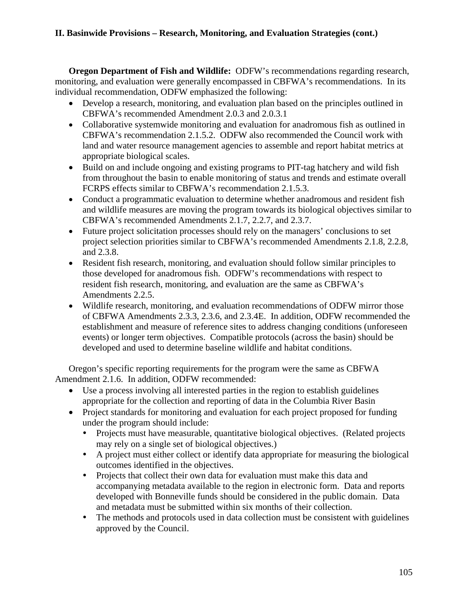**Oregon Department of Fish and Wildlife:** ODFW's recommendations regarding research, monitoring, and evaluation were generally encompassed in CBFWA's recommendations. In its individual recommendation, ODFW emphasized the following:

- Develop a research, monitoring, and evaluation plan based on the principles outlined in CBFWA's recommended Amendment 2.0.3 and 2.0.3.1
- Collaborative systemwide monitoring and evaluation for anadromous fish as outlined in CBFWA's recommendation 2.1.5.2. ODFW also recommended the Council work with land and water resource management agencies to assemble and report habitat metrics at appropriate biological scales.
- Build on and include ongoing and existing programs to PIT-tag hatchery and wild fish from throughout the basin to enable monitoring of status and trends and estimate overall FCRPS effects similar to CBFWA's recommendation 2.1.5.3.
- Conduct a programmatic evaluation to determine whether anadromous and resident fish and wildlife measures are moving the program towards its biological objectives similar to CBFWA's recommended Amendments 2.1.7, 2.2.7, and 2.3.7.
- Future project solicitation processes should rely on the managers' conclusions to set project selection priorities similar to CBFWA's recommended Amendments 2.1.8, 2.2.8, and 2.3.8.
- Resident fish research, monitoring, and evaluation should follow similar principles to those developed for anadromous fish. ODFW's recommendations with respect to resident fish research, monitoring, and evaluation are the same as CBFWA's Amendments 2.2.5.
- Wildlife research, monitoring, and evaluation recommendations of ODFW mirror those of CBFWA Amendments 2.3.3, 2.3.6, and 2.3.4E. In addition, ODFW recommended the establishment and measure of reference sites to address changing conditions (unforeseen events) or longer term objectives. Compatible protocols (across the basin) should be developed and used to determine baseline wildlife and habitat conditions.

 Oregon's specific reporting requirements for the program were the same as CBFWA Amendment 2.1.6. In addition, ODFW recommended:

- Use a process involving all interested parties in the region to establish guidelines appropriate for the collection and reporting of data in the Columbia River Basin
- Project standards for monitoring and evaluation for each project proposed for funding under the program should include:
	- Projects must have measurable, quantitative biological objectives. (Related projects may rely on a single set of biological objectives.)
	- A project must either collect or identify data appropriate for measuring the biological outcomes identified in the objectives.
	- Projects that collect their own data for evaluation must make this data and accompanying metadata available to the region in electronic form. Data and reports developed with Bonneville funds should be considered in the public domain. Data and metadata must be submitted within six months of their collection.
	- The methods and protocols used in data collection must be consistent with guidelines approved by the Council.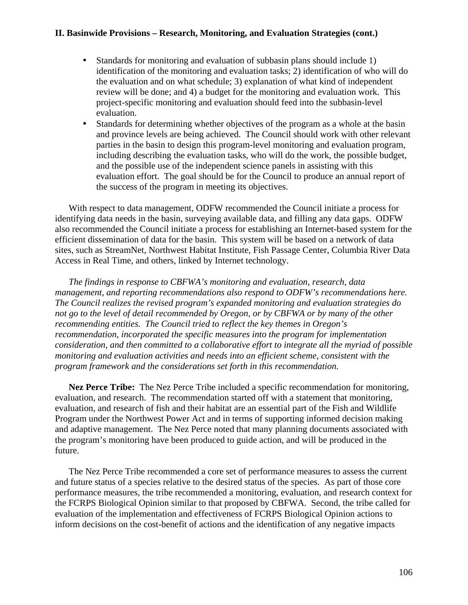- Standards for monitoring and evaluation of subbasin plans should include 1) identification of the monitoring and evaluation tasks; 2) identification of who will do the evaluation and on what schedule; 3) explanation of what kind of independent review will be done; and 4) a budget for the monitoring and evaluation work. This project-specific monitoring and evaluation should feed into the subbasin-level evaluation.
- Standards for determining whether objectives of the program as a whole at the basin and province levels are being achieved. The Council should work with other relevant parties in the basin to design this program-level monitoring and evaluation program, including describing the evaluation tasks, who will do the work, the possible budget, and the possible use of the independent science panels in assisting with this evaluation effort. The goal should be for the Council to produce an annual report of the success of the program in meeting its objectives.

 With respect to data management, ODFW recommended the Council initiate a process for identifying data needs in the basin, surveying available data, and filling any data gaps. ODFW also recommended the Council initiate a process for establishing an Internet-based system for the efficient dissemination of data for the basin. This system will be based on a network of data sites, such as StreamNet, Northwest Habitat Institute, Fish Passage Center, Columbia River Data Access in Real Time, and others, linked by Internet technology.

*The findings in response to CBFWA's monitoring and evaluation, research, data management, and reporting recommendations also respond to ODFW's recommendations here. The Council realizes the revised program's expanded monitoring and evaluation strategies do not go to the level of detail recommended by Oregon, or by CBFWA or by many of the other recommending entities. The Council tried to reflect the key themes in Oregon's recommendation, incorporated the specific measures into the program for implementation consideration, and then committed to a collaborative effort to integrate all the myriad of possible monitoring and evaluation activities and needs into an efficient scheme, consistent with the program framework and the considerations set forth in this recommendation.*

 **Nez Perce Tribe:** The Nez Perce Tribe included a specific recommendation for monitoring, evaluation, and research. The recommendation started off with a statement that monitoring, evaluation, and research of fish and their habitat are an essential part of the Fish and Wildlife Program under the Northwest Power Act and in terms of supporting informed decision making and adaptive management. The Nez Perce noted that many planning documents associated with the program's monitoring have been produced to guide action, and will be produced in the future.

 The Nez Perce Tribe recommended a core set of performance measures to assess the current and future status of a species relative to the desired status of the species. As part of those core performance measures, the tribe recommended a monitoring, evaluation, and research context for the FCRPS Biological Opinion similar to that proposed by CBFWA. Second, the tribe called for evaluation of the implementation and effectiveness of FCRPS Biological Opinion actions to inform decisions on the cost-benefit of actions and the identification of any negative impacts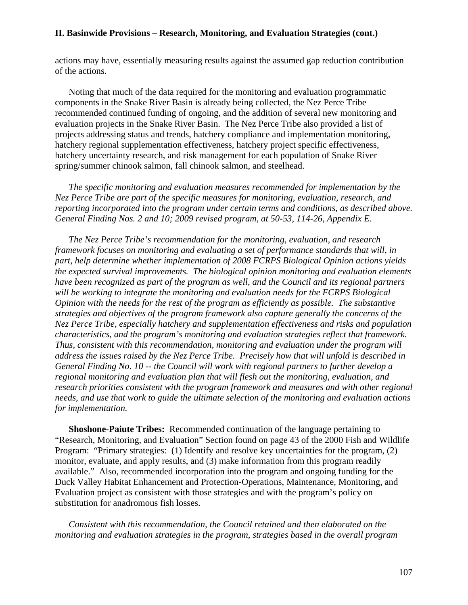actions may have, essentially measuring results against the assumed gap reduction contribution of the actions.

 Noting that much of the data required for the monitoring and evaluation programmatic components in the Snake River Basin is already being collected, the Nez Perce Tribe recommended continued funding of ongoing, and the addition of several new monitoring and evaluation projects in the Snake River Basin. The Nez Perce Tribe also provided a list of projects addressing status and trends, hatchery compliance and implementation monitoring, hatchery regional supplementation effectiveness, hatchery project specific effectiveness, hatchery uncertainty research, and risk management for each population of Snake River spring/summer chinook salmon, fall chinook salmon, and steelhead.

 *The specific monitoring and evaluation measures recommended for implementation by the Nez Perce Tribe are part of the specific measures for monitoring, evaluation, research, and reporting incorporated into the program under certain terms and conditions, as described above. General Finding Nos. 2 and 10; 2009 revised program, at 50-53, 114-26, Appendix E.* 

 *The Nez Perce Tribe's recommendation for the monitoring, evaluation, and research framework focuses on monitoring and evaluating a set of performance standards that will, in part, help determine whether implementation of 2008 FCRPS Biological Opinion actions yields the expected survival improvements. The biological opinion monitoring and evaluation elements have been recognized as part of the program as well, and the Council and its regional partners will be working to integrate the monitoring and evaluation needs for the FCRPS Biological Opinion with the needs for the rest of the program as efficiently as possible. The substantive strategies and objectives of the program framework also capture generally the concerns of the Nez Perce Tribe, especially hatchery and supplementation effectiveness and risks and population characteristics, and the program's monitoring and evaluation strategies reflect that framework. Thus, consistent with this recommendation, monitoring and evaluation under the program will address the issues raised by the Nez Perce Tribe. Precisely how that will unfold is described in General Finding No. 10 -- the Council will work with regional partners to further develop a regional monitoring and evaluation plan that will flesh out the monitoring, evaluation, and research priorities consistent with the program framework and measures and with other regional needs, and use that work to guide the ultimate selection of the monitoring and evaluation actions for implementation.* 

 **Shoshone-Paiute Tribes:** Recommended continuation of the language pertaining to "Research, Monitoring, and Evaluation" Section found on page 43 of the 2000 Fish and Wildlife Program: "Primary strategies: (1) Identify and resolve key uncertainties for the program, (2) monitor, evaluate, and apply results, and (3) make information from this program readily available." Also, recommended incorporation into the program and ongoing funding for the Duck Valley Habitat Enhancement and Protection-Operations, Maintenance, Monitoring, and Evaluation project as consistent with those strategies and with the program's policy on substitution for anadromous fish losses.

*Consistent with this recommendation, the Council retained and then elaborated on the monitoring and evaluation strategies in the program, strategies based in the overall program*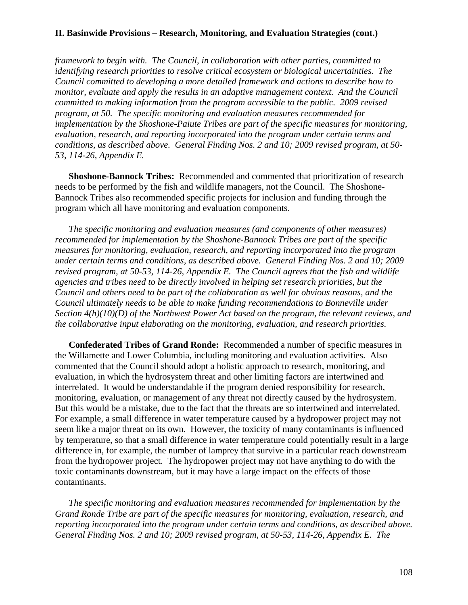*framework to begin with. The Council, in collaboration with other parties, committed to identifying research priorities to resolve critical ecosystem or biological uncertainties. The Council committed to developing a more detailed framework and actions to describe how to monitor, evaluate and apply the results in an adaptive management context. And the Council committed to making information from the program accessible to the public. 2009 revised program, at 50. The specific monitoring and evaluation measures recommended for implementation by the Shoshone-Paiute Tribes are part of the specific measures for monitoring, evaluation, research, and reporting incorporated into the program under certain terms and conditions, as described above. General Finding Nos. 2 and 10; 2009 revised program, at 50- 53, 114-26, Appendix E.* 

**Shoshone-Bannock Tribes:** Recommended and commented that prioritization of research needs to be performed by the fish and wildlife managers, not the Council. The Shoshone-Bannock Tribes also recommended specific projects for inclusion and funding through the program which all have monitoring and evaluation components.

*The specific monitoring and evaluation measures (and components of other measures) recommended for implementation by the Shoshone-Bannock Tribes are part of the specific measures for monitoring, evaluation, research, and reporting incorporated into the program under certain terms and conditions, as described above. General Finding Nos. 2 and 10; 2009 revised program, at 50-53, 114-26, Appendix E. The Council agrees that the fish and wildlife agencies and tribes need to be directly involved in helping set research priorities, but the Council and others need to be part of the collaboration as well for obvious reasons, and the Council ultimately needs to be able to make funding recommendations to Bonneville under Section 4(h)(10)(D) of the Northwest Power Act based on the program, the relevant reviews, and the collaborative input elaborating on the monitoring, evaluation, and research priorities.* 

**Confederated Tribes of Grand Ronde:** Recommended a number of specific measures in the Willamette and Lower Columbia, including monitoring and evaluation activities. Also commented that the Council should adopt a holistic approach to research, monitoring, and evaluation, in which the hydrosystem threat and other limiting factors are intertwined and interrelated. It would be understandable if the program denied responsibility for research, monitoring, evaluation, or management of any threat not directly caused by the hydrosystem. But this would be a mistake, due to the fact that the threats are so intertwined and interrelated. For example, a small difference in water temperature caused by a hydropower project may not seem like a major threat on its own. However, the toxicity of many contaminants is influenced by temperature, so that a small difference in water temperature could potentially result in a large difference in, for example, the number of lamprey that survive in a particular reach downstream from the hydropower project. The hydropower project may not have anything to do with the toxic contaminants downstream, but it may have a large impact on the effects of those contaminants.

 *The specific monitoring and evaluation measures recommended for implementation by the Grand Ronde Tribe are part of the specific measures for monitoring, evaluation, research, and reporting incorporated into the program under certain terms and conditions, as described above. General Finding Nos. 2 and 10; 2009 revised program, at 50-53, 114-26, Appendix E. The*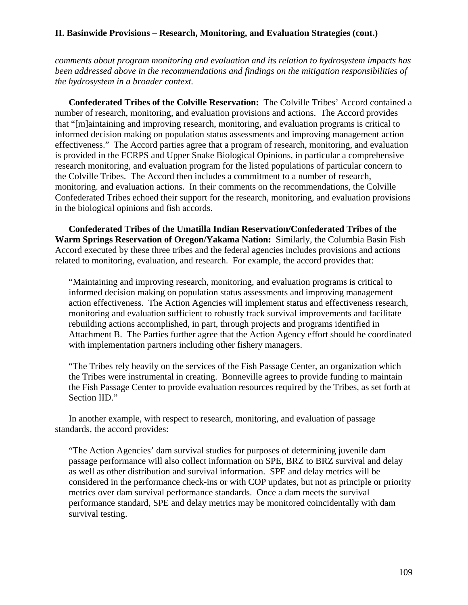*comments about program monitoring and evaluation and its relation to hydrosystem impacts has been addressed above in the recommendations and findings on the mitigation responsibilities of the hydrosystem in a broader context.*

**Confederated Tribes of the Colville Reservation:** The Colville Tribes' Accord contained a number of research, monitoring, and evaluation provisions and actions. The Accord provides that "[m]aintaining and improving research, monitoring, and evaluation programs is critical to informed decision making on population status assessments and improving management action effectiveness." The Accord parties agree that a program of research, monitoring, and evaluation is provided in the FCRPS and Upper Snake Biological Opinions, in particular a comprehensive research monitoring, and evaluation program for the listed populations of particular concern to the Colville Tribes. The Accord then includes a commitment to a number of research, monitoring. and evaluation actions. In their comments on the recommendations, the Colville Confederated Tribes echoed their support for the research, monitoring, and evaluation provisions in the biological opinions and fish accords.

**Confederated Tribes of the Umatilla Indian Reservation/Confederated Tribes of the Warm Springs Reservation of Oregon/Yakama Nation:** Similarly, the Columbia Basin Fish Accord executed by these three tribes and the federal agencies includes provisions and actions related to monitoring, evaluation, and research. For example, the accord provides that:

"Maintaining and improving research, monitoring, and evaluation programs is critical to informed decision making on population status assessments and improving management action effectiveness. The Action Agencies will implement status and effectiveness research, monitoring and evaluation sufficient to robustly track survival improvements and facilitate rebuilding actions accomplished, in part, through projects and programs identified in Attachment B. The Parties further agree that the Action Agency effort should be coordinated with implementation partners including other fishery managers.

"The Tribes rely heavily on the services of the Fish Passage Center, an organization which the Tribes were instrumental in creating. Bonneville agrees to provide funding to maintain the Fish Passage Center to provide evaluation resources required by the Tribes, as set forth at Section IID."

 In another example, with respect to research, monitoring, and evaluation of passage standards, the accord provides:

"The Action Agencies' dam survival studies for purposes of determining juvenile dam passage performance will also collect information on SPE, BRZ to BRZ survival and delay as well as other distribution and survival information. SPE and delay metrics will be considered in the performance check-ins or with COP updates, but not as principle or priority metrics over dam survival performance standards. Once a dam meets the survival performance standard, SPE and delay metrics may be monitored coincidentally with dam survival testing.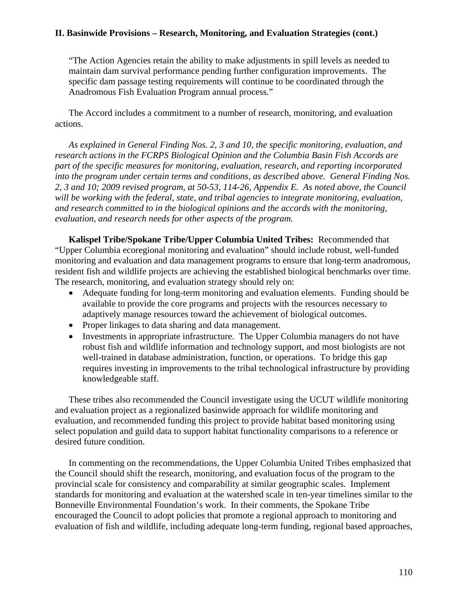"The Action Agencies retain the ability to make adjustments in spill levels as needed to maintain dam survival performance pending further configuration improvements. The specific dam passage testing requirements will continue to be coordinated through the Anadromous Fish Evaluation Program annual process."

 The Accord includes a commitment to a number of research, monitoring, and evaluation actions.

*As explained in General Finding Nos. 2, 3 and 10, the specific monitoring, evaluation, and research actions in the FCRPS Biological Opinion and the Columbia Basin Fish Accords are part of the specific measures for monitoring, evaluation, research, and reporting incorporated into the program under certain terms and conditions, as described above. General Finding Nos. 2, 3 and 10; 2009 revised program, at 50-53, 114-26, Appendix E. As noted above, the Council will be working with the federal, state, and tribal agencies to integrate monitoring, evaluation, and research committed to in the biological opinions and the accords with the monitoring, evaluation, and research needs for other aspects of the program.* 

 **Kalispel Tribe/Spokane Tribe/Upper Columbia United Tribes:** Recommended that "Upper Columbia ecoregional monitoring and evaluation" should include robust, well-funded monitoring and evaluation and data management programs to ensure that long-term anadromous, resident fish and wildlife projects are achieving the established biological benchmarks over time. The research, monitoring, and evaluation strategy should rely on:

- Adequate funding for long-term monitoring and evaluation elements. Funding should be available to provide the core programs and projects with the resources necessary to adaptively manage resources toward the achievement of biological outcomes.
- Proper linkages to data sharing and data management.
- Investments in appropriate infrastructure. The Upper Columbia managers do not have robust fish and wildlife information and technology support, and most biologists are not well-trained in database administration, function, or operations. To bridge this gap requires investing in improvements to the tribal technological infrastructure by providing knowledgeable staff.

 These tribes also recommended the Council investigate using the UCUT wildlife monitoring and evaluation project as a regionalized basinwide approach for wildlife monitoring and evaluation, and recommended funding this project to provide habitat based monitoring using select population and guild data to support habitat functionality comparisons to a reference or desired future condition.

 In commenting on the recommendations, the Upper Columbia United Tribes emphasized that the Council should shift the research, monitoring, and evaluation focus of the program to the provincial scale for consistency and comparability at similar geographic scales. Implement standards for monitoring and evaluation at the watershed scale in ten-year timelines similar to the Bonneville Environmental Foundation's work. In their comments, the Spokane Tribe encouraged the Council to adopt policies that promote a regional approach to monitoring and evaluation of fish and wildlife, including adequate long-term funding, regional based approaches,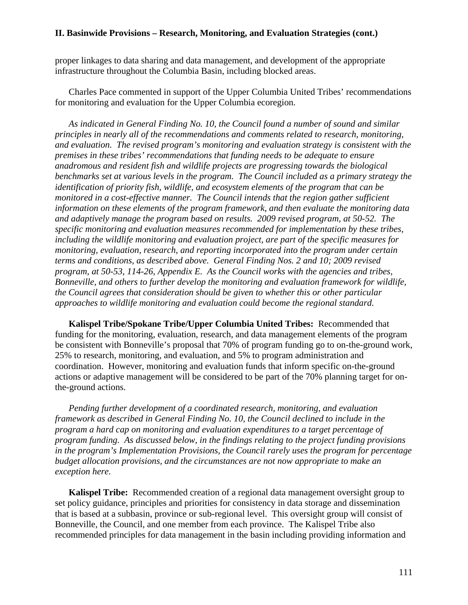proper linkages to data sharing and data management, and development of the appropriate infrastructure throughout the Columbia Basin, including blocked areas.

 Charles Pace commented in support of the Upper Columbia United Tribes' recommendations for monitoring and evaluation for the Upper Columbia ecoregion.

*As indicated in General Finding No. 10, the Council found a number of sound and similar principles in nearly all of the recommendations and comments related to research, monitoring, and evaluation. The revised program's monitoring and evaluation strategy is consistent with the premises in these tribes' recommendations that funding needs to be adequate to ensure anadromous and resident fish and wildlife projects are progressing towards the biological benchmarks set at various levels in the program. The Council included as a primary strategy the identification of priority fish, wildlife, and ecosystem elements of the program that can be monitored in a cost-effective manner. The Council intends that the region gather sufficient information on these elements of the program framework, and then evaluate the monitoring data and adaptively manage the program based on results. 2009 revised program, at 50-52. The specific monitoring and evaluation measures recommended for implementation by these tribes, including the wildlife monitoring and evaluation project, are part of the specific measures for monitoring, evaluation, research, and reporting incorporated into the program under certain terms and conditions, as described above. General Finding Nos. 2 and 10; 2009 revised program, at 50-53, 114-26, Appendix E. As the Council works with the agencies and tribes, Bonneville, and others to further develop the monitoring and evaluation framework for wildlife, the Council agrees that consideration should be given to whether this or other particular approaches to wildlife monitoring and evaluation could become the regional standard.* 

**Kalispel Tribe/Spokane Tribe/Upper Columbia United Tribes:** Recommended that funding for the monitoring, evaluation, research, and data management elements of the program be consistent with Bonneville's proposal that 70% of program funding go to on-the-ground work, 25% to research, monitoring, and evaluation, and 5% to program administration and coordination. However, monitoring and evaluation funds that inform specific on-the-ground actions or adaptive management will be considered to be part of the 70% planning target for onthe-ground actions.

*Pending further development of a coordinated research, monitoring, and evaluation framework as described in General Finding No. 10, the Council declined to include in the program a hard cap on monitoring and evaluation expenditures to a target percentage of program funding. As discussed below, in the findings relating to the project funding provisions in the program's Implementation Provisions, the Council rarely uses the program for percentage budget allocation provisions, and the circumstances are not now appropriate to make an exception here.* 

**Kalispel Tribe:** Recommended creation of a regional data management oversight group to set policy guidance, principles and priorities for consistency in data storage and dissemination that is based at a subbasin, province or sub-regional level. This oversight group will consist of Bonneville, the Council, and one member from each province. The Kalispel Tribe also recommended principles for data management in the basin including providing information and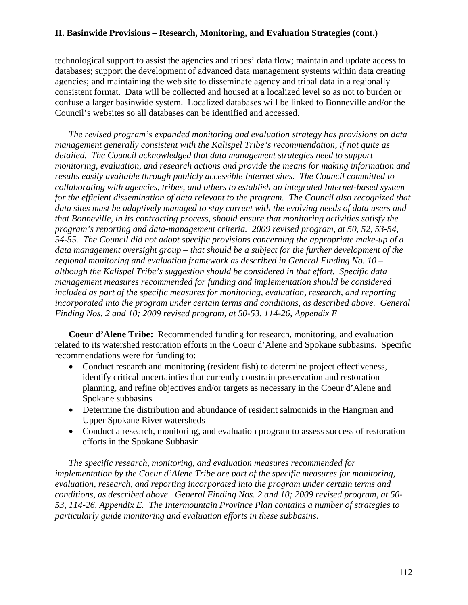technological support to assist the agencies and tribes' data flow; maintain and update access to databases; support the development of advanced data management systems within data creating agencies; and maintaining the web site to disseminate agency and tribal data in a regionally consistent format. Data will be collected and housed at a localized level so as not to burden or confuse a larger basinwide system. Localized databases will be linked to Bonneville and/or the Council's websites so all databases can be identified and accessed.

*The revised program's expanded monitoring and evaluation strategy has provisions on data management generally consistent with the Kalispel Tribe's recommendation, if not quite as detailed. The Council acknowledged that data management strategies need to support monitoring, evaluation, and research actions and provide the means for making information and results easily available through publicly accessible Internet sites. The Council committed to collaborating with agencies, tribes, and others to establish an integrated Internet-based system for the efficient dissemination of data relevant to the program. The Council also recognized that data sites must be adaptively managed to stay current with the evolving needs of data users and that Bonneville, in its contracting process, should ensure that monitoring activities satisfy the program's reporting and data-management criteria. 2009 revised program, at 50, 52, 53-54, 54-55. The Council did not adopt specific provisions concerning the appropriate make-up of a data management oversight group – that should be a subject for the further development of the regional monitoring and evaluation framework as described in General Finding No. 10 – although the Kalispel Tribe's suggestion should be considered in that effort. Specific data management measures recommended for funding and implementation should be considered included as part of the specific measures for monitoring, evaluation, research, and reporting incorporated into the program under certain terms and conditions, as described above. General Finding Nos. 2 and 10; 2009 revised program, at 50-53, 114-26, Appendix E* 

**Coeur d'Alene Tribe:** Recommended funding for research, monitoring, and evaluation related to its watershed restoration efforts in the Coeur d'Alene and Spokane subbasins. Specific recommendations were for funding to:

- Conduct research and monitoring (resident fish) to determine project effectiveness, identify critical uncertainties that currently constrain preservation and restoration planning, and refine objectives and/or targets as necessary in the Coeur d'Alene and Spokane subbasins
- Determine the distribution and abundance of resident salmonids in the Hangman and Upper Spokane River watersheds
- Conduct a research, monitoring, and evaluation program to assess success of restoration efforts in the Spokane Subbasin

*The specific research, monitoring, and evaluation measures recommended for implementation by the Coeur d'Alene Tribe are part of the specific measures for monitoring, evaluation, research, and reporting incorporated into the program under certain terms and conditions, as described above. General Finding Nos. 2 and 10; 2009 revised program, at 50- 53, 114-26, Appendix E. The Intermountain Province Plan contains a number of strategies to particularly guide monitoring and evaluation efforts in these subbasins.*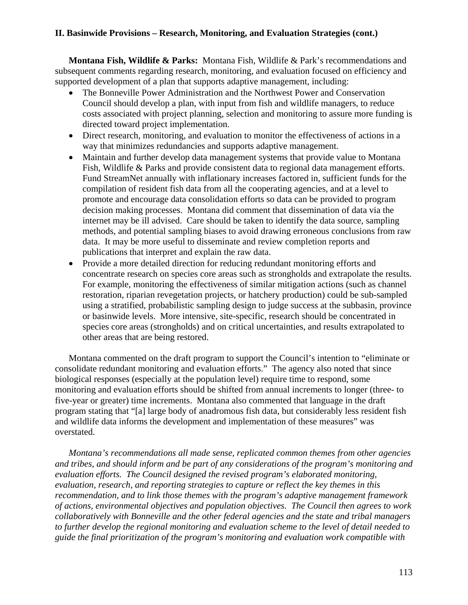**Montana Fish, Wildlife & Parks:** Montana Fish, Wildlife & Park's recommendations and subsequent comments regarding research, monitoring, and evaluation focused on efficiency and supported development of a plan that supports adaptive management, including:

- The Bonneville Power Administration and the Northwest Power and Conservation Council should develop a plan, with input from fish and wildlife managers, to reduce costs associated with project planning, selection and monitoring to assure more funding is directed toward project implementation.
- Direct research, monitoring, and evaluation to monitor the effectiveness of actions in a way that minimizes redundancies and supports adaptive management.
- Maintain and further develop data management systems that provide value to Montana Fish, Wildlife & Parks and provide consistent data to regional data management efforts. Fund StreamNet annually with inflationary increases factored in, sufficient funds for the compilation of resident fish data from all the cooperating agencies, and at a level to promote and encourage data consolidation efforts so data can be provided to program decision making processes. Montana did comment that dissemination of data via the internet may be ill advised. Care should be taken to identify the data source, sampling methods, and potential sampling biases to avoid drawing erroneous conclusions from raw data. It may be more useful to disseminate and review completion reports and publications that interpret and explain the raw data.
- Provide a more detailed direction for reducing redundant monitoring efforts and concentrate research on species core areas such as strongholds and extrapolate the results. For example, monitoring the effectiveness of similar mitigation actions (such as channel restoration, riparian revegetation projects, or hatchery production) could be sub-sampled using a stratified, probabilistic sampling design to judge success at the subbasin, province or basinwide levels. More intensive, site-specific, research should be concentrated in species core areas (strongholds) and on critical uncertainties, and results extrapolated to other areas that are being restored.

 Montana commented on the draft program to support the Council's intention to "eliminate or consolidate redundant monitoring and evaluation efforts." The agency also noted that since biological responses (especially at the population level) require time to respond, some monitoring and evaluation efforts should be shifted from annual increments to longer (three- to five-year or greater) time increments. Montana also commented that language in the draft program stating that "[a] large body of anadromous fish data, but considerably less resident fish and wildlife data informs the development and implementation of these measures" was overstated.

 *Montana's recommendations all made sense, replicated common themes from other agencies and tribes, and should inform and be part of any considerations of the program's monitoring and evaluation efforts. The Council designed the revised program's elaborated monitoring, evaluation, research, and reporting strategies to capture or reflect the key themes in this recommendation, and to link those themes with the program's adaptive management framework of actions, environmental objectives and population objectives. The Council then agrees to work collaboratively with Bonneville and the other federal agencies and the state and tribal managers to further develop the regional monitoring and evaluation scheme to the level of detail needed to guide the final prioritization of the program's monitoring and evaluation work compatible with*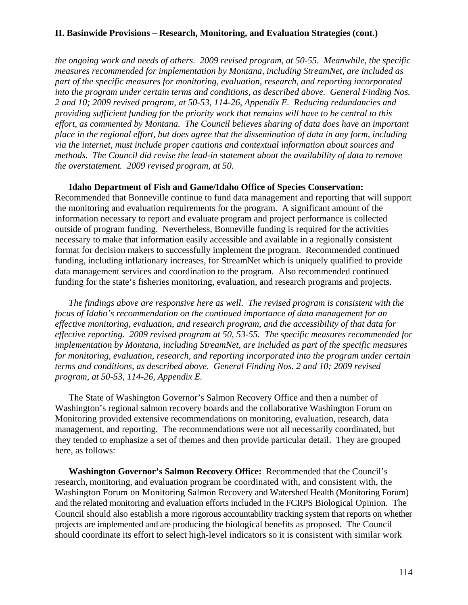*the ongoing work and needs of others. 2009 revised program, at 50-55. Meanwhile, the specific measures recommended for implementation by Montana, including StreamNet, are included as part of the specific measures for monitoring, evaluation, research, and reporting incorporated into the program under certain terms and conditions, as described above. General Finding Nos. 2 and 10; 2009 revised program, at 50-53, 114-26, Appendix E. Reducing redundancies and providing sufficient funding for the priority work that remains will have to be central to this effort, as commented by Montana. The Council believes sharing of data does have an important place in the regional effort, but does agree that the dissemination of data in any form, including via the internet, must include proper cautions and contextual information about sources and methods. The Council did revise the lead-in statement about the availability of data to remove the overstatement. 2009 revised program, at 50.* 

#### **Idaho Department of Fish and Game/Idaho Office of Species Conservation:**

Recommended that Bonneville continue to fund data management and reporting that will support the monitoring and evaluation requirements for the program. A significant amount of the information necessary to report and evaluate program and project performance is collected outside of program funding. Nevertheless, Bonneville funding is required for the activities necessary to make that information easily accessible and available in a regionally consistent format for decision makers to successfully implement the program. Recommended continued funding, including inflationary increases, for StreamNet which is uniquely qualified to provide data management services and coordination to the program. Also recommended continued funding for the state's fisheries monitoring, evaluation, and research programs and projects.

*The findings above are responsive here as well. The revised program is consistent with the focus of Idaho's recommendation on the continued importance of data management for an effective monitoring, evaluation, and research program, and the accessibility of that data for effective reporting. 2009 revised program at 50, 53-55. The specific measures recommended for implementation by Montana, including StreamNet, are included as part of the specific measures for monitoring, evaluation, research, and reporting incorporated into the program under certain terms and conditions, as described above. General Finding Nos. 2 and 10; 2009 revised program, at 50-53, 114-26, Appendix E.* 

 The State of Washington Governor's Salmon Recovery Office and then a number of Washington's regional salmon recovery boards and the collaborative Washington Forum on Monitoring provided extensive recommendations on monitoring, evaluation, research, data management, and reporting. The recommendations were not all necessarily coordinated, but they tended to emphasize a set of themes and then provide particular detail. They are grouped here, as follows:

**Washington Governor's Salmon Recovery Office:** Recommended that the Council's research, monitoring, and evaluation program be coordinated with, and consistent with, the Washington Forum on Monitoring Salmon Recovery and Watershed Health (Monitoring Forum) and the related monitoring and evaluation efforts included in the FCRPS Biological Opinion. The Council should also establish a more rigorous accountability tracking system that reports on whether projects are implemented and are producing the biological benefits as proposed. The Council should coordinate its effort to select high-level indicators so it is consistent with similar work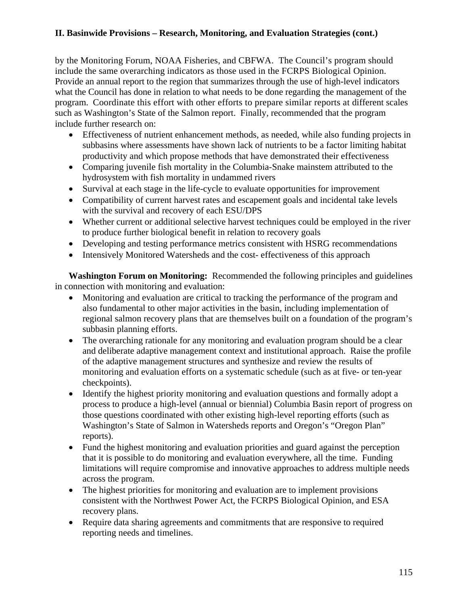by the Monitoring Forum, NOAA Fisheries, and CBFWA. The Council's program should include the same overarching indicators as those used in the FCRPS Biological Opinion. Provide an annual report to the region that summarizes through the use of high-level indicators what the Council has done in relation to what needs to be done regarding the management of the program. Coordinate this effort with other efforts to prepare similar reports at different scales such as Washington's State of the Salmon report. Finally, recommended that the program include further research on:

- Effectiveness of nutrient enhancement methods, as needed, while also funding projects in subbasins where assessments have shown lack of nutrients to be a factor limiting habitat productivity and which propose methods that have demonstrated their effectiveness
- Comparing juvenile fish mortality in the Columbia-Snake mainstem attributed to the hydrosystem with fish mortality in undammed rivers
- Survival at each stage in the life-cycle to evaluate opportunities for improvement
- Compatibility of current harvest rates and escapement goals and incidental take levels with the survival and recovery of each ESU/DPS
- Whether current or additional selective harvest techniques could be employed in the river to produce further biological benefit in relation to recovery goals
- Developing and testing performance metrics consistent with HSRG recommendations
- Intensively Monitored Watersheds and the cost- effectiveness of this approach

 **Washington Forum on Monitoring:** Recommended the following principles and guidelines in connection with monitoring and evaluation:

- Monitoring and evaluation are critical to tracking the performance of the program and also fundamental to other major activities in the basin, including implementation of regional salmon recovery plans that are themselves built on a foundation of the program's subbasin planning efforts.
- The overarching rationale for any monitoring and evaluation program should be a clear and deliberate adaptive management context and institutional approach. Raise the profile of the adaptive management structures and synthesize and review the results of monitoring and evaluation efforts on a systematic schedule (such as at five- or ten-year checkpoints).
- Identify the highest priority monitoring and evaluation questions and formally adopt a process to produce a high-level (annual or biennial) Columbia Basin report of progress on those questions coordinated with other existing high-level reporting efforts (such as Washington's State of Salmon in Watersheds reports and Oregon's "Oregon Plan" reports).
- Fund the highest monitoring and evaluation priorities and guard against the perception that it is possible to do monitoring and evaluation everywhere, all the time. Funding limitations will require compromise and innovative approaches to address multiple needs across the program.
- The highest priorities for monitoring and evaluation are to implement provisions consistent with the Northwest Power Act, the FCRPS Biological Opinion, and ESA recovery plans.
- Require data sharing agreements and commitments that are responsive to required reporting needs and timelines.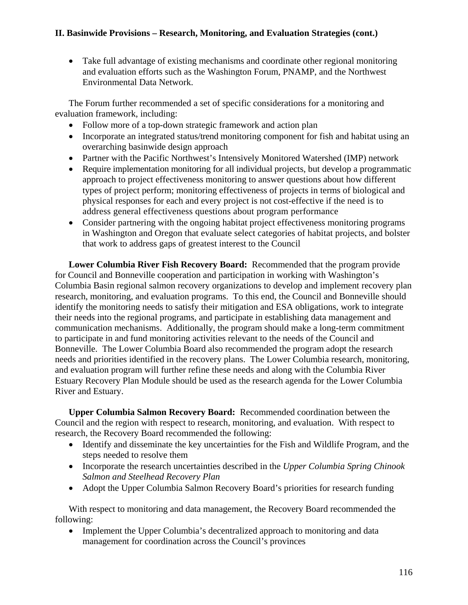• Take full advantage of existing mechanisms and coordinate other regional monitoring and evaluation efforts such as the Washington Forum, PNAMP, and the Northwest Environmental Data Network.

 The Forum further recommended a set of specific considerations for a monitoring and evaluation framework, including:

- Follow more of a top-down strategic framework and action plan
- Incorporate an integrated status/trend monitoring component for fish and habitat using an overarching basinwide design approach
- Partner with the Pacific Northwest's Intensively Monitored Watershed (IMP) network
- Require implementation monitoring for all individual projects, but develop a programmatic approach to project effectiveness monitoring to answer questions about how different types of project perform; monitoring effectiveness of projects in terms of biological and physical responses for each and every project is not cost-effective if the need is to address general effectiveness questions about program performance
- Consider partnering with the ongoing habitat project effectiveness monitoring programs in Washington and Oregon that evaluate select categories of habitat projects, and bolster that work to address gaps of greatest interest to the Council

**Lower Columbia River Fish Recovery Board:** Recommended that the program provide for Council and Bonneville cooperation and participation in working with Washington's Columbia Basin regional salmon recovery organizations to develop and implement recovery plan research, monitoring, and evaluation programs. To this end, the Council and Bonneville should identify the monitoring needs to satisfy their mitigation and ESA obligations, work to integrate their needs into the regional programs, and participate in establishing data management and communication mechanisms. Additionally, the program should make a long-term commitment to participate in and fund monitoring activities relevant to the needs of the Council and Bonneville. The Lower Columbia Board also recommended the program adopt the research needs and priorities identified in the recovery plans. The Lower Columbia research, monitoring, and evaluation program will further refine these needs and along with the Columbia River Estuary Recovery Plan Module should be used as the research agenda for the Lower Columbia River and Estuary.

**Upper Columbia Salmon Recovery Board:** Recommended coordination between the Council and the region with respect to research, monitoring, and evaluation. With respect to research, the Recovery Board recommended the following:

- Identify and disseminate the key uncertainties for the Fish and Wildlife Program, and the steps needed to resolve them
- Incorporate the research uncertainties described in the *Upper Columbia Spring Chinook Salmon and Steelhead Recovery Plan*
- Adopt the Upper Columbia Salmon Recovery Board's priorities for research funding

 With respect to monitoring and data management, the Recovery Board recommended the following:

• Implement the Upper Columbia's decentralized approach to monitoring and data management for coordination across the Council's provinces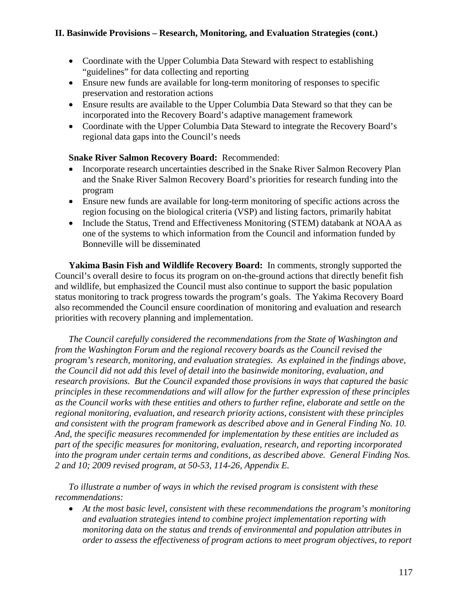- Coordinate with the Upper Columbia Data Steward with respect to establishing "guidelines" for data collecting and reporting
- Ensure new funds are available for long-term monitoring of responses to specific preservation and restoration actions
- Ensure results are available to the Upper Columbia Data Steward so that they can be incorporated into the Recovery Board's adaptive management framework
- Coordinate with the Upper Columbia Data Steward to integrate the Recovery Board's regional data gaps into the Council's needs

# **Snake River Salmon Recovery Board:** Recommended:

- Incorporate research uncertainties described in the Snake River Salmon Recovery Plan and the Snake River Salmon Recovery Board's priorities for research funding into the program
- Ensure new funds are available for long-term monitoring of specific actions across the region focusing on the biological criteria (VSP) and listing factors, primarily habitat
- Include the Status, Trend and Effectiveness Monitoring (STEM) databank at NOAA as one of the systems to which information from the Council and information funded by Bonneville will be disseminated

**Yakima Basin Fish and Wildlife Recovery Board:** In comments, strongly supported the Council's overall desire to focus its program on on-the-ground actions that directly benefit fish and wildlife, but emphasized the Council must also continue to support the basic population status monitoring to track progress towards the program's goals. The Yakima Recovery Board also recommended the Council ensure coordination of monitoring and evaluation and research priorities with recovery planning and implementation.

 *The Council carefully considered the recommendations from the State of Washington and from the Washington Forum and the regional recovery boards as the Council revised the program's research, monitoring, and evaluation strategies. As explained in the findings above, the Council did not add this level of detail into the basinwide monitoring, evaluation, and research provisions. But the Council expanded those provisions in ways that captured the basic principles in these recommendations and will allow for the further expression of these principles as the Council works with these entities and others to further refine, elaborate and settle on the regional monitoring, evaluation, and research priority actions, consistent with these principles and consistent with the program framework as described above and in General Finding No. 10. And, the specific measures recommended for implementation by these entities are included as part of the specific measures for monitoring, evaluation, research, and reporting incorporated into the program under certain terms and conditions, as described above. General Finding Nos. 2 and 10; 2009 revised program, at 50-53, 114-26, Appendix E.* 

 *To illustrate a number of ways in which the revised program is consistent with these recommendations:* 

• *At the most basic level, consistent with these recommendations the program's monitoring and evaluation strategies intend to combine project implementation reporting with monitoring data on the status and trends of environmental and population attributes in order to assess the effectiveness of program actions to meet program objectives, to report*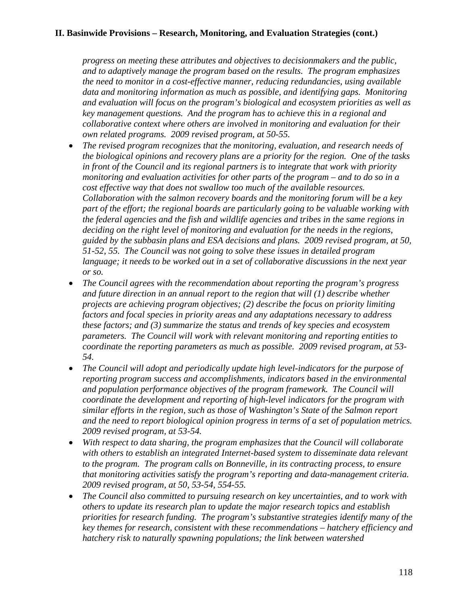*progress on meeting these attributes and objectives to decisionmakers and the public, and to adaptively manage the program based on the results. The program emphasizes the need to monitor in a cost-effective manner, reducing redundancies, using available data and monitoring information as much as possible, and identifying gaps. Monitoring and evaluation will focus on the program's biological and ecosystem priorities as well as key management questions. And the program has to achieve this in a regional and collaborative context where others are involved in monitoring and evaluation for their own related programs. 2009 revised program, at 50-55.* 

- *The revised program recognizes that the monitoring, evaluation, and research needs of the biological opinions and recovery plans are a priority for the region. One of the tasks in front of the Council and its regional partners is to integrate that work with priority monitoring and evaluation activities for other parts of the program – and to do so in a cost effective way that does not swallow too much of the available resources. Collaboration with the salmon recovery boards and the monitoring forum will be a key part of the effort; the regional boards are particularly going to be valuable working with the federal agencies and the fish and wildlife agencies and tribes in the same regions in deciding on the right level of monitoring and evaluation for the needs in the regions, guided by the subbasin plans and ESA decisions and plans. 2009 revised program, at 50, 51-52, 55. The Council was not going to solve these issues in detailed program language; it needs to be worked out in a set of collaborative discussions in the next year or so.*
- *The Council agrees with the recommendation about reporting the program's progress and future direction in an annual report to the region that will (1) describe whether projects are achieving program objectives; (2) describe the focus on priority limiting factors and focal species in priority areas and any adaptations necessary to address these factors; and (3) summarize the status and trends of key species and ecosystem parameters. The Council will work with relevant monitoring and reporting entities to coordinate the reporting parameters as much as possible. 2009 revised program, at 53- 54.*
- *The Council will adopt and periodically update high level-indicators for the purpose of reporting program success and accomplishments, indicators based in the environmental and population performance objectives of the program framework. The Council will coordinate the development and reporting of high-level indicators for the program with similar efforts in the region, such as those of Washington's State of the Salmon report and the need to report biological opinion progress in terms of a set of population metrics. 2009 revised program, at 53-54.*
- *With respect to data sharing, the program emphasizes that the Council will collaborate with others to establish an integrated Internet-based system to disseminate data relevant to the program. The program calls on Bonneville, in its contracting process, to ensure that monitoring activities satisfy the program's reporting and data-management criteria. 2009 revised program, at 50, 53-54, 554-55.*
- *The Council also committed to pursuing research on key uncertainties, and to work with others to update its research plan to update the major research topics and establish priorities for research funding. The program's substantive strategies identify many of the key themes for research, consistent with these recommendations – hatchery efficiency and hatchery risk to naturally spawning populations; the link between watershed*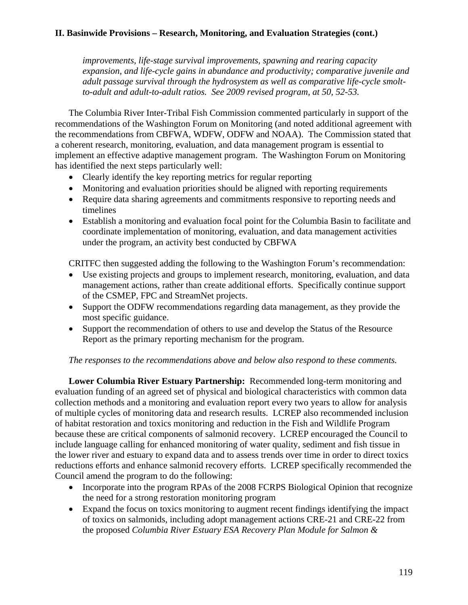*improvements, life-stage survival improvements, spawning and rearing capacity expansion, and life-cycle gains in abundance and productivity; comparative juvenile and adult passage survival through the hydrosystem as well as comparative life-cycle smoltto-adult and adult-to-adult ratios. See 2009 revised program, at 50, 52-53.* 

 The Columbia River Inter-Tribal Fish Commission commented particularly in support of the recommendations of the Washington Forum on Monitoring (and noted additional agreement with the recommendations from CBFWA, WDFW, ODFW and NOAA). The Commission stated that a coherent research, monitoring, evaluation, and data management program is essential to implement an effective adaptive management program. The Washington Forum on Monitoring has identified the next steps particularly well:

- Clearly identify the key reporting metrics for regular reporting
- Monitoring and evaluation priorities should be aligned with reporting requirements
- Require data sharing agreements and commitments responsive to reporting needs and timelines
- Establish a monitoring and evaluation focal point for the Columbia Basin to facilitate and coordinate implementation of monitoring, evaluation, and data management activities under the program, an activity best conducted by CBFWA

CRITFC then suggested adding the following to the Washington Forum's recommendation:

- Use existing projects and groups to implement research, monitoring, evaluation, and data management actions, rather than create additional efforts. Specifically continue support of the CSMEP, FPC and StreamNet projects.
- Support the ODFW recommendations regarding data management, as they provide the most specific guidance.
- Support the recommendation of others to use and develop the Status of the Resource Report as the primary reporting mechanism for the program.

# *The responses to the recommendations above and below also respond to these comments.*

**Lower Columbia River Estuary Partnership:** Recommended long-term monitoring and evaluation funding of an agreed set of physical and biological characteristics with common data collection methods and a monitoring and evaluation report every two years to allow for analysis of multiple cycles of monitoring data and research results. LCREP also recommended inclusion of habitat restoration and toxics monitoring and reduction in the Fish and Wildlife Program because these are critical components of salmonid recovery. LCREP encouraged the Council to include language calling for enhanced monitoring of water quality, sediment and fish tissue in the lower river and estuary to expand data and to assess trends over time in order to direct toxics reductions efforts and enhance salmonid recovery efforts. LCREP specifically recommended the Council amend the program to do the following:

- Incorporate into the program RPAs of the 2008 FCRPS Biological Opinion that recognize the need for a strong restoration monitoring program
- Expand the focus on toxics monitoring to augment recent findings identifying the impact of toxics on salmonids, including adopt management actions CRE-21 and CRE-22 from the proposed *Columbia River Estuary ESA Recovery Plan Module for Salmon &*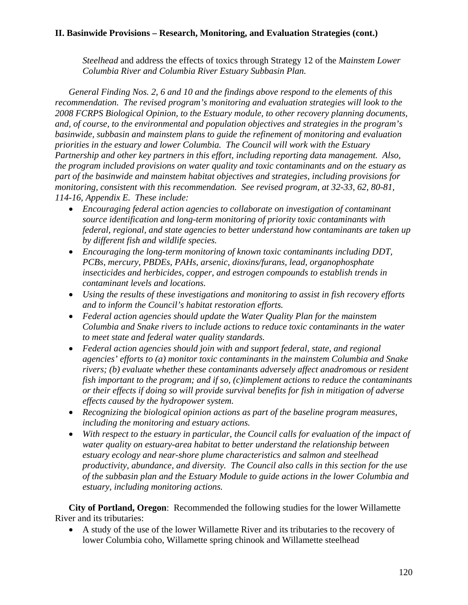*Steelhead* and address the effects of toxics through Strategy 12 of the *Mainstem Lower Columbia River and Columbia River Estuary Subbasin Plan.*

*General Finding Nos. 2, 6 and 10 and the findings above respond to the elements of this recommendation. The revised program's monitoring and evaluation strategies will look to the 2008 FCRPS Biological Opinion, to the Estuary module, to other recovery planning documents, and, of course, to the environmental and population objectives and strategies in the program's basinwide, subbasin and mainstem plans to guide the refinement of monitoring and evaluation priorities in the estuary and lower Columbia. The Council will work with the Estuary Partnership and other key partners in this effort, including reporting data management. Also, the program included provisions on water quality and toxic contaminants and on the estuary as part of the basinwide and mainstem habitat objectives and strategies, including provisions for monitoring, consistent with this recommendation. See revised program, at 32-33, 62, 80-81, 114-16, Appendix E. These include:* 

- *Encouraging federal action agencies to collaborate on investigation of contaminant source identification and long-term monitoring of priority toxic contaminants with federal, regional, and state agencies to better understand how contaminants are taken up by different fish and wildlife species.*
- *Encouraging the long-term monitoring of known toxic contaminants including DDT, PCBs, mercury, PBDEs, PAHs, arsenic, dioxins/furans, lead, organophosphate insecticides and herbicides, copper, and estrogen compounds to establish trends in contaminant levels and locations.*
- *Using the results of these investigations and monitoring to assist in fish recovery efforts and to inform the Council's habitat restoration efforts.*
- *Federal action agencies should update the Water Quality Plan for the mainstem Columbia and Snake rivers to include actions to reduce toxic contaminants in the water to meet state and federal water quality standards.*
- *Federal action agencies should join with and support federal, state, and regional agencies' efforts to (a) monitor toxic contaminants in the mainstem Columbia and Snake rivers; (b) evaluate whether these contaminants adversely affect anadromous or resident fish important to the program; and if so, (c)implement actions to reduce the contaminants or their effects if doing so will provide survival benefits for fish in mitigation of adverse effects caused by the hydropower system.*
- *Recognizing the biological opinion actions as part of the baseline program measures, including the monitoring and estuary actions.*
- With respect to the estuary in particular, the Council calls for evaluation of the impact of *water quality on estuary-area habitat to better understand the relationship between estuary ecology and near-shore plume characteristics and salmon and steelhead productivity, abundance, and diversity. The Council also calls in this section for the use of the subbasin plan and the Estuary Module to guide actions in the lower Columbia and estuary, including monitoring actions.*

**City of Portland, Oregon**: Recommended the following studies for the lower Willamette River and its tributaries:

• A study of the use of the lower Willamette River and its tributaries to the recovery of lower Columbia coho, Willamette spring chinook and Willamette steelhead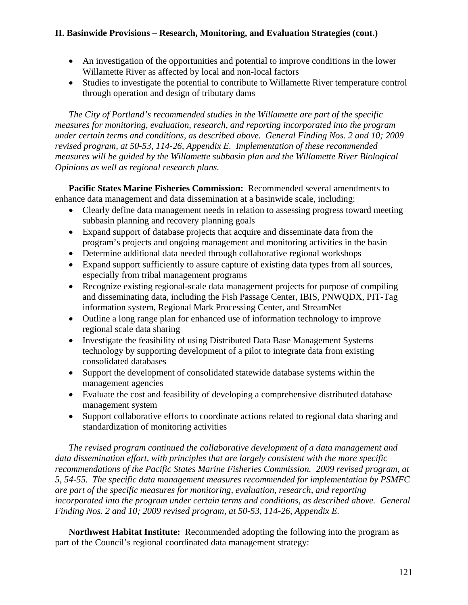- An investigation of the opportunities and potential to improve conditions in the lower Willamette River as affected by local and non-local factors
- Studies to investigate the potential to contribute to Willamette River temperature control through operation and design of tributary dams

*The City of Portland's recommended studies in the Willamette are part of the specific measures for monitoring, evaluation, research, and reporting incorporated into the program under certain terms and conditions, as described above. General Finding Nos. 2 and 10; 2009 revised program, at 50-53, 114-26, Appendix E. Implementation of these recommended measures will be guided by the Willamette subbasin plan and the Willamette River Biological Opinions as well as regional research plans.* 

**Pacific States Marine Fisheries Commission:** Recommended several amendments to enhance data management and data dissemination at a basinwide scale, including:

- Clearly define data management needs in relation to assessing progress toward meeting subbasin planning and recovery planning goals
- Expand support of database projects that acquire and disseminate data from the program's projects and ongoing management and monitoring activities in the basin
- Determine additional data needed through collaborative regional workshops
- Expand support sufficiently to assure capture of existing data types from all sources, especially from tribal management programs
- Recognize existing regional-scale data management projects for purpose of compiling and disseminating data, including the Fish Passage Center, IBIS, PNWQDX, PIT-Tag information system, Regional Mark Processing Center, and StreamNet
- Outline a long range plan for enhanced use of information technology to improve regional scale data sharing
- Investigate the feasibility of using Distributed Data Base Management Systems technology by supporting development of a pilot to integrate data from existing consolidated databases
- Support the development of consolidated statewide database systems within the management agencies
- Evaluate the cost and feasibility of developing a comprehensive distributed database management system
- Support collaborative efforts to coordinate actions related to regional data sharing and standardization of monitoring activities

*The revised program continued the collaborative development of a data management and data dissemination effort, with principles that are largely consistent with the more specific recommendations of the Pacific States Marine Fisheries Commission. 2009 revised program, at 5, 54-55. The specific data management measures recommended for implementation by PSMFC are part of the specific measures for monitoring, evaluation, research, and reporting incorporated into the program under certain terms and conditions, as described above. General Finding Nos. 2 and 10; 2009 revised program, at 50-53, 114-26, Appendix E.* 

 **Northwest Habitat Institute:** Recommended adopting the following into the program as part of the Council's regional coordinated data management strategy: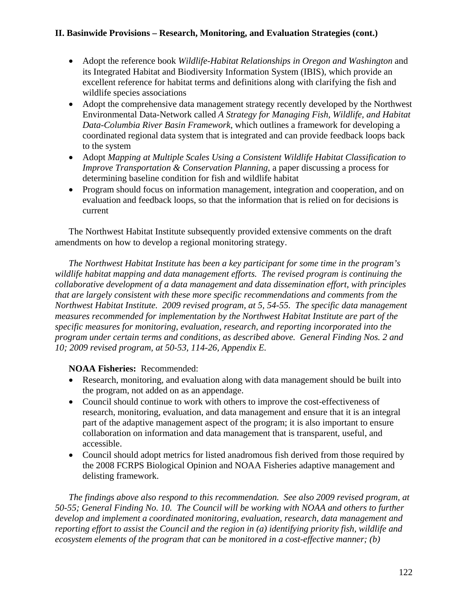- Adopt the reference book *Wildlife-Habitat Relationships in Oregon and Washington* and its Integrated Habitat and Biodiversity Information System (IBIS), which provide an excellent reference for habitat terms and definitions along with clarifying the fish and wildlife species associations
- Adopt the comprehensive data management strategy recently developed by the Northwest Environmental Data-Network called *A Strategy for Managing Fish, Wildlife, and Habitat Data-Columbia River Basin Framework*, which outlines a framework for developing a coordinated regional data system that is integrated and can provide feedback loops back to the system
- Adopt *Mapping at Multiple Scales Using a Consistent Wildlife Habitat Classification to Improve Transportation & Conservation Planning*, a paper discussing a process for determining baseline condition for fish and wildlife habitat
- Program should focus on information management, integration and cooperation, and on evaluation and feedback loops, so that the information that is relied on for decisions is current

 The Northwest Habitat Institute subsequently provided extensive comments on the draft amendments on how to develop a regional monitoring strategy.

*The Northwest Habitat Institute has been a key participant for some time in the program's wildlife habitat mapping and data management efforts. The revised program is continuing the collaborative development of a data management and data dissemination effort, with principles that are largely consistent with these more specific recommendations and comments from the Northwest Habitat Institute. 2009 revised program, at 5, 54-55. The specific data management measures recommended for implementation by the Northwest Habitat Institute are part of the specific measures for monitoring, evaluation, research, and reporting incorporated into the program under certain terms and conditions, as described above. General Finding Nos. 2 and 10; 2009 revised program, at 50-53, 114-26, Appendix E.* 

# **NOAA Fisheries:** Recommended:

- Research, monitoring, and evaluation along with data management should be built into the program, not added on as an appendage.
- Council should continue to work with others to improve the cost-effectiveness of research, monitoring, evaluation, and data management and ensure that it is an integral part of the adaptive management aspect of the program; it is also important to ensure collaboration on information and data management that is transparent, useful, and accessible.
- Council should adopt metrics for listed anadromous fish derived from those required by the 2008 FCRPS Biological Opinion and NOAA Fisheries adaptive management and delisting framework.

*The findings above also respond to this recommendation. See also 2009 revised program, at 50-55; General Finding No. 10. The Council will be working with NOAA and others to further develop and implement a coordinated monitoring, evaluation, research, data management and reporting effort to assist the Council and the region in (a) identifying priority fish, wildlife and ecosystem elements of the program that can be monitored in a cost-effective manner; (b)*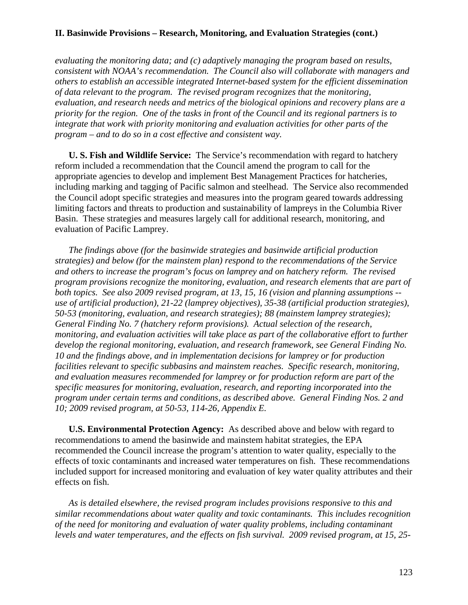*evaluating the monitoring data; and (c) adaptively managing the program based on results, consistent with NOAA's recommendation. The Council also will collaborate with managers and others to establish an accessible integrated Internet-based system for the efficient dissemination of data relevant to the program. The revised program recognizes that the monitoring, evaluation, and research needs and metrics of the biological opinions and recovery plans are a priority for the region. One of the tasks in front of the Council and its regional partners is to integrate that work with priority monitoring and evaluation activities for other parts of the program – and to do so in a cost effective and consistent way.* 

**U. S. Fish and Wildlife Service:** The Service's recommendation with regard to hatchery reform included a recommendation that the Council amend the program to call for the appropriate agencies to develop and implement Best Management Practices for hatcheries, including marking and tagging of Pacific salmon and steelhead. The Service also recommended the Council adopt specific strategies and measures into the program geared towards addressing limiting factors and threats to production and sustainability of lampreys in the Columbia River Basin. These strategies and measures largely call for additional research, monitoring, and evaluation of Pacific Lamprey.

*The findings above (for the basinwide strategies and basinwide artificial production strategies) and below (for the mainstem plan) respond to the recommendations of the Service and others to increase the program's focus on lamprey and on hatchery reform. The revised program provisions recognize the monitoring, evaluation, and research elements that are part of both topics. See also 2009 revised program, at 13, 15, 16 (vision and planning assumptions - use of artificial production), 21-22 (lamprey objectives), 35-38 (artificial production strategies), 50-53 (monitoring, evaluation, and research strategies); 88 (mainstem lamprey strategies); General Finding No. 7 (hatchery reform provisions). Actual selection of the research, monitoring, and evaluation activities will take place as part of the collaborative effort to further develop the regional monitoring, evaluation, and research framework, see General Finding No. 10 and the findings above, and in implementation decisions for lamprey or for production facilities relevant to specific subbasins and mainstem reaches. Specific research, monitoring, and evaluation measures recommended for lamprey or for production reform are part of the specific measures for monitoring, evaluation, research, and reporting incorporated into the program under certain terms and conditions, as described above. General Finding Nos. 2 and 10; 2009 revised program, at 50-53, 114-26, Appendix E.*

**U.S. Environmental Protection Agency:** As described above and below with regard to recommendations to amend the basinwide and mainstem habitat strategies, the EPA recommended the Council increase the program's attention to water quality, especially to the effects of toxic contaminants and increased water temperatures on fish. These recommendations included support for increased monitoring and evaluation of key water quality attributes and their effects on fish.

*As is detailed elsewhere, the revised program includes provisions responsive to this and similar recommendations about water quality and toxic contaminants. This includes recognition of the need for monitoring and evaluation of water quality problems, including contaminant levels and water temperatures, and the effects on fish survival. 2009 revised program, at 15, 25-*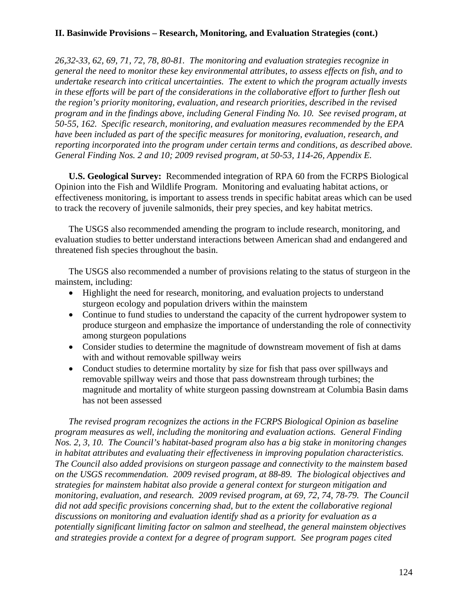*26,32-33, 62, 69, 71, 72, 78, 80-81. The monitoring and evaluation strategies recognize in general the need to monitor these key environmental attributes, to assess effects on fish, and to undertake research into critical uncertainties. The extent to which the program actually invests in these efforts will be part of the considerations in the collaborative effort to further flesh out the region's priority monitoring, evaluation, and research priorities, described in the revised program and in the findings above, including General Finding No. 10. See revised program, at 50-55, 162. Specific research, monitoring, and evaluation measures recommended by the EPA have been included as part of the specific measures for monitoring, evaluation, research, and reporting incorporated into the program under certain terms and conditions, as described above. General Finding Nos. 2 and 10; 2009 revised program, at 50-53, 114-26, Appendix E.* 

 **U.S. Geological Survey:** Recommended integration of RPA 60 from the FCRPS Biological Opinion into the Fish and Wildlife Program. Monitoring and evaluating habitat actions, or effectiveness monitoring, is important to assess trends in specific habitat areas which can be used to track the recovery of juvenile salmonids, their prey species, and key habitat metrics.

 The USGS also recommended amending the program to include research, monitoring, and evaluation studies to better understand interactions between American shad and endangered and threatened fish species throughout the basin.

 The USGS also recommended a number of provisions relating to the status of sturgeon in the mainstem, including:

- Highlight the need for research, monitoring, and evaluation projects to understand sturgeon ecology and population drivers within the mainstem
- Continue to fund studies to understand the capacity of the current hydropower system to produce sturgeon and emphasize the importance of understanding the role of connectivity among sturgeon populations
- Consider studies to determine the magnitude of downstream movement of fish at dams with and without removable spillway weirs
- Conduct studies to determine mortality by size for fish that pass over spillways and removable spillway weirs and those that pass downstream through turbines; the magnitude and mortality of white sturgeon passing downstream at Columbia Basin dams has not been assessed

*The revised program recognizes the actions in the FCRPS Biological Opinion as baseline program measures as well, including the monitoring and evaluation actions. General Finding Nos. 2, 3, 10. The Council's habitat-based program also has a big stake in monitoring changes in habitat attributes and evaluating their effectiveness in improving population characteristics. The Council also added provisions on sturgeon passage and connectivity to the mainstem based on the USGS recommendation. 2009 revised program, at 88-89. The biological objectives and strategies for mainstem habitat also provide a general context for sturgeon mitigation and monitoring, evaluation, and research. 2009 revised program, at 69, 72, 74, 78-79. The Council did not add specific provisions concerning shad, but to the extent the collaborative regional discussions on monitoring and evaluation identify shad as a priority for evaluation as a potentially significant limiting factor on salmon and steelhead, the general mainstem objectives and strategies provide a context for a degree of program support. See program pages cited*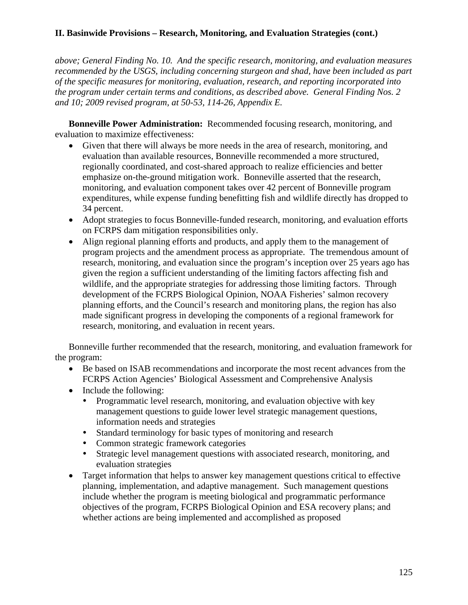*above; General Finding No. 10. And the specific research, monitoring, and evaluation measures recommended by the USGS, including concerning sturgeon and shad, have been included as part of the specific measures for monitoring, evaluation, research, and reporting incorporated into the program under certain terms and conditions, as described above. General Finding Nos. 2 and 10; 2009 revised program, at 50-53, 114-26, Appendix E.* 

**Bonneville Power Administration:** Recommended focusing research, monitoring, and evaluation to maximize effectiveness:

- Given that there will always be more needs in the area of research, monitoring, and evaluation than available resources, Bonneville recommended a more structured, regionally coordinated, and cost-shared approach to realize efficiencies and better emphasize on-the-ground mitigation work. Bonneville asserted that the research, monitoring, and evaluation component takes over 42 percent of Bonneville program expenditures, while expense funding benefitting fish and wildlife directly has dropped to 34 percent.
- Adopt strategies to focus Bonneville-funded research, monitoring, and evaluation efforts on FCRPS dam mitigation responsibilities only.
- Align regional planning efforts and products, and apply them to the management of program projects and the amendment process as appropriate. The tremendous amount of research, monitoring, and evaluation since the program's inception over 25 years ago has given the region a sufficient understanding of the limiting factors affecting fish and wildlife, and the appropriate strategies for addressing those limiting factors. Through development of the FCRPS Biological Opinion, NOAA Fisheries' salmon recovery planning efforts, and the Council's research and monitoring plans, the region has also made significant progress in developing the components of a regional framework for research, monitoring, and evaluation in recent years.

 Bonneville further recommended that the research, monitoring, and evaluation framework for the program:

- Be based on ISAB recommendations and incorporate the most recent advances from the FCRPS Action Agencies' Biological Assessment and Comprehensive Analysis
- Include the following:
	- Programmatic level research, monitoring, and evaluation objective with key management questions to guide lower level strategic management questions, information needs and strategies
	- Standard terminology for basic types of monitoring and research
	- Common strategic framework categories
	- Strategic level management questions with associated research, monitoring, and evaluation strategies
- Target information that helps to answer key management questions critical to effective planning, implementation, and adaptive management. Such management questions include whether the program is meeting biological and programmatic performance objectives of the program, FCRPS Biological Opinion and ESA recovery plans; and whether actions are being implemented and accomplished as proposed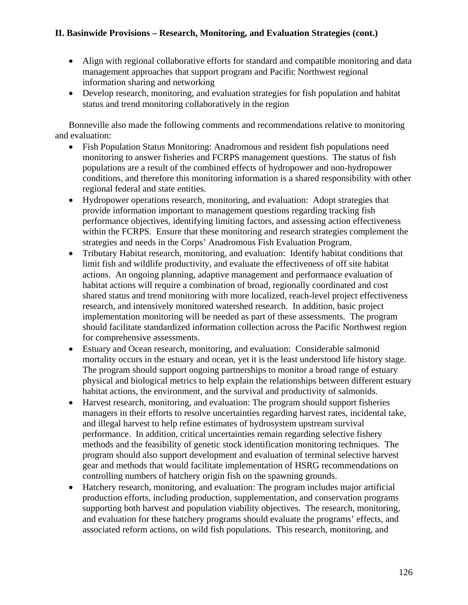- Align with regional collaborative efforts for standard and compatible monitoring and data management approaches that support program and Pacific Northwest regional information sharing and networking
- Develop research, monitoring, and evaluation strategies for fish population and habitat status and trend monitoring collaboratively in the region

 Bonneville also made the following comments and recommendations relative to monitoring and evaluation:

- Fish Population Status Monitoring: Anadromous and resident fish populations need monitoring to answer fisheries and FCRPS management questions. The status of fish populations are a result of the combined effects of hydropower and non-hydropower conditions, and therefore this monitoring information is a shared responsibility with other regional federal and state entities.
- Hydropower operations research, monitoring, and evaluation: Adopt strategies that provide information important to management questions regarding tracking fish performance objectives, identifying limiting factors, and assessing action effectiveness within the FCRPS. Ensure that these monitoring and research strategies complement the strategies and needs in the Corps' Anadromous Fish Evaluation Program.
- Tributary Habitat research, monitoring, and evaluation: Identify habitat conditions that limit fish and wildlife productivity, and evaluate the effectiveness of off site habitat actions. An ongoing planning, adaptive management and performance evaluation of habitat actions will require a combination of broad, regionally coordinated and cost shared status and trend monitoring with more localized, reach-level project effectiveness research, and intensively monitored watershed research. In addition, basic project implementation monitoring will be needed as part of these assessments. The program should facilitate standardized information collection across the Pacific Northwest region for comprehensive assessments.
- Estuary and Ocean research, monitoring, and evaluation: Considerable salmonid mortality occurs in the estuary and ocean, yet it is the least understood life history stage. The program should support ongoing partnerships to monitor a broad range of estuary physical and biological metrics to help explain the relationships between different estuary habitat actions, the environment, and the survival and productivity of salmonids.
- Harvest research, monitoring, and evaluation: The program should support fisheries managers in their efforts to resolve uncertainties regarding harvest rates, incidental take, and illegal harvest to help refine estimates of hydrosystem upstream survival performance. In addition, critical uncertainties remain regarding selective fishery methods and the feasibility of genetic stock identification monitoring techniques. The program should also support development and evaluation of terminal selective harvest gear and methods that would facilitate implementation of HSRG recommendations on controlling numbers of hatchery origin fish on the spawning grounds.
- Hatchery research, monitoring, and evaluation: The program includes major artificial production efforts, including production, supplementation, and conservation programs supporting both harvest and population viability objectives. The research, monitoring, and evaluation for these hatchery programs should evaluate the programs' effects, and associated reform actions, on wild fish populations. This research, monitoring, and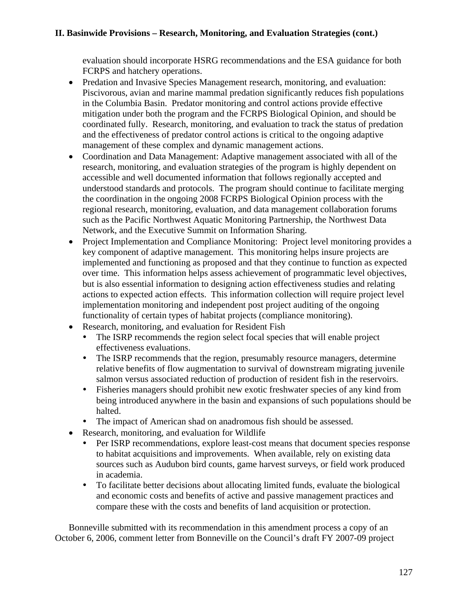evaluation should incorporate HSRG recommendations and the ESA guidance for both FCRPS and hatchery operations.

- Predation and Invasive Species Management research, monitoring, and evaluation: Piscivorous, avian and marine mammal predation significantly reduces fish populations in the Columbia Basin. Predator monitoring and control actions provide effective mitigation under both the program and the FCRPS Biological Opinion, and should be coordinated fully. Research, monitoring, and evaluation to track the status of predation and the effectiveness of predator control actions is critical to the ongoing adaptive management of these complex and dynamic management actions.
- Coordination and Data Management: Adaptive management associated with all of the research, monitoring, and evaluation strategies of the program is highly dependent on accessible and well documented information that follows regionally accepted and understood standards and protocols. The program should continue to facilitate merging the coordination in the ongoing 2008 FCRPS Biological Opinion process with the regional research, monitoring, evaluation, and data management collaboration forums such as the Pacific Northwest Aquatic Monitoring Partnership, the Northwest Data Network, and the Executive Summit on Information Sharing.
- Project Implementation and Compliance Monitoring: Project level monitoring provides a key component of adaptive management. This monitoring helps insure projects are implemented and functioning as proposed and that they continue to function as expected over time. This information helps assess achievement of programmatic level objectives, but is also essential information to designing action effectiveness studies and relating actions to expected action effects. This information collection will require project level implementation monitoring and independent post project auditing of the ongoing functionality of certain types of habitat projects (compliance monitoring).
- Research, monitoring, and evaluation for Resident Fish
	- The ISRP recommends the region select focal species that will enable project effectiveness evaluations.
	- The ISRP recommends that the region, presumably resource managers, determine relative benefits of flow augmentation to survival of downstream migrating juvenile salmon versus associated reduction of production of resident fish in the reservoirs.
	- Fisheries managers should prohibit new exotic freshwater species of any kind from being introduced anywhere in the basin and expansions of such populations should be halted.
	- The impact of American shad on anadromous fish should be assessed.
- Research, monitoring, and evaluation for Wildlife
	- Per ISRP recommendations, explore least-cost means that document species response to habitat acquisitions and improvements. When available, rely on existing data sources such as Audubon bird counts, game harvest surveys, or field work produced in academia.
	- To facilitate better decisions about allocating limited funds, evaluate the biological and economic costs and benefits of active and passive management practices and compare these with the costs and benefits of land acquisition or protection.

 Bonneville submitted with its recommendation in this amendment process a copy of an October 6, 2006, comment letter from Bonneville on the Council's draft FY 2007-09 project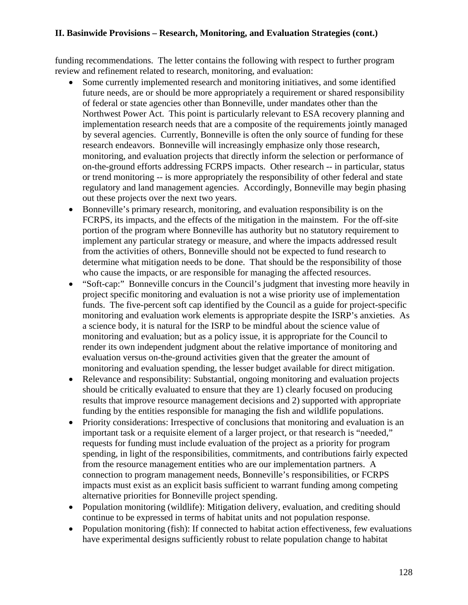funding recommendations. The letter contains the following with respect to further program review and refinement related to research, monitoring, and evaluation:

- Some currently implemented research and monitoring initiatives, and some identified future needs, are or should be more appropriately a requirement or shared responsibility of federal or state agencies other than Bonneville, under mandates other than the Northwest Power Act. This point is particularly relevant to ESA recovery planning and implementation research needs that are a composite of the requirements jointly managed by several agencies. Currently, Bonneville is often the only source of funding for these research endeavors. Bonneville will increasingly emphasize only those research, monitoring, and evaluation projects that directly inform the selection or performance of on-the-ground efforts addressing FCRPS impacts. Other research -- in particular, status or trend monitoring -- is more appropriately the responsibility of other federal and state regulatory and land management agencies. Accordingly, Bonneville may begin phasing out these projects over the next two years.
- Bonneville's primary research, monitoring, and evaluation responsibility is on the FCRPS, its impacts, and the effects of the mitigation in the mainstem. For the off-site portion of the program where Bonneville has authority but no statutory requirement to implement any particular strategy or measure, and where the impacts addressed result from the activities of others, Bonneville should not be expected to fund research to determine what mitigation needs to be done. That should be the responsibility of those who cause the impacts, or are responsible for managing the affected resources.
- "Soft-cap:" Bonneville concurs in the Council's judgment that investing more heavily in project specific monitoring and evaluation is not a wise priority use of implementation funds. The five-percent soft cap identified by the Council as a guide for project-specific monitoring and evaluation work elements is appropriate despite the ISRP's anxieties. As a science body, it is natural for the ISRP to be mindful about the science value of monitoring and evaluation; but as a policy issue, it is appropriate for the Council to render its own independent judgment about the relative importance of monitoring and evaluation versus on-the-ground activities given that the greater the amount of monitoring and evaluation spending, the lesser budget available for direct mitigation.
- Relevance and responsibility: Substantial, ongoing monitoring and evaluation projects should be critically evaluated to ensure that they are 1) clearly focused on producing results that improve resource management decisions and 2) supported with appropriate funding by the entities responsible for managing the fish and wildlife populations.
- Priority considerations: Irrespective of conclusions that monitoring and evaluation is an important task or a requisite element of a larger project, or that research is "needed," requests for funding must include evaluation of the project as a priority for program spending, in light of the responsibilities, commitments, and contributions fairly expected from the resource management entities who are our implementation partners. A connection to program management needs, Bonneville's responsibilities, or FCRPS impacts must exist as an explicit basis sufficient to warrant funding among competing alternative priorities for Bonneville project spending.
- Population monitoring (wildlife): Mitigation delivery, evaluation, and crediting should continue to be expressed in terms of habitat units and not population response.
- Population monitoring (fish): If connected to habitat action effectiveness, few evaluations have experimental designs sufficiently robust to relate population change to habitat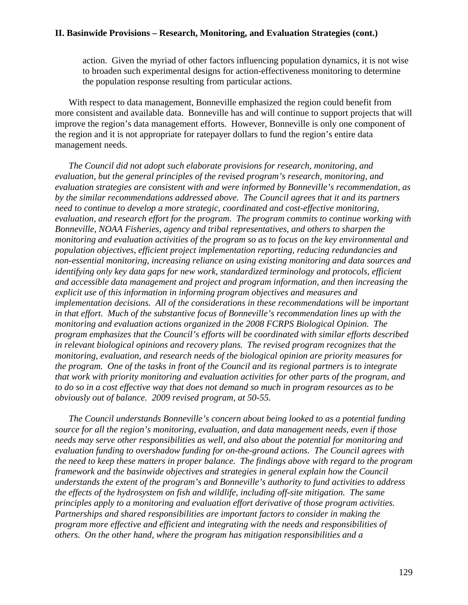action. Given the myriad of other factors influencing population dynamics, it is not wise to broaden such experimental designs for action-effectiveness monitoring to determine the population response resulting from particular actions.

 With respect to data management, Bonneville emphasized the region could benefit from more consistent and available data. Bonneville has and will continue to support projects that will improve the region's data management efforts. However, Bonneville is only one component of the region and it is not appropriate for ratepayer dollars to fund the region's entire data management needs.

*The Council did not adopt such elaborate provisions for research, monitoring, and evaluation, but the general principles of the revised program's research, monitoring, and evaluation strategies are consistent with and were informed by Bonneville's recommendation, as by the similar recommendations addressed above. The Council agrees that it and its partners need to continue to develop a more strategic, coordinated and cost-effective monitoring, evaluation, and research effort for the program. The program commits to continue working with Bonneville, NOAA Fisheries, agency and tribal representatives, and others to sharpen the monitoring and evaluation activities of the program so as to focus on the key environmental and population objectives, efficient project implementation reporting, reducing redundancies and non-essential monitoring, increasing reliance on using existing monitoring and data sources and identifying only key data gaps for new work, standardized terminology and protocols, efficient and accessible data management and project and program information, and then increasing the explicit use of this information in informing program objectives and measures and implementation decisions. All of the considerations in these recommendations will be important in that effort. Much of the substantive focus of Bonneville's recommendation lines up with the monitoring and evaluation actions organized in the 2008 FCRPS Biological Opinion. The program emphasizes that the Council's efforts will be coordinated with similar efforts described in relevant biological opinions and recovery plans. The revised program recognizes that the monitoring, evaluation, and research needs of the biological opinion are priority measures for the program. One of the tasks in front of the Council and its regional partners is to integrate that work with priority monitoring and evaluation activities for other parts of the program, and to do so in a cost effective way that does not demand so much in program resources as to be obviously out of balance. 2009 revised program, at 50-55.* 

 *The Council understands Bonneville's concern about being looked to as a potential funding source for all the region's monitoring, evaluation, and data management needs, even if those needs may serve other responsibilities as well, and also about the potential for monitoring and evaluation funding to overshadow funding for on-the-ground actions. The Council agrees with the need to keep these matters in proper balance. The findings above with regard to the program framework and the basinwide objectives and strategies in general explain how the Council understands the extent of the program's and Bonneville's authority to fund activities to address the effects of the hydrosystem on fish and wildlife, including off-site mitigation. The same principles apply to a monitoring and evaluation effort derivative of those program activities. Partnerships and shared responsibilities are important factors to consider in making the program more effective and efficient and integrating with the needs and responsibilities of others. On the other hand, where the program has mitigation responsibilities and a*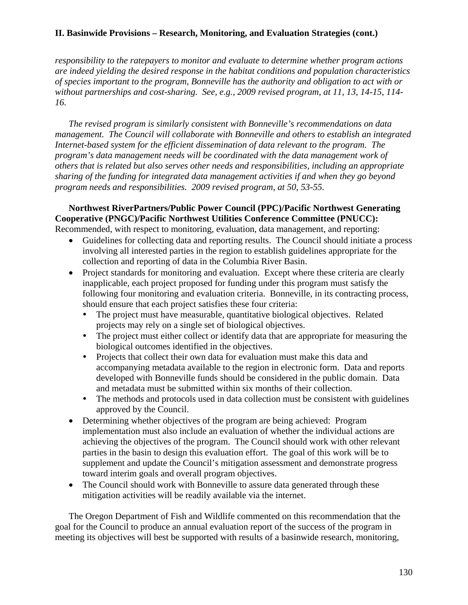*responsibility to the ratepayers to monitor and evaluate to determine whether program actions are indeed yielding the desired response in the habitat conditions and population characteristics of species important to the program, Bonneville has the authority and obligation to act with or without partnerships and cost-sharing. See, e.g., 2009 revised program, at 11, 13, 14-15, 114- 16.* 

 *The revised program is similarly consistent with Bonneville's recommendations on data management. The Council will collaborate with Bonneville and others to establish an integrated Internet-based system for the efficient dissemination of data relevant to the program. The program's data management needs will be coordinated with the data management work of others that is related but also serves other needs and responsibilities, including an appropriate sharing of the funding for integrated data management activities if and when they go beyond program needs and responsibilities. 2009 revised program, at 50, 53-55.* 

# **Northwest RiverPartners/Public Power Council (PPC)/Pacific Northwest Generating Cooperative (PNGC)/Pacific Northwest Utilities Conference Committee (PNUCC):**

Recommended, with respect to monitoring, evaluation, data management, and reporting:

- Guidelines for collecting data and reporting results. The Council should initiate a process involving all interested parties in the region to establish guidelines appropriate for the collection and reporting of data in the Columbia River Basin.
- Project standards for monitoring and evaluation. Except where these criteria are clearly inapplicable, each project proposed for funding under this program must satisfy the following four monitoring and evaluation criteria. Bonneville, in its contracting process, should ensure that each project satisfies these four criteria:
	- The project must have measurable, quantitative biological objectives. Related projects may rely on a single set of biological objectives.
	- The project must either collect or identify data that are appropriate for measuring the biological outcomes identified in the objectives.
	- Projects that collect their own data for evaluation must make this data and accompanying metadata available to the region in electronic form. Data and reports developed with Bonneville funds should be considered in the public domain. Data and metadata must be submitted within six months of their collection.
	- The methods and protocols used in data collection must be consistent with guidelines approved by the Council.
- Determining whether objectives of the program are being achieved: Program implementation must also include an evaluation of whether the individual actions are achieving the objectives of the program. The Council should work with other relevant parties in the basin to design this evaluation effort. The goal of this work will be to supplement and update the Council's mitigation assessment and demonstrate progress toward interim goals and overall program objectives.
- The Council should work with Bonneville to assure data generated through these mitigation activities will be readily available via the internet.

 The Oregon Department of Fish and Wildlife commented on this recommendation that the goal for the Council to produce an annual evaluation report of the success of the program in meeting its objectives will best be supported with results of a basinwide research, monitoring,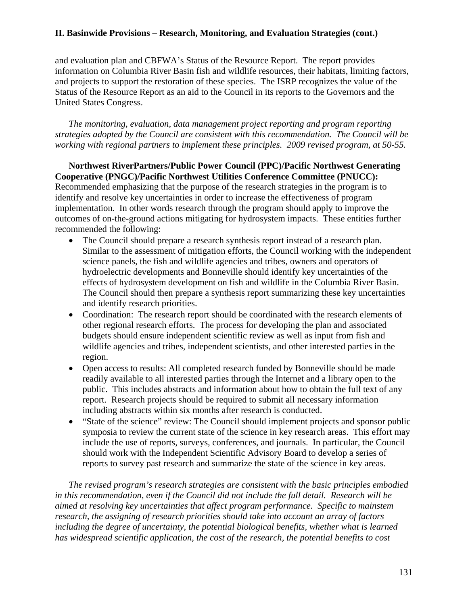and evaluation plan and CBFWA's Status of the Resource Report. The report provides information on Columbia River Basin fish and wildlife resources, their habitats, limiting factors, and projects to support the restoration of these species. The ISRP recognizes the value of the Status of the Resource Report as an aid to the Council in its reports to the Governors and the United States Congress.

*The monitoring, evaluation, data management project reporting and program reporting strategies adopted by the Council are consistent with this recommendation. The Council will be working with regional partners to implement these principles. 2009 revised program, at 50-55.* 

**Northwest RiverPartners/Public Power Council (PPC)/Pacific Northwest Generating Cooperative (PNGC)/Pacific Northwest Utilities Conference Committee (PNUCC):** Recommended emphasizing that the purpose of the research strategies in the program is to identify and resolve key uncertainties in order to increase the effectiveness of program implementation. In other words research through the program should apply to improve the outcomes of on-the-ground actions mitigating for hydrosystem impacts. These entities further recommended the following:

- The Council should prepare a research synthesis report instead of a research plan. Similar to the assessment of mitigation efforts, the Council working with the independent science panels, the fish and wildlife agencies and tribes, owners and operators of hydroelectric developments and Bonneville should identify key uncertainties of the effects of hydrosystem development on fish and wildlife in the Columbia River Basin. The Council should then prepare a synthesis report summarizing these key uncertainties and identify research priorities.
- Coordination: The research report should be coordinated with the research elements of other regional research efforts. The process for developing the plan and associated budgets should ensure independent scientific review as well as input from fish and wildlife agencies and tribes, independent scientists, and other interested parties in the region.
- Open access to results: All completed research funded by Bonneville should be made readily available to all interested parties through the Internet and a library open to the public. This includes abstracts and information about how to obtain the full text of any report. Research projects should be required to submit all necessary information including abstracts within six months after research is conducted.
- "State of the science" review: The Council should implement projects and sponsor public symposia to review the current state of the science in key research areas. This effort may include the use of reports, surveys, conferences, and journals. In particular, the Council should work with the Independent Scientific Advisory Board to develop a series of reports to survey past research and summarize the state of the science in key areas.

*The revised program's research strategies are consistent with the basic principles embodied in this recommendation, even if the Council did not include the full detail. Research will be aimed at resolving key uncertainties that affect program performance. Specific to mainstem research, the assigning of research priorities should take into account an array of factors including the degree of uncertainty, the potential biological benefits, whether what is learned has widespread scientific application, the cost of the research, the potential benefits to cost*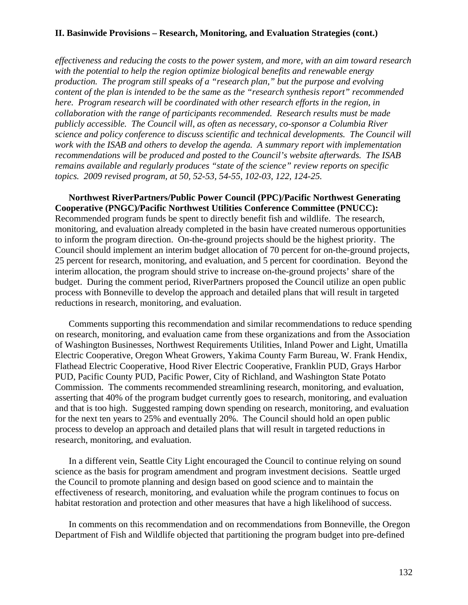*effectiveness and reducing the costs to the power system, and more, with an aim toward research with the potential to help the region optimize biological benefits and renewable energy production. The program still speaks of a "research plan," but the purpose and evolving content of the plan is intended to be the same as the "research synthesis report" recommended here. Program research will be coordinated with other research efforts in the region, in collaboration with the range of participants recommended. Research results must be made publicly accessible. The Council will, as often as necessary, co-sponsor a Columbia River science and policy conference to discuss scientific and technical developments. The Council will work with the ISAB and others to develop the agenda. A summary report with implementation recommendations will be produced and posted to the Council's website afterwards. The ISAB remains available and regularly produces "state of the science" review reports on specific topics. 2009 revised program, at 50, 52-53, 54-55, 102-03, 122, 124-25.* 

**Northwest RiverPartners/Public Power Council (PPC)/Pacific Northwest Generating Cooperative (PNGC)/Pacific Northwest Utilities Conference Committee (PNUCC):** Recommended program funds be spent to directly benefit fish and wildlife. The research, monitoring, and evaluation already completed in the basin have created numerous opportunities to inform the program direction. On-the-ground projects should be the highest priority. The Council should implement an interim budget allocation of 70 percent for on-the-ground projects, 25 percent for research, monitoring, and evaluation, and 5 percent for coordination. Beyond the interim allocation, the program should strive to increase on-the-ground projects' share of the budget. During the comment period, RiverPartners proposed the Council utilize an open public process with Bonneville to develop the approach and detailed plans that will result in targeted reductions in research, monitoring, and evaluation.

 Comments supporting this recommendation and similar recommendations to reduce spending on research, monitoring, and evaluation came from these organizations and from the Association of Washington Businesses, Northwest Requirements Utilities, Inland Power and Light, Umatilla Electric Cooperative, Oregon Wheat Growers, Yakima County Farm Bureau, W. Frank Hendix, Flathead Electric Cooperative, Hood River Electric Cooperative, Franklin PUD, Grays Harbor PUD, Pacific County PUD, Pacific Power, City of Richland, and Washington State Potato Commission. The comments recommended streamlining research, monitoring, and evaluation, asserting that 40% of the program budget currently goes to research, monitoring, and evaluation and that is too high. Suggested ramping down spending on research, monitoring, and evaluation for the next ten years to 25% and eventually 20%. The Council should hold an open public process to develop an approach and detailed plans that will result in targeted reductions in research, monitoring, and evaluation.

 In a different vein, Seattle City Light encouraged the Council to continue relying on sound science as the basis for program amendment and program investment decisions. Seattle urged the Council to promote planning and design based on good science and to maintain the effectiveness of research, monitoring, and evaluation while the program continues to focus on habitat restoration and protection and other measures that have a high likelihood of success.

 In comments on this recommendation and on recommendations from Bonneville, the Oregon Department of Fish and Wildlife objected that partitioning the program budget into pre-defined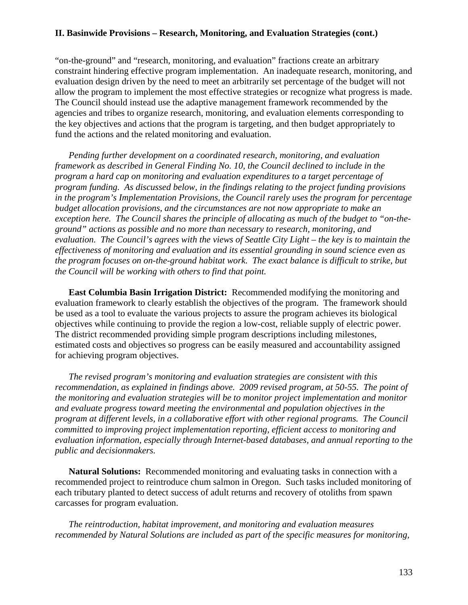"on-the-ground" and "research, monitoring, and evaluation" fractions create an arbitrary constraint hindering effective program implementation. An inadequate research, monitoring, and evaluation design driven by the need to meet an arbitrarily set percentage of the budget will not allow the program to implement the most effective strategies or recognize what progress is made. The Council should instead use the adaptive management framework recommended by the agencies and tribes to organize research, monitoring, and evaluation elements corresponding to the key objectives and actions that the program is targeting, and then budget appropriately to fund the actions and the related monitoring and evaluation.

*Pending further development on a coordinated research, monitoring, and evaluation framework as described in General Finding No. 10, the Council declined to include in the program a hard cap on monitoring and evaluation expenditures to a target percentage of program funding. As discussed below, in the findings relating to the project funding provisions in the program's Implementation Provisions, the Council rarely uses the program for percentage budget allocation provisions, and the circumstances are not now appropriate to make an exception here. The Council shares the principle of allocating as much of the budget to "on-theground" actions as possible and no more than necessary to research, monitoring, and evaluation. The Council's agrees with the views of Seattle City Light – the key is to maintain the effectiveness of monitoring and evaluation and its essential grounding in sound science even as the program focuses on on-the-ground habitat work. The exact balance is difficult to strike, but the Council will be working with others to find that point.* 

**East Columbia Basin Irrigation District:** Recommended modifying the monitoring and evaluation framework to clearly establish the objectives of the program. The framework should be used as a tool to evaluate the various projects to assure the program achieves its biological objectives while continuing to provide the region a low-cost, reliable supply of electric power. The district recommended providing simple program descriptions including milestones, estimated costs and objectives so progress can be easily measured and accountability assigned for achieving program objectives.

*The revised program's monitoring and evaluation strategies are consistent with this*  recommendation, as explained in findings above. 2009 revised program, at 50-55. The point of *the monitoring and evaluation strategies will be to monitor project implementation and monitor and evaluate progress toward meeting the environmental and population objectives in the program at different levels, in a collaborative effort with other regional programs. The Council committed to improving project implementation reporting, efficient access to monitoring and evaluation information, especially through Internet-based databases, and annual reporting to the public and decisionmakers.*

**Natural Solutions:** Recommended monitoring and evaluating tasks in connection with a recommended project to reintroduce chum salmon in Oregon. Such tasks included monitoring of each tributary planted to detect success of adult returns and recovery of otoliths from spawn carcasses for program evaluation.

*The reintroduction, habitat improvement, and monitoring and evaluation measures recommended by Natural Solutions are included as part of the specific measures for monitoring,*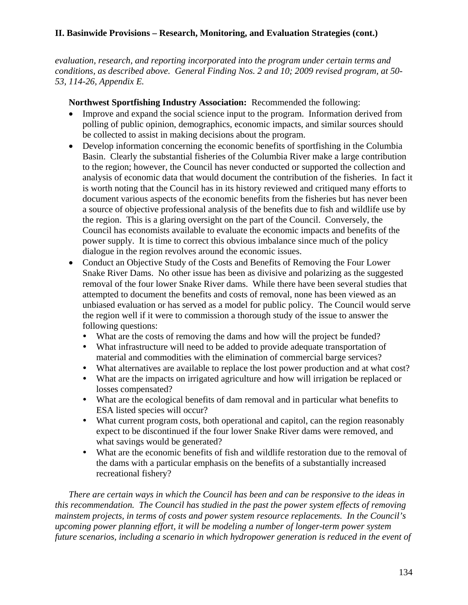*evaluation, research, and reporting incorporated into the program under certain terms and conditions, as described above. General Finding Nos. 2 and 10; 2009 revised program, at 50- 53, 114-26, Appendix E.* 

 **Northwest Sportfishing Industry Association:** Recommended the following:

- Improve and expand the social science input to the program. Information derived from polling of public opinion, demographics, economic impacts, and similar sources should be collected to assist in making decisions about the program.
- Develop information concerning the economic benefits of sportfishing in the Columbia Basin. Clearly the substantial fisheries of the Columbia River make a large contribution to the region; however, the Council has never conducted or supported the collection and analysis of economic data that would document the contribution of the fisheries. In fact it is worth noting that the Council has in its history reviewed and critiqued many efforts to document various aspects of the economic benefits from the fisheries but has never been a source of objective professional analysis of the benefits due to fish and wildlife use by the region. This is a glaring oversight on the part of the Council. Conversely, the Council has economists available to evaluate the economic impacts and benefits of the power supply. It is time to correct this obvious imbalance since much of the policy dialogue in the region revolves around the economic issues.
- Conduct an Objective Study of the Costs and Benefits of Removing the Four Lower Snake River Dams. No other issue has been as divisive and polarizing as the suggested removal of the four lower Snake River dams. While there have been several studies that attempted to document the benefits and costs of removal, none has been viewed as an unbiased evaluation or has served as a model for public policy. The Council would serve the region well if it were to commission a thorough study of the issue to answer the following questions:
	- What are the costs of removing the dams and how will the project be funded?
	- What infrastructure will need to be added to provide adequate transportation of material and commodities with the elimination of commercial barge services?
	- What alternatives are available to replace the lost power production and at what cost?
	- What are the impacts on irrigated agriculture and how will irrigation be replaced or losses compensated?
	- What are the ecological benefits of dam removal and in particular what benefits to ESA listed species will occur?
	- What current program costs, both operational and capitol, can the region reasonably expect to be discontinued if the four lower Snake River dams were removed, and what savings would be generated?
	- What are the economic benefits of fish and wildlife restoration due to the removal of the dams with a particular emphasis on the benefits of a substantially increased recreational fishery?

*There are certain ways in which the Council has been and can be responsive to the ideas in this recommendation. The Council has studied in the past the power system effects of removing mainstem projects, in terms of costs and power system resource replacements. In the Council's upcoming power planning effort, it will be modeling a number of longer-term power system*  future scenarios, including a scenario in which hydropower generation is reduced in the event of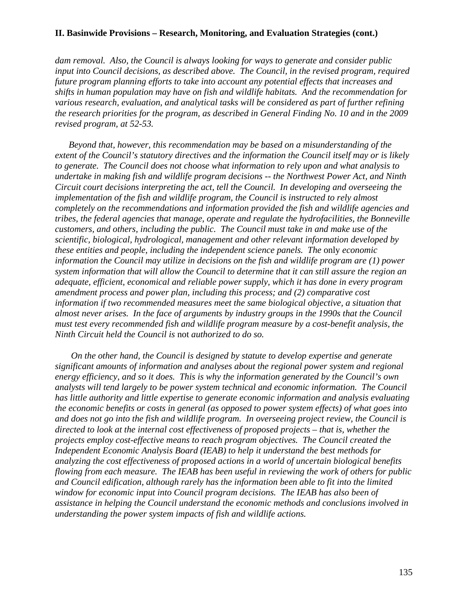*dam removal. Also, the Council is always looking for ways to generate and consider public input into Council decisions, as described above. The Council, in the revised program, required future program planning efforts to take into account any potential effects that increases and shifts in human population may have on fish and wildlife habitats. And the recommendation for various research, evaluation, and analytical tasks will be considered as part of further refining the research priorities for the program, as described in General Finding No. 10 and in the 2009 revised program, at 52-53.* 

 *Beyond that, however, this recommendation may be based on a misunderstanding of the extent of the Council's statutory directives and the information the Council itself may or is likely to generate. The Council does not choose what information to rely upon and what analysis to undertake in making fish and wildlife program decisions -- the Northwest Power Act, and Ninth Circuit court decisions interpreting the act, tell the Council. In developing and overseeing the implementation of the fish and wildlife program, the Council is instructed to rely almost completely on the recommendations and information provided the fish and wildlife agencies and tribes, the federal agencies that manage, operate and regulate the hydrofacilities, the Bonneville customers, and others, including the public. The Council must take in and make use of the scientific, biological, hydrological, management and other relevant information developed by these entities and people, including the independent science panels. The* only *economic information the Council may utilize in decisions on the fish and wildlife program are (1) power system information that will allow the Council to determine that it can still assure the region an adequate, efficient, economical and reliable power supply, which it has done in every program amendment process and power plan, including this process; and (2) comparative cost information if two recommended measures meet the same biological objective, a situation that almost never arises. In the face of arguments by industry groups in the 1990s that the Council must test every recommended fish and wildlife program measure by a cost-benefit analysis, the Ninth Circuit held the Council is* not *authorized to do so.* 

 *On the other hand, the Council is designed by statute to develop expertise and generate significant amounts of information and analyses about the regional power system and regional energy efficiency, and so it does. This is why the information generated by the Council's own analysts will tend largely to be power system technical and economic information. The Council has little authority and little expertise to generate economic information and analysis evaluating the economic benefits or costs in general (as opposed to power system effects) of what goes into and does not go into the fish and wildlife program. In overseeing project review, the Council is directed to look at the internal cost effectiveness of proposed projects – that is, whether the projects employ cost-effective means to reach program objectives. The Council created the Independent Economic Analysis Board (IEAB) to help it understand the best methods for analyzing the cost effectiveness of proposed actions in a world of uncertain biological benefits flowing from each measure. The IEAB has been useful in reviewing the work of others for public and Council edification, although rarely has the information been able to fit into the limited window for economic input into Council program decisions. The IEAB has also been of assistance in helping the Council understand the economic methods and conclusions involved in understanding the power system impacts of fish and wildlife actions.*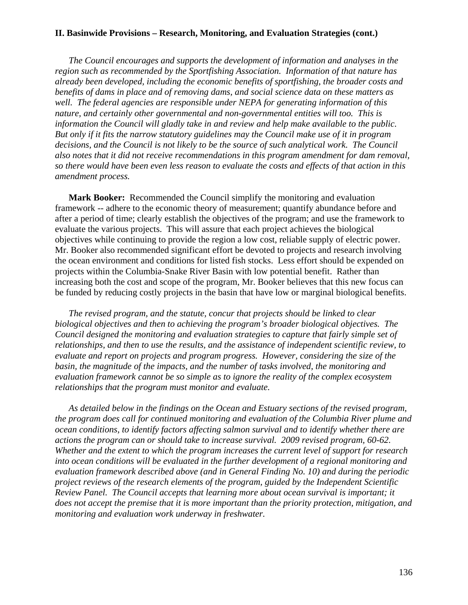*The Council encourages and supports the development of information and analyses in the region such as recommended by the Sportfishing Association. Information of that nature has already been developed, including the economic benefits of sportfishing, the broader costs and benefits of dams in place and of removing dams, and social science data on these matters as well. The federal agencies are responsible under NEPA for generating information of this nature, and certainly other governmental and non-governmental entities will too. This is information the Council will gladly take in and review and help make available to the public. But only if it fits the narrow statutory guidelines may the Council make use of it in program decisions, and the Council is not likely to be the source of such analytical work. The Council also notes that it did not receive recommendations in this program amendment for dam removal, so there would have been even less reason to evaluate the costs and effects of that action in this amendment process.*

**Mark Booker:** Recommended the Council simplify the monitoring and evaluation framework -- adhere to the economic theory of measurement; quantify abundance before and after a period of time; clearly establish the objectives of the program; and use the framework to evaluate the various projects. This will assure that each project achieves the biological objectives while continuing to provide the region a low cost, reliable supply of electric power. Mr. Booker also recommended significant effort be devoted to projects and research involving the ocean environment and conditions for listed fish stocks. Less effort should be expended on projects within the Columbia-Snake River Basin with low potential benefit. Rather than increasing both the cost and scope of the program, Mr. Booker believes that this new focus can be funded by reducing costly projects in the basin that have low or marginal biological benefits.

*The revised program, and the statute, concur that projects should be linked to clear biological objectives and then to achieving the program's broader biological objectives. The Council designed the monitoring and evaluation strategies to capture that fairly simple set of relationships, and then to use the results, and the assistance of independent scientific review, to evaluate and report on projects and program progress. However, considering the size of the basin, the magnitude of the impacts, and the number of tasks involved, the monitoring and evaluation framework cannot be so simple as to ignore the reality of the complex ecosystem relationships that the program must monitor and evaluate.* 

 *As detailed below in the findings on the Ocean and Estuary sections of the revised program, the program does call for continued monitoring and evaluation of the Columbia River plume and ocean conditions, to identify factors affecting salmon survival and to identify whether there are actions the program can or should take to increase survival. 2009 revised program, 60-62. Whether and the extent to which the program increases the current level of support for research into ocean conditions will be evaluated in the further development of a regional monitoring and evaluation framework described above (and in General Finding No. 10) and during the periodic project reviews of the research elements of the program, guided by the Independent Scientific Review Panel. The Council accepts that learning more about ocean survival is important; it does not accept the premise that it is more important than the priority protection, mitigation, and monitoring and evaluation work underway in freshwater.*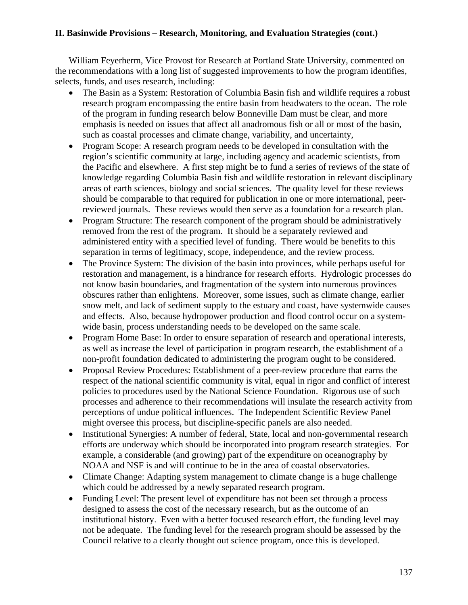William Feyerherm, Vice Provost for Research at Portland State University, commented on the recommendations with a long list of suggested improvements to how the program identifies, selects, funds, and uses research, including:

- The Basin as a System: Restoration of Columbia Basin fish and wildlife requires a robust research program encompassing the entire basin from headwaters to the ocean. The role of the program in funding research below Bonneville Dam must be clear, and more emphasis is needed on issues that affect all anadromous fish or all or most of the basin, such as coastal processes and climate change, variability, and uncertainty,
- Program Scope: A research program needs to be developed in consultation with the region's scientific community at large, including agency and academic scientists, from the Pacific and elsewhere. A first step might be to fund a series of reviews of the state of knowledge regarding Columbia Basin fish and wildlife restoration in relevant disciplinary areas of earth sciences, biology and social sciences. The quality level for these reviews should be comparable to that required for publication in one or more international, peerreviewed journals. These reviews would then serve as a foundation for a research plan.
- Program Structure: The research component of the program should be administratively removed from the rest of the program. It should be a separately reviewed and administered entity with a specified level of funding. There would be benefits to this separation in terms of legitimacy, scope, independence, and the review process.
- The Province System: The division of the basin into provinces, while perhaps useful for restoration and management, is a hindrance for research efforts. Hydrologic processes do not know basin boundaries, and fragmentation of the system into numerous provinces obscures rather than enlightens. Moreover, some issues, such as climate change, earlier snow melt, and lack of sediment supply to the estuary and coast, have systemwide causes and effects. Also, because hydropower production and flood control occur on a systemwide basin, process understanding needs to be developed on the same scale.
- Program Home Base: In order to ensure separation of research and operational interests, as well as increase the level of participation in program research, the establishment of a non-profit foundation dedicated to administering the program ought to be considered.
- Proposal Review Procedures: Establishment of a peer-review procedure that earns the respect of the national scientific community is vital, equal in rigor and conflict of interest policies to procedures used by the National Science Foundation. Rigorous use of such processes and adherence to their recommendations will insulate the research activity from perceptions of undue political influences. The Independent Scientific Review Panel might oversee this process, but discipline-specific panels are also needed.
- Institutional Synergies: A number of federal, State, local and non-governmental research efforts are underway which should be incorporated into program research strategies. For example, a considerable (and growing) part of the expenditure on oceanography by NOAA and NSF is and will continue to be in the area of coastal observatories.
- Climate Change: Adapting system management to climate change is a huge challenge which could be addressed by a newly separated research program.
- Funding Level: The present level of expenditure has not been set through a process designed to assess the cost of the necessary research, but as the outcome of an institutional history. Even with a better focused research effort, the funding level may not be adequate. The funding level for the research program should be assessed by the Council relative to a clearly thought out science program, once this is developed.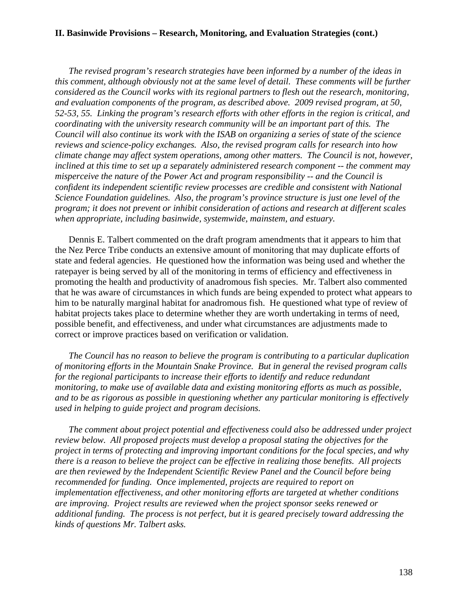*The revised program's research strategies have been informed by a number of the ideas in this comment, although obviously not at the same level of detail. These comments will be further considered as the Council works with its regional partners to flesh out the research, monitoring, and evaluation components of the program, as described above. 2009 revised program, at 50, 52-53, 55. Linking the program's research efforts with other efforts in the region is critical, and coordinating with the university research community will be an important part of this. The Council will also continue its work with the ISAB on organizing a series of state of the science reviews and science-policy exchanges. Also, the revised program calls for research into how climate change may affect system operations, among other matters. The Council is not, however, inclined at this time to set up a separately administered research component -- the comment may misperceive the nature of the Power Act and program responsibility -- and the Council is confident its independent scientific review processes are credible and consistent with National Science Foundation guidelines. Also, the program's province structure is just one level of the program; it does not prevent or inhibit consideration of actions and research at different scales when appropriate, including basinwide, systemwide, mainstem, and estuary.* 

 Dennis E. Talbert commented on the draft program amendments that it appears to him that the Nez Perce Tribe conducts an extensive amount of monitoring that may duplicate efforts of state and federal agencies. He questioned how the information was being used and whether the ratepayer is being served by all of the monitoring in terms of efficiency and effectiveness in promoting the health and productivity of anadromous fish species. Mr. Talbert also commented that he was aware of circumstances in which funds are being expended to protect what appears to him to be naturally marginal habitat for anadromous fish. He questioned what type of review of habitat projects takes place to determine whether they are worth undertaking in terms of need, possible benefit, and effectiveness, and under what circumstances are adjustments made to correct or improve practices based on verification or validation.

*The Council has no reason to believe the program is contributing to a particular duplication of monitoring efforts in the Mountain Snake Province. But in general the revised program calls for the regional participants to increase their efforts to identify and reduce redundant monitoring, to make use of available data and existing monitoring efforts as much as possible, and to be as rigorous as possible in questioning whether any particular monitoring is effectively used in helping to guide project and program decisions.* 

 *The comment about project potential and effectiveness could also be addressed under project review below. All proposed projects must develop a proposal stating the objectives for the project in terms of protecting and improving important conditions for the focal species, and why there is a reason to believe the project can be effective in realizing those benefits. All projects are then reviewed by the Independent Scientific Review Panel and the Council before being recommended for funding. Once implemented, projects are required to report on implementation effectiveness, and other monitoring efforts are targeted at whether conditions are improving. Project results are reviewed when the project sponsor seeks renewed or additional funding. The process is not perfect, but it is geared precisely toward addressing the kinds of questions Mr. Talbert asks.*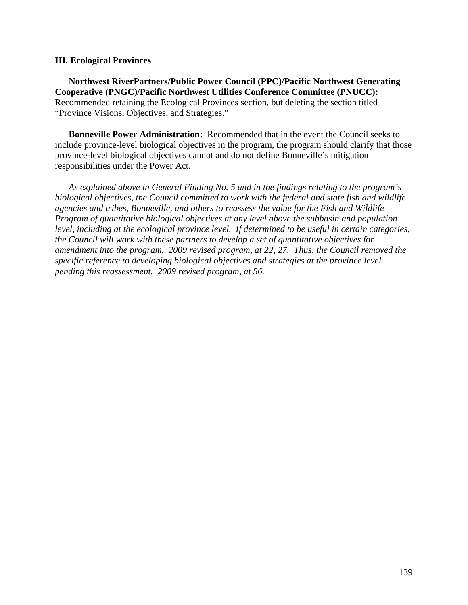#### **III. Ecological Provinces**

**Northwest RiverPartners/Public Power Council (PPC)/Pacific Northwest Generating Cooperative (PNGC)/Pacific Northwest Utilities Conference Committee (PNUCC):** Recommended retaining the Ecological Provinces section, but deleting the section titled "Province Visions, Objectives, and Strategies."

 **Bonneville Power Administration:** Recommended that in the event the Council seeks to include province-level biological objectives in the program, the program should clarify that those province-level biological objectives cannot and do not define Bonneville's mitigation responsibilities under the Power Act.

 *As explained above in General Finding No. 5 and in the findings relating to the program's biological objectives, the Council committed to work with the federal and state fish and wildlife agencies and tribes, Bonneville, and others to reassess the value for the Fish and Wildlife Program of quantitative biological objectives at any level above the subbasin and population level, including at the ecological province level. If determined to be useful in certain categories, the Council will work with these partners to develop a set of quantitative objectives for amendment into the program. 2009 revised program, at 22, 27. Thus, the Council removed the specific reference to developing biological objectives and strategies at the province level pending this reassessment. 2009 revised program, at 56.*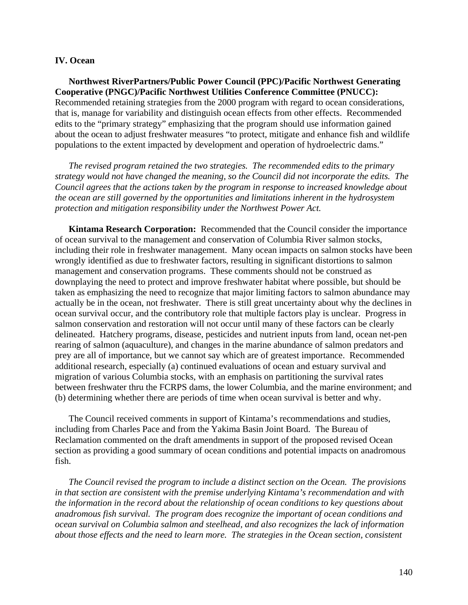#### **IV. Ocean**

**Northwest RiverPartners/Public Power Council (PPC)/Pacific Northwest Generating Cooperative (PNGC)/Pacific Northwest Utilities Conference Committee (PNUCC):** Recommended retaining strategies from the 2000 program with regard to ocean considerations, that is, manage for variability and distinguish ocean effects from other effects. Recommended edits to the "primary strategy" emphasizing that the program should use information gained about the ocean to adjust freshwater measures "to protect, mitigate and enhance fish and wildlife populations to the extent impacted by development and operation of hydroelectric dams."

*The revised program retained the two strategies. The recommended edits to the primary strategy would not have changed the meaning, so the Council did not incorporate the edits. The Council agrees that the actions taken by the program in response to increased knowledge about the ocean are still governed by the opportunities and limitations inherent in the hydrosystem protection and mitigation responsibility under the Northwest Power Act.* 

**Kintama Research Corporation:** Recommended that the Council consider the importance of ocean survival to the management and conservation of Columbia River salmon stocks, including their role in freshwater management. Many ocean impacts on salmon stocks have been wrongly identified as due to freshwater factors, resulting in significant distortions to salmon management and conservation programs. These comments should not be construed as downplaying the need to protect and improve freshwater habitat where possible, but should be taken as emphasizing the need to recognize that major limiting factors to salmon abundance may actually be in the ocean, not freshwater. There is still great uncertainty about why the declines in ocean survival occur, and the contributory role that multiple factors play is unclear. Progress in salmon conservation and restoration will not occur until many of these factors can be clearly delineated. Hatchery programs, disease, pesticides and nutrient inputs from land, ocean net-pen rearing of salmon (aquaculture), and changes in the marine abundance of salmon predators and prey are all of importance, but we cannot say which are of greatest importance. Recommended additional research, especially (a) continued evaluations of ocean and estuary survival and migration of various Columbia stocks, with an emphasis on partitioning the survival rates between freshwater thru the FCRPS dams, the lower Columbia, and the marine environment; and (b) determining whether there are periods of time when ocean survival is better and why.

 The Council received comments in support of Kintama's recommendations and studies, including from Charles Pace and from the Yakima Basin Joint Board. The Bureau of Reclamation commented on the draft amendments in support of the proposed revised Ocean section as providing a good summary of ocean conditions and potential impacts on anadromous fish.

*The Council revised the program to include a distinct section on the Ocean. The provisions in that section are consistent with the premise underlying Kintama's recommendation and with the information in the record about the relationship of ocean conditions to key questions about anadromous fish survival. The program does recognize the important of ocean conditions and ocean survival on Columbia salmon and steelhead, and also recognizes the lack of information about those effects and the need to learn more. The strategies in the Ocean section, consistent*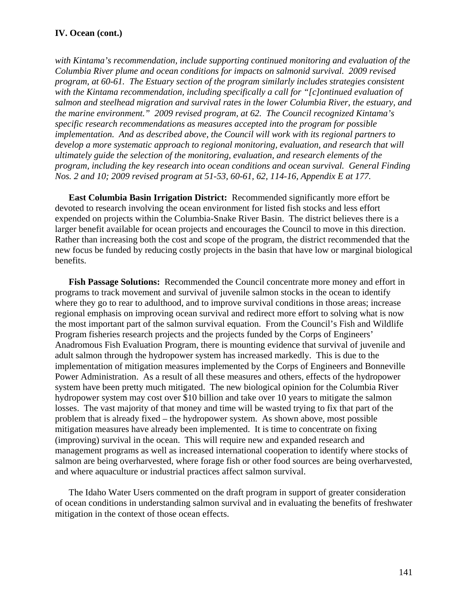#### **IV. Ocean (cont.)**

*with Kintama's recommendation, include supporting continued monitoring and evaluation of the Columbia River plume and ocean conditions for impacts on salmonid survival. 2009 revised program, at 60-61. The Estuary section of the program similarly includes strategies consistent with the Kintama recommendation, including specifically a call for "[c]ontinued evaluation of salmon and steelhead migration and survival rates in the lower Columbia River, the estuary, and the marine environment." 2009 revised program, at 62. The Council recognized Kintama's specific research recommendations as measures accepted into the program for possible implementation. And as described above, the Council will work with its regional partners to develop a more systematic approach to regional monitoring, evaluation, and research that will ultimately guide the selection of the monitoring, evaluation, and research elements of the program, including the key research into ocean conditions and ocean survival. General Finding Nos. 2 and 10; 2009 revised program at 51-53, 60-61, 62, 114-16, Appendix E at 177.* 

 **East Columbia Basin Irrigation District:** Recommended significantly more effort be devoted to research involving the ocean environment for listed fish stocks and less effort expended on projects within the Columbia-Snake River Basin. The district believes there is a larger benefit available for ocean projects and encourages the Council to move in this direction. Rather than increasing both the cost and scope of the program, the district recommended that the new focus be funded by reducing costly projects in the basin that have low or marginal biological benefits.

**Fish Passage Solutions:** Recommended the Council concentrate more money and effort in programs to track movement and survival of juvenile salmon stocks in the ocean to identify where they go to rear to adulthood, and to improve survival conditions in those areas; increase regional emphasis on improving ocean survival and redirect more effort to solving what is now the most important part of the salmon survival equation. From the Council's Fish and Wildlife Program fisheries research projects and the projects funded by the Corps of Engineers' Anadromous Fish Evaluation Program, there is mounting evidence that survival of juvenile and adult salmon through the hydropower system has increased markedly. This is due to the implementation of mitigation measures implemented by the Corps of Engineers and Bonneville Power Administration. As a result of all these measures and others, effects of the hydropower system have been pretty much mitigated. The new biological opinion for the Columbia River hydropower system may cost over \$10 billion and take over 10 years to mitigate the salmon losses. The vast majority of that money and time will be wasted trying to fix that part of the problem that is already fixed – the hydropower system. As shown above, most possible mitigation measures have already been implemented. It is time to concentrate on fixing (improving) survival in the ocean. This will require new and expanded research and management programs as well as increased international cooperation to identify where stocks of salmon are being overharvested, where forage fish or other food sources are being overharvested, and where aquaculture or industrial practices affect salmon survival.

 The Idaho Water Users commented on the draft program in support of greater consideration of ocean conditions in understanding salmon survival and in evaluating the benefits of freshwater mitigation in the context of those ocean effects.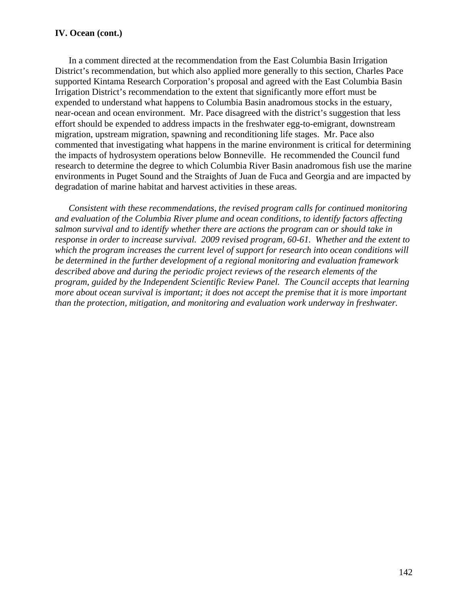## **IV. Ocean (cont.)**

 In a comment directed at the recommendation from the East Columbia Basin Irrigation District's recommendation, but which also applied more generally to this section, Charles Pace supported Kintama Research Corporation's proposal and agreed with the East Columbia Basin Irrigation District's recommendation to the extent that significantly more effort must be expended to understand what happens to Columbia Basin anadromous stocks in the estuary, near-ocean and ocean environment. Mr. Pace disagreed with the district's suggestion that less effort should be expended to address impacts in the freshwater egg-to-emigrant, downstream migration, upstream migration, spawning and reconditioning life stages. Mr. Pace also commented that investigating what happens in the marine environment is critical for determining the impacts of hydrosystem operations below Bonneville. He recommended the Council fund research to determine the degree to which Columbia River Basin anadromous fish use the marine environments in Puget Sound and the Straights of Juan de Fuca and Georgia and are impacted by degradation of marine habitat and harvest activities in these areas.

*Consistent with these recommendations, the revised program calls for continued monitoring and evaluation of the Columbia River plume and ocean conditions, to identify factors affecting salmon survival and to identify whether there are actions the program can or should take in response in order to increase survival. 2009 revised program, 60-61. Whether and the extent to which the program increases the current level of support for research into ocean conditions will be determined in the further development of a regional monitoring and evaluation framework described above and during the periodic project reviews of the research elements of the program, guided by the Independent Scientific Review Panel. The Council accepts that learning more about ocean survival is important; it does not accept the premise that it is more important than the protection, mitigation, and monitoring and evaluation work underway in freshwater.*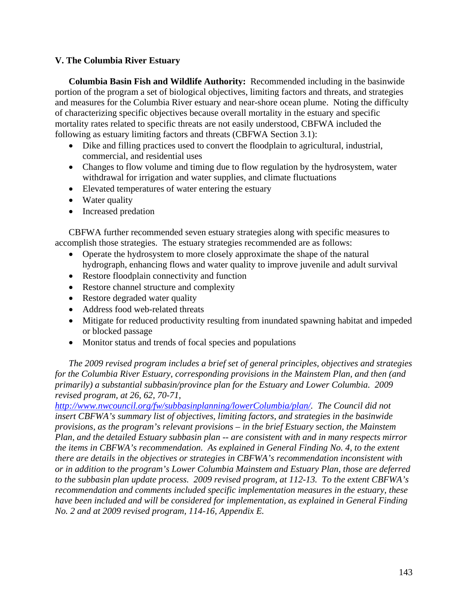# **V. The Columbia River Estuary**

**Columbia Basin Fish and Wildlife Authority:** Recommended including in the basinwide portion of the program a set of biological objectives, limiting factors and threats, and strategies and measures for the Columbia River estuary and near-shore ocean plume. Noting the difficulty of characterizing specific objectives because overall mortality in the estuary and specific mortality rates related to specific threats are not easily understood, CBFWA included the following as estuary limiting factors and threats (CBFWA Section 3.1):

- Dike and filling practices used to convert the floodplain to agricultural, industrial, commercial, and residential uses
- Changes to flow volume and timing due to flow regulation by the hydrosystem, water withdrawal for irrigation and water supplies, and climate fluctuations
- Elevated temperatures of water entering the estuary
- Water quality
- Increased predation

 CBFWA further recommended seven estuary strategies along with specific measures to accomplish those strategies. The estuary strategies recommended are as follows:

- Operate the hydrosystem to more closely approximate the shape of the natural hydrograph, enhancing flows and water quality to improve juvenile and adult survival
- Restore floodplain connectivity and function
- Restore channel structure and complexity
- Restore degraded water quality
- Address food web-related threats
- Mitigate for reduced productivity resulting from inundated spawning habitat and impeded or blocked passage
- Monitor status and trends of focal species and populations

*The 2009 revised program includes a brief set of general principles, objectives and strategies for the Columbia River Estuary, corresponding provisions in the Mainstem Plan, and then (and primarily) a substantial subbasin/province plan for the Estuary and Lower Columbia. 2009 revised program, at 26, 62, 70-71,* 

*http://www.nwcouncil.org/fw/subbasinplanning/lowerColumbia/plan/. The Council did not insert CBFWA's summary list of objectives, limiting factors, and strategies in the basinwide provisions, as the program's relevant provisions – in the brief Estuary section, the Mainstem Plan, and the detailed Estuary subbasin plan -- are consistent with and in many respects mirror the items in CBFWA's recommendation. As explained in General Finding No. 4, to the extent there are details in the objectives or strategies in CBFWA's recommendation inconsistent with or in addition to the program's Lower Columbia Mainstem and Estuary Plan, those are deferred to the subbasin plan update process. 2009 revised program, at 112-13. To the extent CBFWA's recommendation and comments included specific implementation measures in the estuary, these have been included and will be considered for implementation, as explained in General Finding No. 2 and at 2009 revised program, 114-16, Appendix E.*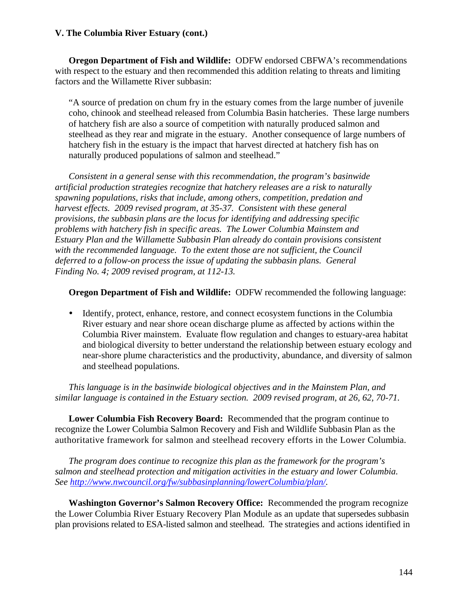#### **V. The Columbia River Estuary (cont.)**

 **Oregon Department of Fish and Wildlife:** ODFW endorsed CBFWA's recommendations with respect to the estuary and then recommended this addition relating to threats and limiting factors and the Willamette River subbasin:

"A source of predation on chum fry in the estuary comes from the large number of juvenile coho, chinook and steelhead released from Columbia Basin hatcheries. These large numbers of hatchery fish are also a source of competition with naturally produced salmon and steelhead as they rear and migrate in the estuary. Another consequence of large numbers of hatchery fish in the estuary is the impact that harvest directed at hatchery fish has on naturally produced populations of salmon and steelhead."

*Consistent in a general sense with this recommendation, the program's basinwide artificial production strategies recognize that hatchery releases are a risk to naturally spawning populations, risks that include, among others, competition, predation and harvest effects. 2009 revised program, at 35-37. Consistent with these general provisions, the subbasin plans are the locus for identifying and addressing specific problems with hatchery fish in specific areas. The Lower Columbia Mainstem and Estuary Plan and the Willamette Subbasin Plan already do contain provisions consistent with the recommended language. To the extent those are not sufficient, the Council deferred to a follow-on process the issue of updating the subbasin plans. General Finding No. 4; 2009 revised program, at 112-13.* 

### **Oregon Department of Fish and Wildlife:** ODFW recommended the following language:

• Identify, protect, enhance, restore, and connect ecosystem functions in the Columbia River estuary and near shore ocean discharge plume as affected by actions within the Columbia River mainstem. Evaluate flow regulation and changes to estuary-area habitat and biological diversity to better understand the relationship between estuary ecology and near-shore plume characteristics and the productivity, abundance, and diversity of salmon and steelhead populations.

*This language is in the basinwide biological objectives and in the Mainstem Plan, and similar language is contained in the Estuary section. 2009 revised program, at 26, 62, 70-71.* 

**Lower Columbia Fish Recovery Board:** Recommended that the program continue to recognize the Lower Columbia Salmon Recovery and Fish and Wildlife Subbasin Plan as the authoritative framework for salmon and steelhead recovery efforts in the Lower Columbia.

*The program does continue to recognize this plan as the framework for the program's salmon and steelhead protection and mitigation activities in the estuary and lower Columbia. See http://www.nwcouncil.org/fw/subbasinplanning/lowerColumbia/plan/.* 

**Washington Governor's Salmon Recovery Office:** Recommended the program recognize the Lower Columbia River Estuary Recovery Plan Module as an update that supersedes subbasin plan provisions related to ESA-listed salmon and steelhead. The strategies and actions identified in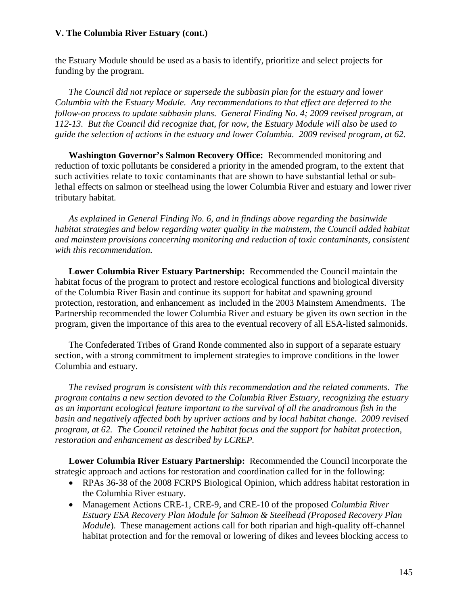the Estuary Module should be used as a basis to identify, prioritize and select projects for funding by the program.

*The Council did not replace or supersede the subbasin plan for the estuary and lower Columbia with the Estuary Module. Any recommendations to that effect are deferred to the follow-on process to update subbasin plans. General Finding No. 4; 2009 revised program, at 112-13. But the Council did recognize that, for now, the Estuary Module will also be used to guide the selection of actions in the estuary and lower Columbia. 2009 revised program, at 62.* 

**Washington Governor's Salmon Recovery Office:** Recommended monitoring and reduction of toxic pollutants be considered a priority in the amended program, to the extent that such activities relate to toxic contaminants that are shown to have substantial lethal or sublethal effects on salmon or steelhead using the lower Columbia River and estuary and lower river tributary habitat.

*As explained in General Finding No. 6, and in findings above regarding the basinwide habitat strategies and below regarding water quality in the mainstem, the Council added habitat and mainstem provisions concerning monitoring and reduction of toxic contaminants, consistent with this recommendation.* 

 **Lower Columbia River Estuary Partnership:** Recommended the Council maintain the habitat focus of the program to protect and restore ecological functions and biological diversity of the Columbia River Basin and continue its support for habitat and spawning ground protection, restoration, and enhancement as included in the 2003 Mainstem Amendments. The Partnership recommended the lower Columbia River and estuary be given its own section in the program, given the importance of this area to the eventual recovery of all ESA-listed salmonids.

 The Confederated Tribes of Grand Ronde commented also in support of a separate estuary section, with a strong commitment to implement strategies to improve conditions in the lower Columbia and estuary.

*The revised program is consistent with this recommendation and the related comments. The program contains a new section devoted to the Columbia River Estuary, recognizing the estuary as an important ecological feature important to the survival of all the anadromous fish in the basin and negatively affected both by upriver actions and by local habitat change. 2009 revised program, at 62. The Council retained the habitat focus and the support for habitat protection, restoration and enhancement as described by LCREP.* 

 **Lower Columbia River Estuary Partnership:** Recommended the Council incorporate the strategic approach and actions for restoration and coordination called for in the following:

- RPAs 36-38 of the 2008 FCRPS Biological Opinion, which address habitat restoration in the Columbia River estuary.
- Management Actions CRE-1, CRE-9, and CRE-10 of the proposed *Columbia River Estuary ESA Recovery Plan Module for Salmon & Steelhead (Proposed Recovery Plan Module*). These management actions call for both riparian and high-quality off-channel habitat protection and for the removal or lowering of dikes and levees blocking access to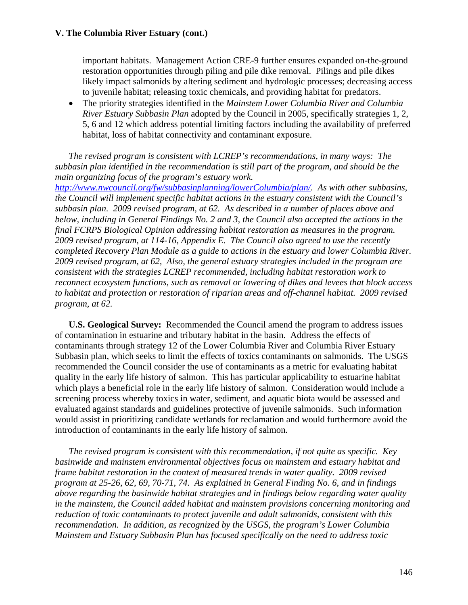important habitats. Management Action CRE-9 further ensures expanded on-the-ground restoration opportunities through piling and pile dike removal. Pilings and pile dikes likely impact salmonids by altering sediment and hydrologic processes; decreasing access to juvenile habitat; releasing toxic chemicals, and providing habitat for predators.

• The priority strategies identified in the *Mainstem Lower Columbia River and Columbia River Estuary Subbasin Plan* adopted by the Council in 2005, specifically strategies 1, 2, 5, 6 and 12 which address potential limiting factors including the availability of preferred habitat, loss of habitat connectivity and contaminant exposure.

*The revised program is consistent with LCREP's recommendations, in many ways: The subbasin plan identified in the recommendation is still part of the program, and should be the main organizing focus of the program's estuary work.* 

*http://www.nwcouncil.org/fw/subbasinplanning/lowerColumbia/plan/. As with other subbasins, the Council will implement specific habitat actions in the estuary consistent with the Council's subbasin plan. 2009 revised program, at 62. As described in a number of places above and below, including in General Findings No. 2 and 3, the Council also accepted the actions in the final FCRPS Biological Opinion addressing habitat restoration as measures in the program. 2009 revised program, at 114-16, Appendix E. The Council also agreed to use the recently completed Recovery Plan Module as a guide to actions in the estuary and lower Columbia River. 2009 revised program, at 62, Also, the general estuary strategies included in the program are consistent with the strategies LCREP recommended, including habitat restoration work to reconnect ecosystem functions, such as removal or lowering of dikes and levees that block access to habitat and protection or restoration of riparian areas and off-channel habitat. 2009 revised program, at 62.* 

**U.S. Geological Survey:** Recommended the Council amend the program to address issues of contamination in estuarine and tributary habitat in the basin. Address the effects of contaminants through strategy 12 of the Lower Columbia River and Columbia River Estuary Subbasin plan, which seeks to limit the effects of toxics contaminants on salmonids. The USGS recommended the Council consider the use of contaminants as a metric for evaluating habitat quality in the early life history of salmon. This has particular applicability to estuarine habitat which plays a beneficial role in the early life history of salmon. Consideration would include a screening process whereby toxics in water, sediment, and aquatic biota would be assessed and evaluated against standards and guidelines protective of juvenile salmonids. Such information would assist in prioritizing candidate wetlands for reclamation and would furthermore avoid the introduction of contaminants in the early life history of salmon.

*The revised program is consistent with this recommendation, if not quite as specific. Key basinwide and mainstem environmental objectives focus on mainstem and estuary habitat and frame habitat restoration in the context of measured trends in water quality. 2009 revised program at 25-26, 62, 69, 70-71, 74. As explained in General Finding No. 6, and in findings above regarding the basinwide habitat strategies and in findings below regarding water quality in the mainstem, the Council added habitat and mainstem provisions concerning monitoring and reduction of toxic contaminants to protect juvenile and adult salmonids, consistent with this recommendation. In addition, as recognized by the USGS, the program's Lower Columbia Mainstem and Estuary Subbasin Plan has focused specifically on the need to address toxic*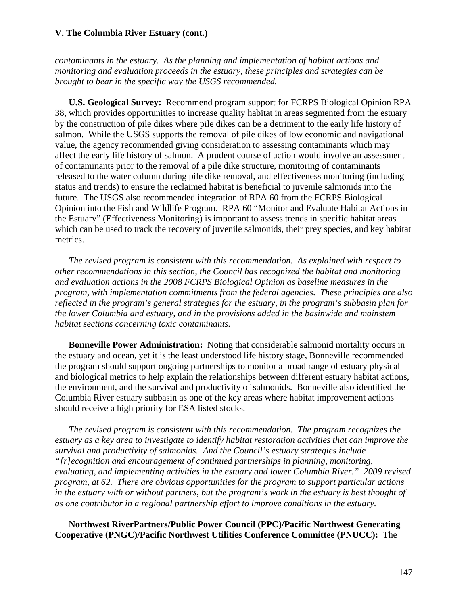*contaminants in the estuary. As the planning and implementation of habitat actions and monitoring and evaluation proceeds in the estuary, these principles and strategies can be brought to bear in the specific way the USGS recommended.* 

**U.S. Geological Survey:** Recommend program support for FCRPS Biological Opinion RPA 38, which provides opportunities to increase quality habitat in areas segmented from the estuary by the construction of pile dikes where pile dikes can be a detriment to the early life history of salmon. While the USGS supports the removal of pile dikes of low economic and navigational value, the agency recommended giving consideration to assessing contaminants which may affect the early life history of salmon. A prudent course of action would involve an assessment of contaminants prior to the removal of a pile dike structure, monitoring of contaminants released to the water column during pile dike removal, and effectiveness monitoring (including status and trends) to ensure the reclaimed habitat is beneficial to juvenile salmonids into the future. The USGS also recommended integration of RPA 60 from the FCRPS Biological Opinion into the Fish and Wildlife Program. RPA 60 "Monitor and Evaluate Habitat Actions in the Estuary" (Effectiveness Monitoring) is important to assess trends in specific habitat areas which can be used to track the recovery of juvenile salmonids, their prey species, and key habitat metrics.

*The revised program is consistent with this recommendation. As explained with respect to other recommendations in this section, the Council has recognized the habitat and monitoring and evaluation actions in the 2008 FCRPS Biological Opinion as baseline measures in the program, with implementation commitments from the federal agencies. These principles are also reflected in the program's general strategies for the estuary, in the program's subbasin plan for the lower Columbia and estuary, and in the provisions added in the basinwide and mainstem habitat sections concerning toxic contaminants.*

**Bonneville Power Administration:** Noting that considerable salmonid mortality occurs in the estuary and ocean, yet it is the least understood life history stage, Bonneville recommended the program should support ongoing partnerships to monitor a broad range of estuary physical and biological metrics to help explain the relationships between different estuary habitat actions, the environment, and the survival and productivity of salmonids. Bonneville also identified the Columbia River estuary subbasin as one of the key areas where habitat improvement actions should receive a high priority for ESA listed stocks.

*The revised program is consistent with this recommendation. The program recognizes the estuary as a key area to investigate to identify habitat restoration activities that can improve the survival and productivity of salmonids. And the Council's estuary strategies include "[r]ecognition and encouragement of continued partnerships in planning, monitoring, evaluating, and implementing activities in the estuary and lower Columbia River." 2009 revised program, at 62. There are obvious opportunities for the program to support particular actions in the estuary with or without partners, but the program's work in the estuary is best thought of as one contributor in a regional partnership effort to improve conditions in the estuary.* 

**Northwest RiverPartners/Public Power Council (PPC)/Pacific Northwest Generating Cooperative (PNGC)/Pacific Northwest Utilities Conference Committee (PNUCC):** The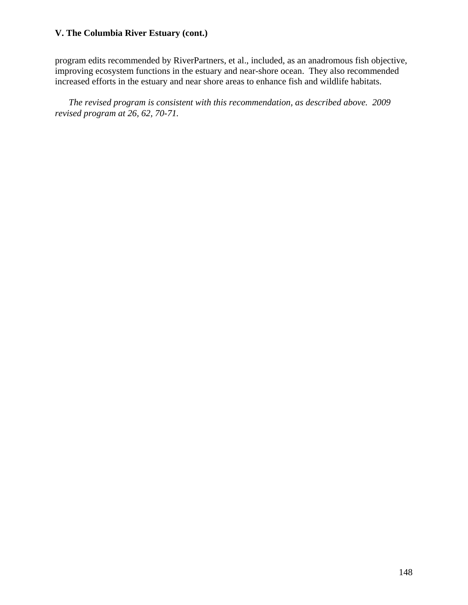program edits recommended by RiverPartners, et al., included, as an anadromous fish objective, improving ecosystem functions in the estuary and near-shore ocean. They also recommended increased efforts in the estuary and near shore areas to enhance fish and wildlife habitats.

*The revised program is consistent with this recommendation, as described above. 2009 revised program at 26, 62, 70-71.*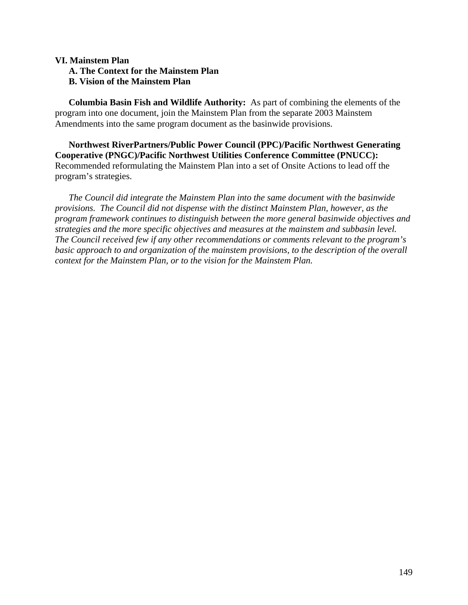#### **VI. Mainstem Plan**

- **A. The Context for the Mainstem Plan**
- **B. Vision of the Mainstem Plan**

**Columbia Basin Fish and Wildlife Authority:** As part of combining the elements of the program into one document, join the Mainstem Plan from the separate 2003 Mainstem Amendments into the same program document as the basinwide provisions.

**Northwest RiverPartners/Public Power Council (PPC)/Pacific Northwest Generating Cooperative (PNGC)/Pacific Northwest Utilities Conference Committee (PNUCC):** Recommended reformulating the Mainstem Plan into a set of Onsite Actions to lead off the program's strategies.

*The Council did integrate the Mainstem Plan into the same document with the basinwide provisions. The Council did not dispense with the distinct Mainstem Plan, however, as the program framework continues to distinguish between the more general basinwide objectives and strategies and the more specific objectives and measures at the mainstem and subbasin level. The Council received few if any other recommendations or comments relevant to the program's basic approach to and organization of the mainstem provisions, to the description of the overall context for the Mainstem Plan, or to the vision for the Mainstem Plan.*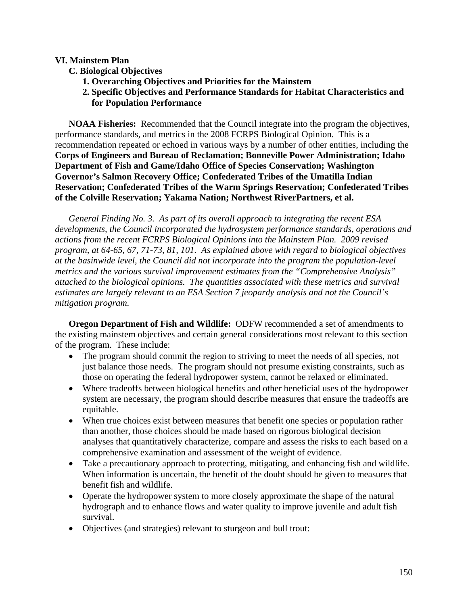#### **VI. Mainstem Plan**

- **C. Biological Objectives** 
	- **1. Overarching Objectives and Priorities for the Mainstem**
	- **2. Specific Objectives and Performance Standards for Habitat Characteristics and for Population Performance**

**NOAA Fisheries:** Recommended that the Council integrate into the program the objectives, performance standards, and metrics in the 2008 FCRPS Biological Opinion. This is a recommendation repeated or echoed in various ways by a number of other entities, including the **Corps of Engineers and Bureau of Reclamation; Bonneville Power Administration; Idaho Department of Fish and Game/Idaho Office of Species Conservation; Washington Governor's Salmon Recovery Office; Confederated Tribes of the Umatilla Indian Reservation; Confederated Tribes of the Warm Springs Reservation; Confederated Tribes of the Colville Reservation; Yakama Nation; Northwest RiverPartners, et al.**

*General Finding No. 3. As part of its overall approach to integrating the recent ESA developments, the Council incorporated the hydrosystem performance standards, operations and actions from the recent FCRPS Biological Opinions into the Mainstem Plan. 2009 revised program, at 64-65, 67, 71-73, 81, 101. As explained above with regard to biological objectives at the basinwide level, the Council did not incorporate into the program the population-level metrics and the various survival improvement estimates from the "Comprehensive Analysis" attached to the biological opinions. The quantities associated with these metrics and survival estimates are largely relevant to an ESA Section 7 jeopardy analysis and not the Council's mitigation program.*

**Oregon Department of Fish and Wildlife:** ODFW recommended a set of amendments to the existing mainstem objectives and certain general considerations most relevant to this section of the program. These include:

- The program should commit the region to striving to meet the needs of all species, not just balance those needs. The program should not presume existing constraints, such as those on operating the federal hydropower system, cannot be relaxed or eliminated.
- Where tradeoffs between biological benefits and other beneficial uses of the hydropower system are necessary, the program should describe measures that ensure the tradeoffs are equitable.
- When true choices exist between measures that benefit one species or population rather than another, those choices should be made based on rigorous biological decision analyses that quantitatively characterize, compare and assess the risks to each based on a comprehensive examination and assessment of the weight of evidence.
- Take a precautionary approach to protecting, mitigating, and enhancing fish and wildlife. When information is uncertain, the benefit of the doubt should be given to measures that benefit fish and wildlife.
- Operate the hydropower system to more closely approximate the shape of the natural hydrograph and to enhance flows and water quality to improve juvenile and adult fish survival.
- Objectives (and strategies) relevant to sturgeon and bull trout: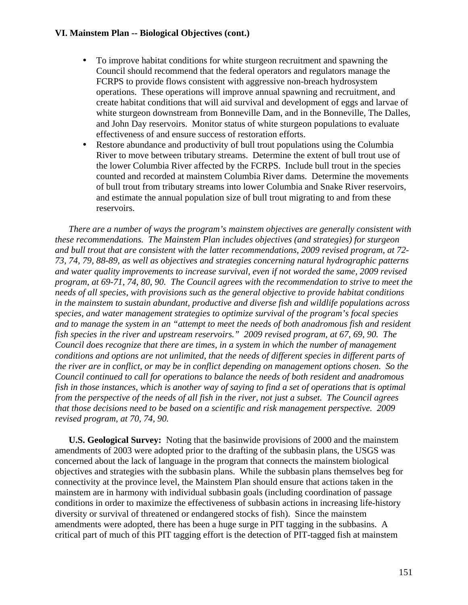#### **VI. Mainstem Plan -- Biological Objectives (cont.)**

- To improve habitat conditions for white sturgeon recruitment and spawning the Council should recommend that the federal operators and regulators manage the FCRPS to provide flows consistent with aggressive non-breach hydrosystem operations. These operations will improve annual spawning and recruitment, and create habitat conditions that will aid survival and development of eggs and larvae of white sturgeon downstream from Bonneville Dam, and in the Bonneville, The Dalles, and John Day reservoirs. Monitor status of white sturgeon populations to evaluate effectiveness of and ensure success of restoration efforts.
- Restore abundance and productivity of bull trout populations using the Columbia River to move between tributary streams. Determine the extent of bull trout use of the lower Columbia River affected by the FCRPS. Include bull trout in the species counted and recorded at mainstem Columbia River dams. Determine the movements of bull trout from tributary streams into lower Columbia and Snake River reservoirs, and estimate the annual population size of bull trout migrating to and from these reservoirs.

*There are a number of ways the program's mainstem objectives are generally consistent with these recommendations. The Mainstem Plan includes objectives (and strategies) for sturgeon and bull trout that are consistent with the latter recommendations, 2009 revised program, at 72- 73, 74, 79, 88-89, as well as objectives and strategies concerning natural hydrographic patterns and water quality improvements to increase survival, even if not worded the same, 2009 revised program, at 69-71, 74, 80, 90. The Council agrees with the recommendation to strive to meet the needs of all species, with provisions such as the general objective to provide habitat conditions in the mainstem to sustain abundant, productive and diverse fish and wildlife populations across species, and water management strategies to optimize survival of the program's focal species and to manage the system in an "attempt to meet the needs of both anadromous fish and resident fish species in the river and upstream reservoirs." 2009 revised program, at 67, 69, 90. The Council does recognize that there are times, in a system in which the number of management conditions and options are not unlimited, that the needs of different species in different parts of the river are in conflict, or may be in conflict depending on management options chosen. So the Council continued to call for operations to balance the needs of both resident and anadromous fish in those instances, which is another way of saying to find a set of operations that is optimal from the perspective of the needs of all fish in the river, not just a subset. The Council agrees that those decisions need to be based on a scientific and risk management perspective. 2009 revised program, at 70, 74, 90.* 

**U.S. Geological Survey:** Noting that the basinwide provisions of 2000 and the mainstem amendments of 2003 were adopted prior to the drafting of the subbasin plans, the USGS was concerned about the lack of language in the program that connects the mainstem biological objectives and strategies with the subbasin plans. While the subbasin plans themselves beg for connectivity at the province level, the Mainstem Plan should ensure that actions taken in the mainstem are in harmony with individual subbasin goals (including coordination of passage conditions in order to maximize the effectiveness of subbasin actions in increasing life-history diversity or survival of threatened or endangered stocks of fish). Since the mainstem amendments were adopted, there has been a huge surge in PIT tagging in the subbasins. A critical part of much of this PIT tagging effort is the detection of PIT-tagged fish at mainstem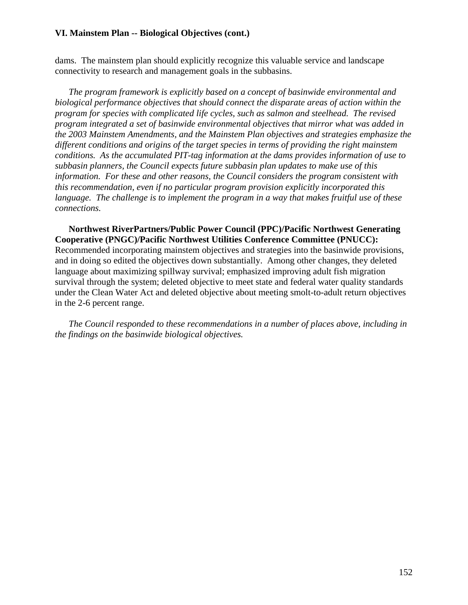# **VI. Mainstem Plan -- Biological Objectives (cont.)**

dams. The mainstem plan should explicitly recognize this valuable service and landscape connectivity to research and management goals in the subbasins.

*The program framework is explicitly based on a concept of basinwide environmental and biological performance objectives that should connect the disparate areas of action within the program for species with complicated life cycles, such as salmon and steelhead. The revised program integrated a set of basinwide environmental objectives that mirror what was added in the 2003 Mainstem Amendments, and the Mainstem Plan objectives and strategies emphasize the different conditions and origins of the target species in terms of providing the right mainstem conditions. As the accumulated PIT-tag information at the dams provides information of use to subbasin planners, the Council expects future subbasin plan updates to make use of this information. For these and other reasons, the Council considers the program consistent with this recommendation, even if no particular program provision explicitly incorporated this language. The challenge is to implement the program in a way that makes fruitful use of these connections.* 

**Northwest RiverPartners/Public Power Council (PPC)/Pacific Northwest Generating Cooperative (PNGC)/Pacific Northwest Utilities Conference Committee (PNUCC):** Recommended incorporating mainstem objectives and strategies into the basinwide provisions, and in doing so edited the objectives down substantially. Among other changes, they deleted language about maximizing spillway survival; emphasized improving adult fish migration survival through the system; deleted objective to meet state and federal water quality standards under the Clean Water Act and deleted objective about meeting smolt-to-adult return objectives in the 2-6 percent range.

*The Council responded to these recommendations in a number of places above, including in the findings on the basinwide biological objectives.*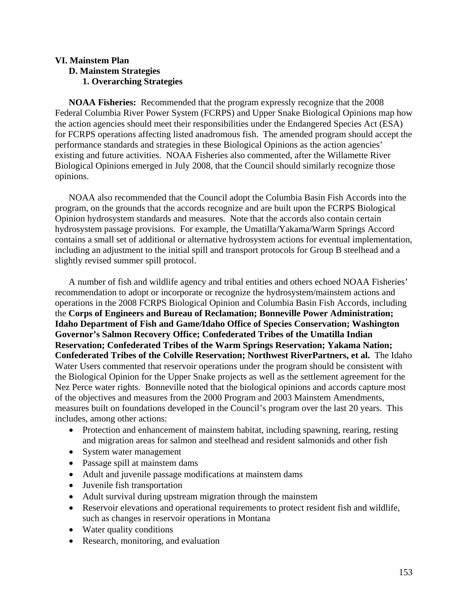### **VI. Mainstem Plan D. Mainstem Strategies 1. Overarching Strategies**

**NOAA Fisheries:** Recommended that the program expressly recognize that the 2008 Federal Columbia River Power System (FCRPS) and Upper Snake Biological Opinions map how the action agencies should meet their responsibilities under the Endangered Species Act (ESA) for FCRPS operations affecting listed anadromous fish. The amended program should accept the performance standards and strategies in these Biological Opinions as the action agencies' existing and future activities. NOAA Fisheries also commented, after the Willamette River Biological Opinions emerged in July 2008, that the Council should similarly recognize those opinions.

 NOAA also recommended that the Council adopt the Columbia Basin Fish Accords into the program, on the grounds that the accords recognize and are built upon the FCRPS Biological Opinion hydrosystem standards and measures. Note that the accords also contain certain hydrosystem passage provisions. For example, the Umatilla/Yakama/Warm Springs Accord contains a small set of additional or alternative hydrosystem actions for eventual implementation, including an adjustment to the initial spill and transport protocols for Group B steelhead and a slightly revised summer spill protocol.

 A number of fish and wildlife agency and tribal entities and others echoed NOAA Fisheries' recommendation to adopt or incorporate or recognize the hydrosystem/mainstem actions and operations in the 2008 FCRPS Biological Opinion and Columbia Basin Fish Accords, including the **Corps of Engineers and Bureau of Reclamation; Bonneville Power Administration; Idaho Department of Fish and Game/Idaho Office of Species Conservation; Washington Governor's Salmon Recovery Office; Confederated Tribes of the Umatilla Indian Reservation; Confederated Tribes of the Warm Springs Reservation; Yakama Nation; Confederated Tribes of the Colville Reservation; Northwest RiverPartners, et al.** The Idaho Water Users commented that reservoir operations under the program should be consistent with the Biological Opinion for the Upper Snake projects as well as the settlement agreement for the Nez Perce water rights. Bonneville noted that the biological opinions and accords capture most of the objectives and measures from the 2000 Program and 2003 Mainstem Amendments, measures built on foundations developed in the Council's program over the last 20 years. This includes, among other actions:

- Protection and enhancement of mainstem habitat, including spawning, rearing, resting and migration areas for salmon and steelhead and resident salmonids and other fish
- System water management
- Passage spill at mainstem dams
- Adult and juvenile passage modifications at mainstem dams
- Juvenile fish transportation
- Adult survival during upstream migration through the mainstem
- Reservoir elevations and operational requirements to protect resident fish and wildlife, such as changes in reservoir operations in Montana
- Water quality conditions
- Research, monitoring, and evaluation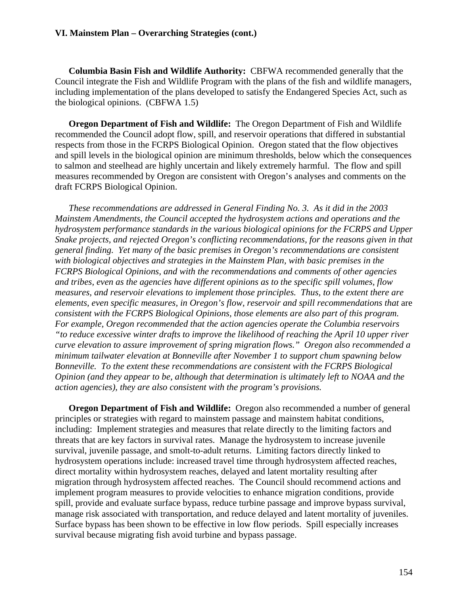**Columbia Basin Fish and Wildlife Authority:** CBFWA recommended generally that the Council integrate the Fish and Wildlife Program with the plans of the fish and wildlife managers, including implementation of the plans developed to satisfy the Endangered Species Act, such as the biological opinions. (CBFWA 1.5)

**Oregon Department of Fish and Wildlife:** The Oregon Department of Fish and Wildlife recommended the Council adopt flow, spill, and reservoir operations that differed in substantial respects from those in the FCRPS Biological Opinion. Oregon stated that the flow objectives and spill levels in the biological opinion are minimum thresholds, below which the consequences to salmon and steelhead are highly uncertain and likely extremely harmful. The flow and spill measures recommended by Oregon are consistent with Oregon's analyses and comments on the draft FCRPS Biological Opinion.

*These recommendations are addressed in General Finding No. 3. As it did in the 2003 Mainstem Amendments, the Council accepted the hydrosystem actions and operations and the hydrosystem performance standards in the various biological opinions for the FCRPS and Upper Snake projects, and rejected Oregon's conflicting recommendations, for the reasons given in that general finding. Yet many of the basic premises in Oregon's recommendations are consistent with biological objectives and strategies in the Mainstem Plan, with basic premises in the FCRPS Biological Opinions, and with the recommendations and comments of other agencies and tribes, even as the agencies have different opinions as to the specific spill volumes, flow measures, and reservoir elevations to implement those principles. Thus, to the extent there are elements, even specific measures, in Oregon's flow, reservoir and spill recommendations that are consistent with the FCRPS Biological Opinions, those elements are also part of this program. For example, Oregon recommended that the action agencies operate the Columbia reservoirs "to reduce excessive winter drafts to improve the likelihood of reaching the April 10 upper river curve elevation to assure improvement of spring migration flows." Oregon also recommended a minimum tailwater elevation at Bonneville after November 1 to support chum spawning below Bonneville. To the extent these recommendations are consistent with the FCRPS Biological Opinion (and they appear to be, although that determination is ultimately left to NOAA and the action agencies), they are also consistent with the program's provisions.* 

**Oregon Department of Fish and Wildlife:** Oregon also recommended a number of general principles or strategies with regard to mainstem passage and mainstem habitat conditions, including: Implement strategies and measures that relate directly to the limiting factors and threats that are key factors in survival rates. Manage the hydrosystem to increase juvenile survival, juvenile passage, and smolt-to-adult returns. Limiting factors directly linked to hydrosystem operations include: increased travel time through hydrosystem affected reaches, direct mortality within hydrosystem reaches, delayed and latent mortality resulting after migration through hydrosystem affected reaches. The Council should recommend actions and implement program measures to provide velocities to enhance migration conditions, provide spill, provide and evaluate surface bypass, reduce turbine passage and improve bypass survival, manage risk associated with transportation, and reduce delayed and latent mortality of juveniles. Surface bypass has been shown to be effective in low flow periods. Spill especially increases survival because migrating fish avoid turbine and bypass passage.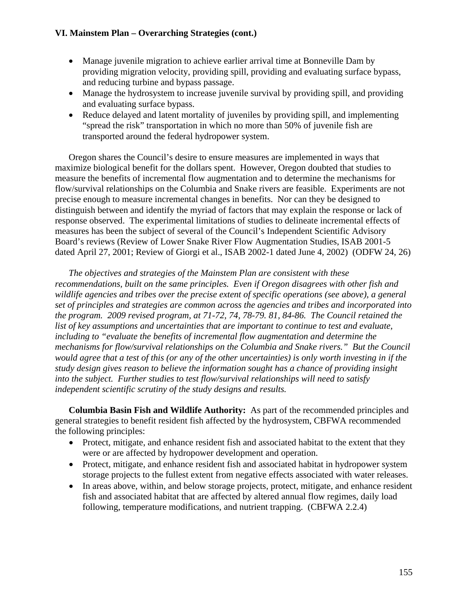- Manage juvenile migration to achieve earlier arrival time at Bonneville Dam by providing migration velocity, providing spill, providing and evaluating surface bypass, and reducing turbine and bypass passage.
- Manage the hydrosystem to increase juvenile survival by providing spill, and providing and evaluating surface bypass.
- Reduce delayed and latent mortality of juveniles by providing spill, and implementing "spread the risk" transportation in which no more than 50% of juvenile fish are transported around the federal hydropower system.

 Oregon shares the Council's desire to ensure measures are implemented in ways that maximize biological benefit for the dollars spent. However, Oregon doubted that studies to measure the benefits of incremental flow augmentation and to determine the mechanisms for flow/survival relationships on the Columbia and Snake rivers are feasible. Experiments are not precise enough to measure incremental changes in benefits. Nor can they be designed to distinguish between and identify the myriad of factors that may explain the response or lack of response observed. The experimental limitations of studies to delineate incremental effects of measures has been the subject of several of the Council's Independent Scientific Advisory Board's reviews (Review of Lower Snake River Flow Augmentation Studies, ISAB 2001-5 dated April 27, 2001; Review of Giorgi et al., ISAB 2002-1 dated June 4, 2002) (ODFW 24, 26)

*The objectives and strategies of the Mainstem Plan are consistent with these recommendations, built on the same principles. Even if Oregon disagrees with other fish and wildlife agencies and tribes over the precise extent of specific operations (see above), a general set of principles and strategies are common across the agencies and tribes and incorporated into the program. 2009 revised program, at 71-72, 74, 78-79. 81, 84-86. The Council retained the list of key assumptions and uncertainties that are important to continue to test and evaluate, including to "evaluate the benefits of incremental flow augmentation and determine the mechanisms for flow/survival relationships on the Columbia and Snake rivers." But the Council would agree that a test of this (or any of the other uncertainties) is only worth investing in if the study design gives reason to believe the information sought has a chance of providing insight into the subject. Further studies to test flow/survival relationships will need to satisfy independent scientific scrutiny of the study designs and results.* 

**Columbia Basin Fish and Wildlife Authority:** As part of the recommended principles and general strategies to benefit resident fish affected by the hydrosystem, CBFWA recommended the following principles:

- Protect, mitigate, and enhance resident fish and associated habitat to the extent that they were or are affected by hydropower development and operation.
- Protect, mitigate, and enhance resident fish and associated habitat in hydropower system storage projects to the fullest extent from negative effects associated with water releases.
- In areas above, within, and below storage projects, protect, mitigate, and enhance resident fish and associated habitat that are affected by altered annual flow regimes, daily load following, temperature modifications, and nutrient trapping. (CBFWA 2.2.4)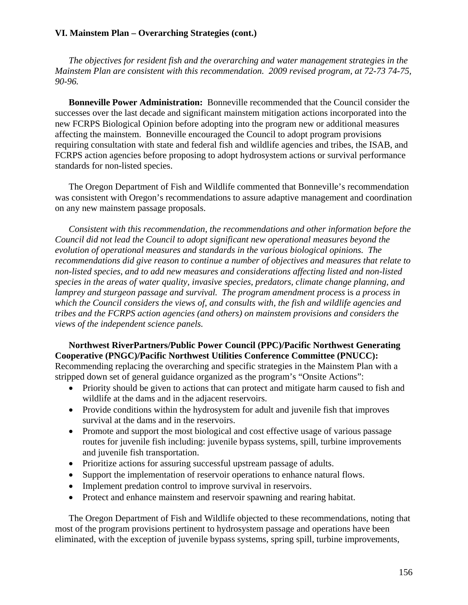*The objectives for resident fish and the overarching and water management strategies in the Mainstem Plan are consistent with this recommendation. 2009 revised program, at 72-73 74-75, 90-96.* 

 **Bonneville Power Administration:** Bonneville recommended that the Council consider the successes over the last decade and significant mainstem mitigation actions incorporated into the new FCRPS Biological Opinion before adopting into the program new or additional measures affecting the mainstem. Bonneville encouraged the Council to adopt program provisions requiring consultation with state and federal fish and wildlife agencies and tribes, the ISAB, and FCRPS action agencies before proposing to adopt hydrosystem actions or survival performance standards for non-listed species.

 The Oregon Department of Fish and Wildlife commented that Bonneville's recommendation was consistent with Oregon's recommendations to assure adaptive management and coordination on any new mainstem passage proposals.

*Consistent with this recommendation, the recommendations and other information before the Council did not lead the Council to adopt significant new operational measures beyond the evolution of operational measures and standards in the various biological opinions. The recommendations did give reason to continue a number of objectives and measures that relate to non-listed species, and to add new measures and considerations affecting listed and non-listed species in the areas of water quality, invasive species, predators, climate change planning, and lamprey and sturgeon passage and survival. The program amendment process* is *a process in which the Council considers the views of, and consults with, the fish and wildlife agencies and tribes and the FCRPS action agencies (and others) on mainstem provisions and considers the views of the independent science panels.* 

**Northwest RiverPartners/Public Power Council (PPC)/Pacific Northwest Generating Cooperative (PNGC)/Pacific Northwest Utilities Conference Committee (PNUCC):** Recommending replacing the overarching and specific strategies in the Mainstem Plan with a stripped down set of general guidance organized as the program's "Onsite Actions":

- Priority should be given to actions that can protect and mitigate harm caused to fish and wildlife at the dams and in the adjacent reservoirs.
- Provide conditions within the hydrosystem for adult and juvenile fish that improves survival at the dams and in the reservoirs.
- Promote and support the most biological and cost effective usage of various passage routes for juvenile fish including: juvenile bypass systems, spill, turbine improvements and juvenile fish transportation.
- Prioritize actions for assuring successful upstream passage of adults.
- Support the implementation of reservoir operations to enhance natural flows.
- Implement predation control to improve survival in reservoirs.
- Protect and enhance mainstem and reservoir spawning and rearing habitat.

 The Oregon Department of Fish and Wildlife objected to these recommendations, noting that most of the program provisions pertinent to hydrosystem passage and operations have been eliminated, with the exception of juvenile bypass systems, spring spill, turbine improvements,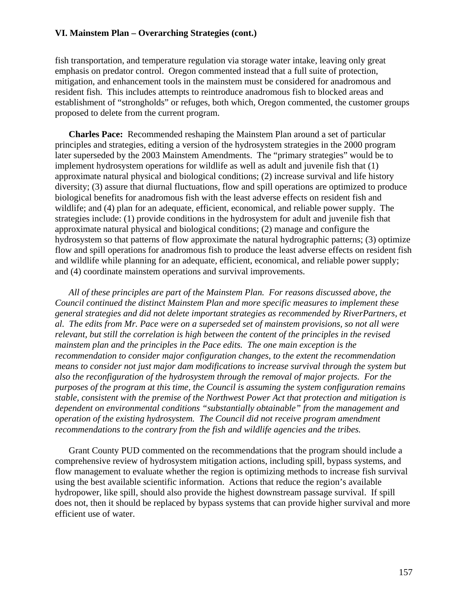fish transportation, and temperature regulation via storage water intake, leaving only great emphasis on predator control. Oregon commented instead that a full suite of protection, mitigation, and enhancement tools in the mainstem must be considered for anadromous and resident fish. This includes attempts to reintroduce anadromous fish to blocked areas and establishment of "strongholds" or refuges, both which, Oregon commented, the customer groups proposed to delete from the current program.

**Charles Pace:** Recommended reshaping the Mainstem Plan around a set of particular principles and strategies, editing a version of the hydrosystem strategies in the 2000 program later superseded by the 2003 Mainstem Amendments. The "primary strategies" would be to implement hydrosystem operations for wildlife as well as adult and juvenile fish that (1) approximate natural physical and biological conditions; (2) increase survival and life history diversity; (3) assure that diurnal fluctuations, flow and spill operations are optimized to produce biological benefits for anadromous fish with the least adverse effects on resident fish and wildlife; and (4) plan for an adequate, efficient, economical, and reliable power supply. The strategies include: (1) provide conditions in the hydrosystem for adult and juvenile fish that approximate natural physical and biological conditions; (2) manage and configure the hydrosystem so that patterns of flow approximate the natural hydrographic patterns; (3) optimize flow and spill operations for anadromous fish to produce the least adverse effects on resident fish and wildlife while planning for an adequate, efficient, economical, and reliable power supply; and (4) coordinate mainstem operations and survival improvements.

 *All of these principles are part of the Mainstem Plan. For reasons discussed above, the Council continued the distinct Mainstem Plan and more specific measures to implement these general strategies and did not delete important strategies as recommended by RiverPartners, et al. The edits from Mr. Pace were on a superseded set of mainstem provisions, so not all were relevant, but still the correlation is high between the content of the principles in the revised mainstem plan and the principles in the Pace edits. The one main exception is the recommendation to consider major configuration changes, to the extent the recommendation means to consider not just major dam modifications to increase survival through the system but also the reconfiguration of the hydrosystem through the removal of major projects. For the purposes of the program at this time, the Council is assuming the system configuration remains stable, consistent with the premise of the Northwest Power Act that protection and mitigation is dependent on environmental conditions "substantially obtainable" from the management and operation of the existing hydrosystem. The Council did not receive program amendment recommendations to the contrary from the fish and wildlife agencies and the tribes.* 

 Grant County PUD commented on the recommendations that the program should include a comprehensive review of hydrosystem mitigation actions, including spill, bypass systems, and flow management to evaluate whether the region is optimizing methods to increase fish survival using the best available scientific information. Actions that reduce the region's available hydropower, like spill, should also provide the highest downstream passage survival. If spill does not, then it should be replaced by bypass systems that can provide higher survival and more efficient use of water.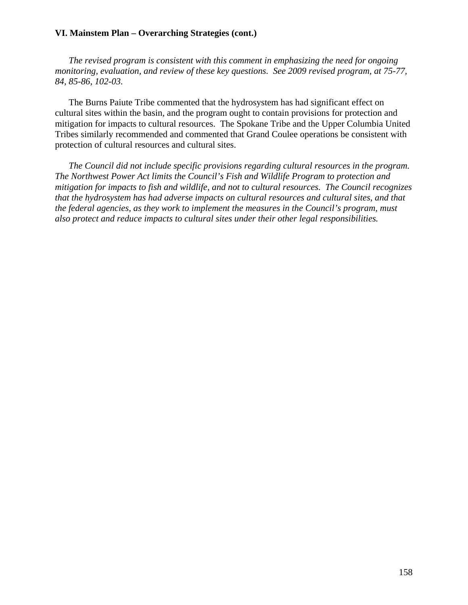*The revised program is consistent with this comment in emphasizing the need for ongoing monitoring, evaluation, and review of these key questions. See 2009 revised program, at 75-77, 84, 85-86, 102-03.* 

 The Burns Paiute Tribe commented that the hydrosystem has had significant effect on cultural sites within the basin, and the program ought to contain provisions for protection and mitigation for impacts to cultural resources. The Spokane Tribe and the Upper Columbia United Tribes similarly recommended and commented that Grand Coulee operations be consistent with protection of cultural resources and cultural sites.

*The Council did not include specific provisions regarding cultural resources in the program. The Northwest Power Act limits the Council's Fish and Wildlife Program to protection and mitigation for impacts to fish and wildlife, and not to cultural resources. The Council recognizes that the hydrosystem has had adverse impacts on cultural resources and cultural sites, and that the federal agencies, as they work to implement the measures in the Council's program, must also protect and reduce impacts to cultural sites under their other legal responsibilities.*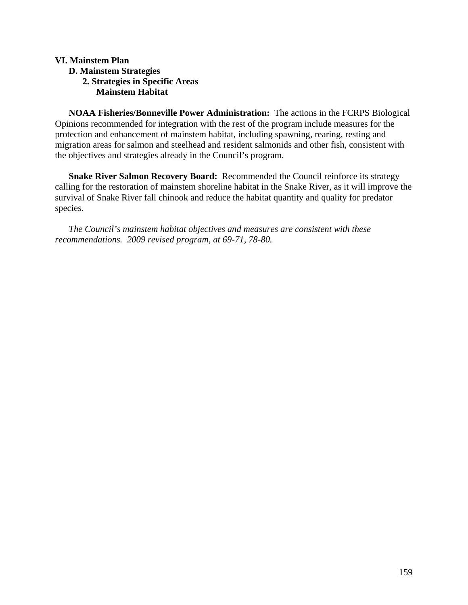#### **VI. Mainstem Plan D. Mainstem Strategies**

# **2. Strategies in Specific Areas Mainstem Habitat**

 **NOAA Fisheries/Bonneville Power Administration:** The actions in the FCRPS Biological Opinions recommended for integration with the rest of the program include measures for the protection and enhancement of mainstem habitat, including spawning, rearing, resting and migration areas for salmon and steelhead and resident salmonids and other fish, consistent with the objectives and strategies already in the Council's program.

**Snake River Salmon Recovery Board:** Recommended the Council reinforce its strategy calling for the restoration of mainstem shoreline habitat in the Snake River, as it will improve the survival of Snake River fall chinook and reduce the habitat quantity and quality for predator species.

*The Council's mainstem habitat objectives and measures are consistent with these recommendations. 2009 revised program, at 69-71, 78-80.*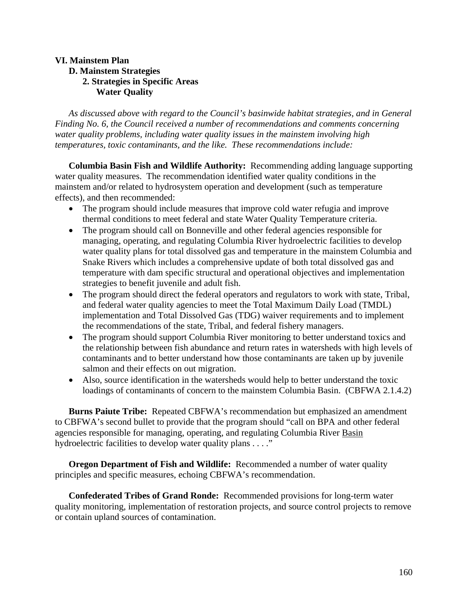## **VI. Mainstem Plan D. Mainstem Strategies 2. Strategies in Specific Areas Water Quality**

*As discussed above with regard to the Council's basinwide habitat strategies, and in General Finding No. 6, the Council received a number of recommendations and comments concerning water quality problems, including water quality issues in the mainstem involving high temperatures, toxic contaminants, and the like. These recommendations include:* 

**Columbia Basin Fish and Wildlife Authority:** Recommending adding language supporting water quality measures. The recommendation identified water quality conditions in the mainstem and/or related to hydrosystem operation and development (such as temperature effects), and then recommended:

- The program should include measures that improve cold water refugia and improve thermal conditions to meet federal and state Water Quality Temperature criteria.
- The program should call on Bonneville and other federal agencies responsible for managing, operating, and regulating Columbia River hydroelectric facilities to develop water quality plans for total dissolved gas and temperature in the mainstem Columbia and Snake Rivers which includes a comprehensive update of both total dissolved gas and temperature with dam specific structural and operational objectives and implementation strategies to benefit juvenile and adult fish.
- The program should direct the federal operators and regulators to work with state, Tribal, and federal water quality agencies to meet the Total Maximum Daily Load (TMDL) implementation and Total Dissolved Gas (TDG) waiver requirements and to implement the recommendations of the state, Tribal, and federal fishery managers.
- The program should support Columbia River monitoring to better understand toxics and the relationship between fish abundance and return rates in watersheds with high levels of contaminants and to better understand how those contaminants are taken up by juvenile salmon and their effects on out migration.
- Also, source identification in the watersheds would help to better understand the toxic loadings of contaminants of concern to the mainstem Columbia Basin. (CBFWA 2.1.4.2)

**Burns Paiute Tribe:** Repeated CBFWA's recommendation but emphasized an amendment to CBFWA's second bullet to provide that the program should "call on BPA and other federal agencies responsible for managing, operating, and regulating Columbia River Basin hydroelectric facilities to develop water quality plans . . . ."

**Oregon Department of Fish and Wildlife:** Recommended a number of water quality principles and specific measures, echoing CBFWA's recommendation.

**Confederated Tribes of Grand Ronde:** Recommended provisions for long-term water quality monitoring, implementation of restoration projects, and source control projects to remove or contain upland sources of contamination.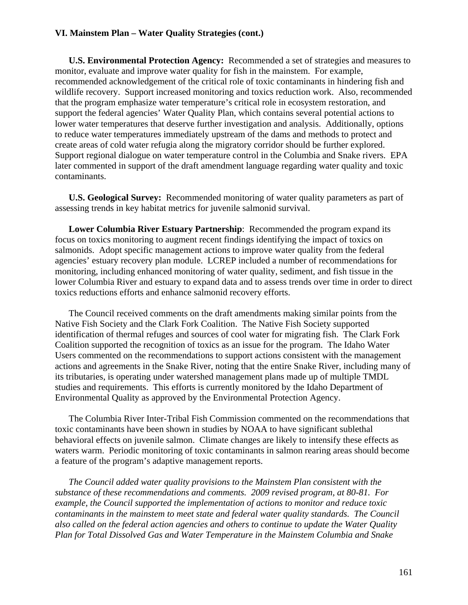#### **VI. Mainstem Plan – Water Quality Strategies (cont.)**

**U.S. Environmental Protection Agency:** Recommended a set of strategies and measures to monitor, evaluate and improve water quality for fish in the mainstem. For example, recommended acknowledgement of the critical role of toxic contaminants in hindering fish and wildlife recovery. Support increased monitoring and toxics reduction work. Also, recommended that the program emphasize water temperature's critical role in ecosystem restoration, and support the federal agencies' Water Quality Plan, which contains several potential actions to lower water temperatures that deserve further investigation and analysis. Additionally, options to reduce water temperatures immediately upstream of the dams and methods to protect and create areas of cold water refugia along the migratory corridor should be further explored. Support regional dialogue on water temperature control in the Columbia and Snake rivers. EPA later commented in support of the draft amendment language regarding water quality and toxic contaminants.

**U.S. Geological Survey:** Recommended monitoring of water quality parameters as part of assessing trends in key habitat metrics for juvenile salmonid survival.

**Lower Columbia River Estuary Partnership**: Recommended the program expand its focus on toxics monitoring to augment recent findings identifying the impact of toxics on salmonids. Adopt specific management actions to improve water quality from the federal agencies' estuary recovery plan module. LCREP included a number of recommendations for monitoring, including enhanced monitoring of water quality, sediment, and fish tissue in the lower Columbia River and estuary to expand data and to assess trends over time in order to direct toxics reductions efforts and enhance salmonid recovery efforts.

 The Council received comments on the draft amendments making similar points from the Native Fish Society and the Clark Fork Coalition. The Native Fish Society supported identification of thermal refuges and sources of cool water for migrating fish. The Clark Fork Coalition supported the recognition of toxics as an issue for the program. The Idaho Water Users commented on the recommendations to support actions consistent with the management actions and agreements in the Snake River, noting that the entire Snake River, including many of its tributaries, is operating under watershed management plans made up of multiple TMDL studies and requirements. This efforts is currently monitored by the Idaho Department of Environmental Quality as approved by the Environmental Protection Agency.

 The Columbia River Inter-Tribal Fish Commission commented on the recommendations that toxic contaminants have been shown in studies by NOAA to have significant sublethal behavioral effects on juvenile salmon. Climate changes are likely to intensify these effects as waters warm. Periodic monitoring of toxic contaminants in salmon rearing areas should become a feature of the program's adaptive management reports.

 *The Council added water quality provisions to the Mainstem Plan consistent with the substance of these recommendations and comments. 2009 revised program, at 80-81. For example, the Council supported the implementation of actions to monitor and reduce toxic contaminants in the mainstem to meet state and federal water quality standards. The Council also called on the federal action agencies and others to continue to update the Water Quality Plan for Total Dissolved Gas and Water Temperature in the Mainstem Columbia and Snake*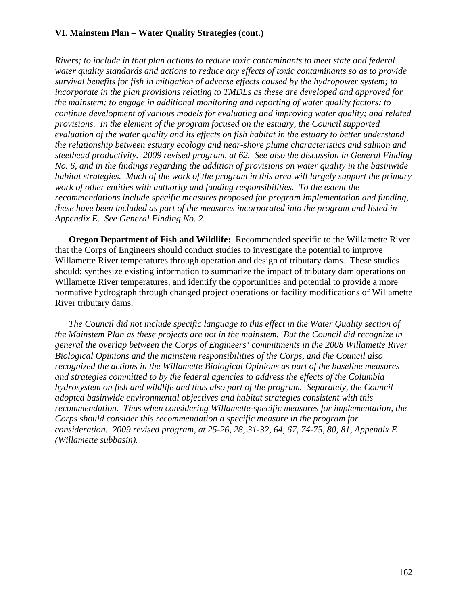# **VI. Mainstem Plan – Water Quality Strategies (cont.)**

*Rivers; to include in that plan actions to reduce toxic contaminants to meet state and federal water quality standards and actions to reduce any effects of toxic contaminants so as to provide survival benefits for fish in mitigation of adverse effects caused by the hydropower system; to incorporate in the plan provisions relating to TMDLs as these are developed and approved for the mainstem; to engage in additional monitoring and reporting of water quality factors; to continue development of various models for evaluating and improving water quality; and related provisions. In the element of the program focused on the estuary, the Council supported evaluation of the water quality and its effects on fish habitat in the estuary to better understand the relationship between estuary ecology and near-shore plume characteristics and salmon and steelhead productivity. 2009 revised program, at 62. See also the discussion in General Finding No. 6, and in the findings regarding the addition of provisions on water quality in the basinwide habitat strategies. Much of the work of the program in this area will largely support the primary work of other entities with authority and funding responsibilities. To the extent the recommendations include specific measures proposed for program implementation and funding, these have been included as part of the measures incorporated into the program and listed in Appendix E. See General Finding No. 2.* 

**Oregon Department of Fish and Wildlife:** Recommended specific to the Willamette River that the Corps of Engineers should conduct studies to investigate the potential to improve Willamette River temperatures through operation and design of tributary dams. These studies should: synthesize existing information to summarize the impact of tributary dam operations on Willamette River temperatures, and identify the opportunities and potential to provide a more normative hydrograph through changed project operations or facility modifications of Willamette River tributary dams.

*The Council did not include specific language to this effect in the Water Quality section of the Mainstem Plan as these projects are not in the mainstem. But the Council did recognize in general the overlap between the Corps of Engineers' commitments in the 2008 Willamette River Biological Opinions and the mainstem responsibilities of the Corps, and the Council also recognized the actions in the Willamette Biological Opinions as part of the baseline measures and strategies committed to by the federal agencies to address the effects of the Columbia hydrosystem on fish and wildlife and thus also part of the program. Separately, the Council adopted basinwide environmental objectives and habitat strategies consistent with this recommendation. Thus when considering Willamette-specific measures for implementation, the Corps should consider this recommendation a specific measure in the program for consideration. 2009 revised program, at 25-26, 28, 31-32, 64, 67, 74-75, 80, 81, Appendix E (Willamette subbasin).*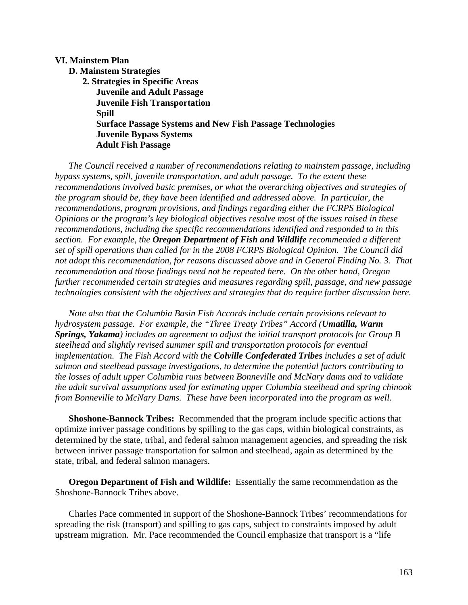#### **VI. Mainstem Plan**

 **D. Mainstem Strategies 2. Strategies in Specific Areas Juvenile and Adult Passage Juvenile Fish Transportation Spill Surface Passage Systems and New Fish Passage Technologies Juvenile Bypass Systems Adult Fish Passage**

*The Council received a number of recommendations relating to mainstem passage, including bypass systems, spill, juvenile transportation, and adult passage. To the extent these recommendations involved basic premises, or what the overarching objectives and strategies of the program should be, they have been identified and addressed above. In particular, the recommendations, program provisions, and findings regarding either the FCRPS Biological Opinions or the program's key biological objectives resolve most of the issues raised in these recommendations, including the specific recommendations identified and responded to in this section. For example, the Oregon Department of Fish and Wildlife recommended a different set of spill operations than called for in the 2008 FCRPS Biological Opinion. The Council did not adopt this recommendation, for reasons discussed above and in General Finding No. 3. That recommendation and those findings need not be repeated here. On the other hand, Oregon further recommended certain strategies and measures regarding spill, passage, and new passage technologies consistent with the objectives and strategies that do require further discussion here.* 

 *Note also that the Columbia Basin Fish Accords include certain provisions relevant to hydrosystem passage. For example, the "Three Treaty Tribes" Accord (Umatilla, Warm Springs, Yakama) includes an agreement to adjust the initial transport protocols for Group B steelhead and slightly revised summer spill and transportation protocols for eventual implementation. The Fish Accord with the Colville Confederated Tribes includes a set of adult salmon and steelhead passage investigations, to determine the potential factors contributing to the losses of adult upper Columbia runs between Bonneville and McNary dams and to validate the adult survival assumptions used for estimating upper Columbia steelhead and spring chinook from Bonneville to McNary Dams. These have been incorporated into the program as well.* 

**Shoshone-Bannock Tribes:** Recommended that the program include specific actions that optimize inriver passage conditions by spilling to the gas caps, within biological constraints, as determined by the state, tribal, and federal salmon management agencies, and spreading the risk between inriver passage transportation for salmon and steelhead, again as determined by the state, tribal, and federal salmon managers.

**Oregon Department of Fish and Wildlife:** Essentially the same recommendation as the Shoshone-Bannock Tribes above.

 Charles Pace commented in support of the Shoshone-Bannock Tribes' recommendations for spreading the risk (transport) and spilling to gas caps, subject to constraints imposed by adult upstream migration. Mr. Pace recommended the Council emphasize that transport is a "life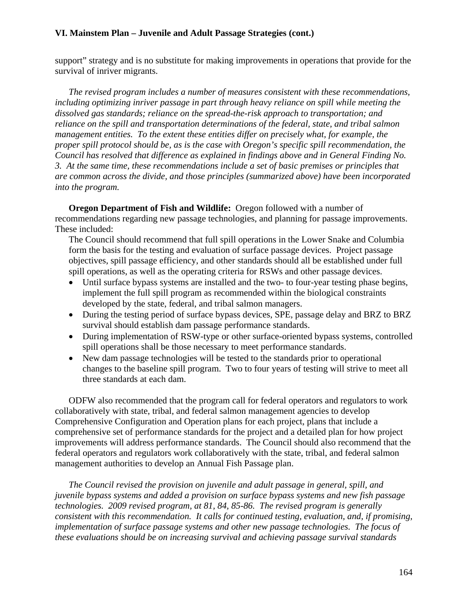support" strategy and is no substitute for making improvements in operations that provide for the survival of inriver migrants.

*The revised program includes a number of measures consistent with these recommendations, including optimizing inriver passage in part through heavy reliance on spill while meeting the dissolved gas standards; reliance on the spread-the-risk approach to transportation; and reliance on the spill and transportation determinations of the federal, state, and tribal salmon management entities. To the extent these entities differ on precisely what, for example, the proper spill protocol should be, as is the case with Oregon's specific spill recommendation, the Council has resolved that difference as explained in findings above and in General Finding No. 3. At the same time, these recommendations include a set of basic premises or principles that are common across the divide, and those principles (summarized above) have been incorporated into the program.* 

**Oregon Department of Fish and Wildlife:** Oregon followed with a number of recommendations regarding new passage technologies, and planning for passage improvements. These included:

The Council should recommend that full spill operations in the Lower Snake and Columbia form the basis for the testing and evaluation of surface passage devices. Project passage objectives, spill passage efficiency, and other standards should all be established under full spill operations, as well as the operating criteria for RSWs and other passage devices.

- Until surface bypass systems are installed and the two- to four-year testing phase begins, implement the full spill program as recommended within the biological constraints developed by the state, federal, and tribal salmon managers.
- During the testing period of surface bypass devices, SPE, passage delay and BRZ to BRZ survival should establish dam passage performance standards.
- During implementation of RSW-type or other surface-oriented bypass systems, controlled spill operations shall be those necessary to meet performance standards.
- New dam passage technologies will be tested to the standards prior to operational changes to the baseline spill program. Two to four years of testing will strive to meet all three standards at each dam.

 ODFW also recommended that the program call for federal operators and regulators to work collaboratively with state, tribal, and federal salmon management agencies to develop Comprehensive Configuration and Operation plans for each project, plans that include a comprehensive set of performance standards for the project and a detailed plan for how project improvements will address performance standards. The Council should also recommend that the federal operators and regulators work collaboratively with the state, tribal, and federal salmon management authorities to develop an Annual Fish Passage plan.

*The Council revised the provision on juvenile and adult passage in general, spill, and juvenile bypass systems and added a provision on surface bypass systems and new fish passage technologies. 2009 revised program, at 81, 84, 85-86. The revised program is generally consistent with this recommendation. It calls for continued testing, evaluation, and, if promising, implementation of surface passage systems and other new passage technologies. The focus of these evaluations should be on increasing survival and achieving passage survival standards*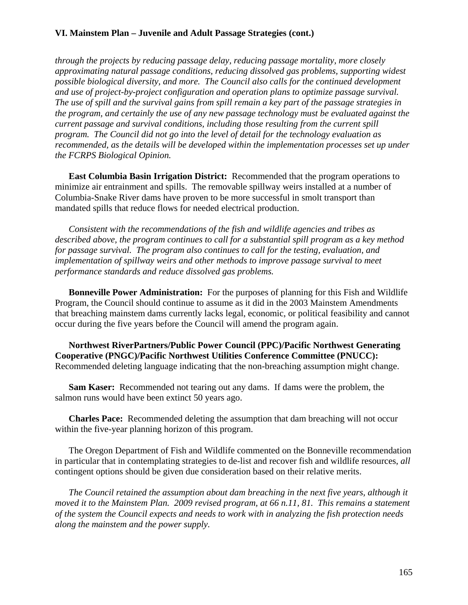*through the projects by reducing passage delay, reducing passage mortality, more closely approximating natural passage conditions, reducing dissolved gas problems, supporting widest possible biological diversity, and more. The Council also calls for the continued development and use of project-by-project configuration and operation plans to optimize passage survival. The use of spill and the survival gains from spill remain a key part of the passage strategies in the program, and certainly the use of any new passage technology must be evaluated against the current passage and survival conditions, including those resulting from the current spill program. The Council did not go into the level of detail for the technology evaluation as recommended, as the details will be developed within the implementation processes set up under the FCRPS Biological Opinion.* 

 **East Columbia Basin Irrigation District:** Recommended that the program operations to minimize air entrainment and spills. The removable spillway weirs installed at a number of Columbia-Snake River dams have proven to be more successful in smolt transport than mandated spills that reduce flows for needed electrical production.

 *Consistent with the recommendations of the fish and wildlife agencies and tribes as described above, the program continues to call for a substantial spill program as a key method for passage survival. The program also continues to call for the testing, evaluation, and implementation of spillway weirs and other methods to improve passage survival to meet performance standards and reduce dissolved gas problems.* 

**Bonneville Power Administration:** For the purposes of planning for this Fish and Wildlife Program, the Council should continue to assume as it did in the 2003 Mainstem Amendments that breaching mainstem dams currently lacks legal, economic, or political feasibility and cannot occur during the five years before the Council will amend the program again.

 **Northwest RiverPartners/Public Power Council (PPC)/Pacific Northwest Generating Cooperative (PNGC)/Pacific Northwest Utilities Conference Committee (PNUCC):** Recommended deleting language indicating that the non-breaching assumption might change.

 **Sam Kaser:** Recommended not tearing out any dams. If dams were the problem, the salmon runs would have been extinct 50 years ago.

**Charles Pace:** Recommended deleting the assumption that dam breaching will not occur within the five-year planning horizon of this program.

 The Oregon Department of Fish and Wildlife commented on the Bonneville recommendation in particular that in contemplating strategies to de-list and recover fish and wildlife resources, *all* contingent options should be given due consideration based on their relative merits.

 *The Council retained the assumption about dam breaching in the next five years, although it moved it to the Mainstem Plan. 2009 revised program, at 66 n.11, 81. This remains a statement of the system the Council expects and needs to work with in analyzing the fish protection needs along the mainstem and the power supply.*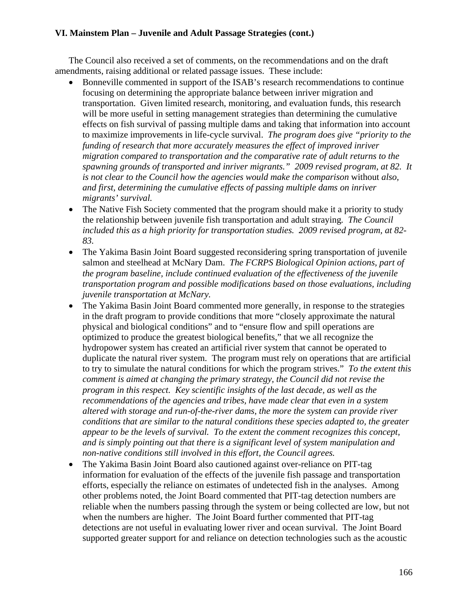The Council also received a set of comments, on the recommendations and on the draft amendments, raising additional or related passage issues. These include:

- Bonneville commented in support of the ISAB's research recommendations to continue focusing on determining the appropriate balance between inriver migration and transportation. Given limited research, monitoring, and evaluation funds, this research will be more useful in setting management strategies than determining the cumulative effects on fish survival of passing multiple dams and taking that information into account to maximize improvements in life-cycle survival. *The program does give "priority to the funding of research that more accurately measures the effect of improved inriver migration compared to transportation and the comparative rate of adult returns to the spawning grounds of transported and inriver migrants." 2009 revised program, at 82. It is not clear to the Council how the agencies would make the comparison* without *also, and first, determining the cumulative effects of passing multiple dams on inriver migrants' survival.*
- The Native Fish Society commented that the program should make it a priority to study the relationship between juvenile fish transportation and adult straying*. The Council included this as a high priority for transportation studies. 2009 revised program, at 82- 83.*
- The Yakima Basin Joint Board suggested reconsidering spring transportation of juvenile salmon and steelhead at McNary Dam. *The FCRPS Biological Opinion actions, part of the program baseline, include continued evaluation of the effectiveness of the juvenile transportation program and possible modifications based on those evaluations, including juvenile transportation at McNary.*
- The Yakima Basin Joint Board commented more generally, in response to the strategies in the draft program to provide conditions that more "closely approximate the natural physical and biological conditions" and to "ensure flow and spill operations are optimized to produce the greatest biological benefits," that we all recognize the hydropower system has created an artificial river system that cannot be operated to duplicate the natural river system. The program must rely on operations that are artificial to try to simulate the natural conditions for which the program strives." *To the extent this comment is aimed at changing the primary strategy, the Council did not revise the program in this respect. Key scientific insights of the last decade, as well as the recommendations of the agencies and tribes, have made clear that even in a system altered with storage and run-of-the-river dams, the more the system can provide river conditions that are similar to the natural conditions these species adapted to, the greater appear to be the levels of survival. To the extent the comment recognizes this concept, and is simply pointing out that there is a significant level of system manipulation and non-native conditions still involved in this effort, the Council agrees.*
- The Yakima Basin Joint Board also cautioned against over-reliance on PIT-tag information for evaluation of the effects of the juvenile fish passage and transportation efforts, especially the reliance on estimates of undetected fish in the analyses. Among other problems noted, the Joint Board commented that PIT-tag detection numbers are reliable when the numbers passing through the system or being collected are low, but not when the numbers are higher. The Joint Board further commented that PIT-tag detections are not useful in evaluating lower river and ocean survival. The Joint Board supported greater support for and reliance on detection technologies such as the acoustic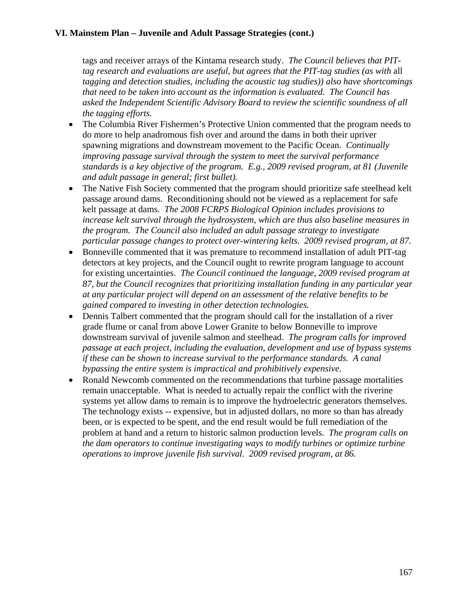tags and receiver arrays of the Kintama research study. *The Council believes that PIT*tag research and evaluations are useful, but agrees that the PIT-tag studies (as with all *tagging and detection studies, including the acoustic tag studies)) also have shortcomings that need to be taken into account as the information is evaluated. The Council has asked the Independent Scientific Advisory Board to review the scientific soundness of all the tagging efforts.* 

- The Columbia River Fishermen's Protective Union commented that the program needs to do more to help anadromous fish over and around the dams in both their upriver spawning migrations and downstream movement to the Pacific Ocean. *Continually improving passage survival through the system to meet the survival performance standards is a key objective of the program. E.g., 2009 revised program, at 81 (Juvenile and adult passage in general; first bullet).*
- The Native Fish Society commented that the program should prioritize safe steelhead kelt passage around dams. Reconditioning should not be viewed as a replacement for safe kelt passage at dams*. The 2008 FCRPS Biological Opinion includes provisions to increase kelt survival through the hydrosystem, which are thus also baseline measures in the program. The Council also included an adult passage strategy to investigate particular passage changes to protect over-wintering kelts. 2009 revised program, at 87.*
- Bonneville commented that it was premature to recommend installation of adult PIT-tag detectors at key projects, and the Council ought to rewrite program language to account for existing uncertainties. *The Council continued the language, 2009 revised program at 87, but the Council recognizes that prioritizing installation funding in any particular year at any particular project will depend on an assessment of the relative benefits to be gained compared to investing in other detection technologies.*
- Dennis Talbert commented that the program should call for the installation of a river grade flume or canal from above Lower Granite to below Bonneville to improve downstream survival of juvenile salmon and steelhead. *The program calls for improved passage at each project, including the evaluation, development and use of bypass systems if these can be shown to increase survival to the performance standards. A canal bypassing the entire system is impractical and prohibitively expensive.*
- Ronald Newcomb commented on the recommendations that turbine passage mortalities remain unacceptable. What is needed to actually repair the conflict with the riverine systems yet allow dams to remain is to improve the hydroelectric generators themselves. The technology exists -- expensive, but in adjusted dollars, no more so than has already been, or is expected to be spent, and the end result would be full remediation of the problem at hand and a return to historic salmon production levels. *The program calls on the dam operators to continue investigating ways to modify turbines or optimize turbine operations to improve juvenile fish survival. 2009 revised program, at 86.*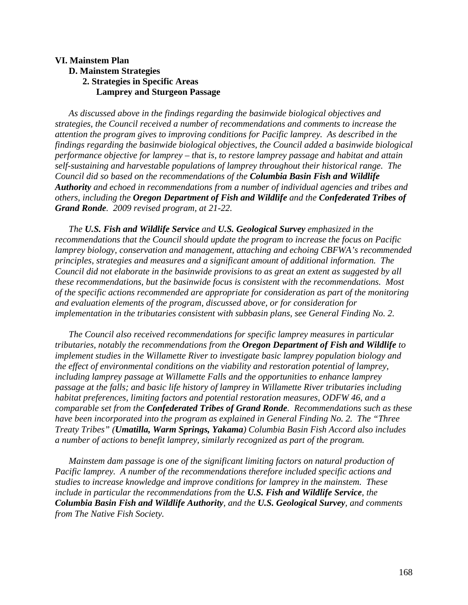#### **VI. Mainstem Plan D. Mainstem Strategies 2. Strategies in Specific Areas Lamprey and Sturgeon Passage**

 *As discussed above in the findings regarding the basinwide biological objectives and strategies, the Council received a number of recommendations and comments to increase the attention the program gives to improving conditions for Pacific lamprey. As described in the findings regarding the basinwide biological objectives, the Council added a basinwide biological performance objective for lamprey – that is, to restore lamprey passage and habitat and attain self-sustaining and harvestable populations of lamprey throughout their historical range. The Council did so based on the recommendations of the Columbia Basin Fish and Wildlife Authority and echoed in recommendations from a number of individual agencies and tribes and others, including the Oregon Department of Fish and Wildlife and the Confederated Tribes of Grand Ronde. 2009 revised program, at 21-22.* 

 *The U.S. Fish and Wildlife Service and U.S. Geological Survey emphasized in the recommendations that the Council should update the program to increase the focus on Pacific lamprey biology, conservation and management, attaching and echoing CBFWA's recommended principles, strategies and measures and a significant amount of additional information. The Council did not elaborate in the basinwide provisions to as great an extent as suggested by all these recommendations, but the basinwide focus is consistent with the recommendations. Most of the specific actions recommended are appropriate for consideration as part of the monitoring and evaluation elements of the program, discussed above, or for consideration for implementation in the tributaries consistent with subbasin plans, see General Finding No. 2.* 

 *The Council also received recommendations for specific lamprey measures in particular tributaries, notably the recommendations from the Oregon Department of Fish and Wildlife to implement studies in the Willamette River to investigate basic lamprey population biology and the effect of environmental conditions on the viability and restoration potential of lamprey, including lamprey passage at Willamette Falls and the opportunities to enhance lamprey passage at the falls; and basic life history of lamprey in Willamette River tributaries including habitat preferences, limiting factors and potential restoration measures, ODFW 46, and a comparable set from the Confederated Tribes of Grand Ronde. Recommendations such as these have been incorporated into the program as explained in General Finding No. 2. The "Three Treaty Tribes" (Umatilla, Warm Springs, Yakama) Columbia Basin Fish Accord also includes a number of actions to benefit lamprey, similarly recognized as part of the program.* 

 *Mainstem dam passage is one of the significant limiting factors on natural production of Pacific lamprey. A number of the recommendations therefore included specific actions and studies to increase knowledge and improve conditions for lamprey in the mainstem. These include in particular the recommendations from the U.S. Fish and Wildlife Service, the Columbia Basin Fish and Wildlife Authority, and the U.S. Geological Survey, and comments from The Native Fish Society.*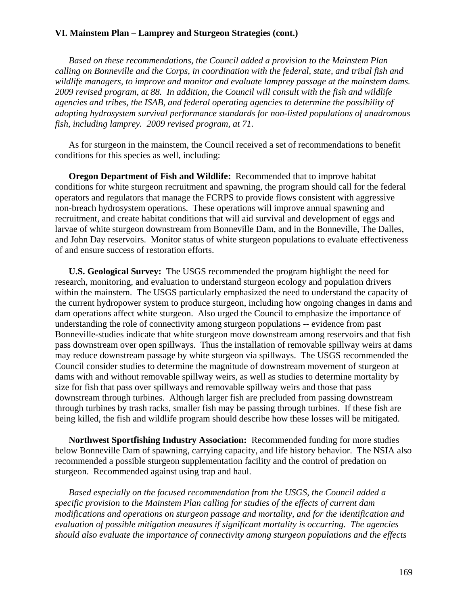### **VI. Mainstem Plan – Lamprey and Sturgeon Strategies (cont.)**

*Based on these recommendations, the Council added a provision to the Mainstem Plan calling on Bonneville and the Corps, in coordination with the federal, state, and tribal fish and wildlife managers, to improve and monitor and evaluate lamprey passage at the mainstem dams. 2009 revised program, at 88. In addition, the Council will consult with the fish and wildlife agencies and tribes, the ISAB, and federal operating agencies to determine the possibility of adopting hydrosystem survival performance standards for non-listed populations of anadromous fish, including lamprey. 2009 revised program, at 71.* 

 As for sturgeon in the mainstem, the Council received a set of recommendations to benefit conditions for this species as well, including:

**Oregon Department of Fish and Wildlife:** Recommended that to improve habitat conditions for white sturgeon recruitment and spawning, the program should call for the federal operators and regulators that manage the FCRPS to provide flows consistent with aggressive non-breach hydrosystem operations. These operations will improve annual spawning and recruitment, and create habitat conditions that will aid survival and development of eggs and larvae of white sturgeon downstream from Bonneville Dam, and in the Bonneville, The Dalles, and John Day reservoirs. Monitor status of white sturgeon populations to evaluate effectiveness of and ensure success of restoration efforts.

 **U.S. Geological Survey:** The USGS recommended the program highlight the need for research, monitoring, and evaluation to understand sturgeon ecology and population drivers within the mainstem. The USGS particularly emphasized the need to understand the capacity of the current hydropower system to produce sturgeon, including how ongoing changes in dams and dam operations affect white sturgeon. Also urged the Council to emphasize the importance of understanding the role of connectivity among sturgeon populations -- evidence from past Bonneville-studies indicate that white sturgeon move downstream among reservoirs and that fish pass downstream over open spillways. Thus the installation of removable spillway weirs at dams may reduce downstream passage by white sturgeon via spillways. The USGS recommended the Council consider studies to determine the magnitude of downstream movement of sturgeon at dams with and without removable spillway weirs, as well as studies to determine mortality by size for fish that pass over spillways and removable spillway weirs and those that pass downstream through turbines. Although larger fish are precluded from passing downstream through turbines by trash racks, smaller fish may be passing through turbines. If these fish are being killed, the fish and wildlife program should describe how these losses will be mitigated.

 **Northwest Sportfishing Industry Association:** Recommended funding for more studies below Bonneville Dam of spawning, carrying capacity, and life history behavior. The NSIA also recommended a possible sturgeon supplementation facility and the control of predation on sturgeon. Recommended against using trap and haul.

 *Based especially on the focused recommendation from the USGS, the Council added a specific provision to the Mainstem Plan calling for studies of the effects of current dam modifications and operations on sturgeon passage and mortality, and for the identification and evaluation of possible mitigation measures if significant mortality is occurring. The agencies should also evaluate the importance of connectivity among sturgeon populations and the effects*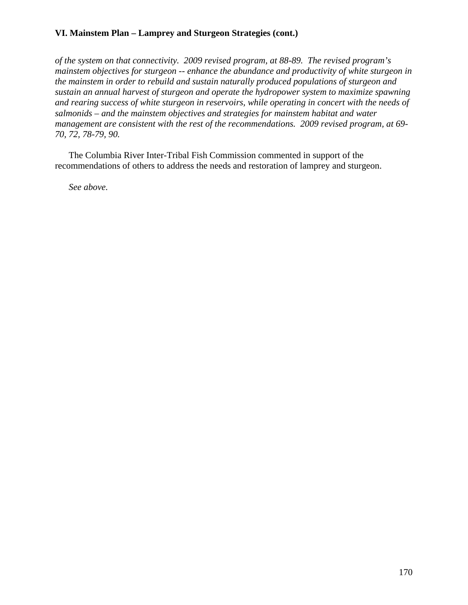# **VI. Mainstem Plan – Lamprey and Sturgeon Strategies (cont.)**

*of the system on that connectivity. 2009 revised program, at 88-89. The revised program's mainstem objectives for sturgeon -- enhance the abundance and productivity of white sturgeon in the mainstem in order to rebuild and sustain naturally produced populations of sturgeon and sustain an annual harvest of sturgeon and operate the hydropower system to maximize spawning and rearing success of white sturgeon in reservoirs, while operating in concert with the needs of salmonids – and the mainstem objectives and strategies for mainstem habitat and water management are consistent with the rest of the recommendations. 2009 revised program, at 69- 70, 72, 78-79, 90.* 

 The Columbia River Inter-Tribal Fish Commission commented in support of the recommendations of others to address the needs and restoration of lamprey and sturgeon.

*See above.*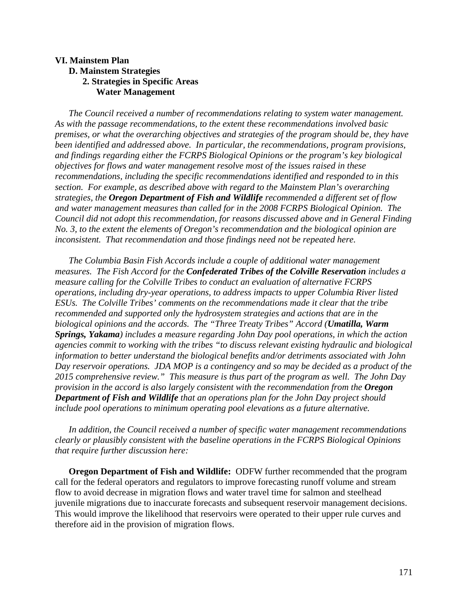## **VI. Mainstem Plan D. Mainstem Strategies 2. Strategies in Specific Areas Water Management**

*The Council received a number of recommendations relating to system water management. As with the passage recommendations, to the extent these recommendations involved basic premises, or what the overarching objectives and strategies of the program should be, they have been identified and addressed above. In particular, the recommendations, program provisions, and findings regarding either the FCRPS Biological Opinions or the program's key biological objectives for flows and water management resolve most of the issues raised in these recommendations, including the specific recommendations identified and responded to in this section. For example, as described above with regard to the Mainstem Plan's overarching strategies, the Oregon Department of Fish and Wildlife recommended a different set of flow and water management measures than called for in the 2008 FCRPS Biological Opinion. The Council did not adopt this recommendation, for reasons discussed above and in General Finding No. 3, to the extent the elements of Oregon's recommendation and the biological opinion are inconsistent. That recommendation and those findings need not be repeated here.* 

 *The Columbia Basin Fish Accords include a couple of additional water management measures. The Fish Accord for the Confederated Tribes of the Colville Reservation includes a measure calling for the Colville Tribes to conduct an evaluation of alternative FCRPS operations, including dry-year operations, to address impacts to upper Columbia River listed ESUs. The Colville Tribes' comments on the recommendations made it clear that the tribe recommended and supported only the hydrosystem strategies and actions that are in the biological opinions and the accords. The "Three Treaty Tribes" Accord (Umatilla, Warm Springs, Yakama) includes a measure regarding John Day pool operations, in which the action agencies commit to working with the tribes "to discuss relevant existing hydraulic and biological information to better understand the biological benefits and/or detriments associated with John Day reservoir operations. JDA MOP is a contingency and so may be decided as a product of the 2015 comprehensive review." This measure is thus part of the program as well. The John Day provision in the accord is also largely consistent with the recommendation from the Oregon Department of Fish and Wildlife that an operations plan for the John Day project should include pool operations to minimum operating pool elevations as a future alternative.* 

 *In addition, the Council received a number of specific water management recommendations clearly or plausibly consistent with the baseline operations in the FCRPS Biological Opinions that require further discussion here:* 

**Oregon Department of Fish and Wildlife:** ODFW further recommended that the program call for the federal operators and regulators to improve forecasting runoff volume and stream flow to avoid decrease in migration flows and water travel time for salmon and steelhead juvenile migrations due to inaccurate forecasts and subsequent reservoir management decisions. This would improve the likelihood that reservoirs were operated to their upper rule curves and therefore aid in the provision of migration flows.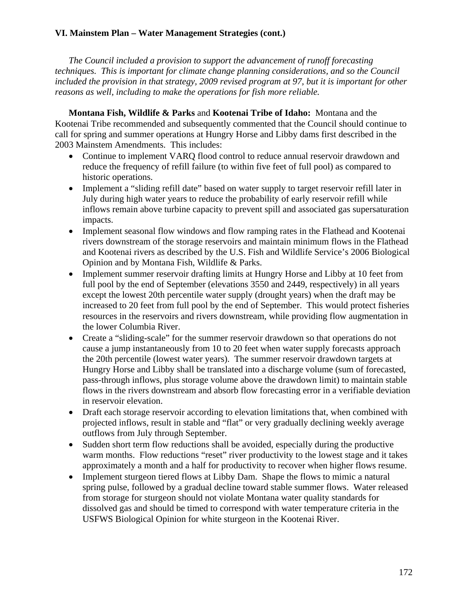*The Council included a provision to support the advancement of runoff forecasting techniques. This is important for climate change planning considerations, and so the Council included the provision in that strategy, 2009 revised program at 97, but it is important for other reasons as well, including to make the operations for fish more reliable.* 

**Montana Fish, Wildlife & Parks** and **Kootenai Tribe of Idaho:** Montana and the Kootenai Tribe recommended and subsequently commented that the Council should continue to call for spring and summer operations at Hungry Horse and Libby dams first described in the 2003 Mainstem Amendments. This includes:

- Continue to implement VARQ flood control to reduce annual reservoir drawdown and reduce the frequency of refill failure (to within five feet of full pool) as compared to historic operations.
- Implement a "sliding refill date" based on water supply to target reservoir refill later in July during high water years to reduce the probability of early reservoir refill while inflows remain above turbine capacity to prevent spill and associated gas supersaturation impacts.
- Implement seasonal flow windows and flow ramping rates in the Flathead and Kootenai rivers downstream of the storage reservoirs and maintain minimum flows in the Flathead and Kootenai rivers as described by the U.S. Fish and Wildlife Service's 2006 Biological Opinion and by Montana Fish, Wildlife & Parks.
- Implement summer reservoir drafting limits at Hungry Horse and Libby at 10 feet from full pool by the end of September (elevations 3550 and 2449, respectively) in all years except the lowest 20th percentile water supply (drought years) when the draft may be increased to 20 feet from full pool by the end of September. This would protect fisheries resources in the reservoirs and rivers downstream, while providing flow augmentation in the lower Columbia River.
- Create a "sliding-scale" for the summer reservoir drawdown so that operations do not cause a jump instantaneously from 10 to 20 feet when water supply forecasts approach the 20th percentile (lowest water years). The summer reservoir drawdown targets at Hungry Horse and Libby shall be translated into a discharge volume (sum of forecasted, pass-through inflows, plus storage volume above the drawdown limit) to maintain stable flows in the rivers downstream and absorb flow forecasting error in a verifiable deviation in reservoir elevation.
- Draft each storage reservoir according to elevation limitations that, when combined with projected inflows, result in stable and "flat" or very gradually declining weekly average outflows from July through September.
- Sudden short term flow reductions shall be avoided, especially during the productive warm months. Flow reductions "reset" river productivity to the lowest stage and it takes approximately a month and a half for productivity to recover when higher flows resume.
- Implement sturgeon tiered flows at Libby Dam. Shape the flows to mimic a natural spring pulse, followed by a gradual decline toward stable summer flows. Water released from storage for sturgeon should not violate Montana water quality standards for dissolved gas and should be timed to correspond with water temperature criteria in the USFWS Biological Opinion for white sturgeon in the Kootenai River.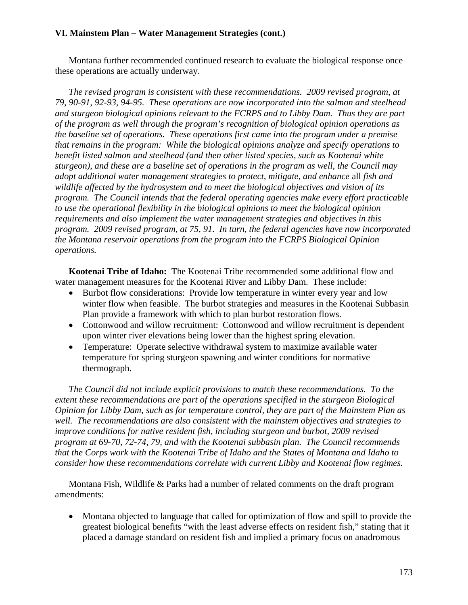Montana further recommended continued research to evaluate the biological response once these operations are actually underway.

*The revised program is consistent with these recommendations. 2009 revised program, at 79, 90-91, 92-93, 94-95. These operations are now incorporated into the salmon and steelhead and sturgeon biological opinions relevant to the FCRPS and to Libby Dam. Thus they are part of the program as well through the program's recognition of biological opinion operations as the baseline set of operations. These operations first came into the program under a premise that remains in the program: While the biological opinions analyze and specify operations to benefit listed salmon and steelhead (and then other listed species, such as Kootenai white sturgeon), and these are a baseline set of operations in the program as well, the Council may adopt additional water management strategies to protect, mitigate, and enhance* all *fish and wildlife affected by the hydrosystem and to meet the biological objectives and vision of its program. The Council intends that the federal operating agencies make every effort practicable to use the operational flexibility in the biological opinions to meet the biological opinion requirements and also implement the water management strategies and objectives in this program. 2009 revised program, at 75, 91. In turn, the federal agencies have now incorporated the Montana reservoir operations from the program into the FCRPS Biological Opinion operations.* 

 **Kootenai Tribe of Idaho:** The Kootenai Tribe recommended some additional flow and water management measures for the Kootenai River and Libby Dam. These include:

- Burbot flow considerations: Provide low temperature in winter every year and low winter flow when feasible. The burbot strategies and measures in the Kootenai Subbasin Plan provide a framework with which to plan burbot restoration flows.
- Cottonwood and willow recruitment: Cottonwood and willow recruitment is dependent upon winter river elevations being lower than the highest spring elevation.
- Temperature: Operate selective withdrawal system to maximize available water temperature for spring sturgeon spawning and winter conditions for normative thermograph.

*The Council did not include explicit provisions to match these recommendations. To the extent these recommendations are part of the operations specified in the sturgeon Biological Opinion for Libby Dam, such as for temperature control, they are part of the Mainstem Plan as well. The recommendations are also consistent with the mainstem objectives and strategies to improve conditions for native resident fish, including sturgeon and burbot, 2009 revised program at 69-70, 72-74, 79, and with the Kootenai subbasin plan. The Council recommends that the Corps work with the Kootenai Tribe of Idaho and the States of Montana and Idaho to consider how these recommendations correlate with current Libby and Kootenai flow regimes.* 

 Montana Fish, Wildlife & Parks had a number of related comments on the draft program amendments:

• Montana objected to language that called for optimization of flow and spill to provide the greatest biological benefits "with the least adverse effects on resident fish," stating that it placed a damage standard on resident fish and implied a primary focus on anadromous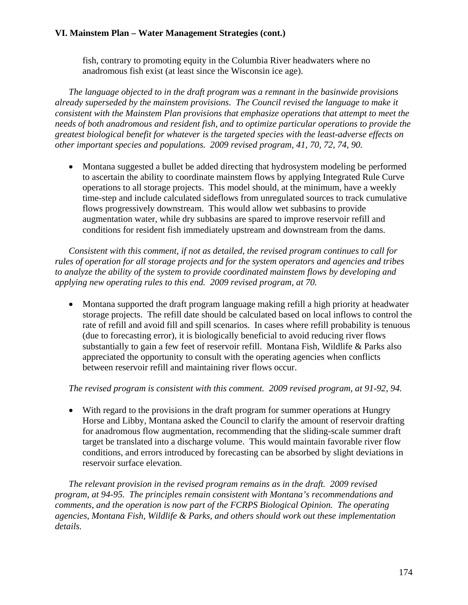fish, contrary to promoting equity in the Columbia River headwaters where no anadromous fish exist (at least since the Wisconsin ice age).

*The language objected to in the draft program was a remnant in the basinwide provisions already superseded by the mainstem provisions. The Council revised the language to make it consistent with the Mainstem Plan provisions that emphasize operations that attempt to meet the needs of both anadromous and resident fish, and to optimize particular operations to provide the greatest biological benefit for whatever is the targeted species with the least-adverse effects on other important species and populations. 2009 revised program, 41, 70, 72, 74, 90.* 

• Montana suggested a bullet be added directing that hydrosystem modeling be performed to ascertain the ability to coordinate mainstem flows by applying Integrated Rule Curve operations to all storage projects. This model should, at the minimum, have a weekly time-step and include calculated sideflows from unregulated sources to track cumulative flows progressively downstream. This would allow wet subbasins to provide augmentation water, while dry subbasins are spared to improve reservoir refill and conditions for resident fish immediately upstream and downstream from the dams.

*Consistent with this comment, if not as detailed, the revised program continues to call for rules of operation for all storage projects and for the system operators and agencies and tribes to analyze the ability of the system to provide coordinated mainstem flows by developing and applying new operating rules to this end. 2009 revised program, at 70.* 

• Montana supported the draft program language making refill a high priority at headwater storage projects. The refill date should be calculated based on local inflows to control the rate of refill and avoid fill and spill scenarios. In cases where refill probability is tenuous (due to forecasting error), it is biologically beneficial to avoid reducing river flows substantially to gain a few feet of reservoir refill. Montana Fish, Wildlife & Parks also appreciated the opportunity to consult with the operating agencies when conflicts between reservoir refill and maintaining river flows occur.

*The revised program is consistent with this comment. 2009 revised program, at 91-92, 94.* 

• With regard to the provisions in the draft program for summer operations at Hungry Horse and Libby, Montana asked the Council to clarify the amount of reservoir drafting for anadromous flow augmentation, recommending that the sliding-scale summer draft target be translated into a discharge volume. This would maintain favorable river flow conditions, and errors introduced by forecasting can be absorbed by slight deviations in reservoir surface elevation.

*The relevant provision in the revised program remains as in the draft. 2009 revised program, at 94-95. The principles remain consistent with Montana's recommendations and comments, and the operation is now part of the FCRPS Biological Opinion. The operating agencies, Montana Fish, Wildlife & Parks, and others should work out these implementation details.*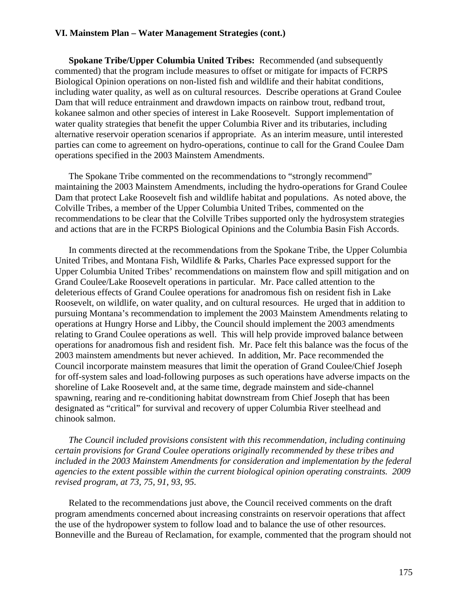**Spokane Tribe/Upper Columbia United Tribes:** Recommended (and subsequently commented) that the program include measures to offset or mitigate for impacts of FCRPS Biological Opinion operations on non-listed fish and wildlife and their habitat conditions, including water quality, as well as on cultural resources. Describe operations at Grand Coulee Dam that will reduce entrainment and drawdown impacts on rainbow trout, redband trout, kokanee salmon and other species of interest in Lake Roosevelt. Support implementation of water quality strategies that benefit the upper Columbia River and its tributaries, including alternative reservoir operation scenarios if appropriate. As an interim measure, until interested parties can come to agreement on hydro-operations, continue to call for the Grand Coulee Dam operations specified in the 2003 Mainstem Amendments.

 The Spokane Tribe commented on the recommendations to "strongly recommend" maintaining the 2003 Mainstem Amendments, including the hydro-operations for Grand Coulee Dam that protect Lake Roosevelt fish and wildlife habitat and populations. As noted above, the Colville Tribes, a member of the Upper Columbia United Tribes, commented on the recommendations to be clear that the Colville Tribes supported only the hydrosystem strategies and actions that are in the FCRPS Biological Opinions and the Columbia Basin Fish Accords.

 In comments directed at the recommendations from the Spokane Tribe, the Upper Columbia United Tribes, and Montana Fish, Wildlife & Parks, Charles Pace expressed support for the Upper Columbia United Tribes' recommendations on mainstem flow and spill mitigation and on Grand Coulee/Lake Roosevelt operations in particular. Mr. Pace called attention to the deleterious effects of Grand Coulee operations for anadromous fish on resident fish in Lake Roosevelt, on wildlife, on water quality, and on cultural resources. He urged that in addition to pursuing Montana's recommendation to implement the 2003 Mainstem Amendments relating to operations at Hungry Horse and Libby, the Council should implement the 2003 amendments relating to Grand Coulee operations as well. This will help provide improved balance between operations for anadromous fish and resident fish. Mr. Pace felt this balance was the focus of the 2003 mainstem amendments but never achieved. In addition, Mr. Pace recommended the Council incorporate mainstem measures that limit the operation of Grand Coulee/Chief Joseph for off-system sales and load-following purposes as such operations have adverse impacts on the shoreline of Lake Roosevelt and, at the same time, degrade mainstem and side-channel spawning, rearing and re-conditioning habitat downstream from Chief Joseph that has been designated as "critical" for survival and recovery of upper Columbia River steelhead and chinook salmon.

 *The Council included provisions consistent with this recommendation, including continuing certain provisions for Grand Coulee operations originally recommended by these tribes and included in the 2003 Mainstem Amendments for consideration and implementation by the federal agencies to the extent possible within the current biological opinion operating constraints. 2009 revised program, at 73, 75, 91, 93, 95.* 

 Related to the recommendations just above, the Council received comments on the draft program amendments concerned about increasing constraints on reservoir operations that affect the use of the hydropower system to follow load and to balance the use of other resources. Bonneville and the Bureau of Reclamation, for example, commented that the program should not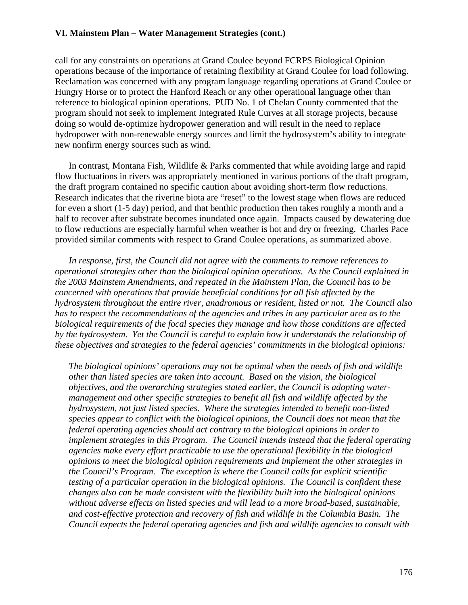call for any constraints on operations at Grand Coulee beyond FCRPS Biological Opinion operations because of the importance of retaining flexibility at Grand Coulee for load following. Reclamation was concerned with any program language regarding operations at Grand Coulee or Hungry Horse or to protect the Hanford Reach or any other operational language other than reference to biological opinion operations. PUD No. 1 of Chelan County commented that the program should not seek to implement Integrated Rule Curves at all storage projects, because doing so would de-optimize hydropower generation and will result in the need to replace hydropower with non-renewable energy sources and limit the hydrosystem's ability to integrate new nonfirm energy sources such as wind.

 In contrast, Montana Fish, Wildlife & Parks commented that while avoiding large and rapid flow fluctuations in rivers was appropriately mentioned in various portions of the draft program, the draft program contained no specific caution about avoiding short-term flow reductions. Research indicates that the riverine biota are "reset" to the lowest stage when flows are reduced for even a short (1-5 day) period, and that benthic production then takes roughly a month and a half to recover after substrate becomes inundated once again. Impacts caused by dewatering due to flow reductions are especially harmful when weather is hot and dry or freezing. Charles Pace provided similar comments with respect to Grand Coulee operations, as summarized above.

 *In response, first, the Council did not agree with the comments to remove references to operational strategies other than the biological opinion operations. As the Council explained in the 2003 Mainstem Amendments, and repeated in the Mainstem Plan, the Council has to be concerned with operations that provide beneficial conditions for all fish affected by the hydrosystem throughout the entire river, anadromous or resident, listed or not. The Council also has to respect the recommendations of the agencies and tribes in any particular area as to the biological requirements of the focal species they manage and how those conditions are affected by the hydrosystem. Yet the Council is careful to explain how it understands the relationship of these objectives and strategies to the federal agencies' commitments in the biological opinions:* 

*The biological opinions' operations may not be optimal when the needs of fish and wildlife other than listed species are taken into account. Based on the vision, the biological objectives, and the overarching strategies stated earlier, the Council is adopting watermanagement and other specific strategies to benefit all fish and wildlife affected by the hydrosystem, not just listed species. Where the strategies intended to benefit non-listed species appear to conflict with the biological opinions, the Council does not mean that the federal operating agencies should act contrary to the biological opinions in order to implement strategies in this Program. The Council intends instead that the federal operating agencies make every effort practicable to use the operational flexibility in the biological opinions to meet the biological opinion requirements and implement the other strategies in the Council's Program. The exception is where the Council calls for explicit scientific testing of a particular operation in the biological opinions. The Council is confident these changes also can be made consistent with the flexibility built into the biological opinions without adverse effects on listed species and will lead to a more broad-based, sustainable, and cost-effective protection and recovery of fish and wildlife in the Columbia Basin. The Council expects the federal operating agencies and fish and wildlife agencies to consult with*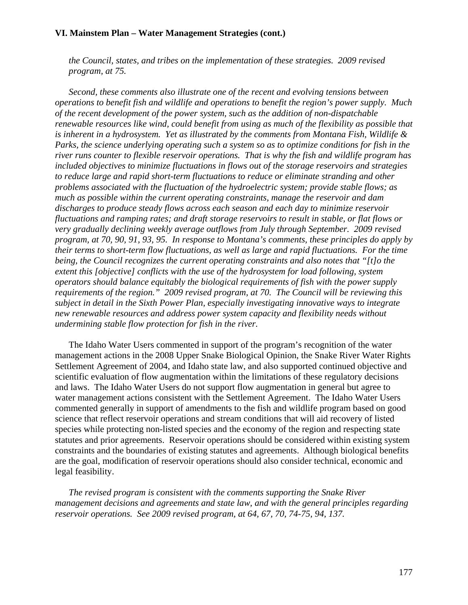*the Council, states, and tribes on the implementation of these strategies. 2009 revised program, at 75.* 

 *Second, these comments also illustrate one of the recent and evolving tensions between operations to benefit fish and wildlife and operations to benefit the region's power supply. Much of the recent development of the power system, such as the addition of non-dispatchable renewable resources like wind, could benefit from using as much of the flexibility as possible that is inherent in a hydrosystem. Yet as illustrated by the comments from Montana Fish, Wildlife & Parks, the science underlying operating such a system so as to optimize conditions for fish in the river runs counter to flexible reservoir operations. That is why the fish and wildlife program has included objectives to minimize fluctuations in flows out of the storage reservoirs and strategies to reduce large and rapid short-term fluctuations to reduce or eliminate stranding and other problems associated with the fluctuation of the hydroelectric system; provide stable flows; as much as possible within the current operating constraints, manage the reservoir and dam discharges to produce steady flows across each season and each day to minimize reservoir fluctuations and ramping rates; and draft storage reservoirs to result in stable, or flat flows or very gradually declining weekly average outflows from July through September. 2009 revised program, at 70, 90, 91, 93, 95. In response to Montana's comments, these principles do apply by their terms to short-term flow fluctuations, as well as large and rapid fluctuations. For the time being, the Council recognizes the current operating constraints and also notes that "[t]o the extent this [objective] conflicts with the use of the hydrosystem for load following, system operators should balance equitably the biological requirements of fish with the power supply requirements of the region." 2009 revised program, at 70. The Council will be reviewing this subject in detail in the Sixth Power Plan, especially investigating innovative ways to integrate new renewable resources and address power system capacity and flexibility needs without undermining stable flow protection for fish in the river.* 

 The Idaho Water Users commented in support of the program's recognition of the water management actions in the 2008 Upper Snake Biological Opinion, the Snake River Water Rights Settlement Agreement of 2004, and Idaho state law, and also supported continued objective and scientific evaluation of flow augmentation within the limitations of these regulatory decisions and laws. The Idaho Water Users do not support flow augmentation in general but agree to water management actions consistent with the Settlement Agreement. The Idaho Water Users commented generally in support of amendments to the fish and wildlife program based on good science that reflect reservoir operations and stream conditions that will aid recovery of listed species while protecting non-listed species and the economy of the region and respecting state statutes and prior agreements. Reservoir operations should be considered within existing system constraints and the boundaries of existing statutes and agreements. Although biological benefits are the goal, modification of reservoir operations should also consider technical, economic and legal feasibility.

*The revised program is consistent with the comments supporting the Snake River management decisions and agreements and state law, and with the general principles regarding reservoir operations. See 2009 revised program, at 64, 67, 70, 74-75, 94, 137.*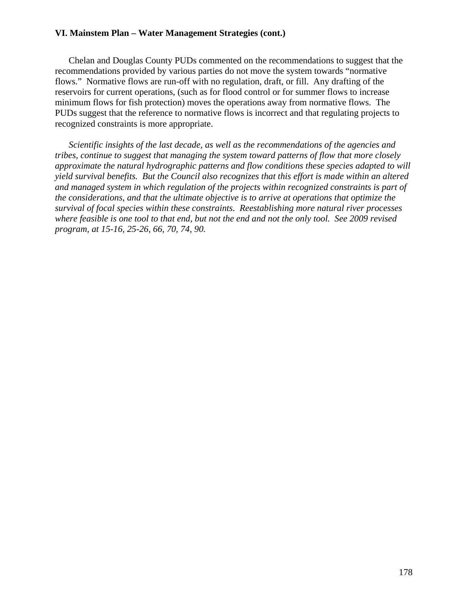Chelan and Douglas County PUDs commented on the recommendations to suggest that the recommendations provided by various parties do not move the system towards "normative flows." Normative flows are run-off with no regulation, draft, or fill. Any drafting of the reservoirs for current operations, (such as for flood control or for summer flows to increase minimum flows for fish protection) moves the operations away from normative flows. The PUDs suggest that the reference to normative flows is incorrect and that regulating projects to recognized constraints is more appropriate.

 *Scientific insights of the last decade, as well as the recommendations of the agencies and tribes, continue to suggest that managing the system toward patterns of flow that more closely approximate the natural hydrographic patterns and flow conditions these species adapted to will yield survival benefits. But the Council also recognizes that this effort is made within an altered and managed system in which regulation of the projects within recognized constraints is part of the considerations, and that the ultimate objective is to arrive at operations that optimize the survival of focal species within these constraints. Reestablishing more natural river processes where feasible is one tool to that end, but not the end and not the only tool. See 2009 revised program, at 15-16, 25-26, 66, 70, 74, 90.*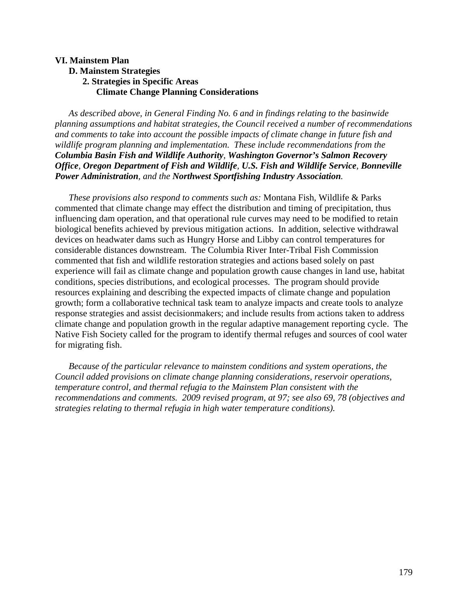#### **VI. Mainstem Plan D. Mainstem Strategies 2. Strategies in Specific Areas Climate Change Planning Considerations**

*As described above, in General Finding No. 6 and in findings relating to the basinwide planning assumptions and habitat strategies, the Council received a number of recommendations and comments to take into account the possible impacts of climate change in future fish and wildlife program planning and implementation. These include recommendations from the Columbia Basin Fish and Wildlife Authority, Washington Governor's Salmon Recovery Office, Oregon Department of Fish and Wildlife, U.S. Fish and Wildlife Service, Bonneville Power Administration, and the Northwest Sportfishing Industry Association.* 

 *These provisions also respond to comments such as:* Montana Fish, Wildlife & Parks commented that climate change may effect the distribution and timing of precipitation, thus influencing dam operation, and that operational rule curves may need to be modified to retain biological benefits achieved by previous mitigation actions. In addition, selective withdrawal devices on headwater dams such as Hungry Horse and Libby can control temperatures for considerable distances downstream. The Columbia River Inter-Tribal Fish Commission commented that fish and wildlife restoration strategies and actions based solely on past experience will fail as climate change and population growth cause changes in land use, habitat conditions, species distributions, and ecological processes. The program should provide resources explaining and describing the expected impacts of climate change and population growth; form a collaborative technical task team to analyze impacts and create tools to analyze response strategies and assist decisionmakers; and include results from actions taken to address climate change and population growth in the regular adaptive management reporting cycle. The Native Fish Society called for the program to identify thermal refuges and sources of cool water for migrating fish.

 *Because of the particular relevance to mainstem conditions and system operations, the Council added provisions on climate change planning considerations, reservoir operations, temperature control, and thermal refugia to the Mainstem Plan consistent with the recommendations and comments. 2009 revised program, at 97; see also 69, 78 (objectives and strategies relating to thermal refugia in high water temperature conditions).*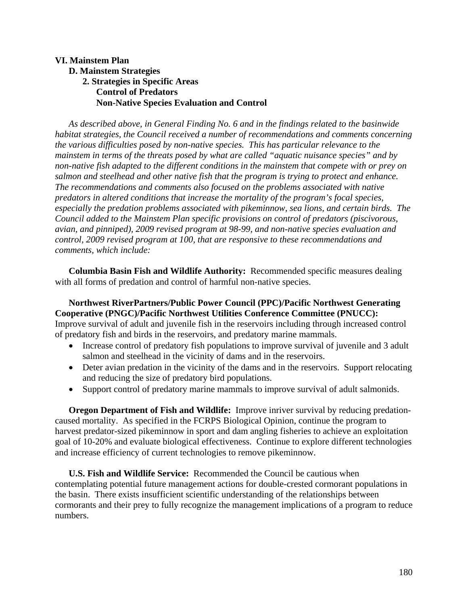# **VI. Mainstem Plan**

# **D. Mainstem Strategies 2. Strategies in Specific Areas Control of Predators Non-Native Species Evaluation and Control**

*As described above, in General Finding No. 6 and in the findings related to the basinwide habitat strategies, the Council received a number of recommendations and comments concerning the various difficulties posed by non-native species. This has particular relevance to the mainstem in terms of the threats posed by what are called "aquatic nuisance species" and by non-native fish adapted to the different conditions in the mainstem that compete with or prey on salmon and steelhead and other native fish that the program is trying to protect and enhance. The recommendations and comments also focused on the problems associated with native predators in altered conditions that increase the mortality of the program's focal species, especially the predation problems associated with pikeminnow, sea lions, and certain birds. The Council added to the Mainstem Plan specific provisions on control of predators (piscivorous, avian, and pinniped), 2009 revised program at 98-99, and non-native species evaluation and control, 2009 revised program at 100, that are responsive to these recommendations and comments, which include:* 

**Columbia Basin Fish and Wildlife Authority:** Recommended specific measures dealing with all forms of predation and control of harmful non-native species.

 **Northwest RiverPartners/Public Power Council (PPC)/Pacific Northwest Generating Cooperative (PNGC)/Pacific Northwest Utilities Conference Committee (PNUCC):** Improve survival of adult and juvenile fish in the reservoirs including through increased control of predatory fish and birds in the reservoirs, and predatory marine mammals.

- Increase control of predatory fish populations to improve survival of juvenile and 3 adult salmon and steelhead in the vicinity of dams and in the reservoirs.
- Deter avian predation in the vicinity of the dams and in the reservoirs. Support relocating and reducing the size of predatory bird populations.
- Support control of predatory marine mammals to improve survival of adult salmonids.

**Oregon Department of Fish and Wildlife:** Improve inriver survival by reducing predationcaused mortality. As specified in the FCRPS Biological Opinion, continue the program to harvest predator-sized pikeminnow in sport and dam angling fisheries to achieve an exploitation goal of 10-20% and evaluate biological effectiveness. Continue to explore different technologies and increase efficiency of current technologies to remove pikeminnow.

 **U.S. Fish and Wildlife Service:** Recommended the Council be cautious when contemplating potential future management actions for double-crested cormorant populations in the basin. There exists insufficient scientific understanding of the relationships between cormorants and their prey to fully recognize the management implications of a program to reduce numbers.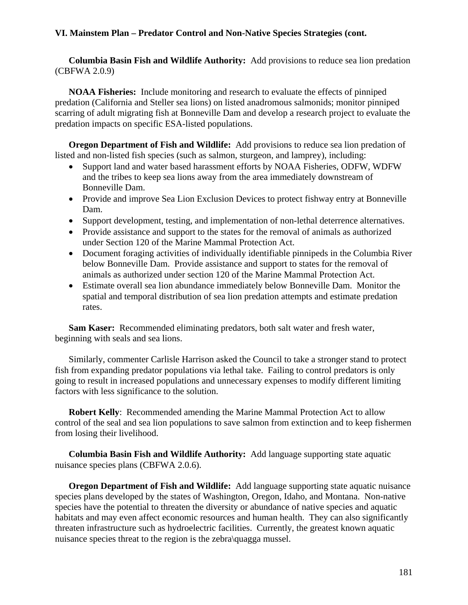# **VI. Mainstem Plan – Predator Control and Non-Native Species Strategies (cont.**

**Columbia Basin Fish and Wildlife Authority:** Add provisions to reduce sea lion predation (CBFWA 2.0.9)

**NOAA Fisheries:** Include monitoring and research to evaluate the effects of pinniped predation (California and Steller sea lions) on listed anadromous salmonids; monitor pinniped scarring of adult migrating fish at Bonneville Dam and develop a research project to evaluate the predation impacts on specific ESA-listed populations.

**Oregon Department of Fish and Wildlife:** Add provisions to reduce sea lion predation of listed and non-listed fish species (such as salmon, sturgeon, and lamprey), including:

- Support land and water based harassment efforts by NOAA Fisheries, ODFW, WDFW and the tribes to keep sea lions away from the area immediately downstream of Bonneville Dam.
- Provide and improve Sea Lion Exclusion Devices to protect fishway entry at Bonneville Dam.
- Support development, testing, and implementation of non-lethal deterrence alternatives.
- Provide assistance and support to the states for the removal of animals as authorized under Section 120 of the Marine Mammal Protection Act.
- Document foraging activities of individually identifiable pinnipeds in the Columbia River below Bonneville Dam. Provide assistance and support to states for the removal of animals as authorized under section 120 of the Marine Mammal Protection Act.
- Estimate overall sea lion abundance immediately below Bonneville Dam. Monitor the spatial and temporal distribution of sea lion predation attempts and estimate predation rates.

**Sam Kaser:** Recommended eliminating predators, both salt water and fresh water, beginning with seals and sea lions.

 Similarly, commenter Carlisle Harrison asked the Council to take a stronger stand to protect fish from expanding predator populations via lethal take. Failing to control predators is only going to result in increased populations and unnecessary expenses to modify different limiting factors with less significance to the solution.

 **Robert Kelly**: Recommended amending the Marine Mammal Protection Act to allow control of the seal and sea lion populations to save salmon from extinction and to keep fishermen from losing their livelihood.

**Columbia Basin Fish and Wildlife Authority:** Add language supporting state aquatic nuisance species plans (CBFWA 2.0.6).

**Oregon Department of Fish and Wildlife:** Add language supporting state aquatic nuisance species plans developed by the states of Washington, Oregon, Idaho, and Montana. Non-native species have the potential to threaten the diversity or abundance of native species and aquatic habitats and may even affect economic resources and human health. They can also significantly threaten infrastructure such as hydroelectric facilities. Currently, the greatest known aquatic nuisance species threat to the region is the zebra\quagga mussel.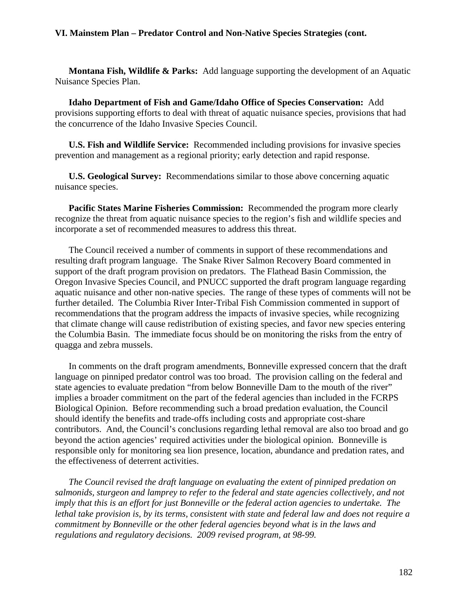## **VI. Mainstem Plan – Predator Control and Non-Native Species Strategies (cont.**

**Montana Fish, Wildlife & Parks:** Add language supporting the development of an Aquatic Nuisance Species Plan.

 **Idaho Department of Fish and Game/Idaho Office of Species Conservation:** Add provisions supporting efforts to deal with threat of aquatic nuisance species, provisions that had the concurrence of the Idaho Invasive Species Council.

 **U.S. Fish and Wildlife Service:** Recommended including provisions for invasive species prevention and management as a regional priority; early detection and rapid response.

**U.S. Geological Survey:** Recommendations similar to those above concerning aquatic nuisance species.

**Pacific States Marine Fisheries Commission:** Recommended the program more clearly recognize the threat from aquatic nuisance species to the region's fish and wildlife species and incorporate a set of recommended measures to address this threat.

 The Council received a number of comments in support of these recommendations and resulting draft program language. The Snake River Salmon Recovery Board commented in support of the draft program provision on predators. The Flathead Basin Commission, the Oregon Invasive Species Council, and PNUCC supported the draft program language regarding aquatic nuisance and other non-native species. The range of these types of comments will not be further detailed. The Columbia River Inter-Tribal Fish Commission commented in support of recommendations that the program address the impacts of invasive species, while recognizing that climate change will cause redistribution of existing species, and favor new species entering the Columbia Basin. The immediate focus should be on monitoring the risks from the entry of quagga and zebra mussels.

 In comments on the draft program amendments, Bonneville expressed concern that the draft language on pinniped predator control was too broad. The provision calling on the federal and state agencies to evaluate predation "from below Bonneville Dam to the mouth of the river" implies a broader commitment on the part of the federal agencies than included in the FCRPS Biological Opinion. Before recommending such a broad predation evaluation, the Council should identify the benefits and trade-offs including costs and appropriate cost-share contributors. And, the Council's conclusions regarding lethal removal are also too broad and go beyond the action agencies' required activities under the biological opinion. Bonneville is responsible only for monitoring sea lion presence, location, abundance and predation rates, and the effectiveness of deterrent activities.

 *The Council revised the draft language on evaluating the extent of pinniped predation on salmonids, sturgeon and lamprey to refer to the federal and state agencies collectively, and not imply that this is an effort for just Bonneville or the federal action agencies to undertake. The lethal take provision is, by its terms, consistent with state and federal law and does not require a commitment by Bonneville or the other federal agencies beyond what is in the laws and regulations and regulatory decisions. 2009 revised program, at 98-99.*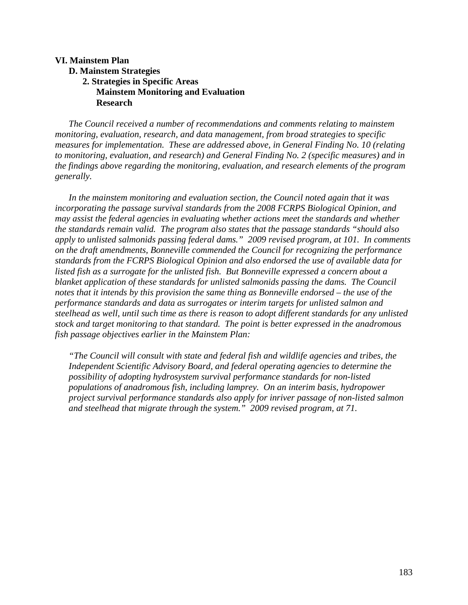# **VI. Mainstem Plan**

## **D. Mainstem Strategies 2. Strategies in Specific Areas Mainstem Monitoring and Evaluation Research**

*The Council received a number of recommendations and comments relating to mainstem monitoring, evaluation, research, and data management, from broad strategies to specific measures for implementation. These are addressed above, in General Finding No. 10 (relating to monitoring, evaluation, and research) and General Finding No. 2 (specific measures) and in the findings above regarding the monitoring, evaluation, and research elements of the program generally.* 

 *In the mainstem monitoring and evaluation section, the Council noted again that it was incorporating the passage survival standards from the 2008 FCRPS Biological Opinion, and may assist the federal agencies in evaluating whether actions meet the standards and whether the standards remain valid. The program also states that the passage standards "should also apply to unlisted salmonids passing federal dams." 2009 revised program, at 101. In comments on the draft amendments, Bonneville commended the Council for recognizing the performance standards from the FCRPS Biological Opinion and also endorsed the use of available data for listed fish as a surrogate for the unlisted fish. But Bonneville expressed a concern about a blanket application of these standards for unlisted salmonids passing the dams. The Council notes that it intends by this provision the same thing as Bonneville endorsed – the use of the performance standards and data as surrogates or interim targets for unlisted salmon and steelhead as well, until such time as there is reason to adopt different standards for any unlisted stock and target monitoring to that standard. The point is better expressed in the anadromous fish passage objectives earlier in the Mainstem Plan:* 

*"The Council will consult with state and federal fish and wildlife agencies and tribes, the Independent Scientific Advisory Board, and federal operating agencies to determine the possibility of adopting hydrosystem survival performance standards for non-listed populations of anadromous fish, including lamprey. On an interim basis, hydropower project survival performance standards also apply for inriver passage of non-listed salmon and steelhead that migrate through the system." 2009 revised program, at 71.*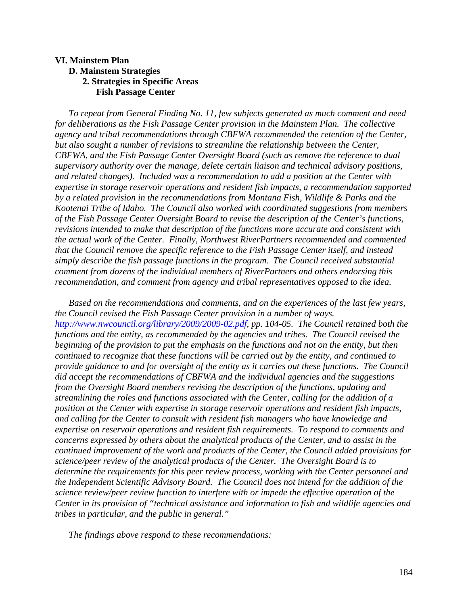## **VI. Mainstem Plan D. Mainstem Strategies 2. Strategies in Specific Areas Fish Passage Center**

*To repeat from General Finding No. 11, few subjects generated as much comment and need for deliberations as the Fish Passage Center provision in the Mainstem Plan. The collective agency and tribal recommendations through CBFWA recommended the retention of the Center, but also sought a number of revisions to streamline the relationship between the Center, CBFWA, and the Fish Passage Center Oversight Board (such as remove the reference to dual supervisory authority over the manage, delete certain liaison and technical advisory positions, and related changes). Included was a recommendation to add a position at the Center with expertise in storage reservoir operations and resident fish impacts, a recommendation supported by a related provision in the recommendations from Montana Fish, Wildlife & Parks and the Kootenai Tribe of Idaho. The Council also worked with coordinated suggestions from members of the Fish Passage Center Oversight Board to revise the description of the Center's functions, revisions intended to make that description of the functions more accurate and consistent with the actual work of the Center. Finally, Northwest RiverPartners recommended and commented that the Council remove the specific reference to the Fish Passage Center itself, and instead simply describe the fish passage functions in the program. The Council received substantial comment from dozens of the individual members of RiverPartners and others endorsing this recommendation, and comment from agency and tribal representatives opposed to the idea.* 

 *Based on the recommendations and comments, and on the experiences of the last few years, the Council revised the Fish Passage Center provision in a number of ways. http://www.nwcouncil.org/library/2009/2009-02.pdf, pp. 104-05. The Council retained both the functions and the entity, as recommended by the agencies and tribes. The Council revised the beginning of the provision to put the emphasis on the functions and not on the entity, but then continued to recognize that these functions will be carried out by the entity, and continued to provide guidance to and for oversight of the entity as it carries out these functions. The Council did accept the recommendations of CBFWA and the individual agencies and the suggestions from the Oversight Board members revising the description of the functions, updating and streamlining the roles and functions associated with the Center, calling for the addition of a position at the Center with expertise in storage reservoir operations and resident fish impacts, and calling for the Center to consult with resident fish managers who have knowledge and expertise on reservoir operations and resident fish requirements. To respond to comments and concerns expressed by others about the analytical products of the Center, and to assist in the continued improvement of the work and products of the Center, the Council added provisions for science/peer review of the analytical products of the Center. The Oversight Board is to determine the requirements for this peer review process, working with the Center personnel and the Independent Scientific Advisory Board. The Council does not intend for the addition of the science review/peer review function to interfere with or impede the effective operation of the Center in its provision of "technical assistance and information to fish and wildlife agencies and tribes in particular, and the public in general."* 

 *The findings above respond to these recommendations:*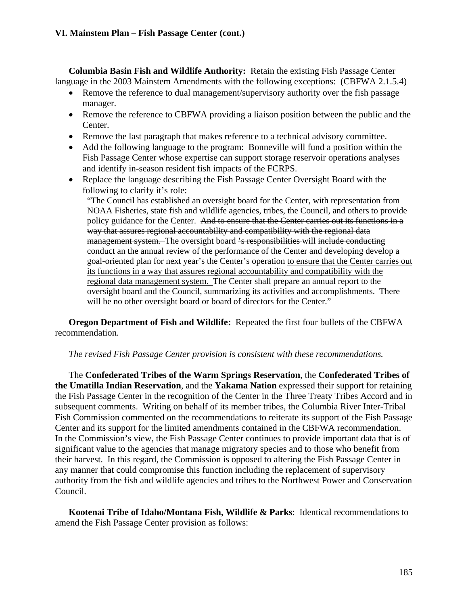**Columbia Basin Fish and Wildlife Authority:** Retain the existing Fish Passage Center language in the 2003 Mainstem Amendments with the following exceptions: (CBFWA 2.1.5.4)

- Remove the reference to dual management/supervisory authority over the fish passage manager.
- Remove the reference to CBFWA providing a liaison position between the public and the Center.
- Remove the last paragraph that makes reference to a technical advisory committee.
- Add the following language to the program: Bonneville will fund a position within the Fish Passage Center whose expertise can support storage reservoir operations analyses and identify in-season resident fish impacts of the FCRPS.
- Replace the language describing the Fish Passage Center Oversight Board with the following to clarify it's role:

"The Council has established an oversight board for the Center, with representation from NOAA Fisheries, state fish and wildlife agencies, tribes, the Council, and others to provide policy guidance for the Center. And to ensure that the Center carries out its functions in a way that assures regional accountability and compatibility with the regional data management system. The oversight board 's responsibilities will include conducting conduct an the annual review of the performance of the Center and developing develop a goal-oriented plan for next year's the Center's operation to ensure that the Center carries out its functions in a way that assures regional accountability and compatibility with the regional data management system. The Center shall prepare an annual report to the oversight board and the Council, summarizing its activities and accomplishments. There will be no other oversight board or board of directors for the Center."

 **Oregon Department of Fish and Wildlife:** Repeated the first four bullets of the CBFWA recommendation.

## *The revised Fish Passage Center provision is consistent with these recommendations.*

 The **Confederated Tribes of the Warm Springs Reservation**, the **Confederated Tribes of the Umatilla Indian Reservation**, and the **Yakama Nation** expressed their support for retaining the Fish Passage Center in the recognition of the Center in the Three Treaty Tribes Accord and in subsequent comments. Writing on behalf of its member tribes, the Columbia River Inter-Tribal Fish Commission commented on the recommendations to reiterate its support of the Fish Passage Center and its support for the limited amendments contained in the CBFWA recommendation. In the Commission's view, the Fish Passage Center continues to provide important data that is of significant value to the agencies that manage migratory species and to those who benefit from their harvest. In this regard, the Commission is opposed to altering the Fish Passage Center in any manner that could compromise this function including the replacement of supervisory authority from the fish and wildlife agencies and tribes to the Northwest Power and Conservation Council.

 **Kootenai Tribe of Idaho/Montana Fish, Wildlife & Parks**: Identical recommendations to amend the Fish Passage Center provision as follows: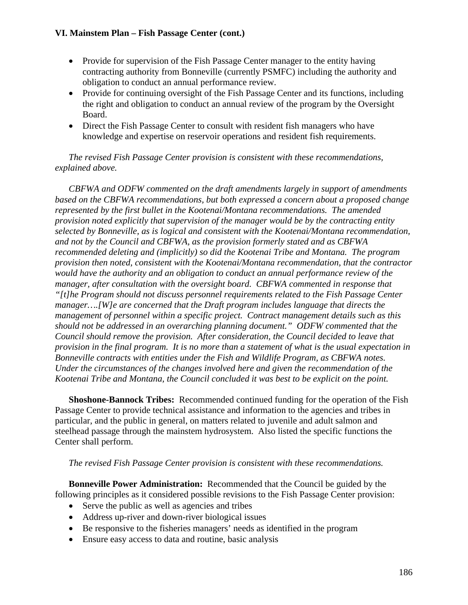- Provide for supervision of the Fish Passage Center manager to the entity having contracting authority from Bonneville (currently PSMFC) including the authority and obligation to conduct an annual performance review.
- Provide for continuing oversight of the Fish Passage Center and its functions, including the right and obligation to conduct an annual review of the program by the Oversight Board.
- Direct the Fish Passage Center to consult with resident fish managers who have knowledge and expertise on reservoir operations and resident fish requirements.

*The revised Fish Passage Center provision is consistent with these recommendations, explained above.* 

 *CBFWA and ODFW commented on the draft amendments largely in support of amendments based on the CBFWA recommendations, but both expressed a concern about a proposed change represented by the first bullet in the Kootenai/Montana recommendations. The amended provision noted explicitly that supervision of the manager would be by the contracting entity selected by Bonneville, as is logical and consistent with the Kootenai/Montana recommendation, and not by the Council and CBFWA, as the provision formerly stated and as CBFWA recommended deleting and (implicitly) so did the Kootenai Tribe and Montana. The program provision then noted, consistent with the Kootenai/Montana recommendation, that the contractor would have the authority and an obligation to conduct an annual performance review of the manager, after consultation with the oversight board. CBFWA commented in response that "[t]he Program should not discuss personnel requirements related to the Fish Passage Center manager….[W]e are concerned that the Draft program includes language that directs the management of personnel within a specific project. Contract management details such as this should not be addressed in an overarching planning document." ODFW commented that the Council should remove the provision. After consideration, the Council decided to leave that provision in the final program. It is no more than a statement of what is the usual expectation in Bonneville contracts with entities under the Fish and Wildlife Program, as CBFWA notes. Under the circumstances of the changes involved here and given the recommendation of the Kootenai Tribe and Montana, the Council concluded it was best to be explicit on the point.* 

 **Shoshone-Bannock Tribes:** Recommended continued funding for the operation of the Fish Passage Center to provide technical assistance and information to the agencies and tribes in particular, and the public in general, on matters related to juvenile and adult salmon and steelhead passage through the mainstem hydrosystem. Also listed the specific functions the Center shall perform.

## *The revised Fish Passage Center provision is consistent with these recommendations.*

**Bonneville Power Administration:** Recommended that the Council be guided by the following principles as it considered possible revisions to the Fish Passage Center provision:

- Serve the public as well as agencies and tribes
- Address up-river and down-river biological issues
- Be responsive to the fisheries managers' needs as identified in the program
- Ensure easy access to data and routine, basic analysis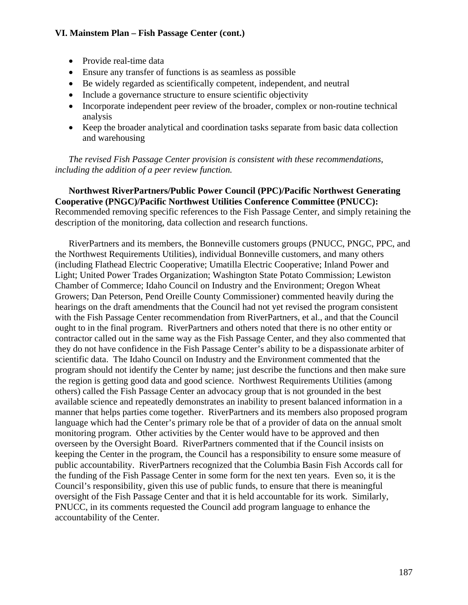- Provide real-time data
- Ensure any transfer of functions is as seamless as possible
- Be widely regarded as scientifically competent, independent, and neutral
- Include a governance structure to ensure scientific objectivity
- Incorporate independent peer review of the broader, complex or non-routine technical analysis
- Keep the broader analytical and coordination tasks separate from basic data collection and warehousing

*The revised Fish Passage Center provision is consistent with these recommendations, including the addition of a peer review function.* 

 **Northwest RiverPartners/Public Power Council (PPC)/Pacific Northwest Generating Cooperative (PNGC)/Pacific Northwest Utilities Conference Committee (PNUCC):** Recommended removing specific references to the Fish Passage Center, and simply retaining the description of the monitoring, data collection and research functions.

 RiverPartners and its members, the Bonneville customers groups (PNUCC, PNGC, PPC, and the Northwest Requirements Utilities), individual Bonneville customers, and many others (including Flathead Electric Cooperative; Umatilla Electric Cooperative; Inland Power and Light; United Power Trades Organization; Washington State Potato Commission; Lewiston Chamber of Commerce; Idaho Council on Industry and the Environment; Oregon Wheat Growers; Dan Peterson, Pend Oreille County Commissioner) commented heavily during the hearings on the draft amendments that the Council had not yet revised the program consistent with the Fish Passage Center recommendation from RiverPartners, et al., and that the Council ought to in the final program. RiverPartners and others noted that there is no other entity or contractor called out in the same way as the Fish Passage Center, and they also commented that they do not have confidence in the Fish Passage Center's ability to be a dispassionate arbiter of scientific data. The Idaho Council on Industry and the Environment commented that the program should not identify the Center by name; just describe the functions and then make sure the region is getting good data and good science. Northwest Requirements Utilities (among others) called the Fish Passage Center an advocacy group that is not grounded in the best available science and repeatedly demonstrates an inability to present balanced information in a manner that helps parties come together. RiverPartners and its members also proposed program language which had the Center's primary role be that of a provider of data on the annual smolt monitoring program. Other activities by the Center would have to be approved and then overseen by the Oversight Board. RiverPartners commented that if the Council insists on keeping the Center in the program, the Council has a responsibility to ensure some measure of public accountability. RiverPartners recognized that the Columbia Basin Fish Accords call for the funding of the Fish Passage Center in some form for the next ten years. Even so, it is the Council's responsibility, given this use of public funds, to ensure that there is meaningful oversight of the Fish Passage Center and that it is held accountable for its work. Similarly, PNUCC, in its comments requested the Council add program language to enhance the accountability of the Center.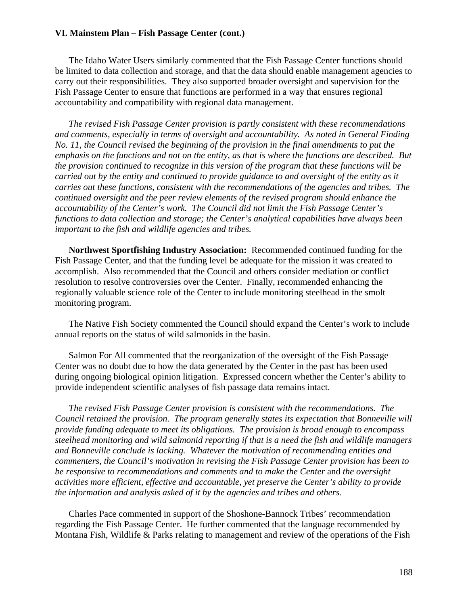The Idaho Water Users similarly commented that the Fish Passage Center functions should be limited to data collection and storage, and that the data should enable management agencies to carry out their responsibilities. They also supported broader oversight and supervision for the Fish Passage Center to ensure that functions are performed in a way that ensures regional accountability and compatibility with regional data management.

*The revised Fish Passage Center provision is partly consistent with these recommendations and comments, especially in terms of oversight and accountability. As noted in General Finding No. 11, the Council revised the beginning of the provision in the final amendments to put the emphasis on the functions and not on the entity, as that is where the functions are described. But the provision continued to recognize in this version of the program that these functions will be carried out by the entity and continued to provide guidance to and oversight of the entity as it carries out these functions, consistent with the recommendations of the agencies and tribes. The continued oversight and the peer review elements of the revised program should enhance the accountability of the Center's work. The Council did not limit the Fish Passage Center's functions to data collection and storage; the Center's analytical capabilities have always been important to the fish and wildlife agencies and tribes.* 

 **Northwest Sportfishing Industry Association:** Recommended continued funding for the Fish Passage Center, and that the funding level be adequate for the mission it was created to accomplish. Also recommended that the Council and others consider mediation or conflict resolution to resolve controversies over the Center. Finally, recommended enhancing the regionally valuable science role of the Center to include monitoring steelhead in the smolt monitoring program.

 The Native Fish Society commented the Council should expand the Center's work to include annual reports on the status of wild salmonids in the basin.

 Salmon For All commented that the reorganization of the oversight of the Fish Passage Center was no doubt due to how the data generated by the Center in the past has been used during ongoing biological opinion litigation. Expressed concern whether the Center's ability to provide independent scientific analyses of fish passage data remains intact.

*The revised Fish Passage Center provision is consistent with the recommendations. The Council retained the provision. The program generally states its expectation that Bonneville will provide funding adequate to meet its obligations. The provision is broad enough to encompass steelhead monitoring and wild salmonid reporting if that is a need the fish and wildlife managers and Bonneville conclude is lacking. Whatever the motivation of recommending entities and commenters, the Council's motivation in revising the Fish Passage Center provision has been to be responsive to recommendations and comments and to make the Center* and *the oversight activities more efficient, effective and accountable, yet preserve the Center's ability to provide the information and analysis asked of it by the agencies and tribes and others.* 

 Charles Pace commented in support of the Shoshone-Bannock Tribes' recommendation regarding the Fish Passage Center. He further commented that the language recommended by Montana Fish, Wildlife & Parks relating to management and review of the operations of the Fish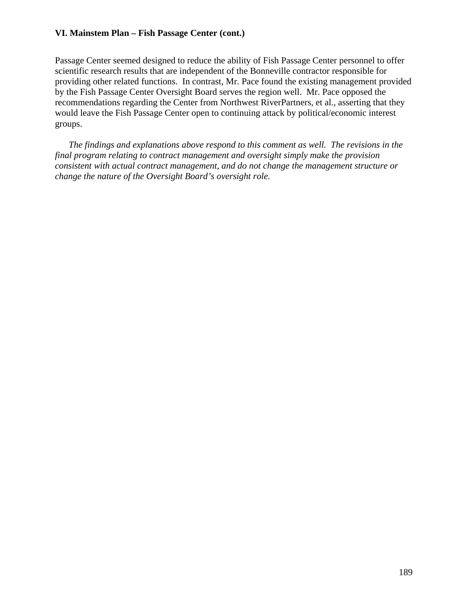Passage Center seemed designed to reduce the ability of Fish Passage Center personnel to offer scientific research results that are independent of the Bonneville contractor responsible for providing other related functions. In contrast, Mr. Pace found the existing management provided by the Fish Passage Center Oversight Board serves the region well. Mr. Pace opposed the recommendations regarding the Center from Northwest RiverPartners, et al., asserting that they would leave the Fish Passage Center open to continuing attack by political/economic interest groups.

*The findings and explanations above respond to this comment as well. The revisions in the final program relating to contract management and oversight simply make the provision consistent with actual contract management, and do not change the management structure or change the nature of the Oversight Board's oversight role.*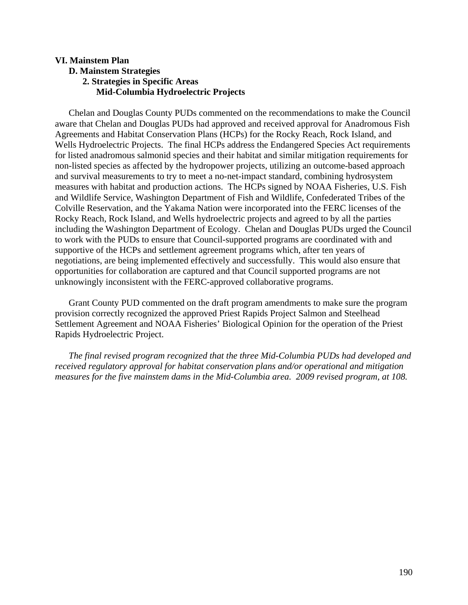## **VI. Mainstem Plan D. Mainstem Strategies 2. Strategies in Specific Areas Mid-Columbia Hydroelectric Projects**

 Chelan and Douglas County PUDs commented on the recommendations to make the Council aware that Chelan and Douglas PUDs had approved and received approval for Anadromous Fish Agreements and Habitat Conservation Plans (HCPs) for the Rocky Reach, Rock Island, and Wells Hydroelectric Projects. The final HCPs address the Endangered Species Act requirements for listed anadromous salmonid species and their habitat and similar mitigation requirements for non-listed species as affected by the hydropower projects, utilizing an outcome-based approach and survival measurements to try to meet a no-net-impact standard, combining hydrosystem measures with habitat and production actions. The HCPs signed by NOAA Fisheries, U.S. Fish and Wildlife Service, Washington Department of Fish and Wildlife, Confederated Tribes of the Colville Reservation, and the Yakama Nation were incorporated into the FERC licenses of the Rocky Reach, Rock Island, and Wells hydroelectric projects and agreed to by all the parties including the Washington Department of Ecology. Chelan and Douglas PUDs urged the Council to work with the PUDs to ensure that Council-supported programs are coordinated with and supportive of the HCPs and settlement agreement programs which, after ten years of negotiations, are being implemented effectively and successfully. This would also ensure that opportunities for collaboration are captured and that Council supported programs are not unknowingly inconsistent with the FERC-approved collaborative programs.

 Grant County PUD commented on the draft program amendments to make sure the program provision correctly recognized the approved Priest Rapids Project Salmon and Steelhead Settlement Agreement and NOAA Fisheries' Biological Opinion for the operation of the Priest Rapids Hydroelectric Project.

 *The final revised program recognized that the three Mid-Columbia PUDs had developed and received regulatory approval for habitat conservation plans and/or operational and mitigation measures for the five mainstem dams in the Mid-Columbia area. 2009 revised program, at 108.*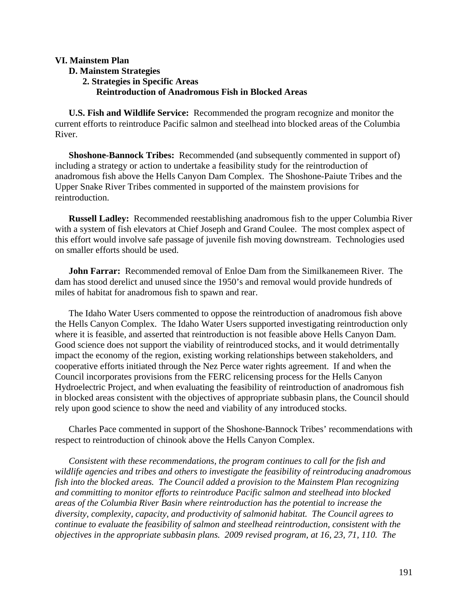#### **VI. Mainstem Plan**

# **D. Mainstem Strategies 2. Strategies in Specific Areas Reintroduction of Anadromous Fish in Blocked Areas**

 **U.S. Fish and Wildlife Service:** Recommended the program recognize and monitor the current efforts to reintroduce Pacific salmon and steelhead into blocked areas of the Columbia River.

 **Shoshone-Bannock Tribes:** Recommended (and subsequently commented in support of) including a strategy or action to undertake a feasibility study for the reintroduction of anadromous fish above the Hells Canyon Dam Complex. The Shoshone-Paiute Tribes and the Upper Snake River Tribes commented in supported of the mainstem provisions for reintroduction.

 **Russell Ladley:** Recommended reestablishing anadromous fish to the upper Columbia River with a system of fish elevators at Chief Joseph and Grand Coulee. The most complex aspect of this effort would involve safe passage of juvenile fish moving downstream. Technologies used on smaller efforts should be used.

**John Farrar:** Recommended removal of Enloe Dam from the Similkanemeen River. The dam has stood derelict and unused since the 1950's and removal would provide hundreds of miles of habitat for anadromous fish to spawn and rear.

 The Idaho Water Users commented to oppose the reintroduction of anadromous fish above the Hells Canyon Complex. The Idaho Water Users supported investigating reintroduction only where it is feasible, and asserted that reintroduction is not feasible above Hells Canyon Dam. Good science does not support the viability of reintroduced stocks, and it would detrimentally impact the economy of the region, existing working relationships between stakeholders, and cooperative efforts initiated through the Nez Perce water rights agreement. If and when the Council incorporates provisions from the FERC relicensing process for the Hells Canyon Hydroelectric Project, and when evaluating the feasibility of reintroduction of anadromous fish in blocked areas consistent with the objectives of appropriate subbasin plans, the Council should rely upon good science to show the need and viability of any introduced stocks.

 Charles Pace commented in support of the Shoshone-Bannock Tribes' recommendations with respect to reintroduction of chinook above the Hells Canyon Complex.

 *Consistent with these recommendations, the program continues to call for the fish and wildlife agencies and tribes and others to investigate the feasibility of reintroducing anadromous fish into the blocked areas. The Council added a provision to the Mainstem Plan recognizing and committing to monitor efforts to reintroduce Pacific salmon and steelhead into blocked areas of the Columbia River Basin where reintroduction has the potential to increase the diversity, complexity, capacity, and productivity of salmonid habitat. The Council agrees to continue to evaluate the feasibility of salmon and steelhead reintroduction, consistent with the objectives in the appropriate subbasin plans. 2009 revised program, at 16, 23, 71, 110. The*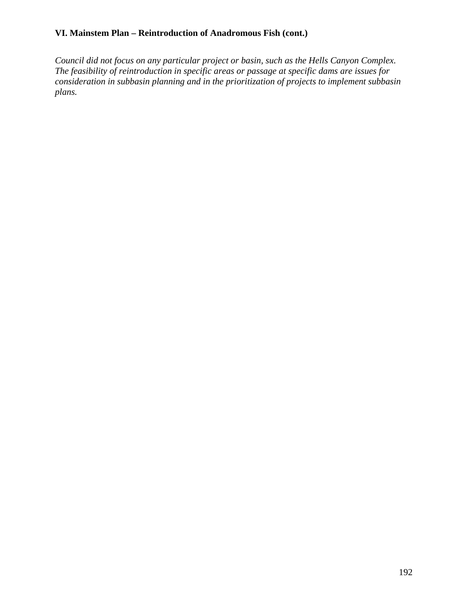# **VI. Mainstem Plan – Reintroduction of Anadromous Fish (cont.)**

*Council did not focus on any particular project or basin, such as the Hells Canyon Complex. The feasibility of reintroduction in specific areas or passage at specific dams are issues for consideration in subbasin planning and in the prioritization of projects to implement subbasin plans.*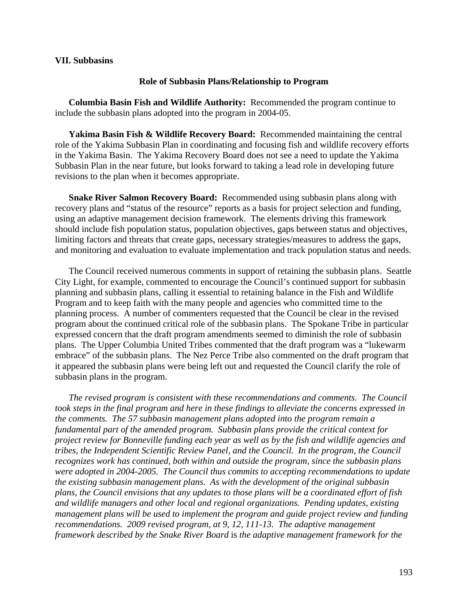#### **VII. Subbasins**

#### **Role of Subbasin Plans/Relationship to Program**

 **Columbia Basin Fish and Wildlife Authority:** Recommended the program continue to include the subbasin plans adopted into the program in 2004-05.

 **Yakima Basin Fish & Wildlife Recovery Board:** Recommended maintaining the central role of the Yakima Subbasin Plan in coordinating and focusing fish and wildlife recovery efforts in the Yakima Basin. The Yakima Recovery Board does not see a need to update the Yakima Subbasin Plan in the near future, but looks forward to taking a lead role in developing future revisions to the plan when it becomes appropriate.

 **Snake River Salmon Recovery Board:** Recommended using subbasin plans along with recovery plans and "status of the resource" reports as a basis for project selection and funding, using an adaptive management decision framework. The elements driving this framework should include fish population status, population objectives, gaps between status and objectives, limiting factors and threats that create gaps, necessary strategies/measures to address the gaps, and monitoring and evaluation to evaluate implementation and track population status and needs.

 The Council received numerous comments in support of retaining the subbasin plans. Seattle City Light, for example, commented to encourage the Council's continued support for subbasin planning and subbasin plans, calling it essential to retaining balance in the Fish and Wildlife Program and to keep faith with the many people and agencies who committed time to the planning process. A number of commenters requested that the Council be clear in the revised program about the continued critical role of the subbasin plans. The Spokane Tribe in particular expressed concern that the draft program amendments seemed to diminish the role of subbasin plans. The Upper Columbia United Tribes commented that the draft program was a "lukewarm embrace" of the subbasin plans. The Nez Perce Tribe also commented on the draft program that it appeared the subbasin plans were being left out and requested the Council clarify the role of subbasin plans in the program.

 *The revised program is consistent with these recommendations and comments. The Council took steps in the final program and here in these findings to alleviate the concerns expressed in the comments. The 57 subbasin management plans adopted into the program remain a fundamental part of the amended program. Subbasin plans provide the critical context for project review for Bonneville funding each year as well as by the fish and wildlife agencies and tribes, the Independent Scientific Review Panel, and the Council. In the program, the Council recognizes work has continued, both within and outside the program, since the subbasin plans were adopted in 2004-2005. The Council thus commits to accepting recommendations to update the existing subbasin management plans. As with the development of the original subbasin plans, the Council envisions that any updates to those plans will be a coordinated effort of fish and wildlife managers and other local and regional organizations. Pending updates, existing management plans will be used to implement the program and guide project review and funding recommendations. 2009 revised program, at 9, 12, 111-13. The adaptive management framework described by the Snake River Board* is *the adaptive management framework for the*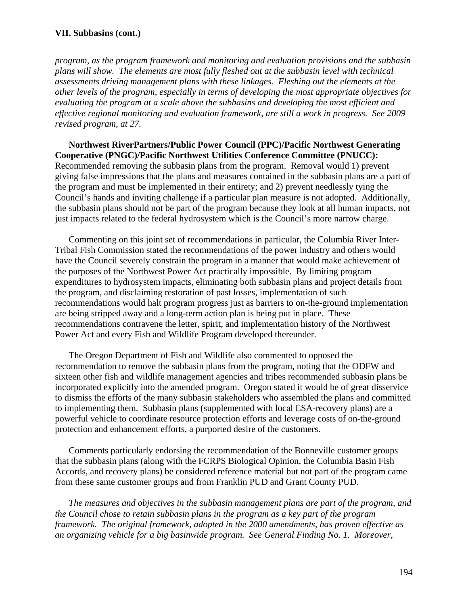#### **VII. Subbasins (cont.)**

*program, as the program framework and monitoring and evaluation provisions and the subbasin plans will show. The elements are most fully fleshed out at the subbasin level with technical assessments driving management plans with these linkages. Fleshing out the elements at the other levels of the program, especially in terms of developing the most appropriate objectives for evaluating the program at a scale above the subbasins and developing the most efficient and effective regional monitoring and evaluation framework, are still a work in progress. See 2009 revised program, at 27.*

# **Northwest RiverPartners/Public Power Council (PPC)/Pacific Northwest Generating Cooperative (PNGC)/Pacific Northwest Utilities Conference Committee (PNUCC):**

Recommended removing the subbasin plans from the program. Removal would 1) prevent giving false impressions that the plans and measures contained in the subbasin plans are a part of the program and must be implemented in their entirety; and 2) prevent needlessly tying the Council's hands and inviting challenge if a particular plan measure is not adopted. Additionally, the subbasin plans should not be part of the program because they look at all human impacts, not just impacts related to the federal hydrosystem which is the Council's more narrow charge.

 Commenting on this joint set of recommendations in particular, the Columbia River Inter-Tribal Fish Commission stated the recommendations of the power industry and others would have the Council severely constrain the program in a manner that would make achievement of the purposes of the Northwest Power Act practically impossible. By limiting program expenditures to hydrosystem impacts, eliminating both subbasin plans and project details from the program, and disclaiming restoration of past losses, implementation of such recommendations would halt program progress just as barriers to on-the-ground implementation are being stripped away and a long-term action plan is being put in place. These recommendations contravene the letter, spirit, and implementation history of the Northwest Power Act and every Fish and Wildlife Program developed thereunder.

 The Oregon Department of Fish and Wildlife also commented to opposed the recommendation to remove the subbasin plans from the program, noting that the ODFW and sixteen other fish and wildlife management agencies and tribes recommended subbasin plans be incorporated explicitly into the amended program. Oregon stated it would be of great disservice to dismiss the efforts of the many subbasin stakeholders who assembled the plans and committed to implementing them. Subbasin plans (supplemented with local ESA-recovery plans) are a powerful vehicle to coordinate resource protection efforts and leverage costs of on-the-ground protection and enhancement efforts, a purported desire of the customers.

 Comments particularly endorsing the recommendation of the Bonneville customer groups that the subbasin plans (along with the FCRPS Biological Opinion, the Columbia Basin Fish Accords, and recovery plans) be considered reference material but not part of the program came from these same customer groups and from Franklin PUD and Grant County PUD.

 *The measures and objectives in the subbasin management plans are part of the program, and the Council chose to retain subbasin plans in the program as a key part of the program framework. The original framework, adopted in the 2000 amendments, has proven effective as an organizing vehicle for a big basinwide program. See General Finding No. 1. Moreover,*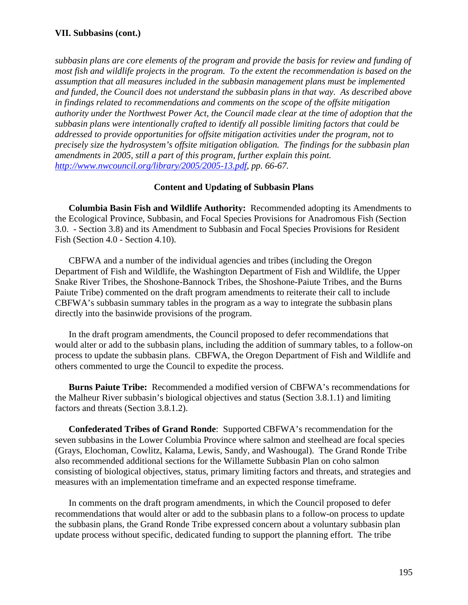*subbasin plans are core elements of the program and provide the basis for review and funding of most fish and wildlife projects in the program. To the extent the recommendation is based on the assumption that all measures included in the subbasin management plans must be implemented and funded, the Council does not understand the subbasin plans in that way. As described above in findings related to recommendations and comments on the scope of the offsite mitigation authority under the Northwest Power Act, the Council made clear at the time of adoption that the subbasin plans were intentionally crafted to identify all possible limiting factors that could be addressed to provide opportunities for offsite mitigation activities under the program, not to precisely size the hydrosystem's offsite mitigation obligation. The findings for the subbasin plan amendments in 2005, still a part of this program, further explain this point. http://www.nwcouncil.org/library/2005/2005-13.pdf, pp. 66-67.*

#### **Content and Updating of Subbasin Plans**

 **Columbia Basin Fish and Wildlife Authority:** Recommended adopting its Amendments to the Ecological Province, Subbasin, and Focal Species Provisions for Anadromous Fish (Section 3.0. - Section 3.8) and its Amendment to Subbasin and Focal Species Provisions for Resident Fish (Section 4.0 - Section 4.10).

 CBFWA and a number of the individual agencies and tribes (including the Oregon Department of Fish and Wildlife, the Washington Department of Fish and Wildlife, the Upper Snake River Tribes, the Shoshone-Bannock Tribes, the Shoshone-Paiute Tribes, and the Burns Paiute Tribe) commented on the draft program amendments to reiterate their call to include CBFWA's subbasin summary tables in the program as a way to integrate the subbasin plans directly into the basinwide provisions of the program.

 In the draft program amendments, the Council proposed to defer recommendations that would alter or add to the subbasin plans, including the addition of summary tables, to a follow-on process to update the subbasin plans. CBFWA, the Oregon Department of Fish and Wildlife and others commented to urge the Council to expedite the process.

 **Burns Paiute Tribe:** Recommended a modified version of CBFWA's recommendations for the Malheur River subbasin's biological objectives and status (Section 3.8.1.1) and limiting factors and threats (Section 3.8.1.2).

 **Confederated Tribes of Grand Ronde**: Supported CBFWA's recommendation for the seven subbasins in the Lower Columbia Province where salmon and steelhead are focal species (Grays, Elochoman, Cowlitz, Kalama, Lewis, Sandy, and Washougal). The Grand Ronde Tribe also recommended additional sections for the Willamette Subbasin Plan on coho salmon consisting of biological objectives, status, primary limiting factors and threats, and strategies and measures with an implementation timeframe and an expected response timeframe.

 In comments on the draft program amendments, in which the Council proposed to defer recommendations that would alter or add to the subbasin plans to a follow-on process to update the subbasin plans, the Grand Ronde Tribe expressed concern about a voluntary subbasin plan update process without specific, dedicated funding to support the planning effort. The tribe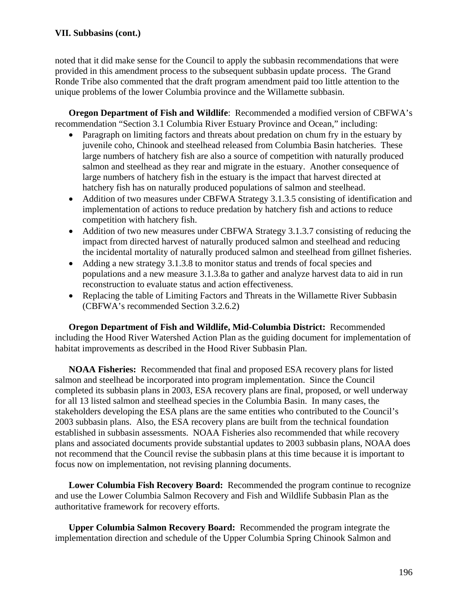noted that it did make sense for the Council to apply the subbasin recommendations that were provided in this amendment process to the subsequent subbasin update process. The Grand Ronde Tribe also commented that the draft program amendment paid too little attention to the unique problems of the lower Columbia province and the Willamette subbasin.

 **Oregon Department of Fish and Wildlife**: Recommended a modified version of CBFWA's recommendation "Section 3.1 Columbia River Estuary Province and Ocean," including:

- Paragraph on limiting factors and threats about predation on chum fry in the estuary by juvenile coho, Chinook and steelhead released from Columbia Basin hatcheries. These large numbers of hatchery fish are also a source of competition with naturally produced salmon and steelhead as they rear and migrate in the estuary. Another consequence of large numbers of hatchery fish in the estuary is the impact that harvest directed at hatchery fish has on naturally produced populations of salmon and steelhead.
- Addition of two measures under CBFWA Strategy 3.1.3.5 consisting of identification and implementation of actions to reduce predation by hatchery fish and actions to reduce competition with hatchery fish.
- Addition of two new measures under CBFWA Strategy 3.1.3.7 consisting of reducing the impact from directed harvest of naturally produced salmon and steelhead and reducing the incidental mortality of naturally produced salmon and steelhead from gillnet fisheries.
- Adding a new strategy 3.1.3.8 to monitor status and trends of focal species and populations and a new measure 3.1.3.8a to gather and analyze harvest data to aid in run reconstruction to evaluate status and action effectiveness.
- Replacing the table of Limiting Factors and Threats in the Willamette River Subbasin (CBFWA's recommended Section 3.2.6.2)

 **Oregon Department of Fish and Wildlife, Mid-Columbia District:** Recommended including the Hood River Watershed Action Plan as the guiding document for implementation of habitat improvements as described in the Hood River Subbasin Plan.

 **NOAA Fisheries:** Recommended that final and proposed ESA recovery plans for listed salmon and steelhead be incorporated into program implementation. Since the Council completed its subbasin plans in 2003, ESA recovery plans are final, proposed, or well underway for all 13 listed salmon and steelhead species in the Columbia Basin. In many cases, the stakeholders developing the ESA plans are the same entities who contributed to the Council's 2003 subbasin plans. Also, the ESA recovery plans are built from the technical foundation established in subbasin assessments. NOAA Fisheries also recommended that while recovery plans and associated documents provide substantial updates to 2003 subbasin plans, NOAA does not recommend that the Council revise the subbasin plans at this time because it is important to focus now on implementation, not revising planning documents.

 **Lower Columbia Fish Recovery Board:** Recommended the program continue to recognize and use the Lower Columbia Salmon Recovery and Fish and Wildlife Subbasin Plan as the authoritative framework for recovery efforts.

 **Upper Columbia Salmon Recovery Board:** Recommended the program integrate the implementation direction and schedule of the Upper Columbia Spring Chinook Salmon and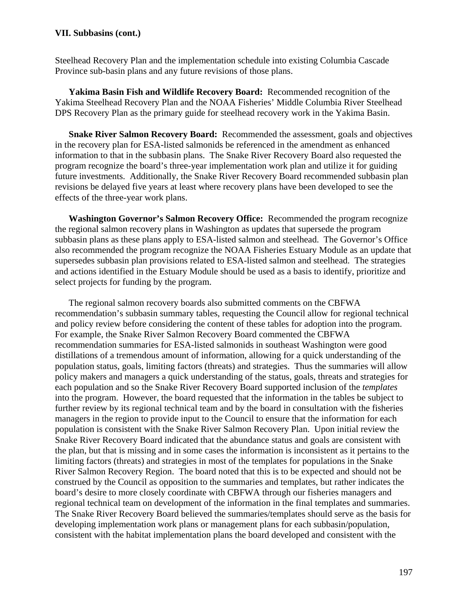#### **VII. Subbasins (cont.)**

Steelhead Recovery Plan and the implementation schedule into existing Columbia Cascade Province sub-basin plans and any future revisions of those plans.

 **Yakima Basin Fish and Wildlife Recovery Board:** Recommended recognition of the Yakima Steelhead Recovery Plan and the NOAA Fisheries' Middle Columbia River Steelhead DPS Recovery Plan as the primary guide for steelhead recovery work in the Yakima Basin.

 **Snake River Salmon Recovery Board:** Recommended the assessment, goals and objectives in the recovery plan for ESA-listed salmonids be referenced in the amendment as enhanced information to that in the subbasin plans. The Snake River Recovery Board also requested the program recognize the board's three-year implementation work plan and utilize it for guiding future investments. Additionally, the Snake River Recovery Board recommended subbasin plan revisions be delayed five years at least where recovery plans have been developed to see the effects of the three-year work plans.

 **Washington Governor's Salmon Recovery Office:** Recommended the program recognize the regional salmon recovery plans in Washington as updates that supersede the program subbasin plans as these plans apply to ESA-listed salmon and steelhead. The Governor's Office also recommended the program recognize the NOAA Fisheries Estuary Module as an update that supersedes subbasin plan provisions related to ESA-listed salmon and steelhead. The strategies and actions identified in the Estuary Module should be used as a basis to identify, prioritize and select projects for funding by the program.

 The regional salmon recovery boards also submitted comments on the CBFWA recommendation's subbasin summary tables, requesting the Council allow for regional technical and policy review before considering the content of these tables for adoption into the program. For example, the Snake River Salmon Recovery Board commented the CBFWA recommendation summaries for ESA-listed salmonids in southeast Washington were good distillations of a tremendous amount of information, allowing for a quick understanding of the population status, goals, limiting factors (threats) and strategies. Thus the summaries will allow policy makers and managers a quick understanding of the status, goals, threats and strategies for each population and so the Snake River Recovery Board supported inclusion of the *templates* into the program. However, the board requested that the information in the tables be subject to further review by its regional technical team and by the board in consultation with the fisheries managers in the region to provide input to the Council to ensure that the information for each population is consistent with the Snake River Salmon Recovery Plan. Upon initial review the Snake River Recovery Board indicated that the abundance status and goals are consistent with the plan, but that is missing and in some cases the information is inconsistent as it pertains to the limiting factors (threats) and strategies in most of the templates for populations in the Snake River Salmon Recovery Region. The board noted that this is to be expected and should not be construed by the Council as opposition to the summaries and templates, but rather indicates the board's desire to more closely coordinate with CBFWA through our fisheries managers and regional technical team on development of the information in the final templates and summaries. The Snake River Recovery Board believed the summaries/templates should serve as the basis for developing implementation work plans or management plans for each subbasin/population, consistent with the habitat implementation plans the board developed and consistent with the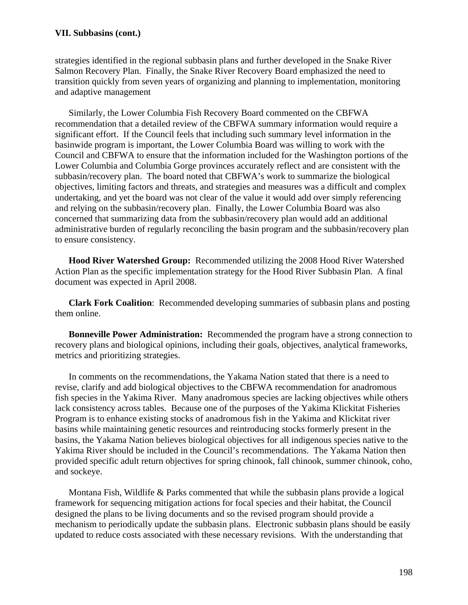strategies identified in the regional subbasin plans and further developed in the Snake River Salmon Recovery Plan. Finally, the Snake River Recovery Board emphasized the need to transition quickly from seven years of organizing and planning to implementation, monitoring and adaptive management

 Similarly, the Lower Columbia Fish Recovery Board commented on the CBFWA recommendation that a detailed review of the CBFWA summary information would require a significant effort. If the Council feels that including such summary level information in the basinwide program is important, the Lower Columbia Board was willing to work with the Council and CBFWA to ensure that the information included for the Washington portions of the Lower Columbia and Columbia Gorge provinces accurately reflect and are consistent with the subbasin/recovery plan. The board noted that CBFWA's work to summarize the biological objectives, limiting factors and threats, and strategies and measures was a difficult and complex undertaking, and yet the board was not clear of the value it would add over simply referencing and relying on the subbasin/recovery plan. Finally, the Lower Columbia Board was also concerned that summarizing data from the subbasin/recovery plan would add an additional administrative burden of regularly reconciling the basin program and the subbasin/recovery plan to ensure consistency.

 **Hood River Watershed Group:** Recommended utilizing the 2008 Hood River Watershed Action Plan as the specific implementation strategy for the Hood River Subbasin Plan. A final document was expected in April 2008.

**Clark Fork Coalition**: Recommended developing summaries of subbasin plans and posting them online.

 **Bonneville Power Administration:** Recommended the program have a strong connection to recovery plans and biological opinions, including their goals, objectives, analytical frameworks, metrics and prioritizing strategies.

 In comments on the recommendations, the Yakama Nation stated that there is a need to revise, clarify and add biological objectives to the CBFWA recommendation for anadromous fish species in the Yakima River. Many anadromous species are lacking objectives while others lack consistency across tables. Because one of the purposes of the Yakima Klickitat Fisheries Program is to enhance existing stocks of anadromous fish in the Yakima and Klickitat river basins while maintaining genetic resources and reintroducing stocks formerly present in the basins, the Yakama Nation believes biological objectives for all indigenous species native to the Yakima River should be included in the Council's recommendations. The Yakama Nation then provided specific adult return objectives for spring chinook, fall chinook, summer chinook, coho, and sockeye.

 Montana Fish, Wildlife & Parks commented that while the subbasin plans provide a logical framework for sequencing mitigation actions for focal species and their habitat, the Council designed the plans to be living documents and so the revised program should provide a mechanism to periodically update the subbasin plans. Electronic subbasin plans should be easily updated to reduce costs associated with these necessary revisions. With the understanding that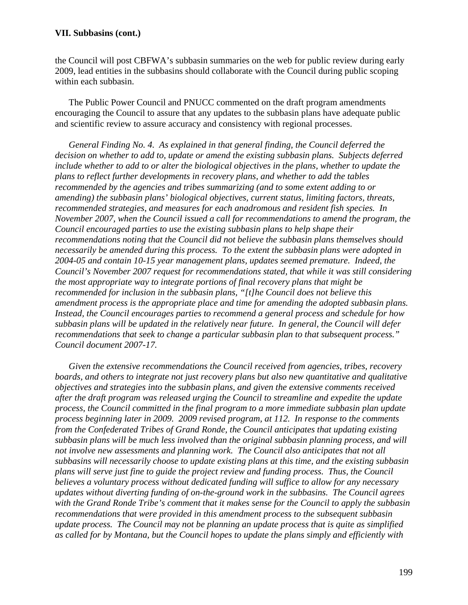the Council will post CBFWA's subbasin summaries on the web for public review during early 2009, lead entities in the subbasins should collaborate with the Council during public scoping within each subbasin.

 The Public Power Council and PNUCC commented on the draft program amendments encouraging the Council to assure that any updates to the subbasin plans have adequate public and scientific review to assure accuracy and consistency with regional processes.

 *General Finding No. 4. As explained in that general finding, the Council deferred the decision on whether to add to, update or amend the existing subbasin plans. Subjects deferred include whether to add to or alter the biological objectives in the plans, whether to update the plans to reflect further developments in recovery plans, and whether to add the tables recommended by the agencies and tribes summarizing (and to some extent adding to or amending) the subbasin plans' biological objectives, current status, limiting factors, threats, recommended strategies, and measures for each anadromous and resident fish species. In November 2007, when the Council issued a call for recommendations to amend the program, the Council encouraged parties to use the existing subbasin plans to help shape their recommendations noting that the Council did not believe the subbasin plans themselves should necessarily be amended during this process. To the extent the subbasin plans were adopted in 2004-05 and contain 10-15 year management plans, updates seemed premature. Indeed, the Council's November 2007 request for recommendations stated, that while it was still considering the most appropriate way to integrate portions of final recovery plans that might be recommended for inclusion in the subbasin plans, "[t]he Council does not believe this amendment process is the appropriate place and time for amending the adopted subbasin plans. Instead, the Council encourages parties to recommend a general process and schedule for how subbasin plans will be updated in the relatively near future. In general, the Council will defer recommendations that seek to change a particular subbasin plan to that subsequent process." Council document 2007-17.* 

 *Given the extensive recommendations the Council received from agencies, tribes, recovery boards, and others to integrate not just recovery plans but also new quantitative and qualitative objectives and strategies into the subbasin plans, and given the extensive comments received after the draft program was released urging the Council to streamline and expedite the update process, the Council committed in the final program to a more immediate subbasin plan update process beginning later in 2009. 2009 revised program, at 112. In response to the comments from the Confederated Tribes of Grand Ronde, the Council anticipates that updating existing subbasin plans will be much less involved than the original subbasin planning process, and will not involve new assessments and planning work. The Council also anticipates that not all subbasins will necessarily choose to update existing plans at this time, and the existing subbasin plans will serve just fine to guide the project review and funding process. Thus, the Council believes a voluntary process without dedicated funding will suffice to allow for any necessary updates without diverting funding of on-the-ground work in the subbasins. The Council agrees with the Grand Ronde Tribe's comment that it makes sense for the Council to apply the subbasin recommendations that were provided in this amendment process to the subsequent subbasin update process. The Council may not be planning an update process that is quite as simplified as called for by Montana, but the Council hopes to update the plans simply and efficiently with*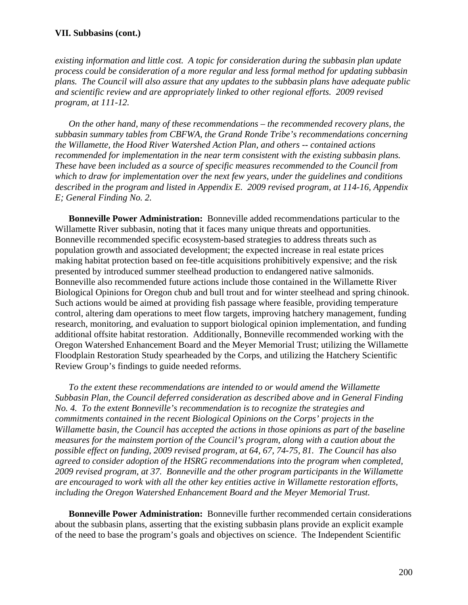*existing information and little cost. A topic for consideration during the subbasin plan update process could be consideration of a more regular and less formal method for updating subbasin plans. The Council will also assure that any updates to the subbasin plans have adequate public and scientific review and are appropriately linked to other regional efforts. 2009 revised program, at 111-12.* 

 *On the other hand, many of these recommendations – the recommended recovery plans, the subbasin summary tables from CBFWA, the Grand Ronde Tribe's recommendations concerning the Willamette, the Hood River Watershed Action Plan, and others -- contained actions recommended for implementation in the near term consistent with the existing subbasin plans. These have been included as a source of specific measures recommended to the Council from which to draw for implementation over the next few years, under the guidelines and conditions described in the program and listed in Appendix E. 2009 revised program, at 114-16, Appendix E; General Finding No. 2.* 

 **Bonneville Power Administration:** Bonneville added recommendations particular to the Willamette River subbasin, noting that it faces many unique threats and opportunities. Bonneville recommended specific ecosystem-based strategies to address threats such as population growth and associated development; the expected increase in real estate prices making habitat protection based on fee-title acquisitions prohibitively expensive; and the risk presented by introduced summer steelhead production to endangered native salmonids. Bonneville also recommended future actions include those contained in the Willamette River Biological Opinions for Oregon chub and bull trout and for winter steelhead and spring chinook. Such actions would be aimed at providing fish passage where feasible, providing temperature control, altering dam operations to meet flow targets, improving hatchery management, funding research, monitoring, and evaluation to support biological opinion implementation, and funding additional offsite habitat restoration. Additionally, Bonneville recommended working with the Oregon Watershed Enhancement Board and the Meyer Memorial Trust; utilizing the Willamette Floodplain Restoration Study spearheaded by the Corps, and utilizing the Hatchery Scientific Review Group's findings to guide needed reforms.

 *To the extent these recommendations are intended to or would amend the Willamette Subbasin Plan, the Council deferred consideration as described above and in General Finding No. 4. To the extent Bonneville's recommendation is to recognize the strategies and commitments contained in the recent Biological Opinions on the Corps' projects in the Willamette basin, the Council has accepted the actions in those opinions as part of the baseline measures for the mainstem portion of the Council's program, along with a caution about the possible effect on funding, 2009 revised program, at 64, 67, 74-75, 81. The Council has also agreed to consider adoption of the HSRG recommendations into the program when completed, 2009 revised program, at 37. Bonneville and the other program participants in the Willamette are encouraged to work with all the other key entities active in Willamette restoration efforts, including the Oregon Watershed Enhancement Board and the Meyer Memorial Trust.* 

 **Bonneville Power Administration:** Bonneville further recommended certain considerations about the subbasin plans, asserting that the existing subbasin plans provide an explicit example of the need to base the program's goals and objectives on science. The Independent Scientific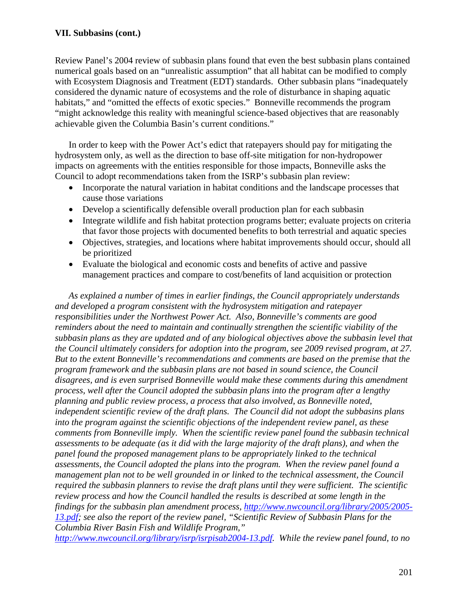Review Panel's 2004 review of subbasin plans found that even the best subbasin plans contained numerical goals based on an "unrealistic assumption" that all habitat can be modified to comply with Ecosystem Diagnosis and Treatment (EDT) standards. Other subbasin plans "inadequately considered the dynamic nature of ecosystems and the role of disturbance in shaping aquatic habitats," and "omitted the effects of exotic species." Bonneville recommends the program "might acknowledge this reality with meaningful science-based objectives that are reasonably achievable given the Columbia Basin's current conditions."

 In order to keep with the Power Act's edict that ratepayers should pay for mitigating the hydrosystem only, as well as the direction to base off-site mitigation for non-hydropower impacts on agreements with the entities responsible for those impacts, Bonneville asks the Council to adopt recommendations taken from the ISRP's subbasin plan review:

- Incorporate the natural variation in habitat conditions and the landscape processes that cause those variations
- Develop a scientifically defensible overall production plan for each subbasin
- Integrate wildlife and fish habitat protection programs better; evaluate projects on criteria that favor those projects with documented benefits to both terrestrial and aquatic species
- Objectives, strategies, and locations where habitat improvements should occur, should all be prioritized
- Evaluate the biological and economic costs and benefits of active and passive management practices and compare to cost/benefits of land acquisition or protection

*As explained a number of times in earlier findings, the Council appropriately understands and developed a program consistent with the hydrosystem mitigation and ratepayer responsibilities under the Northwest Power Act. Also, Bonneville's comments are good reminders about the need to maintain and continually strengthen the scientific viability of the subbasin plans as they are updated and of any biological objectives above the subbasin level that the Council ultimately considers for adoption into the program, see 2009 revised program, at 27. But to the extent Bonneville's recommendations and comments are based on the premise that the program framework and the subbasin plans are not based in sound science, the Council disagrees, and is even surprised Bonneville would make these comments during this amendment process, well after the Council adopted the subbasin plans into the program after a lengthy planning and public review process, a process that also involved, as Bonneville noted, independent scientific review of the draft plans. The Council did not adopt the subbasins plans into the program against the scientific objections of the independent review panel, as these comments from Bonneville imply. When the scientific review panel found the subbasin technical assessments to be adequate (as it did with the large majority of the draft plans), and when the panel found the proposed management plans to be appropriately linked to the technical assessments, the Council adopted the plans into the program. When the review panel found a management plan not to be well grounded in or linked to the technical assessment, the Council required the subbasin planners to revise the draft plans until they were sufficient. The scientific review process and how the Council handled the results is described at some length in the findings for the subbasin plan amendment process, http://www.nwcouncil.org/library/2005/2005- 13.pdf; see also the report of the review panel, "Scientific Review of Subbasin Plans for the Columbia River Basin Fish and Wildlife Program,"* 

*http://www.nwcouncil.org/library/isrp/isrpisab2004-13.pdf. While the review panel found, to no*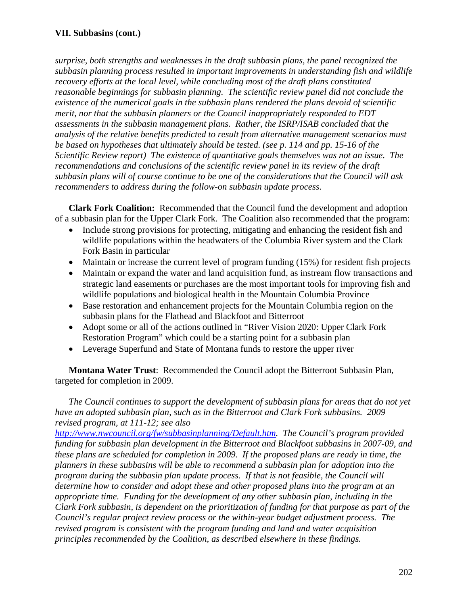*surprise, both strengths and weaknesses in the draft subbasin plans, the panel recognized the subbasin planning process resulted in important improvements in understanding fish and wildlife recovery efforts at the local level, while concluding most of the draft plans constituted reasonable beginnings for subbasin planning. The scientific review panel did not conclude the existence of the numerical goals in the subbasin plans rendered the plans devoid of scientific merit, nor that the subbasin planners or the Council inappropriately responded to EDT assessments in the subbasin management plans. Rather, the ISRP/ISAB concluded that the analysis of the relative benefits predicted to result from alternative management scenarios must be based on hypotheses that ultimately should be tested. (see p. 114 and pp. 15-16 of the Scientific Review report) The existence of quantitative goals themselves was not an issue. The recommendations and conclusions of the scientific review panel in its review of the draft subbasin plans will of course continue to be one of the considerations that the Council will ask recommenders to address during the follow-on subbasin update process*.

**Clark Fork Coalition:** Recommended that the Council fund the development and adoption of a subbasin plan for the Upper Clark Fork. The Coalition also recommended that the program:

- Include strong provisions for protecting, mitigating and enhancing the resident fish and wildlife populations within the headwaters of the Columbia River system and the Clark Fork Basin in particular
- Maintain or increase the current level of program funding (15%) for resident fish projects
- Maintain or expand the water and land acquisition fund, as instream flow transactions and strategic land easements or purchases are the most important tools for improving fish and wildlife populations and biological health in the Mountain Columbia Province
- Base restoration and enhancement projects for the Mountain Columbia region on the subbasin plans for the Flathead and Blackfoot and Bitterroot
- Adopt some or all of the actions outlined in "River Vision 2020: Upper Clark Fork Restoration Program" which could be a starting point for a subbasin plan
- Leverage Superfund and State of Montana funds to restore the upper river

**Montana Water Trust**: Recommended the Council adopt the Bitterroot Subbasin Plan, targeted for completion in 2009.

*The Council continues to support the development of subbasin plans for areas that do not yet have an adopted subbasin plan, such as in the Bitterroot and Clark Fork subbasins. 2009 revised program, at 111-12; see also* 

*http://www.nwcouncil.org/fw/subbasinplanning/Default.htm. The Council's program provided funding for subbasin plan development in the Bitterroot and Blackfoot subbasins in 2007-09, and these plans are scheduled for completion in 2009. If the proposed plans are ready in time, the planners in these subbasins will be able to recommend a subbasin plan for adoption into the program during the subbasin plan update process. If that is not feasible, the Council will determine how to consider and adopt these and other proposed plans into the program at an appropriate time. Funding for the development of any other subbasin plan, including in the Clark Fork subbasin, is dependent on the prioritization of funding for that purpose as part of the Council's regular project review process or the within-year budget adjustment process. The revised program is consistent with the program funding and land and water acquisition principles recommended by the Coalition, as described elsewhere in these findings.*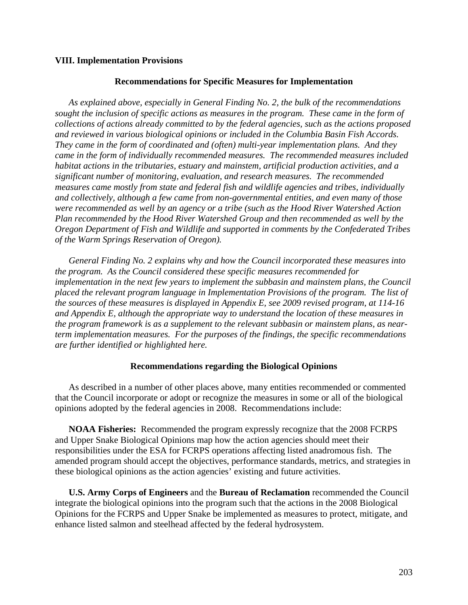### **VIII. Implementation Provisions**

#### **Recommendations for Specific Measures for Implementation**

*As explained above, especially in General Finding No. 2, the bulk of the recommendations sought the inclusion of specific actions as measures in the program. These came in the form of collections of actions already committed to by the federal agencies, such as the actions proposed and reviewed in various biological opinions or included in the Columbia Basin Fish Accords. They came in the form of coordinated and (often) multi-year implementation plans. And they came in the form of individually recommended measures. The recommended measures included habitat actions in the tributaries, estuary and mainstem, artificial production activities, and a significant number of monitoring, evaluation, and research measures. The recommended measures came mostly from state and federal fish and wildlife agencies and tribes, individually and collectively, although a few came from non-governmental entities, and even many of those were recommended as well by an agency or a tribe (such as the Hood River Watershed Action Plan recommended by the Hood River Watershed Group and then recommended as well by the Oregon Department of Fish and Wildlife and supported in comments by the Confederated Tribes of the Warm Springs Reservation of Oregon).* 

 *General Finding No. 2 explains why and how the Council incorporated these measures into the program. As the Council considered these specific measures recommended for implementation in the next few years to implement the subbasin and mainstem plans, the Council placed the relevant program language in Implementation Provisions of the program. The list of the sources of these measures is displayed in Appendix E, see 2009 revised program, at 114-16 and Appendix E, although the appropriate way to understand the location of these measures in the program framework is as a supplement to the relevant subbasin or mainstem plans, as nearterm implementation measures. For the purposes of the findings, the specific recommendations are further identified or highlighted here.* 

#### **Recommendations regarding the Biological Opinions**

 As described in a number of other places above, many entities recommended or commented that the Council incorporate or adopt or recognize the measures in some or all of the biological opinions adopted by the federal agencies in 2008. Recommendations include:

**NOAA Fisheries:** Recommended the program expressly recognize that the 2008 FCRPS and Upper Snake Biological Opinions map how the action agencies should meet their responsibilities under the ESA for FCRPS operations affecting listed anadromous fish. The amended program should accept the objectives, performance standards, metrics, and strategies in these biological opinions as the action agencies' existing and future activities.

**U.S. Army Corps of Engineers** and the **Bureau of Reclamation** recommended the Council integrate the biological opinions into the program such that the actions in the 2008 Biological Opinions for the FCRPS and Upper Snake be implemented as measures to protect, mitigate, and enhance listed salmon and steelhead affected by the federal hydrosystem.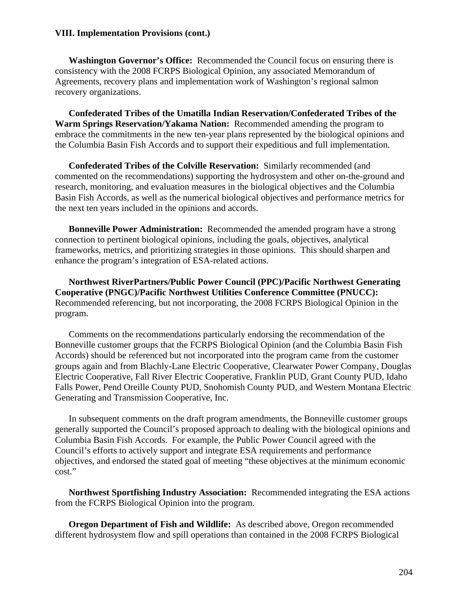**Washington Governor's Office:** Recommended the Council focus on ensuring there is consistency with the 2008 FCRPS Biological Opinion, any associated Memorandum of Agreements, recovery plans and implementation work of Washington's regional salmon recovery organizations.

 **Confederated Tribes of the Umatilla Indian Reservation/Confederated Tribes of the Warm Springs Reservation/Yakama Nation:** Recommended amending the program to embrace the commitments in the new ten-year plans represented by the biological opinions and the Columbia Basin Fish Accords and to support their expeditious and full implementation.

 **Confederated Tribes of the Colville Reservation:** Similarly recommended (and commented on the recommendations) supporting the hydrosystem and other on-the-ground and research, monitoring, and evaluation measures in the biological objectives and the Columbia Basin Fish Accords, as well as the numerical biological objectives and performance metrics for the next ten years included in the opinions and accords.

 **Bonneville Power Administration:** Recommended the amended program have a strong connection to pertinent biological opinions, including the goals, objectives, analytical frameworks, metrics, and prioritizing strategies in those opinions. This should sharpen and enhance the program's integration of ESA-related actions.

 **Northwest RiverPartners/Public Power Council (PPC)/Pacific Northwest Generating Cooperative (PNGC)/Pacific Northwest Utilities Conference Committee (PNUCC):** Recommended referencing, but not incorporating, the 2008 FCRPS Biological Opinion in the program.

 Comments on the recommendations particularly endorsing the recommendation of the Bonneville customer groups that the FCRPS Biological Opinion (and the Columbia Basin Fish Accords) should be referenced but not incorporated into the program came from the customer groups again and from Blachly-Lane Electric Cooperative, Clearwater Power Company, Douglas Electric Cooperative, Fall River Electric Cooperative, Franklin PUD, Grant County PUD, Idaho Falls Power, Pend Oreille County PUD, Snohomish County PUD, and Western Montana Electric Generating and Transmission Cooperative, Inc.

 In subsequent comments on the draft program amendments, the Bonneville customer groups generally supported the Council's proposed approach to dealing with the biological opinions and Columbia Basin Fish Accords. For example, the Public Power Council agreed with the Council's efforts to actively support and integrate ESA requirements and performance objectives, and endorsed the stated goal of meeting "these objectives at the minimum economic cost."

**Northwest Sportfishing Industry Association:** Recommended integrating the ESA actions from the FCRPS Biological Opinion into the program.

**Oregon Department of Fish and Wildlife:** As described above, Oregon recommended different hydrosystem flow and spill operations than contained in the 2008 FCRPS Biological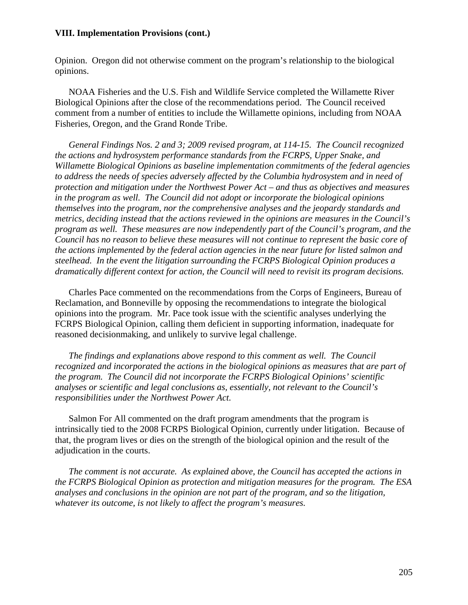Opinion. Oregon did not otherwise comment on the program's relationship to the biological opinions.

 NOAA Fisheries and the U.S. Fish and Wildlife Service completed the Willamette River Biological Opinions after the close of the recommendations period. The Council received comment from a number of entities to include the Willamette opinions, including from NOAA Fisheries, Oregon, and the Grand Ronde Tribe.

 *General Findings Nos. 2 and 3; 2009 revised program, at 114-15. The Council recognized the actions and hydrosystem performance standards from the FCRPS, Upper Snake, and Willamette Biological Opinions as baseline implementation commitments of the federal agencies to address the needs of species adversely affected by the Columbia hydrosystem and in need of protection and mitigation under the Northwest Power Act – and thus as objectives and measures in the program as well. The Council did not adopt or incorporate the biological opinions themselves into the program, nor the comprehensive analyses and the jeopardy standards and metrics, deciding instead that the actions reviewed in the opinions are measures in the Council's program as well. These measures are now independently part of the Council's program, and the Council has no reason to believe these measures will not continue to represent the basic core of the actions implemented by the federal action agencies in the near future for listed salmon and steelhead. In the event the litigation surrounding the FCRPS Biological Opinion produces a dramatically different context for action, the Council will need to revisit its program decisions.* 

 Charles Pace commented on the recommendations from the Corps of Engineers, Bureau of Reclamation, and Bonneville by opposing the recommendations to integrate the biological opinions into the program. Mr. Pace took issue with the scientific analyses underlying the FCRPS Biological Opinion, calling them deficient in supporting information, inadequate for reasoned decisionmaking, and unlikely to survive legal challenge.

*The findings and explanations above respond to this comment as well. The Council recognized and incorporated the actions in the biological opinions as measures that are part of the program. The Council did not incorporate the FCRPS Biological Opinions' scientific analyses or scientific and legal conclusions as, essentially, not relevant to the Council's responsibilities under the Northwest Power Act.* 

 Salmon For All commented on the draft program amendments that the program is intrinsically tied to the 2008 FCRPS Biological Opinion, currently under litigation. Because of that, the program lives or dies on the strength of the biological opinion and the result of the adjudication in the courts.

 *The comment is not accurate. As explained above, the Council has accepted the actions in the FCRPS Biological Opinion as protection and mitigation measures for the program. The ESA analyses and conclusions in the opinion are not part of the program, and so the litigation, whatever its outcome, is not likely to affect the program's measures.*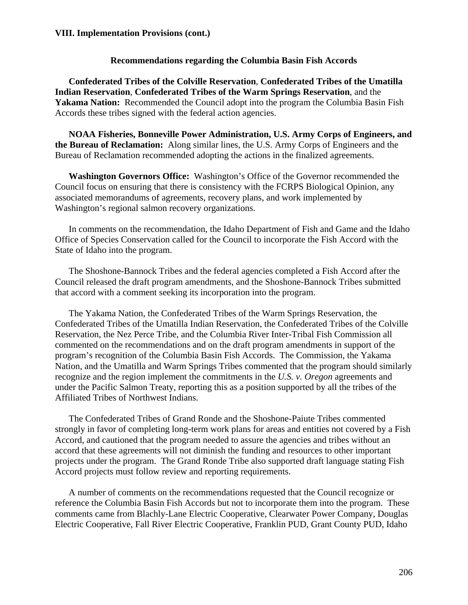#### **Recommendations regarding the Columbia Basin Fish Accords**

 **Confederated Tribes of the Colville Reservation**, **Confederated Tribes of the Umatilla Indian Reservation**, **Confederated Tribes of the Warm Springs Reservation**, and the **Yakama Nation:** Recommended the Council adopt into the program the Columbia Basin Fish Accords these tribes signed with the federal action agencies.

**NOAA Fisheries, Bonneville Power Administration, U.S. Army Corps of Engineers, and the Bureau of Reclamation:** Along similar lines, the U.S. Army Corps of Engineers and the Bureau of Reclamation recommended adopting the actions in the finalized agreements.

**Washington Governors Office:** Washington's Office of the Governor recommended the Council focus on ensuring that there is consistency with the FCRPS Biological Opinion, any associated memorandums of agreements, recovery plans, and work implemented by Washington's regional salmon recovery organizations.

 In comments on the recommendation, the Idaho Department of Fish and Game and the Idaho Office of Species Conservation called for the Council to incorporate the Fish Accord with the State of Idaho into the program.

 The Shoshone-Bannock Tribes and the federal agencies completed a Fish Accord after the Council released the draft program amendments, and the Shoshone-Bannock Tribes submitted that accord with a comment seeking its incorporation into the program.

 The Yakama Nation, the Confederated Tribes of the Warm Springs Reservation, the Confederated Tribes of the Umatilla Indian Reservation, the Confederated Tribes of the Colville Reservation, the Nez Perce Tribe, and the Columbia River Inter-Tribal Fish Commission all commented on the recommendations and on the draft program amendments in support of the program's recognition of the Columbia Basin Fish Accords. The Commission, the Yakama Nation, and the Umatilla and Warm Springs Tribes commented that the program should similarly recognize and the region implement the commitments in the *U.S. v. Oregon* agreements and under the Pacific Salmon Treaty, reporting this as a position supported by all the tribes of the Affiliated Tribes of Northwest Indians.

 The Confederated Tribes of Grand Ronde and the Shoshone-Paiute Tribes commented strongly in favor of completing long-term work plans for areas and entities not covered by a Fish Accord, and cautioned that the program needed to assure the agencies and tribes without an accord that these agreements will not diminish the funding and resources to other important projects under the program. The Grand Ronde Tribe also supported draft language stating Fish Accord projects must follow review and reporting requirements.

 A number of comments on the recommendations requested that the Council recognize or reference the Columbia Basin Fish Accords but not to incorporate them into the program. These comments came from Blachly-Lane Electric Cooperative, Clearwater Power Company, Douglas Electric Cooperative, Fall River Electric Cooperative, Franklin PUD, Grant County PUD, Idaho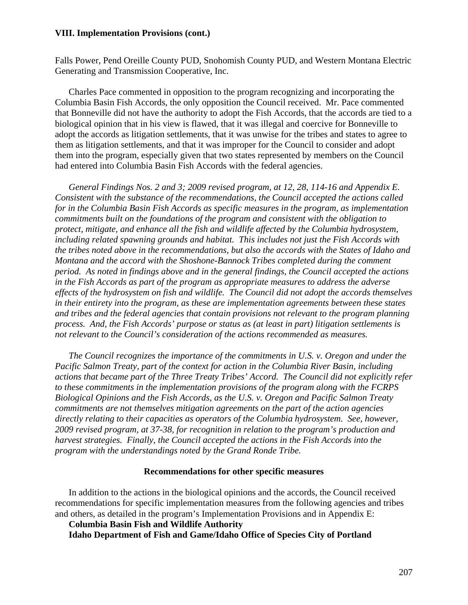Falls Power, Pend Oreille County PUD, Snohomish County PUD, and Western Montana Electric Generating and Transmission Cooperative, Inc.

 Charles Pace commented in opposition to the program recognizing and incorporating the Columbia Basin Fish Accords, the only opposition the Council received. Mr. Pace commented that Bonneville did not have the authority to adopt the Fish Accords, that the accords are tied to a biological opinion that in his view is flawed, that it was illegal and coercive for Bonneville to adopt the accords as litigation settlements, that it was unwise for the tribes and states to agree to them as litigation settlements, and that it was improper for the Council to consider and adopt them into the program, especially given that two states represented by members on the Council had entered into Columbia Basin Fish Accords with the federal agencies.

 *General Findings Nos. 2 and 3; 2009 revised program, at 12, 28, 114-16 and Appendix E. Consistent with the substance of the recommendations, the Council accepted the actions called for in the Columbia Basin Fish Accords as specific measures in the program, as implementation commitments built on the foundations of the program and consistent with the obligation to protect, mitigate, and enhance all the fish and wildlife affected by the Columbia hydrosystem, including related spawning grounds and habitat. This includes not just the Fish Accords with the tribes noted above in the recommendations, but also the accords with the States of Idaho and Montana and the accord with the Shoshone-Bannock Tribes completed during the comment period. As noted in findings above and in the general findings, the Council accepted the actions in the Fish Accords as part of the program as appropriate measures to address the adverse effects of the hydrosystem on fish and wildlife. The Council did not adopt the accords themselves in their entirety into the program, as these are implementation agreements between these states and tribes and the federal agencies that contain provisions not relevant to the program planning process. And, the Fish Accords' purpose or status as (at least in part) litigation settlements is not relevant to the Council's consideration of the actions recommended as measures.* 

 *The Council recognizes the importance of the commitments in U.S. v. Oregon and under the Pacific Salmon Treaty, part of the context for action in the Columbia River Basin, including actions that became part of the Three Treaty Tribes' Accord. The Council did not explicitly refer to these commitments in the implementation provisions of the program along with the FCRPS Biological Opinions and the Fish Accords, as the U.S. v. Oregon and Pacific Salmon Treaty commitments are not themselves mitigation agreements on the part of the action agencies directly relating to their capacities as operators of the Columbia hydrosystem. See, however, 2009 revised program, at 37-38, for recognition in relation to the program's production and harvest strategies. Finally, the Council accepted the actions in the Fish Accords into the program with the understandings noted by the Grand Ronde Tribe.* 

#### **Recommendations for other specific measures**

 In addition to the actions in the biological opinions and the accords, the Council received recommendations for specific implementation measures from the following agencies and tribes and others, as detailed in the program's Implementation Provisions and in Appendix E:

**Columbia Basin Fish and Wildlife Authority** 

**Idaho Department of Fish and Game/Idaho Office of Species City of Portland**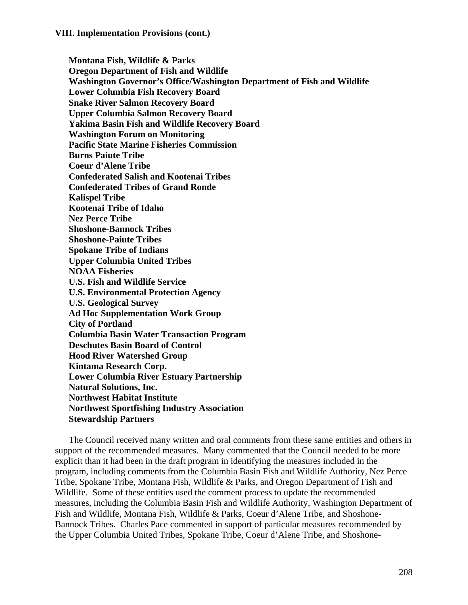**Montana Fish, Wildlife & Parks Oregon Department of Fish and Wildlife Washington Governor's Office/Washington Department of Fish and Wildlife Lower Columbia Fish Recovery Board Snake River Salmon Recovery Board Upper Columbia Salmon Recovery Board Yakima Basin Fish and Wildlife Recovery Board Washington Forum on Monitoring Pacific State Marine Fisheries Commission Burns Paiute Tribe Coeur d'Alene Tribe Confederated Salish and Kootenai Tribes Confederated Tribes of Grand Ronde Kalispel Tribe Kootenai Tribe of Idaho Nez Perce Tribe Shoshone-Bannock Tribes Shoshone-Paiute Tribes Spokane Tribe of Indians Upper Columbia United Tribes NOAA Fisheries U.S. Fish and Wildlife Service U.S. Environmental Protection Agency U.S. Geological Survey Ad Hoc Supplementation Work Group City of Portland Columbia Basin Water Transaction Program Deschutes Basin Board of Control Hood River Watershed Group Kintama Research Corp. Lower Columbia River Estuary Partnership Natural Solutions, Inc. Northwest Habitat Institute Northwest Sportfishing Industry Association Stewardship Partners** 

 The Council received many written and oral comments from these same entities and others in support of the recommended measures. Many commented that the Council needed to be more explicit than it had been in the draft program in identifying the measures included in the program, including comments from the Columbia Basin Fish and Wildlife Authority, Nez Perce Tribe, Spokane Tribe, Montana Fish, Wildlife & Parks, and Oregon Department of Fish and Wildlife. Some of these entities used the comment process to update the recommended measures, including the Columbia Basin Fish and Wildlife Authority, Washington Department of Fish and Wildlife, Montana Fish, Wildlife & Parks, Coeur d'Alene Tribe, and Shoshone-Bannock Tribes. Charles Pace commented in support of particular measures recommended by the Upper Columbia United Tribes, Spokane Tribe, Coeur d'Alene Tribe, and Shoshone-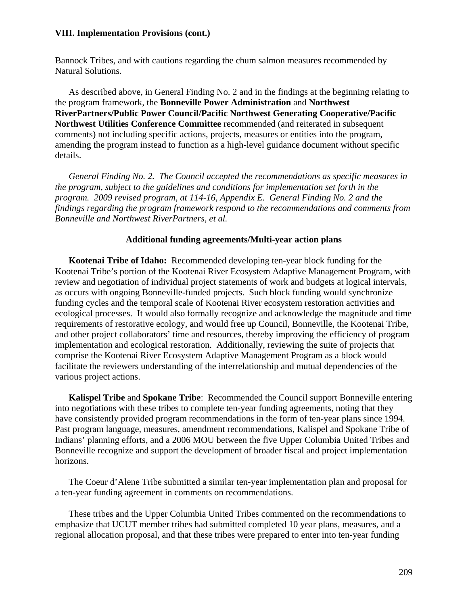Bannock Tribes, and with cautions regarding the chum salmon measures recommended by Natural Solutions.

 As described above, in General Finding No. 2 and in the findings at the beginning relating to the program framework, the **Bonneville Power Administration** and **Northwest RiverPartners/Public Power Council/Pacific Northwest Generating Cooperative/Pacific Northwest Utilities Conference Committee** recommended (and reiterated in subsequent comments) not including specific actions, projects, measures or entities into the program, amending the program instead to function as a high-level guidance document without specific details.

 *General Finding No. 2. The Council accepted the recommendations as specific measures in the program, subject to the guidelines and conditions for implementation set forth in the program. 2009 revised program, at 114-16, Appendix E. General Finding No. 2 and the findings regarding the program framework respond to the recommendations and comments from Bonneville and Northwest RiverPartners, et al.* 

#### **Additional funding agreements/Multi-year action plans**

**Kootenai Tribe of Idaho:** Recommended developing ten-year block funding for the Kootenai Tribe's portion of the Kootenai River Ecosystem Adaptive Management Program, with review and negotiation of individual project statements of work and budgets at logical intervals, as occurs with ongoing Bonneville-funded projects. Such block funding would synchronize funding cycles and the temporal scale of Kootenai River ecosystem restoration activities and ecological processes. It would also formally recognize and acknowledge the magnitude and time requirements of restorative ecology, and would free up Council, Bonneville, the Kootenai Tribe, and other project collaborators' time and resources, thereby improving the efficiency of program implementation and ecological restoration. Additionally, reviewing the suite of projects that comprise the Kootenai River Ecosystem Adaptive Management Program as a block would facilitate the reviewers understanding of the interrelationship and mutual dependencies of the various project actions.

**Kalispel Tribe** and **Spokane Tribe**: Recommended the Council support Bonneville entering into negotiations with these tribes to complete ten-year funding agreements, noting that they have consistently provided program recommendations in the form of ten-year plans since 1994. Past program language, measures, amendment recommendations, Kalispel and Spokane Tribe of Indians' planning efforts, and a 2006 MOU between the five Upper Columbia United Tribes and Bonneville recognize and support the development of broader fiscal and project implementation horizons.

 The Coeur d'Alene Tribe submitted a similar ten-year implementation plan and proposal for a ten-year funding agreement in comments on recommendations.

 These tribes and the Upper Columbia United Tribes commented on the recommendations to emphasize that UCUT member tribes had submitted completed 10 year plans, measures, and a regional allocation proposal, and that these tribes were prepared to enter into ten-year funding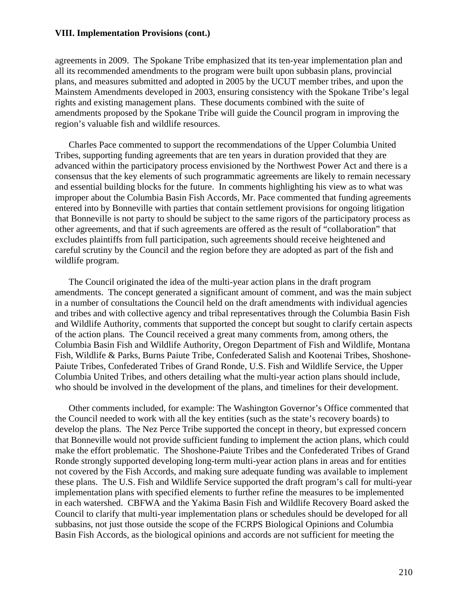agreements in 2009. The Spokane Tribe emphasized that its ten-year implementation plan and all its recommended amendments to the program were built upon subbasin plans, provincial plans, and measures submitted and adopted in 2005 by the UCUT member tribes, and upon the Mainstem Amendments developed in 2003, ensuring consistency with the Spokane Tribe's legal rights and existing management plans. These documents combined with the suite of amendments proposed by the Spokane Tribe will guide the Council program in improving the region's valuable fish and wildlife resources.

 Charles Pace commented to support the recommendations of the Upper Columbia United Tribes, supporting funding agreements that are ten years in duration provided that they are advanced within the participatory process envisioned by the Northwest Power Act and there is a consensus that the key elements of such programmatic agreements are likely to remain necessary and essential building blocks for the future. In comments highlighting his view as to what was improper about the Columbia Basin Fish Accords, Mr. Pace commented that funding agreements entered into by Bonneville with parties that contain settlement provisions for ongoing litigation that Bonneville is not party to should be subject to the same rigors of the participatory process as other agreements, and that if such agreements are offered as the result of "collaboration" that excludes plaintiffs from full participation, such agreements should receive heightened and careful scrutiny by the Council and the region before they are adopted as part of the fish and wildlife program.

 The Council originated the idea of the multi-year action plans in the draft program amendments. The concept generated a significant amount of comment, and was the main subject in a number of consultations the Council held on the draft amendments with individual agencies and tribes and with collective agency and tribal representatives through the Columbia Basin Fish and Wildlife Authority, comments that supported the concept but sought to clarify certain aspects of the action plans. The Council received a great many comments from, among others, the Columbia Basin Fish and Wildlife Authority, Oregon Department of Fish and Wildlife, Montana Fish, Wildlife & Parks, Burns Paiute Tribe, Confederated Salish and Kootenai Tribes, Shoshone-Paiute Tribes, Confederated Tribes of Grand Ronde, U.S. Fish and Wildlife Service, the Upper Columbia United Tribes, and others detailing what the multi-year action plans should include, who should be involved in the development of the plans, and timelines for their development.

 Other comments included, for example: The Washington Governor's Office commented that the Council needed to work with all the key entities (such as the state's recovery boards) to develop the plans. The Nez Perce Tribe supported the concept in theory, but expressed concern that Bonneville would not provide sufficient funding to implement the action plans, which could make the effort problematic. The Shoshone-Paiute Tribes and the Confederated Tribes of Grand Ronde strongly supported developing long-term multi-year action plans in areas and for entities not covered by the Fish Accords, and making sure adequate funding was available to implement these plans. The U.S. Fish and Wildlife Service supported the draft program's call for multi-year implementation plans with specified elements to further refine the measures to be implemented in each watershed. CBFWA and the Yakima Basin Fish and Wildlife Recovery Board asked the Council to clarify that multi-year implementation plans or schedules should be developed for all subbasins, not just those outside the scope of the FCRPS Biological Opinions and Columbia Basin Fish Accords, as the biological opinions and accords are not sufficient for meeting the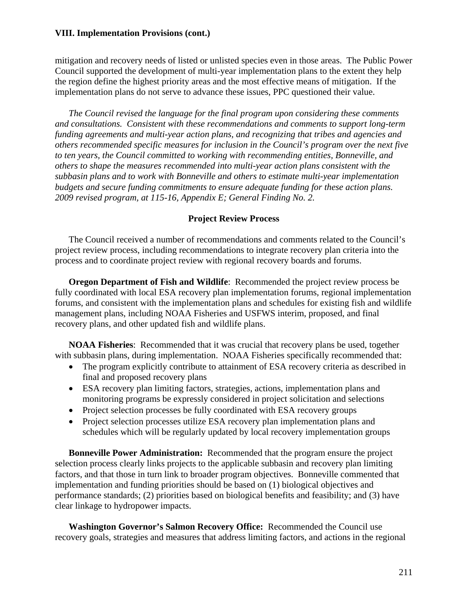mitigation and recovery needs of listed or unlisted species even in those areas. The Public Power Council supported the development of multi-year implementation plans to the extent they help the region define the highest priority areas and the most effective means of mitigation. If the implementation plans do not serve to advance these issues, PPC questioned their value.

 *The Council revised the language for the final program upon considering these comments and consultations. Consistent with these recommendations and comments to support long-term funding agreements and multi-year action plans, and recognizing that tribes and agencies and others recommended specific measures for inclusion in the Council's program over the next five to ten years, the Council committed to working with recommending entities, Bonneville, and others to shape the measures recommended into multi-year action plans consistent with the subbasin plans and to work with Bonneville and others to estimate multi-year implementation budgets and secure funding commitments to ensure adequate funding for these action plans. 2009 revised program, at 115-16, Appendix E; General Finding No. 2.* 

# **Project Review Process**

 The Council received a number of recommendations and comments related to the Council's project review process, including recommendations to integrate recovery plan criteria into the process and to coordinate project review with regional recovery boards and forums.

**Oregon Department of Fish and Wildlife**: Recommended the project review process be fully coordinated with local ESA recovery plan implementation forums, regional implementation forums, and consistent with the implementation plans and schedules for existing fish and wildlife management plans, including NOAA Fisheries and USFWS interim, proposed, and final recovery plans, and other updated fish and wildlife plans.

**NOAA Fisheries**: Recommended that it was crucial that recovery plans be used, together with subbasin plans, during implementation. NOAA Fisheries specifically recommended that:

- The program explicitly contribute to attainment of ESA recovery criteria as described in final and proposed recovery plans
- ESA recovery plan limiting factors, strategies, actions, implementation plans and monitoring programs be expressly considered in project solicitation and selections
- Project selection processes be fully coordinated with ESA recovery groups
- Project selection processes utilize ESA recovery plan implementation plans and schedules which will be regularly updated by local recovery implementation groups

**Bonneville Power Administration:** Recommended that the program ensure the project selection process clearly links projects to the applicable subbasin and recovery plan limiting factors, and that those in turn link to broader program objectives. Bonneville commented that implementation and funding priorities should be based on (1) biological objectives and performance standards; (2) priorities based on biological benefits and feasibility; and (3) have clear linkage to hydropower impacts.

**Washington Governor's Salmon Recovery Office:** Recommended the Council use recovery goals, strategies and measures that address limiting factors, and actions in the regional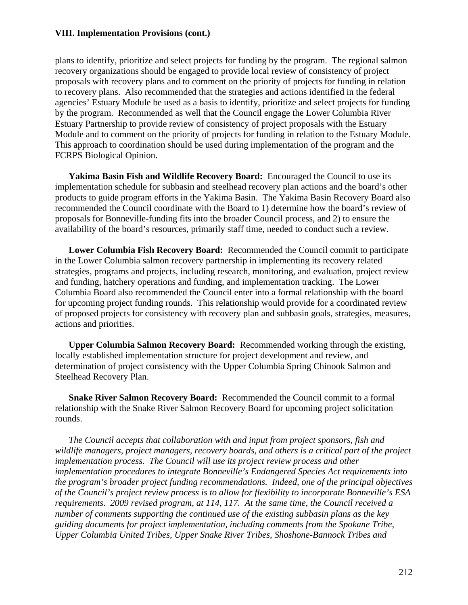plans to identify, prioritize and select projects for funding by the program. The regional salmon recovery organizations should be engaged to provide local review of consistency of project proposals with recovery plans and to comment on the priority of projects for funding in relation to recovery plans. Also recommended that the strategies and actions identified in the federal agencies' Estuary Module be used as a basis to identify, prioritize and select projects for funding by the program. Recommended as well that the Council engage the Lower Columbia River Estuary Partnership to provide review of consistency of project proposals with the Estuary Module and to comment on the priority of projects for funding in relation to the Estuary Module. This approach to coordination should be used during implementation of the program and the FCRPS Biological Opinion.

**Yakima Basin Fish and Wildlife Recovery Board:** Encouraged the Council to use its implementation schedule for subbasin and steelhead recovery plan actions and the board's other products to guide program efforts in the Yakima Basin. The Yakima Basin Recovery Board also recommended the Council coordinate with the Board to 1) determine how the board's review of proposals for Bonneville-funding fits into the broader Council process, and 2) to ensure the availability of the board's resources, primarily staff time, needed to conduct such a review.

**Lower Columbia Fish Recovery Board:** Recommended the Council commit to participate in the Lower Columbia salmon recovery partnership in implementing its recovery related strategies, programs and projects, including research, monitoring, and evaluation, project review and funding, hatchery operations and funding, and implementation tracking. The Lower Columbia Board also recommended the Council enter into a formal relationship with the board for upcoming project funding rounds. This relationship would provide for a coordinated review of proposed projects for consistency with recovery plan and subbasin goals, strategies, measures, actions and priorities.

**Upper Columbia Salmon Recovery Board:** Recommended working through the existing, locally established implementation structure for project development and review, and determination of project consistency with the Upper Columbia Spring Chinook Salmon and Steelhead Recovery Plan.

**Snake River Salmon Recovery Board:** Recommended the Council commit to a formal relationship with the Snake River Salmon Recovery Board for upcoming project solicitation rounds.

*The Council accepts that collaboration with and input from project sponsors, fish and wildlife managers, project managers, recovery boards, and others is a critical part of the project implementation process. The Council will use its project review process and other implementation procedures to integrate Bonneville's Endangered Species Act requirements into the program's broader project funding recommendations. Indeed, one of the principal objectives of the Council's project review process is to allow for flexibility to incorporate Bonneville's ESA requirements. 2009 revised program, at 114, 117. At the same time, the Council received a number of comments supporting the continued use of the existing subbasin plans as the key guiding documents for project implementation, including comments from the Spokane Tribe, Upper Columbia United Tribes, Upper Snake River Tribes, Shoshone-Bannock Tribes and*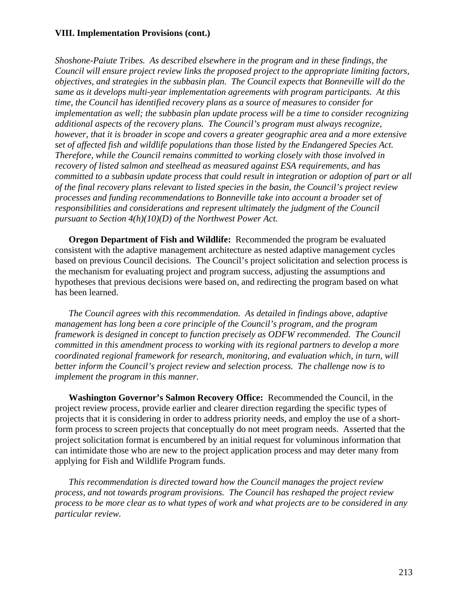*Shoshone-Paiute Tribes. As described elsewhere in the program and in these findings, the Council will ensure project review links the proposed project to the appropriate limiting factors, objectives, and strategies in the subbasin plan. The Council expects that Bonneville will do the same as it develops multi-year implementation agreements with program participants. At this time, the Council has identified recovery plans as a source of measures to consider for implementation as well; the subbasin plan update process will be a time to consider recognizing additional aspects of the recovery plans. The Council's program must always recognize, however, that it is broader in scope and covers a greater geographic area and a more extensive set of affected fish and wildlife populations than those listed by the Endangered Species Act. Therefore, while the Council remains committed to working closely with those involved in recovery of listed salmon and steelhead as measured against ESA requirements, and has committed to a subbasin update process that could result in integration or adoption of part or all of the final recovery plans relevant to listed species in the basin, the Council's project review processes and funding recommendations to Bonneville take into account a broader set of responsibilities and considerations and represent ultimately the judgment of the Council pursuant to Section 4(h)(10)(D) of the Northwest Power Act.* 

 **Oregon Department of Fish and Wildlife:** Recommended the program be evaluated consistent with the adaptive management architecture as nested adaptive management cycles based on previous Council decisions. The Council's project solicitation and selection process is the mechanism for evaluating project and program success, adjusting the assumptions and hypotheses that previous decisions were based on, and redirecting the program based on what has been learned.

*The Council agrees with this recommendation. As detailed in findings above, adaptive management has long been a core principle of the Council's program, and the program framework is designed in concept to function precisely as ODFW recommended. The Council committed in this amendment process to working with its regional partners to develop a more coordinated regional framework for research, monitoring, and evaluation which, in turn, will better inform the Council's project review and selection process. The challenge now is to implement the program in this manner*.

**Washington Governor's Salmon Recovery Office:** Recommended the Council, in the project review process, provide earlier and clearer direction regarding the specific types of projects that it is considering in order to address priority needs, and employ the use of a shortform process to screen projects that conceptually do not meet program needs. Asserted that the project solicitation format is encumbered by an initial request for voluminous information that can intimidate those who are new to the project application process and may deter many from applying for Fish and Wildlife Program funds.

*This recommendation is directed toward how the Council manages the project review process, and not towards program provisions. The Council has reshaped the project review process to be more clear as to what types of work and what projects are to be considered in any particular review.*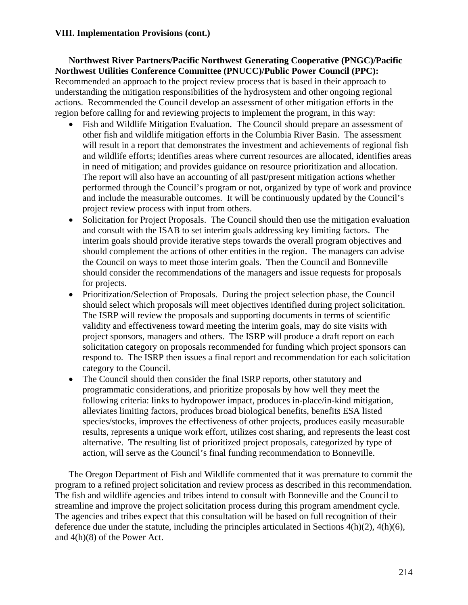**Northwest River Partners/Pacific Northwest Generating Cooperative (PNGC)/Pacific Northwest Utilities Conference Committee (PNUCC)/Public Power Council (PPC):** Recommended an approach to the project review process that is based in their approach to understanding the mitigation responsibilities of the hydrosystem and other ongoing regional actions. Recommended the Council develop an assessment of other mitigation efforts in the region before calling for and reviewing projects to implement the program, in this way:

- Fish and Wildlife Mitigation Evaluation. The Council should prepare an assessment of other fish and wildlife mitigation efforts in the Columbia River Basin. The assessment will result in a report that demonstrates the investment and achievements of regional fish and wildlife efforts; identifies areas where current resources are allocated, identifies areas in need of mitigation; and provides guidance on resource prioritization and allocation. The report will also have an accounting of all past/present mitigation actions whether performed through the Council's program or not, organized by type of work and province and include the measurable outcomes. It will be continuously updated by the Council's project review process with input from others.
- Solicitation for Project Proposals. The Council should then use the mitigation evaluation and consult with the ISAB to set interim goals addressing key limiting factors. The interim goals should provide iterative steps towards the overall program objectives and should complement the actions of other entities in the region. The managers can advise the Council on ways to meet those interim goals. Then the Council and Bonneville should consider the recommendations of the managers and issue requests for proposals for projects.
- Prioritization/Selection of Proposals. During the project selection phase, the Council should select which proposals will meet objectives identified during project solicitation. The ISRP will review the proposals and supporting documents in terms of scientific validity and effectiveness toward meeting the interim goals, may do site visits with project sponsors, managers and others. The ISRP will produce a draft report on each solicitation category on proposals recommended for funding which project sponsors can respond to. The ISRP then issues a final report and recommendation for each solicitation category to the Council.
- The Council should then consider the final ISRP reports, other statutory and programmatic considerations, and prioritize proposals by how well they meet the following criteria: links to hydropower impact, produces in-place/in-kind mitigation, alleviates limiting factors, produces broad biological benefits, benefits ESA listed species/stocks, improves the effectiveness of other projects, produces easily measurable results, represents a unique work effort, utilizes cost sharing, and represents the least cost alternative. The resulting list of prioritized project proposals, categorized by type of action, will serve as the Council's final funding recommendation to Bonneville.

 The Oregon Department of Fish and Wildlife commented that it was premature to commit the program to a refined project solicitation and review process as described in this recommendation. The fish and wildlife agencies and tribes intend to consult with Bonneville and the Council to streamline and improve the project solicitation process during this program amendment cycle. The agencies and tribes expect that this consultation will be based on full recognition of their deference due under the statute, including the principles articulated in Sections  $4(h)(2)$ ,  $4(h)(6)$ , and 4(h)(8) of the Power Act.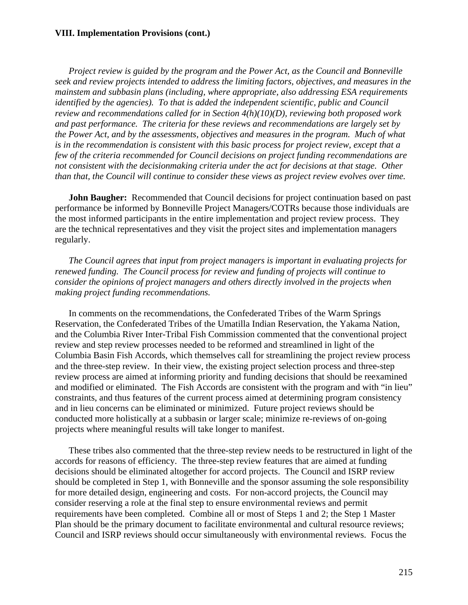*Project review is guided by the program and the Power Act, as the Council and Bonneville seek and review projects intended to address the limiting factors, objectives, and measures in the mainstem and subbasin plans (including, where appropriate, also addressing ESA requirements identified by the agencies). To that is added the independent scientific, public and Council review and recommendations called for in Section 4(h)(10)(D), reviewing both proposed work and past performance. The criteria for these reviews and recommendations are largely set by the Power Act, and by the assessments, objectives and measures in the program. Much of what is in the recommendation is consistent with this basic process for project review, except that a few of the criteria recommended for Council decisions on project funding recommendations are not consistent with the decisionmaking criteria under the act for decisions at that stage. Other than that, the Council will continue to consider these views as project review evolves over time.* 

**John Baugher:** Recommended that Council decisions for project continuation based on past performance be informed by Bonneville Project Managers/COTRs because those individuals are the most informed participants in the entire implementation and project review process. They are the technical representatives and they visit the project sites and implementation managers regularly.

*The Council agrees that input from project managers is important in evaluating projects for renewed funding. The Council process for review and funding of projects will continue to consider the opinions of project managers and others directly involved in the projects when making project funding recommendations.* 

 In comments on the recommendations, the Confederated Tribes of the Warm Springs Reservation, the Confederated Tribes of the Umatilla Indian Reservation, the Yakama Nation, and the Columbia River Inter-Tribal Fish Commission commented that the conventional project review and step review processes needed to be reformed and streamlined in light of the Columbia Basin Fish Accords, which themselves call for streamlining the project review process and the three-step review. In their view, the existing project selection process and three-step review process are aimed at informing priority and funding decisions that should be reexamined and modified or eliminated. The Fish Accords are consistent with the program and with "in lieu" constraints, and thus features of the current process aimed at determining program consistency and in lieu concerns can be eliminated or minimized. Future project reviews should be conducted more holistically at a subbasin or larger scale; minimize re-reviews of on-going projects where meaningful results will take longer to manifest.

 These tribes also commented that the three-step review needs to be restructured in light of the accords for reasons of efficiency. The three-step review features that are aimed at funding decisions should be eliminated altogether for accord projects. The Council and ISRP review should be completed in Step 1, with Bonneville and the sponsor assuming the sole responsibility for more detailed design, engineering and costs. For non-accord projects, the Council may consider reserving a role at the final step to ensure environmental reviews and permit requirements have been completed. Combine all or most of Steps 1 and 2; the Step 1 Master Plan should be the primary document to facilitate environmental and cultural resource reviews; Council and ISRP reviews should occur simultaneously with environmental reviews. Focus the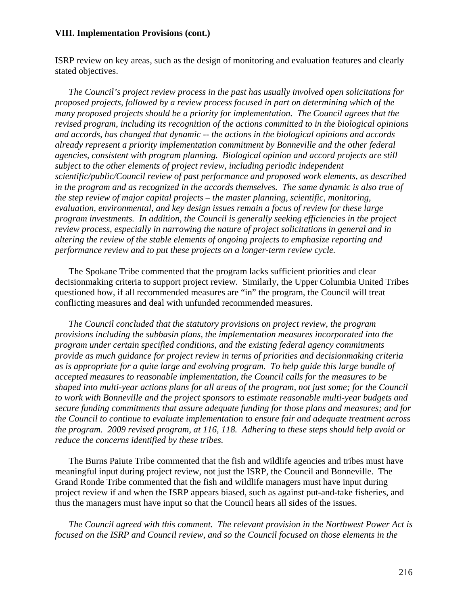ISRP review on key areas, such as the design of monitoring and evaluation features and clearly stated objectives.

 *The Council's project review process in the past has usually involved open solicitations for proposed projects, followed by a review process focused in part on determining which of the many proposed projects should be a priority for implementation. The Council agrees that the revised program, including its recognition of the actions committed to in the biological opinions and accords, has changed that dynamic -- the actions in the biological opinions and accords already represent a priority implementation commitment by Bonneville and the other federal agencies, consistent with program planning. Biological opinion and accord projects are still subject to the other elements of project review, including periodic independent scientific/public/Council review of past performance and proposed work elements, as described in the program and as recognized in the accords themselves. The same dynamic is also true of the step review of major capital projects – the master planning, scientific, monitoring, evaluation, environmental, and key design issues remain a focus of review for these large program investments. In addition, the Council is generally seeking efficiencies in the project review process, especially in narrowing the nature of project solicitations in general and in altering the review of the stable elements of ongoing projects to emphasize reporting and performance review and to put these projects on a longer-term review cycle.* 

 The Spokane Tribe commented that the program lacks sufficient priorities and clear decisionmaking criteria to support project review. Similarly, the Upper Columbia United Tribes questioned how, if all recommended measures are "in" the program, the Council will treat conflicting measures and deal with unfunded recommended measures.

*The Council concluded that the statutory provisions on project review, the program provisions including the subbasin plans, the implementation measures incorporated into the program under certain specified conditions, and the existing federal agency commitments provide as much guidance for project review in terms of priorities and decisionmaking criteria as is appropriate for a quite large and evolving program. To help guide this large bundle of accepted measures to reasonable implementation, the Council calls for the measures to be shaped into multi-year actions plans for all areas of the program, not just some; for the Council to work with Bonneville and the project sponsors to estimate reasonable multi-year budgets and secure funding commitments that assure adequate funding for those plans and measures; and for the Council to continue to evaluate implementation to ensure fair and adequate treatment across the program. 2009 revised program, at 116, 118. Adhering to these steps should help avoid or reduce the concerns identified by these tribes.* 

 The Burns Paiute Tribe commented that the fish and wildlife agencies and tribes must have meaningful input during project review, not just the ISRP, the Council and Bonneville. The Grand Ronde Tribe commented that the fish and wildlife managers must have input during project review if and when the ISRP appears biased, such as against put-and-take fisheries, and thus the managers must have input so that the Council hears all sides of the issues.

*The Council agreed with this comment. The relevant provision in the Northwest Power Act is focused on the ISRP and Council review, and so the Council focused on those elements in the*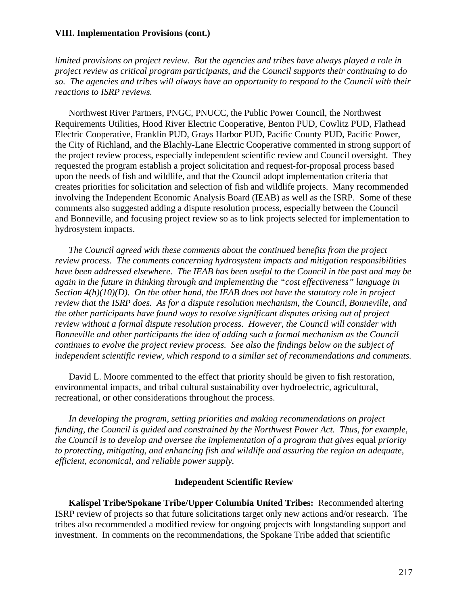*limited provisions on project review. But the agencies and tribes have always played a role in project review as critical program participants, and the Council supports their continuing to do so. The agencies and tribes will always have an opportunity to respond to the Council with their reactions to ISRP reviews.* 

 Northwest River Partners, PNGC, PNUCC, the Public Power Council, the Northwest Requirements Utilities, Hood River Electric Cooperative, Benton PUD, Cowlitz PUD, Flathead Electric Cooperative, Franklin PUD, Grays Harbor PUD, Pacific County PUD, Pacific Power, the City of Richland, and the Blachly-Lane Electric Cooperative commented in strong support of the project review process, especially independent scientific review and Council oversight. They requested the program establish a project solicitation and request-for-proposal process based upon the needs of fish and wildlife, and that the Council adopt implementation criteria that creates priorities for solicitation and selection of fish and wildlife projects. Many recommended involving the Independent Economic Analysis Board (IEAB) as well as the ISRP. Some of these comments also suggested adding a dispute resolution process, especially between the Council and Bonneville, and focusing project review so as to link projects selected for implementation to hydrosystem impacts.

*The Council agreed with these comments about the continued benefits from the project review process. The comments concerning hydrosystem impacts and mitigation responsibilities have been addressed elsewhere. The IEAB has been useful to the Council in the past and may be again in the future in thinking through and implementing the "cost effectiveness" language in Section 4(h)(10)(D). On the other hand, the IEAB does not have the statutory role in project review that the ISRP does. As for a dispute resolution mechanism, the Council, Bonneville, and the other participants have found ways to resolve significant disputes arising out of project review without a formal dispute resolution process. However, the Council will consider with Bonneville and other participants the idea of adding such a formal mechanism as the Council continues to evolve the project review process. See also the findings below on the subject of independent scientific review, which respond to a similar set of recommendations and comments.* 

 David L. Moore commented to the effect that priority should be given to fish restoration, environmental impacts, and tribal cultural sustainability over hydroelectric, agricultural, recreational, or other considerations throughout the process.

*In developing the program, setting priorities and making recommendations on project funding, the Council is guided and constrained by the Northwest Power Act. Thus, for example, the Council is to develop and oversee the implementation of a program that gives* equal *priority to protecting, mitigating, and enhancing fish and wildlife and assuring the region an adequate, efficient, economical, and reliable power supply.*

#### **Independent Scientific Review**

 **Kalispel Tribe/Spokane Tribe/Upper Columbia United Tribes:** Recommended altering ISRP review of projects so that future solicitations target only new actions and/or research. The tribes also recommended a modified review for ongoing projects with longstanding support and investment. In comments on the recommendations, the Spokane Tribe added that scientific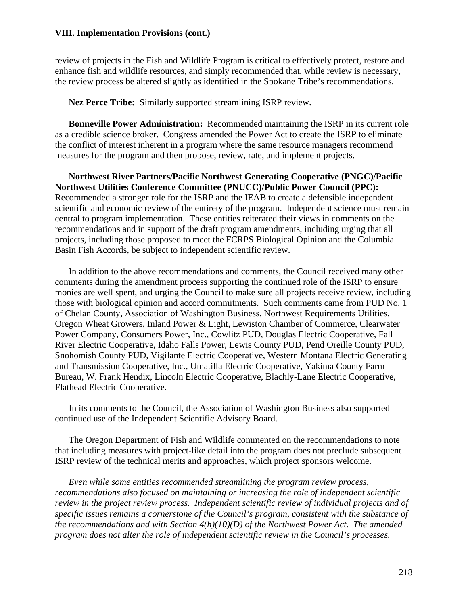review of projects in the Fish and Wildlife Program is critical to effectively protect, restore and enhance fish and wildlife resources, and simply recommended that, while review is necessary, the review process be altered slightly as identified in the Spokane Tribe's recommendations.

**Nez Perce Tribe:** Similarly supported streamlining ISRP review.

**Bonneville Power Administration:** Recommended maintaining the ISRP in its current role as a credible science broker. Congress amended the Power Act to create the ISRP to eliminate the conflict of interest inherent in a program where the same resource managers recommend measures for the program and then propose, review, rate, and implement projects.

**Northwest River Partners/Pacific Northwest Generating Cooperative (PNGC)/Pacific Northwest Utilities Conference Committee (PNUCC)/Public Power Council (PPC):** Recommended a stronger role for the ISRP and the IEAB to create a defensible independent scientific and economic review of the entirety of the program. Independent science must remain central to program implementation. These entities reiterated their views in comments on the recommendations and in support of the draft program amendments, including urging that all projects, including those proposed to meet the FCRPS Biological Opinion and the Columbia Basin Fish Accords, be subject to independent scientific review.

 In addition to the above recommendations and comments, the Council received many other comments during the amendment process supporting the continued role of the ISRP to ensure monies are well spent, and urging the Council to make sure all projects receive review, including those with biological opinion and accord commitments. Such comments came from PUD No. 1 of Chelan County, Association of Washington Business, Northwest Requirements Utilities, Oregon Wheat Growers, Inland Power & Light, Lewiston Chamber of Commerce, Clearwater Power Company, Consumers Power, Inc., Cowlitz PUD, Douglas Electric Cooperative, Fall River Electric Cooperative, Idaho Falls Power, Lewis County PUD, Pend Oreille County PUD, Snohomish County PUD, Vigilante Electric Cooperative, Western Montana Electric Generating and Transmission Cooperative, Inc., Umatilla Electric Cooperative, Yakima County Farm Bureau, W. Frank Hendix, Lincoln Electric Cooperative, Blachly-Lane Electric Cooperative, Flathead Electric Cooperative.

 In its comments to the Council, the Association of Washington Business also supported continued use of the Independent Scientific Advisory Board.

 The Oregon Department of Fish and Wildlife commented on the recommendations to note that including measures with project-like detail into the program does not preclude subsequent ISRP review of the technical merits and approaches, which project sponsors welcome.

*Even while some entities recommended streamlining the program review process, recommendations also focused on maintaining or increasing the role of independent scientific review in the project review process. Independent scientific review of individual projects and of specific issues remains a cornerstone of the Council's program, consistent with the substance of the recommendations and with Section 4(h)(10)(D) of the Northwest Power Act. The amended program does not alter the role of independent scientific review in the Council's processes.*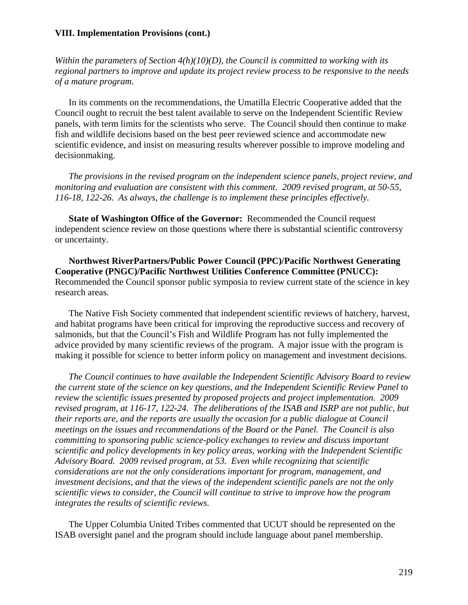*Within the parameters of Section 4(h)(10)(D), the Council is committed to working with its regional partners to improve and update its project review process to be responsive to the needs of a mature program.* 

 In its comments on the recommendations, the Umatilla Electric Cooperative added that the Council ought to recruit the best talent available to serve on the Independent Scientific Review panels, with term limits for the scientists who serve. The Council should then continue to make fish and wildlife decisions based on the best peer reviewed science and accommodate new scientific evidence, and insist on measuring results wherever possible to improve modeling and decisionmaking.

*The provisions in the revised program on the independent science panels, project review, and monitoring and evaluation are consistent with this comment. 2009 revised program, at 50-55, 116-18, 122-26. As always, the challenge is to implement these principles effectively.* 

**State of Washington Office of the Governor:** Recommended the Council request independent science review on those questions where there is substantial scientific controversy or uncertainty.

 **Northwest RiverPartners/Public Power Council (PPC)/Pacific Northwest Generating Cooperative (PNGC)/Pacific Northwest Utilities Conference Committee (PNUCC):** Recommended the Council sponsor public symposia to review current state of the science in key research areas.

 The Native Fish Society commented that independent scientific reviews of hatchery, harvest, and habitat programs have been critical for improving the reproductive success and recovery of salmonids, but that the Council's Fish and Wildlife Program has not fully implemented the advice provided by many scientific reviews of the program. A major issue with the program is making it possible for science to better inform policy on management and investment decisions.

*The Council continues to have available the Independent Scientific Advisory Board to review the current state of the science on key questions, and the Independent Scientific Review Panel to review the scientific issues presented by proposed projects and project implementation. 2009 revised program, at 116-17, 122-24. The deliberations of the ISAB and ISRP are not public, but their reports are, and the reports are usually the occasion for a public dialogue at Council meetings on the issues and recommendations of the Board or the Panel. The Council is also committing to sponsoring public science-policy exchanges to review and discuss important scientific and policy developments in key policy areas, working with the Independent Scientific Advisory Board. 2009 revised program, at 53. Even while recognizing that scientific considerations are not the only considerations important for program, management, and investment decisions, and that the views of the independent scientific panels are not the only scientific views to consider, the Council will continue to strive to improve how the program integrates the results of scientific reviews.* 

 The Upper Columbia United Tribes commented that UCUT should be represented on the ISAB oversight panel and the program should include language about panel membership.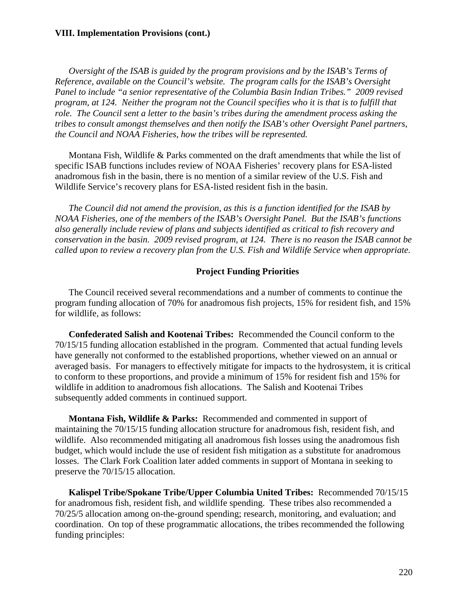*Oversight of the ISAB is guided by the program provisions and by the ISAB's Terms of Reference, available on the Council's website. The program calls for the ISAB's Oversight Panel to include "a senior representative of the Columbia Basin Indian Tribes." 2009 revised program, at 124. Neither the program not the Council specifies who it is that is to fulfill that role. The Council sent a letter to the basin's tribes during the amendment process asking the tribes to consult amongst themselves and then notify the ISAB's other Oversight Panel partners, the Council and NOAA Fisheries, how the tribes will be represented.* 

 Montana Fish, Wildlife & Parks commented on the draft amendments that while the list of specific ISAB functions includes review of NOAA Fisheries' recovery plans for ESA-listed anadromous fish in the basin, there is no mention of a similar review of the U.S. Fish and Wildlife Service's recovery plans for ESA-listed resident fish in the basin.

*The Council did not amend the provision, as this is a function identified for the ISAB by NOAA Fisheries, one of the members of the ISAB's Oversight Panel. But the ISAB's functions also generally include review of plans and subjects identified as critical to fish recovery and conservation in the basin. 2009 revised program, at 124. There is no reason the ISAB cannot be called upon to review a recovery plan from the U.S. Fish and Wildlife Service when appropriate.* 

# **Project Funding Priorities**

 The Council received several recommendations and a number of comments to continue the program funding allocation of 70% for anadromous fish projects, 15% for resident fish, and 15% for wildlife, as follows:

**Confederated Salish and Kootenai Tribes:** Recommended the Council conform to the 70/15/15 funding allocation established in the program. Commented that actual funding levels have generally not conformed to the established proportions, whether viewed on an annual or averaged basis. For managers to effectively mitigate for impacts to the hydrosystem, it is critical to conform to these proportions, and provide a minimum of 15% for resident fish and 15% for wildlife in addition to anadromous fish allocations. The Salish and Kootenai Tribes subsequently added comments in continued support.

**Montana Fish, Wildlife & Parks:** Recommended and commented in support of maintaining the 70/15/15 funding allocation structure for anadromous fish, resident fish, and wildlife. Also recommended mitigating all anadromous fish losses using the anadromous fish budget, which would include the use of resident fish mitigation as a substitute for anadromous losses. The Clark Fork Coalition later added comments in support of Montana in seeking to preserve the 70/15/15 allocation.

**Kalispel Tribe/Spokane Tribe/Upper Columbia United Tribes:** Recommended 70/15/15 for anadromous fish, resident fish, and wildlife spending. These tribes also recommended a 70/25/5 allocation among on-the-ground spending; research, monitoring, and evaluation; and coordination. On top of these programmatic allocations, the tribes recommended the following funding principles: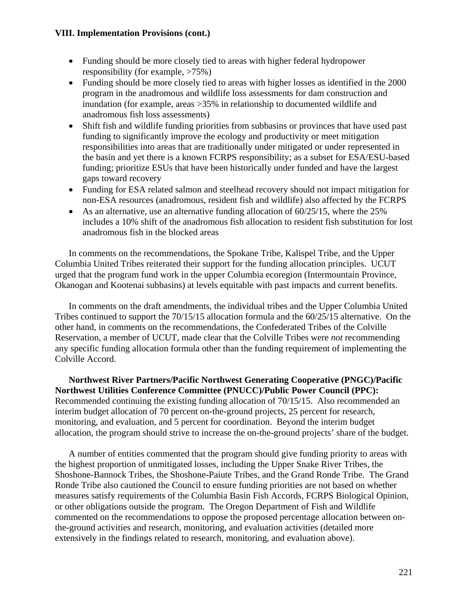- Funding should be more closely tied to areas with higher federal hydropower responsibility (for example, >75%)
- Funding should be more closely tied to areas with higher losses as identified in the 2000 program in the anadromous and wildlife loss assessments for dam construction and inundation (for example, areas >35% in relationship to documented wildlife and anadromous fish loss assessments)
- Shift fish and wildlife funding priorities from subbasins or provinces that have used past funding to significantly improve the ecology and productivity or meet mitigation responsibilities into areas that are traditionally under mitigated or under represented in the basin and yet there is a known FCRPS responsibility; as a subset for ESA/ESU-based funding; prioritize ESUs that have been historically under funded and have the largest gaps toward recovery
- Funding for ESA related salmon and steelhead recovery should not impact mitigation for non-ESA resources (anadromous, resident fish and wildlife) also affected by the FCRPS
- As an alternative, use an alternative funding allocation of  $60/25/15$ , where the 25% includes a 10% shift of the anadromous fish allocation to resident fish substitution for lost anadromous fish in the blocked areas

 In comments on the recommendations, the Spokane Tribe, Kalispel Tribe, and the Upper Columbia United Tribes reiterated their support for the funding allocation principles. UCUT urged that the program fund work in the upper Columbia ecoregion (Intermountain Province, Okanogan and Kootenai subbasins) at levels equitable with past impacts and current benefits.

 In comments on the draft amendments, the individual tribes and the Upper Columbia United Tribes continued to support the 70/15/15 allocation formula and the 60/25/15 alternative. On the other hand, in comments on the recommendations, the Confederated Tribes of the Colville Reservation, a member of UCUT, made clear that the Colville Tribes were *not* recommending any specific funding allocation formula other than the funding requirement of implementing the Colville Accord.

**Northwest River Partners/Pacific Northwest Generating Cooperative (PNGC)/Pacific Northwest Utilities Conference Committee (PNUCC)/Public Power Council (PPC):** Recommended continuing the existing funding allocation of 70/15/15. Also recommended an interim budget allocation of 70 percent on-the-ground projects, 25 percent for research, monitoring, and evaluation, and 5 percent for coordination. Beyond the interim budget allocation, the program should strive to increase the on-the-ground projects' share of the budget.

 A number of entities commented that the program should give funding priority to areas with the highest proportion of unmitigated losses, including the Upper Snake River Tribes, the Shoshone-Bannock Tribes, the Shoshone-Paiute Tribes, and the Grand Ronde Tribe. The Grand Ronde Tribe also cautioned the Council to ensure funding priorities are not based on whether measures satisfy requirements of the Columbia Basin Fish Accords, FCRPS Biological Opinion, or other obligations outside the program. The Oregon Department of Fish and Wildlife commented on the recommendations to oppose the proposed percentage allocation between onthe-ground activities and research, monitoring, and evaluation activities (detailed more extensively in the findings related to research, monitoring, and evaluation above).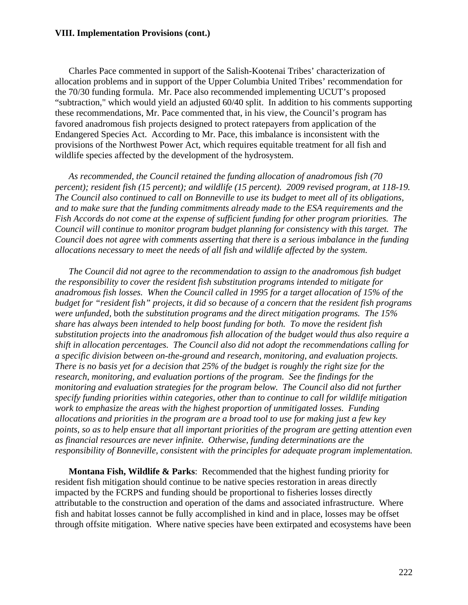Charles Pace commented in support of the Salish-Kootenai Tribes' characterization of allocation problems and in support of the Upper Columbia United Tribes' recommendation for the 70/30 funding formula. Mr. Pace also recommended implementing UCUT's proposed "subtraction," which would yield an adjusted 60/40 split. In addition to his comments supporting these recommendations, Mr. Pace commented that, in his view, the Council's program has favored anadromous fish projects designed to protect ratepayers from application of the Endangered Species Act. According to Mr. Pace, this imbalance is inconsistent with the provisions of the Northwest Power Act, which requires equitable treatment for all fish and wildlife species affected by the development of the hydrosystem.

 *As recommended, the Council retained the funding allocation of anadromous fish (70 percent); resident fish (15 percent); and wildlife (15 percent). 2009 revised program, at 118-19. The Council also continued to call on Bonneville to use its budget to meet all of its obligations, and to make sure that the funding commitments already made to the ESA requirements and the Fish Accords do not come at the expense of sufficient funding for other program priorities. The Council will continue to monitor program budget planning for consistency with this target. The Council does not agree with comments asserting that there is a serious imbalance in the funding allocations necessary to meet the needs of all fish and wildlife affected by the system.* 

 *The Council did not agree to the recommendation to assign to the anadromous fish budget the responsibility to cover the resident fish substitution programs intended to mitigate for anadromous fish losses. When the Council called in 1995 for a target allocation of 15% of the budget for "resident fish" projects, it did so because of a concern that the resident fish programs were unfunded,* both *the substitution programs and the direct mitigation programs. The 15% share has always been intended to help boost funding for both. To move the resident fish substitution projects into the anadromous fish allocation of the budget would thus also require a shift in allocation percentages. The Council also did not adopt the recommendations calling for a specific division between on-the-ground and research, monitoring, and evaluation projects. There is no basis yet for a decision that 25% of the budget is roughly the right size for the research, monitoring, and evaluation portions of the program. See the findings for the monitoring and evaluation strategies for the program below. The Council also did not further specify funding priorities within categories, other than to continue to call for wildlife mitigation work to emphasize the areas with the highest proportion of unmitigated losses. Funding allocations and priorities in the program are a broad tool to use for making just a few key points, so as to help ensure that all important priorities of the program are getting attention even as financial resources are never infinite. Otherwise, funding determinations are the responsibility of Bonneville, consistent with the principles for adequate program implementation.* 

**Montana Fish, Wildlife & Parks**: Recommended that the highest funding priority for resident fish mitigation should continue to be native species restoration in areas directly impacted by the FCRPS and funding should be proportional to fisheries losses directly attributable to the construction and operation of the dams and associated infrastructure. Where fish and habitat losses cannot be fully accomplished in kind and in place, losses may be offset through offsite mitigation. Where native species have been extirpated and ecosystems have been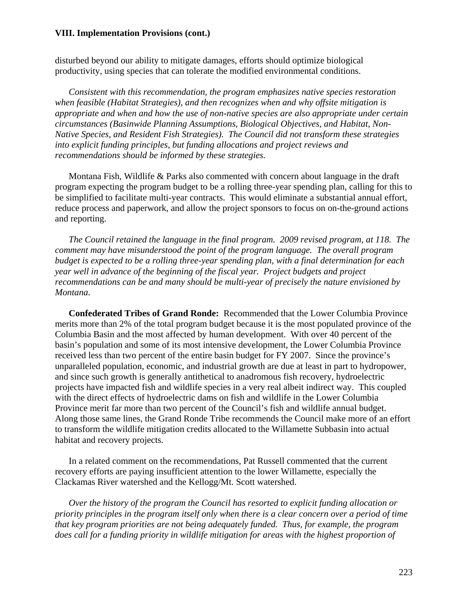disturbed beyond our ability to mitigate damages, efforts should optimize biological productivity, using species that can tolerate the modified environmental conditions.

*Consistent with this recommendation, the program emphasizes native species restoration when feasible (Habitat Strategies), and then recognizes when and why offsite mitigation is appropriate and when and how the use of non-native species are also appropriate under certain circumstances (Basinwide Planning Assumptions, Biological Objectives, and Habitat, Non-Native Species, and Resident Fish Strategies). The Council did not transform these strategies into explicit funding principles, but funding allocations and project reviews and recommendations should be informed by these strategies.* 

 Montana Fish, Wildlife & Parks also commented with concern about language in the draft program expecting the program budget to be a rolling three-year spending plan, calling for this to be simplified to facilitate multi-year contracts. This would eliminate a substantial annual effort, reduce process and paperwork, and allow the project sponsors to focus on on-the-ground actions and reporting.

*The Council retained the language in the final program. 2009 revised program, at 118. The comment may have misunderstood the point of the program language. The overall program budget is expected to be a rolling three-year spending plan, with a final determination for each year well in advance of the beginning of the fiscal year. Project budgets and project recommendations can be and many should be multi-year of precisely the nature envisioned by Montana.* 

 **Confederated Tribes of Grand Ronde:** Recommended that the Lower Columbia Province merits more than 2% of the total program budget because it is the most populated province of the Columbia Basin and the most affected by human development. With over 40 percent of the basin's population and some of its most intensive development, the Lower Columbia Province received less than two percent of the entire basin budget for FY 2007. Since the province's unparalleled population, economic, and industrial growth are due at least in part to hydropower, and since such growth is generally antithetical to anadromous fish recovery, hydroelectric projects have impacted fish and wildlife species in a very real albeit indirect way. This coupled with the direct effects of hydroelectric dams on fish and wildlife in the Lower Columbia Province merit far more than two percent of the Council's fish and wildlife annual budget. Along those same lines, the Grand Ronde Tribe recommends the Council make more of an effort to transform the wildlife mitigation credits allocated to the Willamette Subbasin into actual habitat and recovery projects.

 In a related comment on the recommendations, Pat Russell commented that the current recovery efforts are paying insufficient attention to the lower Willamette, especially the Clackamas River watershed and the Kellogg/Mt. Scott watershed.

*Over the history of the program the Council has resorted to explicit funding allocation or priority principles in the program itself only when there is a clear concern over a period of time that key program priorities are not being adequately funded. Thus, for example, the program does call for a funding priority in wildlife mitigation for areas with the highest proportion of*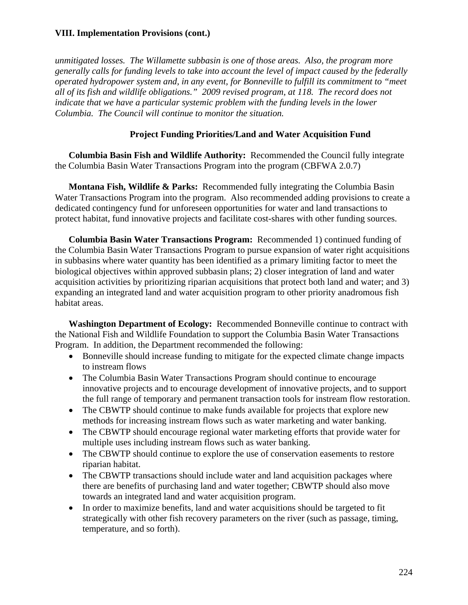*unmitigated losses. The Willamette subbasin is one of those areas. Also, the program more generally calls for funding levels to take into account the level of impact caused by the federally operated hydropower system and, in any event, for Bonneville to fulfill its commitment to "meet all of its fish and wildlife obligations." 2009 revised program, at 118. The record does not indicate that we have a particular systemic problem with the funding levels in the lower Columbia. The Council will continue to monitor the situation.* 

# **Project Funding Priorities/Land and Water Acquisition Fund**

**Columbia Basin Fish and Wildlife Authority:** Recommended the Council fully integrate the Columbia Basin Water Transactions Program into the program (CBFWA 2.0.7)

 **Montana Fish, Wildlife & Parks:** Recommended fully integrating the Columbia Basin Water Transactions Program into the program. Also recommended adding provisions to create a dedicated contingency fund for unforeseen opportunities for water and land transactions to protect habitat, fund innovative projects and facilitate cost-shares with other funding sources.

**Columbia Basin Water Transactions Program:** Recommended 1) continued funding of the Columbia Basin Water Transactions Program to pursue expansion of water right acquisitions in subbasins where water quantity has been identified as a primary limiting factor to meet the biological objectives within approved subbasin plans; 2) closer integration of land and water acquisition activities by prioritizing riparian acquisitions that protect both land and water; and 3) expanding an integrated land and water acquisition program to other priority anadromous fish habitat areas.

**Washington Department of Ecology:** Recommended Bonneville continue to contract with the National Fish and Wildlife Foundation to support the Columbia Basin Water Transactions Program. In addition, the Department recommended the following:

- Bonneville should increase funding to mitigate for the expected climate change impacts to instream flows
- The Columbia Basin Water Transactions Program should continue to encourage innovative projects and to encourage development of innovative projects, and to support the full range of temporary and permanent transaction tools for instream flow restoration.
- The CBWTP should continue to make funds available for projects that explore new methods for increasing instream flows such as water marketing and water banking.
- The CBWTP should encourage regional water marketing efforts that provide water for multiple uses including instream flows such as water banking.
- The CBWTP should continue to explore the use of conservation easements to restore riparian habitat.
- The CBWTP transactions should include water and land acquisition packages where there are benefits of purchasing land and water together; CBWTP should also move towards an integrated land and water acquisition program.
- In order to maximize benefits, land and water acquisitions should be targeted to fit strategically with other fish recovery parameters on the river (such as passage, timing, temperature, and so forth).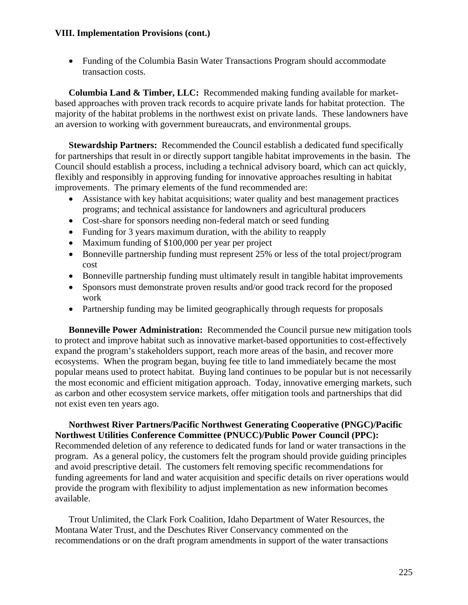• Funding of the Columbia Basin Water Transactions Program should accommodate transaction costs.

 **Columbia Land & Timber, LLC:** Recommended making funding available for marketbased approaches with proven track records to acquire private lands for habitat protection. The majority of the habitat problems in the northwest exist on private lands. These landowners have an aversion to working with government bureaucrats, and environmental groups.

 **Stewardship Partners:** Recommended the Council establish a dedicated fund specifically for partnerships that result in or directly support tangible habitat improvements in the basin. The Council should establish a process, including a technical advisory board, which can act quickly, flexibly and responsibly in approving funding for innovative approaches resulting in habitat improvements. The primary elements of the fund recommended are:

- Assistance with key habitat acquisitions; water quality and best management practices programs; and technical assistance for landowners and agricultural producers
- Cost-share for sponsors needing non-federal match or seed funding
- Funding for 3 years maximum duration, with the ability to reapply
- Maximum funding of \$100,000 per year per project
- Bonneville partnership funding must represent 25% or less of the total project/program cost
- Bonneville partnership funding must ultimately result in tangible habitat improvements
- Sponsors must demonstrate proven results and/or good track record for the proposed work
- Partnership funding may be limited geographically through requests for proposals

**Bonneville Power Administration:** Recommended the Council pursue new mitigation tools to protect and improve habitat such as innovative market-based opportunities to cost-effectively expand the program's stakeholders support, reach more areas of the basin, and recover more ecosystems. When the program began, buying fee title to land immediately became the most popular means used to protect habitat. Buying land continues to be popular but is not necessarily the most economic and efficient mitigation approach. Today, innovative emerging markets, such as carbon and other ecosystem service markets, offer mitigation tools and partnerships that did not exist even ten years ago.

**Northwest River Partners/Pacific Northwest Generating Cooperative (PNGC)/Pacific Northwest Utilities Conference Committee (PNUCC)/Public Power Council (PPC):**

Recommended deletion of any reference to dedicated funds for land or water transactions in the program. As a general policy, the customers felt the program should provide guiding principles and avoid prescriptive detail. The customers felt removing specific recommendations for funding agreements for land and water acquisition and specific details on river operations would provide the program with flexibility to adjust implementation as new information becomes available.

 Trout Unlimited, the Clark Fork Coalition, Idaho Department of Water Resources, the Montana Water Trust, and the Deschutes River Conservancy commented on the recommendations or on the draft program amendments in support of the water transactions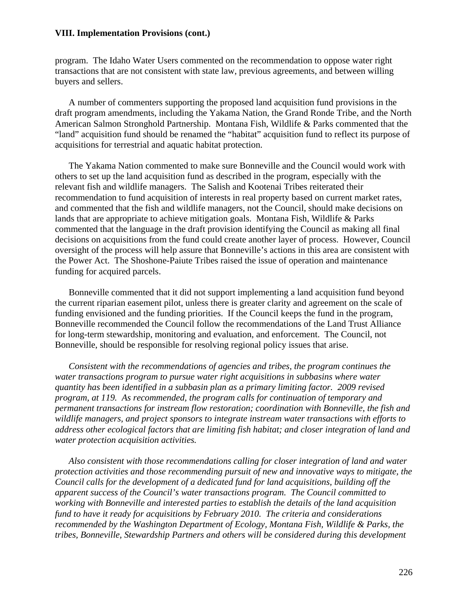program. The Idaho Water Users commented on the recommendation to oppose water right transactions that are not consistent with state law, previous agreements, and between willing buyers and sellers.

 A number of commenters supporting the proposed land acquisition fund provisions in the draft program amendments, including the Yakama Nation, the Grand Ronde Tribe, and the North American Salmon Stronghold Partnership. Montana Fish, Wildlife & Parks commented that the "land" acquisition fund should be renamed the "habitat" acquisition fund to reflect its purpose of acquisitions for terrestrial and aquatic habitat protection.

 The Yakama Nation commented to make sure Bonneville and the Council would work with others to set up the land acquisition fund as described in the program, especially with the relevant fish and wildlife managers. The Salish and Kootenai Tribes reiterated their recommendation to fund acquisition of interests in real property based on current market rates, and commented that the fish and wildlife managers, not the Council, should make decisions on lands that are appropriate to achieve mitigation goals. Montana Fish, Wildlife & Parks commented that the language in the draft provision identifying the Council as making all final decisions on acquisitions from the fund could create another layer of process. However, Council oversight of the process will help assure that Bonneville's actions in this area are consistent with the Power Act. The Shoshone-Paiute Tribes raised the issue of operation and maintenance funding for acquired parcels.

 Bonneville commented that it did not support implementing a land acquisition fund beyond the current riparian easement pilot, unless there is greater clarity and agreement on the scale of funding envisioned and the funding priorities. If the Council keeps the fund in the program, Bonneville recommended the Council follow the recommendations of the Land Trust Alliance for long-term stewardship, monitoring and evaluation, and enforcement. The Council, not Bonneville, should be responsible for resolving regional policy issues that arise.

*Consistent with the recommendations of agencies and tribes, the program continues the water transactions program to pursue water right acquisitions in subbasins where water quantity has been identified in a subbasin plan as a primary limiting factor. 2009 revised program, at 119. As recommended, the program calls for continuation of temporary and permanent transactions for instream flow restoration; coordination with Bonneville, the fish and wildlife managers, and project sponsors to integrate instream water transactions with efforts to address other ecological factors that are limiting fish habitat; and closer integration of land and water protection acquisition activities.* 

 *Also consistent with those recommendations calling for closer integration of land and water protection activities and those recommending pursuit of new and innovative ways to mitigate, the Council calls for the development of a dedicated fund for land acquisitions, building off the apparent success of the Council's water transactions program. The Council committed to working with Bonneville and interested parties to establish the details of the land acquisition fund to have it ready for acquisitions by February 2010. The criteria and considerations recommended by the Washington Department of Ecology, Montana Fish, Wildlife & Parks, the tribes, Bonneville, Stewardship Partners and others will be considered during this development*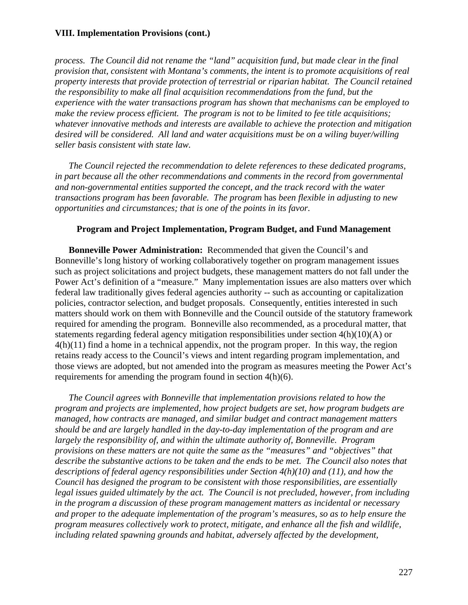*process. The Council did not rename the "land" acquisition fund, but made clear in the final provision that, consistent with Montana's comments, the intent is to promote acquisitions of real property interests that provide protection of terrestrial or riparian habitat. The Council retained the responsibility to make all final acquisition recommendations from the fund, but the experience with the water transactions program has shown that mechanisms can be employed to make the review process efficient. The program is not to be limited to fee title acquisitions; whatever innovative methods and interests are available to achieve the protection and mitigation desired will be considered. All land and water acquisitions must be on a wiling buyer/willing seller basis consistent with state law.* 

 *The Council rejected the recommendation to delete references to these dedicated programs, in part because all the other recommendations and comments in the record from governmental and non-governmental entities supported the concept, and the track record with the water transactions program has been favorable. The program* has *been flexible in adjusting to new opportunities and circumstances; that is one of the points in its favor.* 

# **Program and Project Implementation, Program Budget, and Fund Management**

 **Bonneville Power Administration:** Recommended that given the Council's and Bonneville's long history of working collaboratively together on program management issues such as project solicitations and project budgets, these management matters do not fall under the Power Act's definition of a "measure." Many implementation issues are also matters over which federal law traditionally gives federal agencies authority -- such as accounting or capitalization policies, contractor selection, and budget proposals. Consequently, entities interested in such matters should work on them with Bonneville and the Council outside of the statutory framework required for amending the program. Bonneville also recommended, as a procedural matter, that statements regarding federal agency mitigation responsibilities under section  $4(h)(10)(A)$  or  $4(h)(11)$  find a home in a technical appendix, not the program proper. In this way, the region retains ready access to the Council's views and intent regarding program implementation, and those views are adopted, but not amended into the program as measures meeting the Power Act's requirements for amending the program found in section 4(h)(6).

*The Council agrees with Bonneville that implementation provisions related to how the program and projects are implemented, how project budgets are set, how program budgets are managed, how contracts are managed, and similar budget and contract management matters should be and are largely handled in the day-to-day implementation of the program and are largely the responsibility of, and within the ultimate authority of, Bonneville. Program provisions on these matters are not quite the same as the "measures" and "objectives" that describe the substantive actions to be taken and the ends to be met. The Council also notes that descriptions of federal agency responsibilities under Section 4(h)(10) and (11), and how the Council has designed the program to be consistent with those responsibilities, are essentially legal issues guided ultimately by the act. The Council is not precluded, however, from including in the program a discussion of these program management matters as incidental or necessary and proper to the adequate implementation of the program's measures, so as to help ensure the program measures collectively work to protect, mitigate, and enhance all the fish and wildlife, including related spawning grounds and habitat, adversely affected by the development,*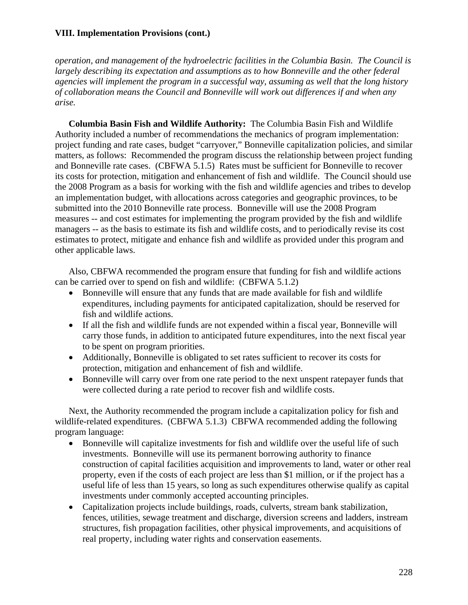*operation, and management of the hydroelectric facilities in the Columbia Basin. The Council is largely describing its expectation and assumptions as to how Bonneville and the other federal agencies will implement the program in a successful way, assuming as well that the long history of collaboration means the Council and Bonneville will work out differences if and when any arise.* 

**Columbia Basin Fish and Wildlife Authority:** The Columbia Basin Fish and Wildlife Authority included a number of recommendations the mechanics of program implementation: project funding and rate cases, budget "carryover," Bonneville capitalization policies, and similar matters, as follows: Recommended the program discuss the relationship between project funding and Bonneville rate cases. (CBFWA 5.1.5) Rates must be sufficient for Bonneville to recover its costs for protection, mitigation and enhancement of fish and wildlife. The Council should use the 2008 Program as a basis for working with the fish and wildlife agencies and tribes to develop an implementation budget, with allocations across categories and geographic provinces, to be submitted into the 2010 Bonneville rate process. Bonneville will use the 2008 Program measures -- and cost estimates for implementing the program provided by the fish and wildlife managers -- as the basis to estimate its fish and wildlife costs, and to periodically revise its cost estimates to protect, mitigate and enhance fish and wildlife as provided under this program and other applicable laws.

 Also, CBFWA recommended the program ensure that funding for fish and wildlife actions can be carried over to spend on fish and wildlife: (CBFWA 5.1.2)

- Bonneville will ensure that any funds that are made available for fish and wildlife expenditures, including payments for anticipated capitalization, should be reserved for fish and wildlife actions.
- If all the fish and wildlife funds are not expended within a fiscal year, Bonneville will carry those funds, in addition to anticipated future expenditures, into the next fiscal year to be spent on program priorities.
- Additionally, Bonneville is obligated to set rates sufficient to recover its costs for protection, mitigation and enhancement of fish and wildlife.
- Bonneville will carry over from one rate period to the next unspent ratepayer funds that were collected during a rate period to recover fish and wildlife costs.

 Next, the Authority recommended the program include a capitalization policy for fish and wildlife-related expenditures. (CBFWA 5.1.3) CBFWA recommended adding the following program language:

- Bonneville will capitalize investments for fish and wildlife over the useful life of such investments. Bonneville will use its permanent borrowing authority to finance construction of capital facilities acquisition and improvements to land, water or other real property, even if the costs of each project are less than \$1 million, or if the project has a useful life of less than 15 years, so long as such expenditures otherwise qualify as capital investments under commonly accepted accounting principles.
- Capitalization projects include buildings, roads, culverts, stream bank stabilization, fences, utilities, sewage treatment and discharge, diversion screens and ladders, instream structures, fish propagation facilities, other physical improvements, and acquisitions of real property, including water rights and conservation easements.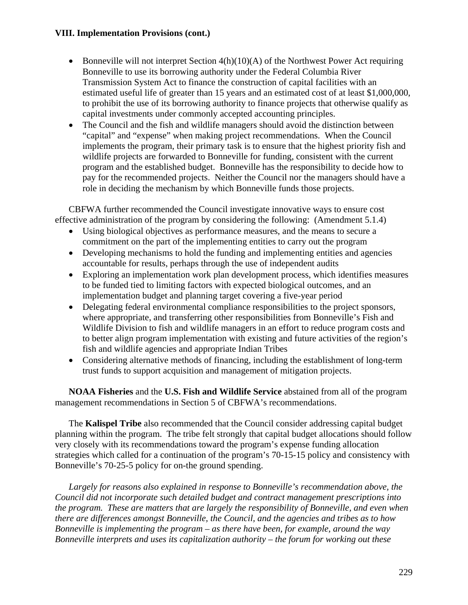- Bonneville will not interpret Section  $4(h)(10)(A)$  of the Northwest Power Act requiring Bonneville to use its borrowing authority under the Federal Columbia River Transmission System Act to finance the construction of capital facilities with an estimated useful life of greater than 15 years and an estimated cost of at least \$1,000,000, to prohibit the use of its borrowing authority to finance projects that otherwise qualify as capital investments under commonly accepted accounting principles.
- The Council and the fish and wildlife managers should avoid the distinction between "capital" and "expense" when making project recommendations. When the Council implements the program, their primary task is to ensure that the highest priority fish and wildlife projects are forwarded to Bonneville for funding, consistent with the current program and the established budget. Bonneville has the responsibility to decide how to pay for the recommended projects. Neither the Council nor the managers should have a role in deciding the mechanism by which Bonneville funds those projects.

 CBFWA further recommended the Council investigate innovative ways to ensure cost effective administration of the program by considering the following: (Amendment 5.1.4)

- Using biological objectives as performance measures, and the means to secure a commitment on the part of the implementing entities to carry out the program
- Developing mechanisms to hold the funding and implementing entities and agencies accountable for results, perhaps through the use of independent audits
- Exploring an implementation work plan development process, which identifies measures to be funded tied to limiting factors with expected biological outcomes, and an implementation budget and planning target covering a five-year period
- Delegating federal environmental compliance responsibilities to the project sponsors, where appropriate, and transferring other responsibilities from Bonneville's Fish and Wildlife Division to fish and wildlife managers in an effort to reduce program costs and to better align program implementation with existing and future activities of the region's fish and wildlife agencies and appropriate Indian Tribes
- Considering alternative methods of financing, including the establishment of long-term trust funds to support acquisition and management of mitigation projects.

**NOAA Fisheries** and the **U.S. Fish and Wildlife Service** abstained from all of the program management recommendations in Section 5 of CBFWA's recommendations.

 The **Kalispel Tribe** also recommended that the Council consider addressing capital budget planning within the program. The tribe felt strongly that capital budget allocations should follow very closely with its recommendations toward the program's expense funding allocation strategies which called for a continuation of the program's 70-15-15 policy and consistency with Bonneville's 70-25-5 policy for on-the ground spending.

*Largely for reasons also explained in response to Bonneville's recommendation above, the Council did not incorporate such detailed budget and contract management prescriptions into the program. These are matters that are largely the responsibility of Bonneville, and even when there are differences amongst Bonneville, the Council, and the agencies and tribes as to how Bonneville is implementing the program – as there have been, for example, around the way Bonneville interprets and uses its capitalization authority – the forum for working out these*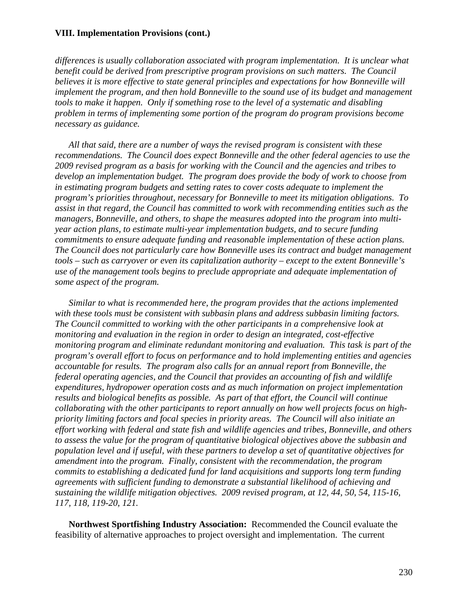*differences is usually collaboration associated with program implementation. It is unclear what benefit could be derived from prescriptive program provisions on such matters. The Council believes it is more effective to state general principles and expectations for how Bonneville will implement the program, and then hold Bonneville to the sound use of its budget and management tools to make it happen. Only if something rose to the level of a systematic and disabling problem in terms of implementing some portion of the program do program provisions become necessary as guidance.* 

 *All that said, there are a number of ways the revised program is consistent with these recommendations. The Council does expect Bonneville and the other federal agencies to use the 2009 revised program as a basis for working with the Council and the agencies and tribes to develop an implementation budget. The program does provide the body of work to choose from in estimating program budgets and setting rates to cover costs adequate to implement the program's priorities throughout, necessary for Bonneville to meet its mitigation obligations. To assist in that regard, the Council has committed to work with recommending entities such as the managers, Bonneville, and others, to shape the measures adopted into the program into multiyear action plans, to estimate multi-year implementation budgets, and to secure funding commitments to ensure adequate funding and reasonable implementation of these action plans. The Council does not particularly care how Bonneville uses its contract and budget management tools – such as carryover or even its capitalization authority – except to the extent Bonneville's use of the management tools begins to preclude appropriate and adequate implementation of some aspect of the program.* 

 *Similar to what is recommended here, the program provides that the actions implemented with these tools must be consistent with subbasin plans and address subbasin limiting factors. The Council committed to working with the other participants in a comprehensive look at monitoring and evaluation in the region in order to design an integrated, cost-effective monitoring program and eliminate redundant monitoring and evaluation. This task is part of the program's overall effort to focus on performance and to hold implementing entities and agencies accountable for results. The program also calls for an annual report from Bonneville, the federal operating agencies, and the Council that provides an accounting of fish and wildlife expenditures, hydropower operation costs and as much information on project implementation results and biological benefits as possible. As part of that effort, the Council will continue collaborating with the other participants to report annually on how well projects focus on highpriority limiting factors and focal species in priority areas. The Council will also initiate an effort working with federal and state fish and wildlife agencies and tribes, Bonneville, and others to assess the value for the program of quantitative biological objectives above the subbasin and population level and if useful, with these partners to develop a set of quantitative objectives for amendment into the program. Finally, consistent with the recommendation, the program commits to establishing a dedicated fund for land acquisitions and supports long term funding agreements with sufficient funding to demonstrate a substantial likelihood of achieving and sustaining the wildlife mitigation objectives. 2009 revised program, at 12, 44, 50, 54, 115-16, 117, 118, 119-20, 121.* 

 **Northwest Sportfishing Industry Association:** Recommended the Council evaluate the feasibility of alternative approaches to project oversight and implementation. The current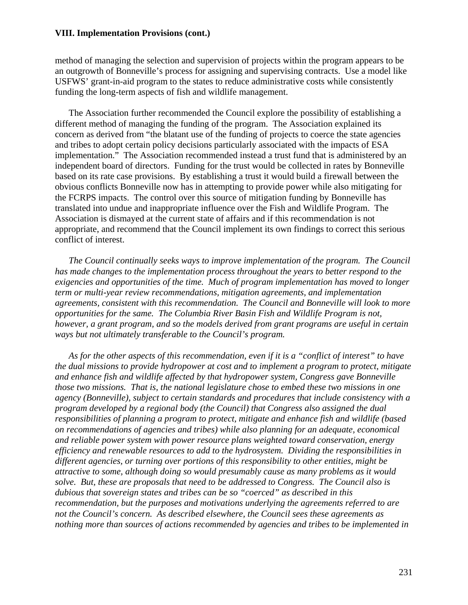method of managing the selection and supervision of projects within the program appears to be an outgrowth of Bonneville's process for assigning and supervising contracts. Use a model like USFWS' grant-in-aid program to the states to reduce administrative costs while consistently funding the long-term aspects of fish and wildlife management.

 The Association further recommended the Council explore the possibility of establishing a different method of managing the funding of the program. The Association explained its concern as derived from "the blatant use of the funding of projects to coerce the state agencies and tribes to adopt certain policy decisions particularly associated with the impacts of ESA implementation." The Association recommended instead a trust fund that is administered by an independent board of directors. Funding for the trust would be collected in rates by Bonneville based on its rate case provisions. By establishing a trust it would build a firewall between the obvious conflicts Bonneville now has in attempting to provide power while also mitigating for the FCRPS impacts. The control over this source of mitigation funding by Bonneville has translated into undue and inappropriate influence over the Fish and Wildlife Program. The Association is dismayed at the current state of affairs and if this recommendation is not appropriate, and recommend that the Council implement its own findings to correct this serious conflict of interest.

*The Council continually seeks ways to improve implementation of the program. The Council has made changes to the implementation process throughout the years to better respond to the exigencies and opportunities of the time. Much of program implementation has moved to longer term or multi-year review recommendations, mitigation agreements, and implementation agreements, consistent with this recommendation. The Council and Bonneville will look to more opportunities for the same. The Columbia River Basin Fish and Wildlife Program is not, however, a grant program, and so the models derived from grant programs are useful in certain ways but not ultimately transferable to the Council's program.* 

 *As for the other aspects of this recommendation, even if it is a "conflict of interest" to have the dual missions to provide hydropower at cost and to implement a program to protect, mitigate and enhance fish and wildlife affected by that hydropower system, Congress gave Bonneville those two missions. That is, the national legislature chose to embed these two missions in one agency (Bonneville), subject to certain standards and procedures that include consistency with a program developed by a regional body (the Council) that Congress also assigned the dual responsibilities of planning a program to protect, mitigate and enhance fish and wildlife (based on recommendations of agencies and tribes) while also planning for an adequate, economical and reliable power system with power resource plans weighted toward conservation, energy efficiency and renewable resources to add to the hydrosystem. Dividing the responsibilities in different agencies, or turning over portions of this responsibility to other entities, might be attractive to some, although doing so would presumably cause as many problems as it would solve. But, these are proposals that need to be addressed to Congress. The Council also is dubious that sovereign states and tribes can be so "coerced" as described in this recommendation, but the purposes and motivations underlying the agreements referred to are not the Council's concern. As described elsewhere, the Council sees these agreements as nothing more than sources of actions recommended by agencies and tribes to be implemented in*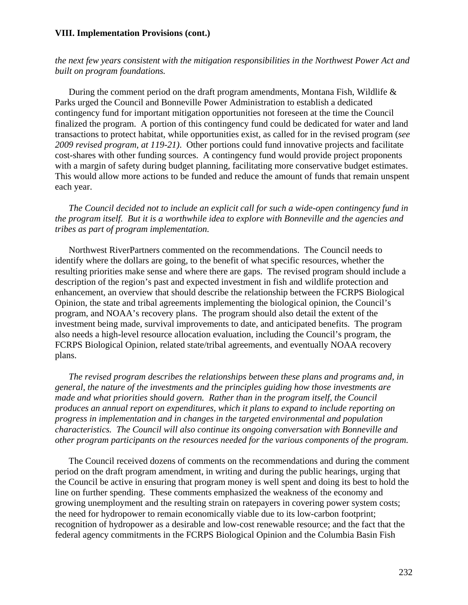*the next few years consistent with the mitigation responsibilities in the Northwest Power Act and built on program foundations.* 

 During the comment period on the draft program amendments, Montana Fish, Wildlife & Parks urged the Council and Bonneville Power Administration to establish a dedicated contingency fund for important mitigation opportunities not foreseen at the time the Council finalized the program. A portion of this contingency fund could be dedicated for water and land transactions to protect habitat, while opportunities exist, as called for in the revised program (*see 2009 revised program, at 119-21)*. Other portions could fund innovative projects and facilitate cost-shares with other funding sources. A contingency fund would provide project proponents with a margin of safety during budget planning, facilitating more conservative budget estimates. This would allow more actions to be funded and reduce the amount of funds that remain unspent each year.

*The Council decided not to include an explicit call for such a wide-open contingency fund in the program itself. But it is a worthwhile idea to explore with Bonneville and the agencies and tribes as part of program implementation.* 

 Northwest RiverPartners commented on the recommendations. The Council needs to identify where the dollars are going, to the benefit of what specific resources, whether the resulting priorities make sense and where there are gaps. The revised program should include a description of the region's past and expected investment in fish and wildlife protection and enhancement, an overview that should describe the relationship between the FCRPS Biological Opinion, the state and tribal agreements implementing the biological opinion, the Council's program, and NOAA's recovery plans. The program should also detail the extent of the investment being made, survival improvements to date, and anticipated benefits. The program also needs a high-level resource allocation evaluation, including the Council's program, the FCRPS Biological Opinion, related state/tribal agreements, and eventually NOAA recovery plans.

*The revised program describes the relationships between these plans and programs and, in general, the nature of the investments and the principles guiding how those investments are made and what priorities should govern. Rather than in the program itself, the Council produces an annual report on expenditures, which it plans to expand to include reporting on progress in implementation and in changes in the targeted environmental and population characteristics. The Council will also continue its ongoing conversation with Bonneville and other program participants on the resources needed for the various components of the program.* 

 The Council received dozens of comments on the recommendations and during the comment period on the draft program amendment, in writing and during the public hearings, urging that the Council be active in ensuring that program money is well spent and doing its best to hold the line on further spending. These comments emphasized the weakness of the economy and growing unemployment and the resulting strain on ratepayers in covering power system costs; the need for hydropower to remain economically viable due to its low-carbon footprint; recognition of hydropower as a desirable and low-cost renewable resource; and the fact that the federal agency commitments in the FCRPS Biological Opinion and the Columbia Basin Fish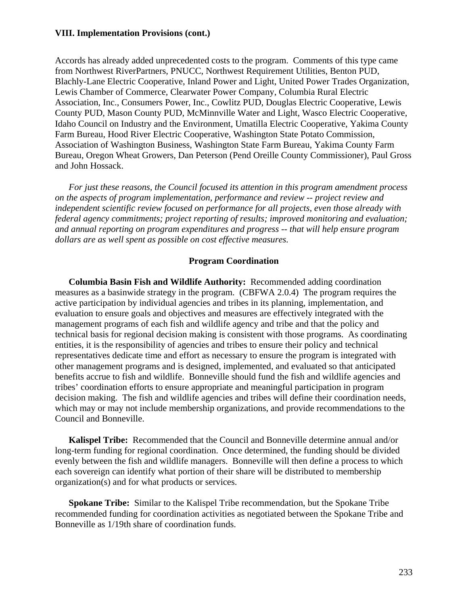Accords has already added unprecedented costs to the program. Comments of this type came from Northwest RiverPartners, PNUCC, Northwest Requirement Utilities, Benton PUD, Blachly-Lane Electric Cooperative, Inland Power and Light, United Power Trades Organization, Lewis Chamber of Commerce, Clearwater Power Company, Columbia Rural Electric Association, Inc., Consumers Power, Inc., Cowlitz PUD, Douglas Electric Cooperative, Lewis County PUD, Mason County PUD, McMinnville Water and Light, Wasco Electric Cooperative, Idaho Council on Industry and the Environment, Umatilla Electric Cooperative, Yakima County Farm Bureau, Hood River Electric Cooperative, Washington State Potato Commission, Association of Washington Business, Washington State Farm Bureau, Yakima County Farm Bureau, Oregon Wheat Growers, Dan Peterson (Pend Oreille County Commissioner), Paul Gross and John Hossack.

*For just these reasons, the Council focused its attention in this program amendment process on the aspects of program implementation, performance and review -- project review and independent scientific review focused on performance for all projects, even those already with federal agency commitments; project reporting of results; improved monitoring and evaluation; and annual reporting on program expenditures and progress -- that will help ensure program dollars are as well spent as possible on cost effective measures.* 

# **Program Coordination**

**Columbia Basin Fish and Wildlife Authority:** Recommended adding coordination measures as a basinwide strategy in the program. (CBFWA 2.0.4) The program requires the active participation by individual agencies and tribes in its planning, implementation, and evaluation to ensure goals and objectives and measures are effectively integrated with the management programs of each fish and wildlife agency and tribe and that the policy and technical basis for regional decision making is consistent with those programs. As coordinating entities, it is the responsibility of agencies and tribes to ensure their policy and technical representatives dedicate time and effort as necessary to ensure the program is integrated with other management programs and is designed, implemented, and evaluated so that anticipated benefits accrue to fish and wildlife. Bonneville should fund the fish and wildlife agencies and tribes' coordination efforts to ensure appropriate and meaningful participation in program decision making. The fish and wildlife agencies and tribes will define their coordination needs, which may or may not include membership organizations, and provide recommendations to the Council and Bonneville.

**Kalispel Tribe:** Recommended that the Council and Bonneville determine annual and/or long-term funding for regional coordination. Once determined, the funding should be divided evenly between the fish and wildlife managers. Bonneville will then define a process to which each sovereign can identify what portion of their share will be distributed to membership organization(s) and for what products or services.

**Spokane Tribe:** Similar to the Kalispel Tribe recommendation, but the Spokane Tribe recommended funding for coordination activities as negotiated between the Spokane Tribe and Bonneville as 1/19th share of coordination funds.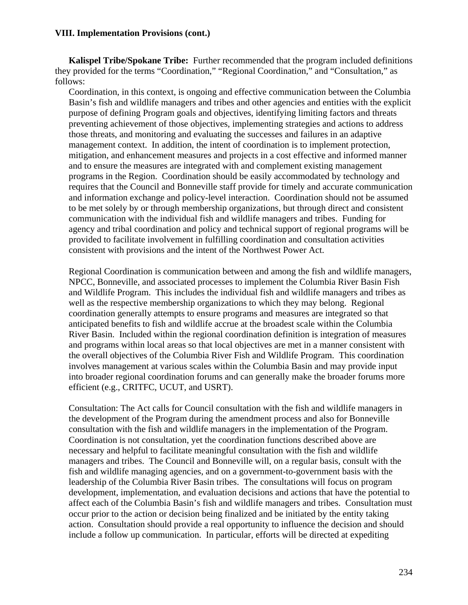**Kalispel Tribe/Spokane Tribe:** Further recommended that the program included definitions they provided for the terms "Coordination," "Regional Coordination," and "Consultation," as follows:

Coordination, in this context, is ongoing and effective communication between the Columbia Basin's fish and wildlife managers and tribes and other agencies and entities with the explicit purpose of defining Program goals and objectives, identifying limiting factors and threats preventing achievement of those objectives, implementing strategies and actions to address those threats, and monitoring and evaluating the successes and failures in an adaptive management context. In addition, the intent of coordination is to implement protection, mitigation, and enhancement measures and projects in a cost effective and informed manner and to ensure the measures are integrated with and complement existing management programs in the Region. Coordination should be easily accommodated by technology and requires that the Council and Bonneville staff provide for timely and accurate communication and information exchange and policy-level interaction. Coordination should not be assumed to be met solely by or through membership organizations, but through direct and consistent communication with the individual fish and wildlife managers and tribes. Funding for agency and tribal coordination and policy and technical support of regional programs will be provided to facilitate involvement in fulfilling coordination and consultation activities consistent with provisions and the intent of the Northwest Power Act.

Regional Coordination is communication between and among the fish and wildlife managers, NPCC, Bonneville, and associated processes to implement the Columbia River Basin Fish and Wildlife Program. This includes the individual fish and wildlife managers and tribes as well as the respective membership organizations to which they may belong. Regional coordination generally attempts to ensure programs and measures are integrated so that anticipated benefits to fish and wildlife accrue at the broadest scale within the Columbia River Basin. Included within the regional coordination definition is integration of measures and programs within local areas so that local objectives are met in a manner consistent with the overall objectives of the Columbia River Fish and Wildlife Program. This coordination involves management at various scales within the Columbia Basin and may provide input into broader regional coordination forums and can generally make the broader forums more efficient (e.g., CRITFC, UCUT, and USRT).

Consultation: The Act calls for Council consultation with the fish and wildlife managers in the development of the Program during the amendment process and also for Bonneville consultation with the fish and wildlife managers in the implementation of the Program. Coordination is not consultation, yet the coordination functions described above are necessary and helpful to facilitate meaningful consultation with the fish and wildlife managers and tribes. The Council and Bonneville will, on a regular basis, consult with the fish and wildlife managing agencies, and on a government-to-government basis with the leadership of the Columbia River Basin tribes. The consultations will focus on program development, implementation, and evaluation decisions and actions that have the potential to affect each of the Columbia Basin's fish and wildlife managers and tribes. Consultation must occur prior to the action or decision being finalized and be initiated by the entity taking action. Consultation should provide a real opportunity to influence the decision and should include a follow up communication. In particular, efforts will be directed at expediting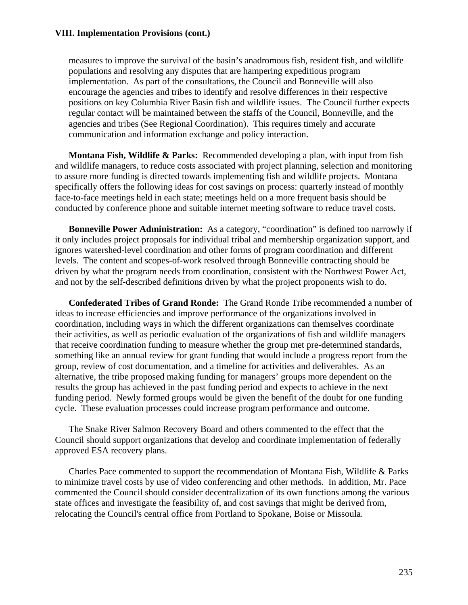measures to improve the survival of the basin's anadromous fish, resident fish, and wildlife populations and resolving any disputes that are hampering expeditious program implementation. As part of the consultations, the Council and Bonneville will also encourage the agencies and tribes to identify and resolve differences in their respective positions on key Columbia River Basin fish and wildlife issues. The Council further expects regular contact will be maintained between the staffs of the Council, Bonneville, and the agencies and tribes (See Regional Coordination). This requires timely and accurate communication and information exchange and policy interaction.

 **Montana Fish, Wildlife & Parks:** Recommended developing a plan, with input from fish and wildlife managers, to reduce costs associated with project planning, selection and monitoring to assure more funding is directed towards implementing fish and wildlife projects. Montana specifically offers the following ideas for cost savings on process: quarterly instead of monthly face-to-face meetings held in each state; meetings held on a more frequent basis should be conducted by conference phone and suitable internet meeting software to reduce travel costs.

**Bonneville Power Administration:** As a category, "coordination" is defined too narrowly if it only includes project proposals for individual tribal and membership organization support, and ignores watershed-level coordination and other forms of program coordination and different levels. The content and scopes-of-work resolved through Bonneville contracting should be driven by what the program needs from coordination, consistent with the Northwest Power Act, and not by the self-described definitions driven by what the project proponents wish to do.

**Confederated Tribes of Grand Ronde:** The Grand Ronde Tribe recommended a number of ideas to increase efficiencies and improve performance of the organizations involved in coordination, including ways in which the different organizations can themselves coordinate their activities, as well as periodic evaluation of the organizations of fish and wildlife managers that receive coordination funding to measure whether the group met pre-determined standards, something like an annual review for grant funding that would include a progress report from the group, review of cost documentation, and a timeline for activities and deliverables. As an alternative, the tribe proposed making funding for managers' groups more dependent on the results the group has achieved in the past funding period and expects to achieve in the next funding period. Newly formed groups would be given the benefit of the doubt for one funding cycle. These evaluation processes could increase program performance and outcome.

 The Snake River Salmon Recovery Board and others commented to the effect that the Council should support organizations that develop and coordinate implementation of federally approved ESA recovery plans.

 Charles Pace commented to support the recommendation of Montana Fish, Wildlife & Parks to minimize travel costs by use of video conferencing and other methods. In addition, Mr. Pace commented the Council should consider decentralization of its own functions among the various state offices and investigate the feasibility of, and cost savings that might be derived from, relocating the Council's central office from Portland to Spokane, Boise or Missoula.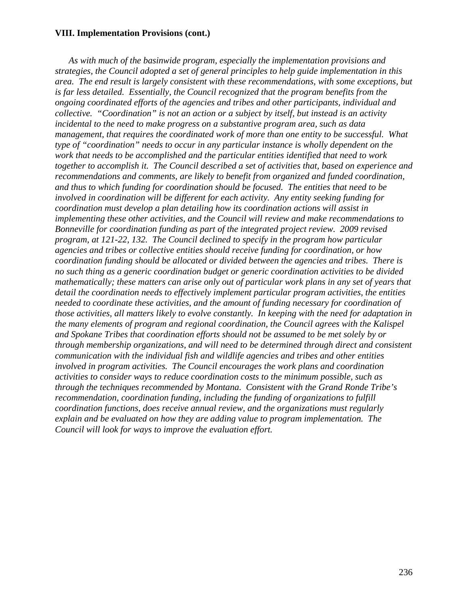*As with much of the basinwide program, especially the implementation provisions and strategies, the Council adopted a set of general principles to help guide implementation in this area. The end result is largely consistent with these recommendations, with some exceptions, but is far less detailed. Essentially, the Council recognized that the program benefits from the ongoing coordinated efforts of the agencies and tribes and other participants, individual and collective. "Coordination" is not an action or a subject by itself, but instead is an activity incidental to the need to make progress on a substantive program area, such as data management, that requires the coordinated work of more than one entity to be successful. What type of "coordination" needs to occur in any particular instance is wholly dependent on the work that needs to be accomplished and the particular entities identified that need to work together to accomplish it. The Council described a set of activities that, based on experience and recommendations and comments, are likely to benefit from organized and funded coordination, and thus to which funding for coordination should be focused. The entities that need to be involved in coordination will be different for each activity. Any entity seeking funding for coordination must develop a plan detailing how its coordination actions will assist in implementing these other activities, and the Council will review and make recommendations to Bonneville for coordination funding as part of the integrated project review. 2009 revised program, at 121-22, 132. The Council declined to specify in the program how particular agencies and tribes or collective entities should receive funding for coordination, or how coordination funding should be allocated or divided between the agencies and tribes. There is no such thing as a generic coordination budget or generic coordination activities to be divided mathematically; these matters can arise only out of particular work plans in any set of years that detail the coordination needs to effectively implement particular program activities, the entities needed to coordinate these activities, and the amount of funding necessary for coordination of those activities, all matters likely to evolve constantly. In keeping with the need for adaptation in the many elements of program and regional coordination, the Council agrees with the Kalispel and Spokane Tribes that coordination efforts should not be assumed to be met solely by or through membership organizations, and will need to be determined through direct and consistent communication with the individual fish and wildlife agencies and tribes and other entities involved in program activities. The Council encourages the work plans and coordination activities to consider ways to reduce coordination costs to the minimum possible, such as through the techniques recommended by Montana. Consistent with the Grand Ronde Tribe's recommendation, coordination funding, including the funding of organizations to fulfill coordination functions, does receive annual review, and the organizations must regularly explain and be evaluated on how they are adding value to program implementation. The Council will look for ways to improve the evaluation effort.*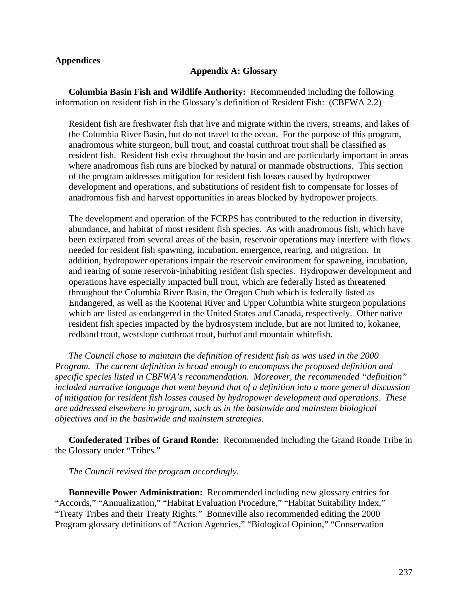## **Appendices**

#### **Appendix A: Glossary**

 **Columbia Basin Fish and Wildlife Authority:** Recommended including the following information on resident fish in the Glossary's definition of Resident Fish: (CBFWA 2.2)

Resident fish are freshwater fish that live and migrate within the rivers, streams, and lakes of the Columbia River Basin, but do not travel to the ocean. For the purpose of this program, anadromous white sturgeon, bull trout, and coastal cutthroat trout shall be classified as resident fish. Resident fish exist throughout the basin and are particularly important in areas where anadromous fish runs are blocked by natural or manmade obstructions. This section of the program addresses mitigation for resident fish losses caused by hydropower development and operations, and substitutions of resident fish to compensate for losses of anadromous fish and harvest opportunities in areas blocked by hydropower projects.

The development and operation of the FCRPS has contributed to the reduction in diversity, abundance, and habitat of most resident fish species. As with anadromous fish, which have been extirpated from several areas of the basin, reservoir operations may interfere with flows needed for resident fish spawning, incubation, emergence, rearing, and migration. In addition, hydropower operations impair the reservoir environment for spawning, incubation, and rearing of some reservoir-inhabiting resident fish species. Hydropower development and operations have especially impacted bull trout, which are federally listed as threatened throughout the Columbia River Basin, the Oregon Chub which is federally listed as Endangered, as well as the Kootenai River and Upper Columbia white sturgeon populations which are listed as endangered in the United States and Canada, respectively. Other native resident fish species impacted by the hydrosystem include, but are not limited to, kokanee, redband trout, westslope cutthroat trout, burbot and mountain whitefish.

*The Council chose to maintain the definition of resident fish as was used in the 2000 Program. The current definition is broad enough to encompass the proposed definition and specific species listed in CBFWA's recommendation. Moreover, the recommended "definition" included narrative language that went beyond that of a definition into a more general discussion of mitigation for resident fish losses caused by hydropower development and operations. These are addressed elsewhere in program, such as in the basinwide and mainstem biological objectives and in the basinwide and mainstem strategies.*

**Confederated Tribes of Grand Ronde:** Recommended including the Grand Ronde Tribe in the Glossary under "Tribes."

#### *The Council revised the program accordingly.*

**Bonneville Power Administration:** Recommended including new glossary entries for "Accords," "Annualization," "Habitat Evaluation Procedure," "Habitat Suitability Index," "Treaty Tribes and their Treaty Rights." Bonneville also recommended editing the 2000 Program glossary definitions of "Action Agencies," "Biological Opinion," "Conservation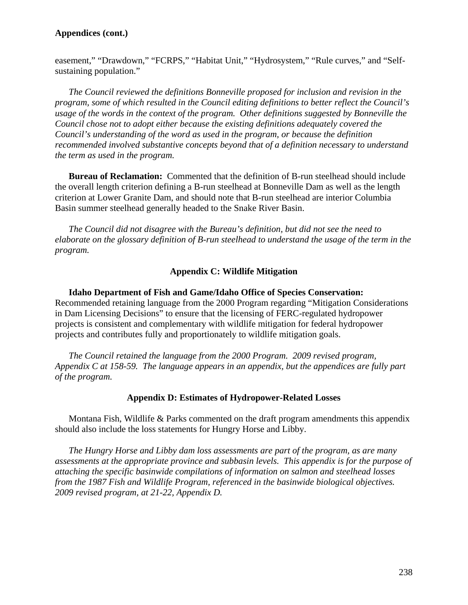# **Appendices (cont.)**

easement," "Drawdown," "FCRPS," "Habitat Unit," "Hydrosystem," "Rule curves," and "Selfsustaining population."

*The Council reviewed the definitions Bonneville proposed for inclusion and revision in the program, some of which resulted in the Council editing definitions to better reflect the Council's usage of the words in the context of the program. Other definitions suggested by Bonneville the Council chose not to adopt either because the existing definitions adequately covered the Council's understanding of the word as used in the program, or because the definition recommended involved substantive concepts beyond that of a definition necessary to understand the term as used in the program.* 

**Bureau of Reclamation:** Commented that the definition of B-run steelhead should include the overall length criterion defining a B-run steelhead at Bonneville Dam as well as the length criterion at Lower Granite Dam, and should note that B-run steelhead are interior Columbia Basin summer steelhead generally headed to the Snake River Basin.

*The Council did not disagree with the Bureau's definition, but did not see the need to elaborate on the glossary definition of B-run steelhead to understand the usage of the term in the program.* 

#### **Appendix C: Wildlife Mitigation**

 **Idaho Department of Fish and Game/Idaho Office of Species Conservation:** Recommended retaining language from the 2000 Program regarding "Mitigation Considerations in Dam Licensing Decisions" to ensure that the licensing of FERC-regulated hydropower projects is consistent and complementary with wildlife mitigation for federal hydropower projects and contributes fully and proportionately to wildlife mitigation goals.

*The Council retained the language from the 2000 Program. 2009 revised program, Appendix C at 158-59. The language appears in an appendix, but the appendices are fully part of the program.* 

#### **Appendix D: Estimates of Hydropower-Related Losses**

 Montana Fish, Wildlife & Parks commented on the draft program amendments this appendix should also include the loss statements for Hungry Horse and Libby.

*The Hungry Horse and Libby dam loss assessments are part of the program, as are many assessments at the appropriate province and subbasin levels. This appendix is for the purpose of attaching the specific basinwide compilations of information on salmon and steelhead losses from the 1987 Fish and Wildlife Program, referenced in the basinwide biological objectives. 2009 revised program, at 21-22, Appendix D.*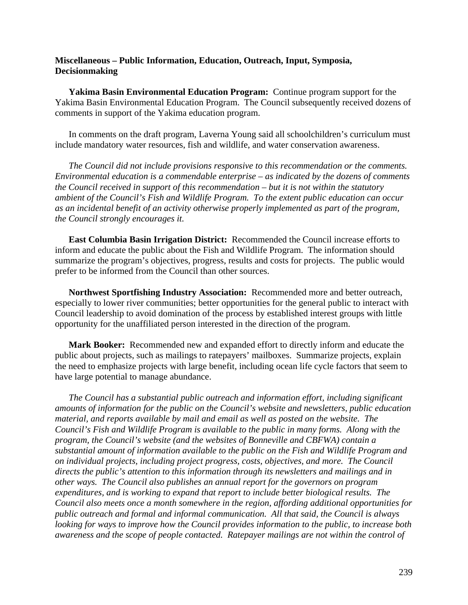## **Miscellaneous – Public Information, Education, Outreach, Input, Symposia, Decisionmaking**

**Yakima Basin Environmental Education Program:** Continue program support for the Yakima Basin Environmental Education Program. The Council subsequently received dozens of comments in support of the Yakima education program.

 In comments on the draft program, Laverna Young said all schoolchildren's curriculum must include mandatory water resources, fish and wildlife, and water conservation awareness.

*The Council did not include provisions responsive to this recommendation or the comments. Environmental education is a commendable enterprise – as indicated by the dozens of comments the Council received in support of this recommendation – but it is not within the statutory ambient of the Council's Fish and Wildlife Program. To the extent public education can occur as an incidental benefit of an activity otherwise properly implemented as part of the program, the Council strongly encourages it.* 

 **East Columbia Basin Irrigation District:** Recommended the Council increase efforts to inform and educate the public about the Fish and Wildlife Program. The information should summarize the program's objectives, progress, results and costs for projects. The public would prefer to be informed from the Council than other sources.

 **Northwest Sportfishing Industry Association:** Recommended more and better outreach, especially to lower river communities; better opportunities for the general public to interact with Council leadership to avoid domination of the process by established interest groups with little opportunity for the unaffiliated person interested in the direction of the program.

 **Mark Booker:** Recommended new and expanded effort to directly inform and educate the public about projects, such as mailings to ratepayers' mailboxes. Summarize projects, explain the need to emphasize projects with large benefit, including ocean life cycle factors that seem to have large potential to manage abundance.

*The Council has a substantial public outreach and information effort, including significant amounts of information for the public on the Council's website and newsletters, public education material, and reports available by mail and email as well as posted on the website. The Council's Fish and Wildlife Program is available to the public in many forms. Along with the program, the Council's website (and the websites of Bonneville and CBFWA) contain a substantial amount of information available to the public on the Fish and Wildlife Program and on individual projects, including project progress, costs, objectives, and more. The Council directs the public's attention to this information through its newsletters and mailings and in other ways. The Council also publishes an annual report for the governors on program expenditures, and is working to expand that report to include better biological results. The Council also meets once a month somewhere in the region, affording additional opportunities for public outreach and formal and informal communication. All that said, the Council is always looking for ways to improve how the Council provides information to the public, to increase both awareness and the scope of people contacted. Ratepayer mailings are not within the control of*